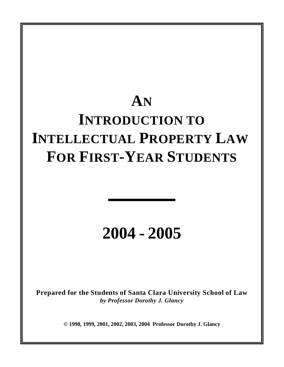# **AN**

# **INTRODUCTION TO INTELLECTUAL PROPERTY LAW FOR FIRST-YEAR STUDENTS**

# **2004 - 2005**

**\_\_\_\_**

**Prepared for the Students of Santa Clara University School of Law** *by Professor Dorothy J. Glancy*

**© 1998, 1999, 2001, 2002, 2003, 2004 Professor Dorothy J. Glancy**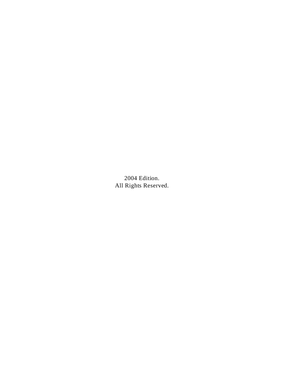2004 Edition. All Rights Reserved.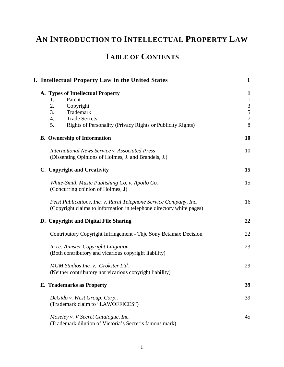# **AN INTRODUCTION TO INTELLECTUAL PROPERTY LAW**

# **TABLE OF CONTENTS**

| I. Intellectual Property Law in the United States                                                                                                                                         | $\mathbf{1}$                                                  |
|-------------------------------------------------------------------------------------------------------------------------------------------------------------------------------------------|---------------------------------------------------------------|
| A. Types of Intellectual Property<br>Patent<br>1.<br>2.<br>Copyright<br>3.<br>Trademark<br><b>Trade Secrets</b><br>4.<br>5.<br>Rights of Personality (Privacy Rights or Publicity Rights) | $\mathbf{1}$<br>$\mathbf{1}$<br>3<br>5<br>$\overline{7}$<br>8 |
| <b>B.</b> Ownership of Information                                                                                                                                                        | 10                                                            |
| <b>International News Service v. Associated Press</b><br>(Dissenting Opinions of Holmes, J. and Brandeis, J.)                                                                             | 10                                                            |
| C. Copyright and Creativity                                                                                                                                                               | 15                                                            |
| White-Smith Music Publishing Co. v. Apollo Co.<br>(Concurring opinion of Holmes, J)                                                                                                       | 15                                                            |
| Feist Publications, Inc. v. Rural Telephone Service Company, Inc.<br>(Copyright claims to information in telephone directory white pages)                                                 | 16                                                            |
| D. Copyright and Digital File Sharing                                                                                                                                                     | 22                                                            |
| Contributory Copyright Infringement - Thje Sony Betamax Decision                                                                                                                          | 22                                                            |
| In re: Aimster Copyright Litigation<br>(Both contributory and vicarious copyright liability)                                                                                              | 23                                                            |
| MGM Studios Inc. v. Grokster Ltd.<br>(Neither contributory nor vicarious copyright liability)                                                                                             | 29                                                            |
| <b>E. Trademarks as Property</b>                                                                                                                                                          | 39                                                            |
| DeGido v. West Group, Corp<br>(Trademark claim to "LAWOFFICES")                                                                                                                           | 39                                                            |
| Moseley v. V Secret Catalogue, Inc.<br>(Trademark dilution of Victoria's Secret's famous mark)                                                                                            | 45                                                            |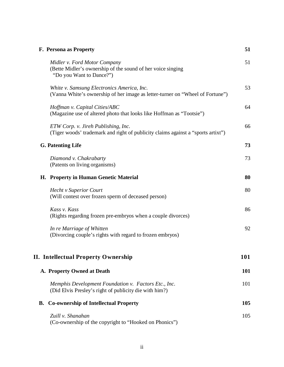|    | F. Persona as Property                                                                                                      | 51         |
|----|-----------------------------------------------------------------------------------------------------------------------------|------------|
|    | Midler v. Ford Motor Company<br>(Bette Midler's ownership of the sound of her voice singing<br>"Do you Want to Dance?")     | 51         |
|    | White v. Samsung Electronics America, Inc.<br>(Vanna White's ownership of her image as letter-turner on "Wheel of Fortune") | 53         |
|    | Hoffman v. Capital Cities/ABC<br>(Magazine use of altered photo that looks like Hoffman as "Tootsie")                       | 64         |
|    | ETW Corp. v. Jireh Publishing, Inc.<br>(Tiger woods' trademark and right of publicity claims against a "sports artixt")     | 66         |
|    | <b>G. Patenting Life</b>                                                                                                    | 73         |
|    | Diamond v. Chakrabarty<br>(Patents on living organisms)                                                                     | 73         |
|    | H. Property in Human Genetic Material                                                                                       | 80         |
|    | <b>Hecht v Superior Court</b><br>(Will contest over frozen sperm of deceased person)                                        | 80         |
|    | Kass v. Kass<br>(Rights regarding frozen pre-embryos when a couple divorces)                                                | 86         |
|    | In re Marriage of Whitten<br>(Divorcing couple's rights with regard to frozen embryos)                                      | 92         |
|    | <b>II. Intellectual Property Ownership</b>                                                                                  | 101        |
|    | A. Property Owned at Death                                                                                                  | <b>101</b> |
|    | Memphis Development Foundation v. Factors Etc., Inc.<br>(Did Elvis Presley's right of publicity die with him?)              | 101        |
| В. | <b>Co-ownership of Intellectual Property</b>                                                                                | 105        |
|    | Zuill v. Shanahan<br>(Co-ownership of the copyright to "Hooked on Phonics")                                                 | 105        |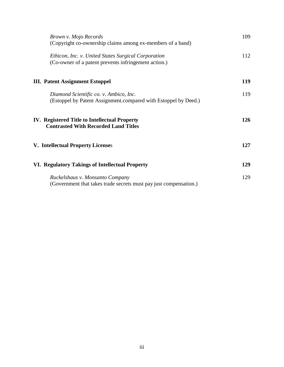| Brown v. Mojo Records<br>(Copyright co-ownership claims among ex-members of a band)                         | 109 |
|-------------------------------------------------------------------------------------------------------------|-----|
| Ethicon, Inc. v. United States Surgical Corporation<br>(Co-owner of a patent prevents infringement action.) | 112 |
| <b>III.</b> Patent Assignment Estoppel                                                                      | 119 |
| Diamond Scientific co. v. Ambico, Inc.<br>(Estoppel by Patent Assignment.compared with Estoppel by Deed.)   | 119 |
| IV. Registered Title to Intellectual Property<br><b>Contrasted With Recorded Land Titles</b>                | 126 |
| V. Intellectual Property Licenses                                                                           |     |
| VI. Regulatory Takings of Intellectual Property                                                             |     |
| Ruckelshaus v. Monsanto Company<br>(Government that takes trade secrets must pay just compensation.)        | 129 |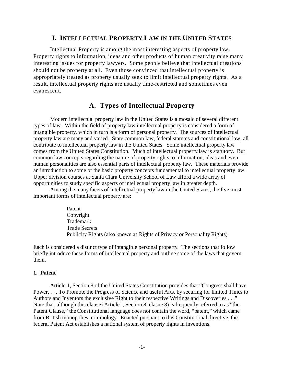## **I. INTELLECTUAL PROPERTY LAW IN THE UNITED STATES**

Intellectual Property is among the most interesting aspects of property law. Property rights to information, ideas and other products of human creativity raise many interesting issues for property lawyers. Some people believe that intellectual creations should not be property at all. Even those convinced that intellectual property is appropriately treated as property usually seek to limit intellectual property rights. As a result, intellectual property rights are usually time-restricted and sometimes even evanescent.

# **A. Types of Intellectual Property**

Modern intellectual property law in the United States is a mosaic of several different types of law. Within the field of property law intellectual property is considered a form of intangible property, which in turn is a form of personal property. The sources of intellectual property law are many and varied. State common law, federal statutes and constitutional law, all contribute to intellectual property law in the United States. Some intellectual property law comes from the United States Constitution. Much of intellectual property law is statutory. But common law concepts regarding the nature of property rights to information, ideas and even human personalities are also essential parts of intellectual property law. These materials provide an introduction to some of the basic property concepts fundamental to intellectual property law. Upper division courses at Santa Clara University School of Law afford a wide array of opportunities to study specific aspects of intellectual property law in greater depth.

Among the many facets of intellectual property law in the United States, the five most important forms of intellectual property are:

> Patent Copyright Trademark Trade Secrets Publicity Rights (also known as Rights of Privacy or Personality Rights)

Each is considered a distinct type of intangible personal property. The sections that follow briefly introduce these forms of intellectual property and outline some of the laws that govern them.

#### **1. Patent**

Article 1, Section 8 of the United States Constitution provides that "Congress shall have Power, . . . To Promote the Progress of Science and useful Arts, by securing for limited Times to Authors and Inventors the exclusive Right to their respective Writings and Discoveries . . ." Note that, although this clause (Article I, Section 8, clasue 8) is frequently referred to as "the Patent Clause," the Constitutional language does not contain the word, "patent," which came from British monopolies terminology. Enacted pursuant to this Constitutional directive, the federal Patent Act establishes a national system of property rights in inventions.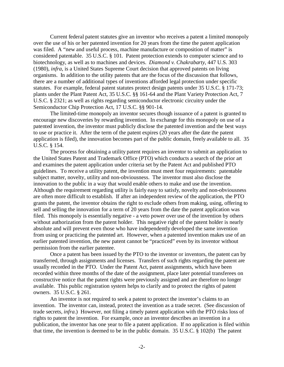Current federal patent statutes give an inventor who receives a patent a limited monopoly over the use of his or her patented invention for 20 years from the time the patent application was filed. A "new and useful process, machine manufacture or composition of matter" is considered patentable. 35 U.S.C. § 101. Patent protection extends to computer science and to biotechnology, as well as to machines and devices. *Diamond v. Chakrabarty*, 447 U.S. 303 (1980), *infra*, is a United States Supreme Court decision that approved patents on living organisms. In addition to the utility patents that are the focus of the discussion that follows, there are a number of additional types of inventions afforded legal protection under specific statutes. For example, federal patent statutes protect design patents under 35 U.S.C. § 171-73; plants under the Plant Patent Act, 35 U.S.C. §§ 161-64 and the Plant Variety Protection Act, 7 U.S.C. § 2321; as well as rights regarding semiconductor electronic circuitry under the Semiconductor Chip Protection Act, 17 U.S.C. §§ 901-14.

The limited-time monopoly an inventor secures though issuance of a patent is granted to encourage new discoveries by rewarding invention. In exchange for this monopoly on use of a patented invention, the inventor must publicly disclose the patented invention and the best ways to use or practice it. After the term of the patent expires (20 years after the date the patent application is filed), the innovation becomes part of the public domain, freely available to all. 35 U.S.C. § 154.

The process for obtaining a utility patent requires an inventor to submit an application to the United States Patent and Trademark Office (PTO) which conducts a search of the prior art and examines the patent application under criteria set by the Patent Act and published PTO guidelines. To receive a utility patent, the invention must meet four requirements: patentable subject matter, novelty, utility and non-obviousness. The inventor must also disclose the innovation to the public in a way that would enable others to make and use the invention. Although the requirement regarding utility is fairly easy to satisfy, novelty and non-obviousness are often more difficult to establish. If after an independent review of the application, the PTO grants the patent, the inventor obtains the right to exclude others from making, using, offering to sell and selling the innovation for a term of 20 years from the date the patent application was filed. This monopoly is essentially negative - a veto power over use of the invention by others without authorization from the patent holder. This negative right of the patent holder is nearly absolute and will prevent even those who have independently developed the same invention from using or practicing the patented art. However, when a patented invention makes use of an earlier patented invention, the new patent cannot be "practiced" even by its inventor without permission from the earlier patentee.

Once a patent has been issued by the PTO to the inventor or inventors, the patent can by transferred, through assignments and licenses. Transfers of such rights regarding the patent are usually recorded in the PTO. Under the Patent Act, patent assignments, which have been recorded within three months of the date of the assignment, place later potential transferees on constructive notice that the patent rights were previously assigned and are therefore no longer available. This public registration system helps to clarify and to protect the rights of patent owners. 35 U.S.C. § 261.

An inventor is not required to seek a patent to protect the inventor's claims to an invention. The inventor can, instead, protect the invention as a trade secret. (See discussion of trade secrets, *infra*.) However, not filing a timely patent application with the PTO risks loss of rights to patent the invention. For example, once an inventor describes an invention in a publication, the inventor has one year to file a patent application. If no application is filed within that time, the invention is deemed to be in the public domain. 35 U.S.C. § 102(b) The patent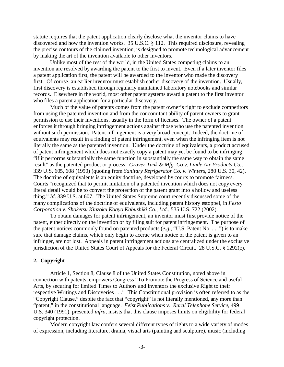statute requires that the patent application clearly disclose what the inventor claims to have discovered and how the invention works. 35 U.S.C. § 112. This required disclosure, revealing the precise contours of the claimed invention, is designed to promote technological advancement by making the art of the invention available to other inventors.

Unlike most of the rest of the world, in the United States competing claims to an invention are resolved by awarding the patent to the first to invent. Even if a later inventor files a patent application first, the patent will be awarded to the inventor who made the discovery first. Of course, an earlier inventor must establish earlier discovery of the invention. Usually, first discovery is established through regularly maintained laboratory notebooks and similar records. Elsewhere in the world, most other patent systems award a patent to the first inventor who files a patent application for a particular discovery.

Much of the value of patents comes from the patent owner's right to exclude competitors from using the patented invention and from the concomitant ability of patent owners to grant permission to use their inventions, usually in the form of licenses. The owner of a patent enforces it through bringing infringement actions against those who use the patented invention without such permission. Patent infringement is a very broad concept. Indeed, the doctrine of equivalents may result in a finding of patent infringement, even when the infringing item is not literally the same as the patented invention. Under the doctrine of equivalents, a product accused of patent infringement which does not exactly copy a patent may yet be found to be infringing "if it performs substantially the same function in substantially the same way to obtain the same result" as the patented product or process. *Graver Tank & Mfg. Co v. Linde Air Products Co*., 339 U.S. 605, 608 (1950) (quoting from *Sanitary Refrigerator Co. v. Winters*, 280 U.S. 30, 42). The doctrine of equivalents is an equity doctrine, developed by courts to promote fairness. Courts "recognized that to permit imitation of a patented invention which does not copy every literal detail would be to convert the protection of the patent grant into a hollow and useless thing." *Id*. 339 U.S. at 607. The United States Supreme court recently discussed some of the many complications of the doctrine of equivalents, including patent history estoppel, in *Festo Corporation v. Shoketsu Kinzoku Kogyo Kabushiki Co., Ltd.*, 535 U.S. 722 (2002).

To obtain damages for patent infringement, an inventor must first provide notice of the patent, either directly on the invention or by filing suit for patent infringement. The purpose of the patent notices commonly found on patented products (*e.g.,* "U.S. Patent No. . . .") is to make sure that damage claims, which only begin to accrue when notice of the patent is given to an infringer, are not lost. Appeals in patent infringement actions are centralized under the exclusive jurisdiction of the United States Court of Appeals for the Federal Circuit. 28 U.S.C. § 1292(c).

#### **2. Copyright**

Article 1, Section 8, Clause 8 of the United States Constitution, noted above in connection with patents, empowers Congress "To Promote the Progress of Science and useful Arts, by securing for limited Times to Authors and Inventors the exclusive Right to their respective Writings and Discoveries . . ." This Constitutional provision is often referred to as the "Copyright Clause," despite the fact that "copyright" is not literally mentioned, any more than "patent," in the constitutional language. *Feist Publications v. Rural Telephone Service*, 499 U.S. 340 (1991), presented *infra*, insists that this clause imposes limits on eligibility for federal copyright protection.

Modern copyright law confers several different types of rights to a wide variety of modes of expression, including literature, drama, visual arts (painting and sculpture), music (including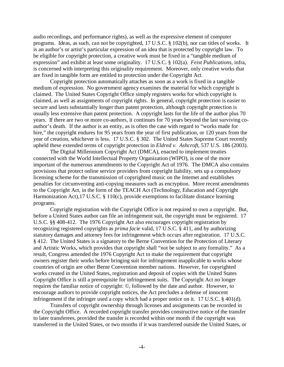audio recordings, and performance rights), as well as the expressive element of computer programs. Ideas, as such, can not be copyrighted, 17 U.S.C. § 102(b), nor can titles of works. It is an author's or artist's particular expression of an idea that is protected by copyright law. To be eligible for copyright protection, a creative work must be fixed in a "tangible medium of expression" and exhibit at least some originality. 17 U.S.C. § 102(a). *Feist Publications*, infra, is concerned with interpreting this originality requirement. Moreover, only creative works that are fixed in tangible form are entitled to protection under the Copyright Act.

Copyright protection automatically attaches as soon as a work is fixed in a tangible medium of expression. No government agency examines the material for which copyright is claimed. The United States Copyright Office simply registers works for which copyright is claimed, as well as assignments of copyright rights. In general, copyright protection is easier to secure and lasts substantially longer than patent protection, although copyright protection is usually less extensive than patent protection. A copyright lasts for the life of the author plus 70 years. If there are two or more co-authors, it continues for 70 years beyond the last surviving coauthor's death. If the author is an entity, as is often the case with regard to "works made for hire," the copyright endures for 95 years from the year of first publication, or 120 years from the year of creation, whichever is less. 17 U.S.C. § 302. The United States Supreme Court recently upheld these extended terms of copyright protection in *Eldred v. Ashcroft*, 537 U.S. 186 (2003).

The Digital Millennium Copyright Act (DMCA), enacted to implement treaties connected with the World Intellectual Property Organization (WIPO), is one of the more important of the numerous amendments to the Copyright Act of 1976. The DMCA also contains provisions that protect online service providers from copyright liability, sets up a compulsory licensing scheme for the transmission of copyrighted music on the Internet and establishes penalties for circumventing anti-copying measures such as encryption. More recent amendments to the Copyright Act, in the form of the TEACH Act (Technology, Education and Copyright Harmonization Act), 17 U.S.C. § 110(c), provide exemptions to facilitate distance learning programs.

Copyright registration with the Copyright Office is not required to own a copyright. But, before a United States author can file an infringement suit, the copyright must be registered. 17 U.S.C. §§ 408-412. The 1976 Copyright Act also encourages copyright registration by recognizing registered copyrights as *prima facie* valid, 17 U.S.C. § 411, and by authorizing statutory damages and attorney fees for infringement which occurs after registration. 17 U.S.C. § 412. The United States is a signatory to the Berne Convention for the Protection of Literary and Artistic Works, which provides that copyright shall "not be subject to any formality." As a result, Congress amended the 1976 Copyright Act to make the requirement that copyright owners register their works before bringing suit for infringement inapplicable to works whose countries of origin are other Berne Convention member nations. However, for copyrighted works created in the United States, registration and deposit of copies with the United States Copyright Office is still a prerequisite for infringement suits. The Copyright Act no longer requires the familiar notice of copyright: ©, followed by the date and author. However, to encourage authors to provide copyright notices, the Act precludes a defense of innocent infringement if the infringer used a copy which had a proper notice on it. 17 U.S.C. § 401(d).

Transfers of copyright ownership through licenses and assignments can be recorded in the Copyright Office. A recorded copyright transfer provides constructive notice of the transfer to later transferees, provided the transfer is recorded within one month if the copyright was transferred in the United States, or two months if it was transferred outside the United States, or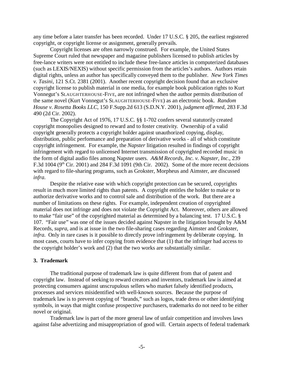any time before a later transfer has been recorded. Under 17 U.S.C. § 205, the earliest registered copyright, or copyright license or assignment, generally prevails.

Copyright licenses are often narrowly construed. For example, the United States Supreme Court ruled that newspaper and magazine publishers licensed to publish articles by free-lance writers were not entitled to include these free-lance articles in computerized databases (such as LEXIS/NEXIS) without specific permission from the articles's authors. Authors retain digital rights, unless an author has specifically conveyed them to the publisher. *New York Times v. Tasini*, 121 S.Ct. 2381 (2001). Another recent copyright decision found that an exclusive copyright license to publish material in one media, for example book publication rights to Kurt Vonnegut's SLAUGHTERHOUSE-FIVE, are not infringed when the author permits distribution of the same novel (Kurt Vonnegut's SLAUGHTERHOUSE-FIVE) as an electronic book. *Random House v. Rosetta Books LLC*, 150 F.Supp.2d 613 (S.D.N.Y. 2001), *judgment affirmed*, 283 F.3d 490 (2d Cir. 2002).

The Copyright Act of 1976, 17 U.S.C. §§ 1-702 confers several statutorily created copyright monopolies designed to reward and to foster creativity. Ownership of a valid copyright generally protects a copyright holder against unauthorized copying, display, distribution, public performance and preparation of derivative works - all of which constitute copyright infringement. For example, the *Napster* litigation resulted in findings of copyright infringement with regard to unlicensed Internet transmission of copyrighted recorded music in the form of digital audio files among Napster users. *A&M Records, Inc. v. Napster, Inc.*, 239 F.3d 1004 ( $9<sup>th</sup>$  Cir. 2001) and 284 F.3d 1091 (9th Cir. 2002). Some of the more recent decisions with regard to file-sharing programs, such as Grokster, Morpheus and Aimster, are discussed *infra*.

Despite the relative ease with which copyright protection can be secured, copyrights result in much more limited rights than patents. A copyright entitles the holder to make or to authorize derivative works and to control sale and distribution of the work. But there are a number of limitations on these rights. For example, independent creation of copyrighted material does not infringe and does not violate the Copyright Act. Moreover, others are allowed to make "fair use" of the copyrighted material as determined by a balancing test. 17 U.S.C. § 107. "Fair use" was one of the issues decided against Napster in the litigation brought by A&M Records, *supra*, and is at issue in the two file-sharing cases regarding Aimster and Grokster, *infra*. Only in rare cases is it possible to directly prove infringement by deliberate copying. In most cases, courts have to infer copying from evidence that (1) that the infringer had access to the copyright holder's work and (2) that the two works are substantially similar.

#### **3. Trademark**

The traditional purpose of trademark law is quite different from that of patent and copyright law. Instead of seeking to reward creators and inventors, trademark law is aimed at protecting consumers against unscrupulous sellers who market falsely identified products, processes and services misidentified with well-known sources. Because the purpose of trademark law is to prevent copying of "brands," such as logos, trade dress or other identifying symbols, in ways that might confuse prospective purchasers, trademarks do not need to be either novel or original.

Trademark law is part of the more general law of unfair competition and involves laws against false advertizing and misappropriation of good will. Certain aspects of federal trademark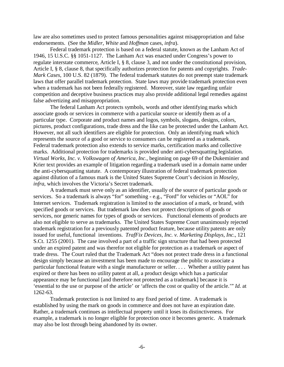law are also sometimes used to protect famous personalities against misappropriation and false endorsements. (See the *Midler*, *White* and *Hoffman* cases, *infra*).

Federal trademark protection is based on a federal statute, known as the Lanham Act of 1946, 15 U.S.C. §§ 1051-1127. The Lanham Act was enacted under Congress's power to regulate interstate commerce, Article I, § 8, clause 3, and not under the constitutional provision, Article I, § 8, clause 8, that specifically authorizes protection for patents and copyrights. *Trade-Mark Cases*, 100 U.S. 82 (1879). The federal trademark statutes do not preempt state trademark laws that offer parallel trademark protection. State laws may provide trademark protection even when a trademark has not been federally registered. Moreover, state law regarding unfair competition and deceptive business practices may also provide additional legal remedies against false advertizing and misappropriation.

The federal Lanham Act protects symbols, words and other identifying marks which associate goods or services in commerce with a particular source or identify them as of a particular type. Corporate and product names and logos, symbols, slogans, designs, colors, pictures, product configurations, trade dress and the like can be protected under the Lanham Act. However, not all such identifiers are eligible for protection. Only an identifying mark which represents the source of a good or service to consumers can be registered as a trademark. Federal trademark protection also extends to service marks, certification marks and collective marks. Additional protection for trademarks is provided under anti-cybersquatting legislation. *Virtual Works, Inc. v. Volkswagen of America, Inc.*, beginning on page 69 of the Dukeminier and Krier text provides an example of litigation regarding a trademark used in a domain name under the anti-cybersquatting statute. A contemporary illustration of federal trademark protection against dilution of a famous mark is the United States Supreme Court's decision in *Moseley*, *infra*, which involves the Victoria's Secret trademark.

A trademark must serve only as an identifier, usually of the source of particular goods or services. So a trademark is always "for" something - e.g., "Ford" for vehicles or "AOL" for Internet services. Trademark registration is limited to the association of a mark, or brand, with specified goods or services. But trademark law does not protect descriptions of goods or services, nor generic names for types of goods or services. Functional elements of products are also not eligible to serve as trademarks. The United States Supreme Court unanimously rejected trademark registration for a previously patented product feature, because utility patents are only issued for useful, functional inventions. *TrafFix Devices, Inc. v. Marketing Displays, Inc.,* 121 S.Ct. 1255 (2001). The case involved a part of a traffic sign structure that had been protected under an expired patent and was therefor not eligible for protection as a trademark or aspect of trade dress. The Court ruled that the Trademark Act "does not protect trade dress in a functional design simply because an investment has been made to encourage the public to associate a particular functional feature with a single manufacturer or seller. . . . Whether a utility patent has expired or there has been no utility patent at all, a product design which has a particular appearance may be functional [and therefore not protected as a trademark] because it is 'essential to the use or purpose of the article' or 'affects the cost or quality of the article.'" *Id.* at 1262-63.

Trademark protection is not limited to any fixed period of time. A trademark is established by using the mark on goods in commerce and does not have an expiration date. Rather, a trademark continues as intellectual property until it loses its distinctiveness. For example, a trademark is no longer eligible for protection once it becomes generic. A trademark may also be lost through being abandoned by its owner.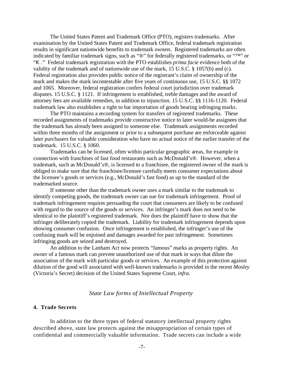The United States Patent and Trademark Office (PTO), registers trademarks. After examination by the United States Patent and Trademark Office, federal trademark registration results in significant nationwide benefits to trademark owners. Registered trademarks are often indicated by familiar trademark signs, such as "®" for federally registered trademarks, or "™" or "K." Federal trademark registration with the PTO establishes *prima facie* evidence both of the validity of the trademark and of nationwide use of the mark, 15 U.S.C. § 1057(b) and (c). Federal registration also provides public notice of the registrant's claim of ownership of the mark and makes the mark incontestable after five years of continuous use, 15 U.S.C. §§ 1072 and 1065. Moreover, federal registration confers federal court jurisdiction over trademark disputes. 15 U.S.C. § 1121. If infringement is established, treble damages and the award of attorney fees are available remedies, in addition to injunction. 15 U.S.C. §§ 1116-1120. Federal trademark law also establishes a right to bar importation of goods bearing infringing marks.

The PTO maintains a recording system for transfers of registered trademarks. These recorded assignments of trademarks provide constructive notice to later would-be assignees that the trademark has already been assigned to someone else. Trademark assignments recorded within three months of the assignment or prior to a subsequent purchase are enforceable against later purchasers for valuable consideration who have no actual notice of the earlier transfer of the trademark. 15 U.S.C. § 1060.

Trademarks can be licensed, often within particular geographic areas, for example in connection with franchises of fast food restaurants such as McDonald's®. However, when a trademark, such as McDonald's®, is licensed to a franchisee, the registered owner of the mark is obliged to make sure that the franchisee/licensee carefully meets consumer expectations about the licensee's goods or services (e.g., McDonald's fast food) as up to the standard of the trademarked source.

If someone other than the trademark owner uses a mark similar to the trademark to identify competing goods, the trademark owner can sue for trademark infringement. Proof of trademark infringement requires persuading the court that consumers are likely to be confused with regard to the source of the goods or services. An infringer's mark does not need to be identical to the plaintiff's registered trademark. Nor does the plaintiff have to show that the infringer deliberately copied the trademark. Liability for trademark infringement depends upon showing consumer confusion. Once infringement is established, the infringer's use of the confusing mark will be enjoined and damages awarded for past infringement. Sometimes infringing goods are seized and destroyed.

An addition to the Lanham Act now protects "famous" marks as property rights. An owner of a famous mark can prevent unauthorized use of that mark in ways that dilute the association of the mark with particular goods or services. An example of this protection against dilution of the good will associated with well-known trademarks is provided in the recent *Mosley* (Victoria's Secret) decision of the United States Supreme Court, *infra*.

#### *State Law forms of Intellectual Property*

#### **4. Trade Secrets**

In addition to the three types of federal statutory intellectual property rights described above, state law protects against the misappropriation of certain types of confidential and commercially valuable information. Trade secrets can include a wide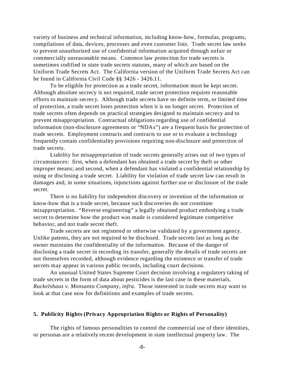variety of business and technical information, including know-how, formulas, programs, compilations of data, devices, processes and even customer lists. Trade secret law seeks to prevent unauthorized use of confidential information acquired through unfair or commercially unreasonable means. Common law protection for trade secrets is sometimes codified in state trade secrets statutes, many of which are based on the Uniform Trade Secrets Act. The California version of the Uniform Trade Secrets Act can be found in California Civil Code §§ 3426 - 3426.11.

To be eligible for protection as a trade secret, information must be kept secret. Although absolute secrecy is not required, trade secret protection requires reasonable efforts to maintain secrecy. Although trade secrets have no definite term, or limited time of protection, a trade secret loses protection when it is no longer secret. Protection of trade secrets often depends on practical strategies designed to maintain secrecy and to prevent misappropriation. Contractual obligations regarding use of confidential information (non-disclosure agreements or "NDAs") are a frequent basis for protection of trade secrets. Employment contracts and contracts to use or to evaluate a technology frequently contain confidentiality provisions requiring non-disclosure and protection of trade secrets.

Liability for misappropriation of trade secrets generally arises out of two types of circumstances: first, when a defendant has obtained a trade secret by theft or other improper means; and second, when a defendant has violated a confidential relationship by using or disclosing a trade secret. Liability for violation of trade secret law can result in damages and, in some situations, injunctions against further use or disclosure of the trade secret.

There is no liability for independent discovery or invention of the information or know-how that is a trade secret, because such discoveries do not constitute misappropriation. "Reverse engineering" a legally obtained product embodying a trade secret to determine how the product was made is considered legitimate competitive behavior, and not trade secret theft.

Trade secrets are not registered or otherwise validated by a government agency. Unlike patents, they are not required to be disclosed. Trade secrets last as long as the owner maintains the confidentiality of the information. Because of the danger of disclosing a trade secret in recording its transfer, generally the details of trade secrets are not themselves recorded, although evidence regarding the existence or transfer of trade secrets may appear in various public records, including court decisions.

An unusual United States Supreme Court decision involving a regulatory taking of trade secrets in the form of data about pesticides is the last case in these materials, *Ruckelshaus v. Monsanto Company*, *infra*. Those interested in trade secrets may want to look at that case now for definitions and examples of trade secrets.

#### **5. Publicity Rights (Privacy Appropriation Rights or Rights of Personality)**

The rights of famous personalities to control the commercial use of their identities, or personas are a relatively recent development in state intellectual property law. The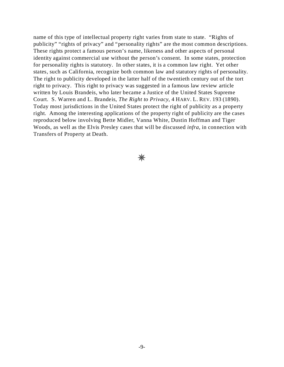name of this type of intellectual property right varies from state to state. "Rights of publicity" "rights of privacy" and "personality rights" are the most common descriptions. These rights protect a famous person's name, likeness and other aspects of personal identity against commercial use without the person's consent. In some states, protection for personality rights is statutory. In other states, it is a common law right. Yet other states, such as California, recognize both common law and statutory rights of personality. The right to publicity developed in the latter half of the twentieth century out of the tort right to privacy. This right to privacy was suggested in a famous law review article written by Louis Brandeis, who later became a Justice of the United States Supreme Court. S. Warren and L. Brandeis, *The Right to Privacy*, 4 HARV. L. REV. 193 (1890). Today most jurisdictions in the United States protect the right of publicity as a property right. Among the interesting applications of the property right of publicity are the cases reproduced below involving Bette Midler, Vanna White, Dustin Hoffman and Tiger Woods, as well as the Elvis Presley cases that will be discussed *infra*, in connection with Transfers of Property at Death.

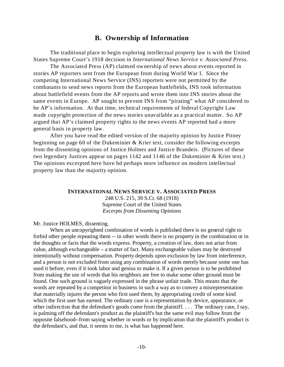## **B. Ownership of Information**

The traditional place to begin exploring intellectual property law is with the United States Supreme Court's 1918 decision in *International News Service v. Associated Press.*

The Associated Press (AP) claimed ownership of news about events reported in stories AP reporters sent from the European front during World War I. Since the competing International News Service (INS) reporters were not permitted by the combatants to send news reports from the European battlefields, INS took information about battlefield events from the AP reports and wrote them into INS stories about the same events in Europe. AP sought to prevent INS from "pirating" what AP considered to be AP's information. At that time, technical requirements of federal Copyright Law made copyright protection of the news stories unavailable as a practical matter. So AP argued that AP's claimed property rights to the news events AP reported had a more general basis in property law.

After you have read the edited version of the majority opinion by Justice Pitney beginning on page 60 of the Dukeminier & Krier text, consider the following excerpts from the dissenting opinions of Justice Holmes and Justice Brandeis. (Pictures of these two legendary Justices appear on pages 1142 and 1146 of the Dukeminier & Krier text.) The opinions excerpted here have hd perhaps more influence on modern intellectual property law than the majority opinion.

#### **INTERNATIONAL NEWS SERVICE V. ASSOCIATED PRESS**

248 U.S. 215, 39 S.Ct. 68 (1918) Supreme Court of the United States *Excerpts from Dissenting Opinions*

Mr. Justice HOLMES, dissenting.

When an uncopyrighted combination of words is published there is no general right to forbid other people repeating them -- in other words there is no property in the combination or in the thoughts or facts that the words express. Property, a creation of law, does not arise from value, although exchangeable – a matter of fact. Many exchangeable values may be destroyed intentionally without compensation. Property depends upon exclusion by law from interference, and a person is not excluded from using any combination of words merely because some one has used it before, even if it took labor and genius to make it. If a given person is to be prohibited from making the use of words that his neighbors are free to make some other ground must be found. One such ground is vaguely expressed in the phrase unfair trade. This means that the words are repeated by a competitor in business in such a way as to convey a misrepresentation that materially injures the person who first used them, by appropriating credit of some kind which the first user has earned. The ordinary case is a representation by device, appearance, or other indirection that the defendant's goods come from the plaintiff. . . . The ordinary case, I say, is palming off the defendant's product as the plaintiff's but the same evil may follow from the opposite falsehood--from saying whether in words or by implication that the plaintiff's product is the defendant's, and that, it seems to me, is what has happened here.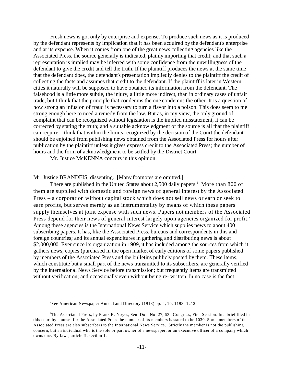Fresh news is got only by enterprise and expense. To produce such news as it is produced by the defendant represents by implication that it has been acquired by the defendant's enterprise and at its expense. When it comes from one of the great news collecting agencies like the Associated Press, the source generally is indicated, plainly importing that credit; and that such a representation is implied may be inferred with some confidence from the unwillingness of the defendant to give the credit and tell the truth. If the plaintiff produces the news at the same time that the defendant does, the defendant's presentation impliedly denies to the plaintiff the credit of collecting the facts and assumes that credit to the defendant. If the plaintiff is later in Western cities it naturally will be supposed to have obtained its information from the defendant. The falsehood is a little more subtle, the injury, a little more indirect, than in ordinary cases of unfair trade, but I think that the principle that condemns the one condemns the other. It is a question of how strong an infusion of fraud is necessary to turn a flavor into a poison. This does seem to me strong enough here to need a remedy from the law. But as, in my view, the only ground of complaint that can be recognized without legislation is the implied misstatement, it can be corrected by stating the truth; and a suitable acknowledgment of the source is all that the plaintiff can require. I think that within the limits recognized by the decision of the Court the defendant should be enjoined from publishing news obtained from the Associated Press for hours after publication by the plaintiff unless it gives express credit to the Associated Press; the number of hours and the form of acknowledgment to be settled by the District Court.

Mr. Justice McKENNA concurs in this opinion.

Mr. Justice BRANDEIS, dissenting. [Many footnotes are omitted.]

There are published in the United States about 2,500 daily papers.<sup>1</sup> More than 800 of them are supplied with domestic and foreign news of general interest by the Associated Press – a corporation without capital stock which does not sell news or earn or seek to earn profits, but serves merely as an instrumentality by means of which these papers supply themselves at joint expense with such news. Papers not members of the Associated Press depend for their news of general interest largely upon agencies organized for profit.<sup>2</sup> Among these agencies is the International News Service which supplies news to about 400 subscribing papers. It has, like the Associated Press, bureaus and correspondents in this and foreign countries; and its annual expenditures in gathering and distributing news is about \$2,000,000. Ever since its organization in 1909, it has included among the sources from which it gathers news, copies (purchased in the open market of early editions of some papers published by members of the Associated Press and the bulletins publicly posted by them. These items, which constitute but a small part of the news transmitted to its subscribers, are generally verified by the International News Service before transmission; but frequently items are transmitted without verification; and occasionally even without being re- written. In no case is the fact

**\_\_\_**

<sup>&</sup>lt;sup>1</sup>See American Newspaper Annual and Directory (1918) pp. 4, 10, 1193-1212.

<sup>&</sup>lt;sup>2</sup>The Associated Press, by Frank B. Noyes, Sen. Doc. No. 27, 63d Congress, First Session. In a brief filed in this court by counsel for the Associated Press the number of its members is stated to be 1030. Some members of the Associated Press are also subscribers to the International News Service. Strictly the member is not the publishing concern, but an individual who is the sole or part owner of a newspaper, or an executive officer of a company which owns one. By-laws, article II, section 1.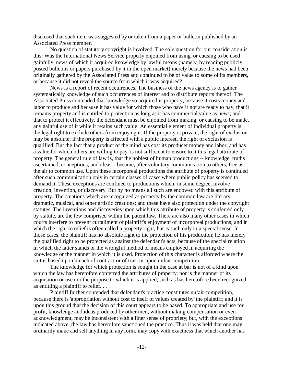disclosed that such item was suggested by or taken from a paper or bulletin published by an Associated Press member.

No question of statutory copyright is involved. The sole question for our consideration is this: Was the International News Service properly enjoined from using, or causing to be used gainfully, news of which it acquired knowledge by lawful means (namely, by reading publicly posted bulletins or papers purchased by it in the open market) merely because the news had been originally gathered by the Associated Press and continued to be of value to some of its members, or because it did not reveal the source from which it was acquired? . . .

News is a report of recent occurrences. The business of the news agency is to gather systematically knowledge of such occurrences of interest and to distribute reports thereof. The Associated Press contended that knowledge so acquired is property, because it costs money and labor to produce and because it has value for which those who have it not are ready to pay; that it remains property and is entitled to protection as long as it has commercial value as news; and that to protect it effectively, the defendant must be enjoined from making, or causing to be made, any gainful use of it while it retains such value. An essential element of individual property is the legal right to exclude others from enjoying it. If the property is private, the right of exclusion may be absolute; if the property is affected with a public interest, the right of exclusion is qualified. But the fact that a product of the mind has cost its producer money and labor, and has a value for which others are willing to pay, is not sufficient to ensure to it this legal attribute of property. The general rule of law is, that the noblest of human productions -- knowledge, truths ascertained, conceptions, and ideas – became, after voluntary communication to others, free as the air to common use. Upon these incorporeal productions the attribute of property is continued after such communication only in certain classes of cases where public policy has seemed to demand it. These exceptions are confined to productions which, in some degree, involve creation, invention, or discovery. But by no means all such are endowed with this attribute of property. The creations which are recognized as property by the common law are literary, dramatic, musical, and other artistic creations; and these have also protection under the copyright statutes. The inventions and discoveries upon which this attribute of property is conferred only by statute, are the few comprised within the patent law. There are also many other cases in which courts interfere to prevent curtailment of plaintiff's enjoyment of incorporeal productions; and in which the right to relief is often called a property right, but is such only in a special sense. In those cases, the plaintiff has no absolute right to the protection of his production; he has merely the qualified right to be protected as against the defendant's acts, because of the special relation in which the latter stands or the wrongful method or means employed in acquiring the knowledge or the manner in which it is used. Protection of this character is afforded where the suit is based upon breach of contract or of trust or upon unfair competition.

The knowledge for which protection is sought in the case at bar is not of a kind upon which the law has heretofore conferred the attributes of property; nor is the manner of its acquisition or use nor the purpose to which it is applied, such as has heretofore been recognized as entitling a plaintiff to relief. . . .

Plaintiff further contended that defendant's practice constitutes unfair competition, because there is 'appropriation without cost to itself of values created by' the plaintiff; and it is upon this ground that the decision of this court appears to be based. To appropriate and use for profit, knowledge and ideas produced by other men, without making compensation or even acknowledgment, may be inconsistent with a finer sense of propriety; but, with the exceptions indicated above, the law has heretofore sanctioned the practice. Thus it was held that one may ordinarily make and sell anything in any form, may copy with exactness that which another has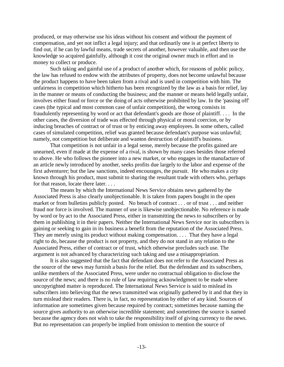produced, or may otherwise use his ideas without his consent and without the payment of compensation, and yet not inflict a legal injury; and that ordinarily one is at perfect liberty to find out, if he can by lawful means, trade secrets of another, however valuable, and then use the knowledge so acquired gainfully, although it cost the original owner much in effort and in money to collect or produce.

Such taking and gainful use of a product of another which, for reasons of public policy, the law has refused to endow with the attributes of property, does not become unlawful because the product happens to have been taken from a rival and is used in competition with him. The unfairness in competition which hitherto has been recognized by the law as a basis for relief, lay in the manner or means of conducting the business; and the manner or means held legally unfair, involves either fraud or force or the doing of acts otherwise prohibited by law. In the 'passing off' cases (the typical and most common case of unfair competition), the wrong consists in fraudulently representing by word or act that defendant's goods are those of plaintiff. . . . In the other cases, the diversion of trade was effected through physical or moral coercion, or by inducing breaches of contract or of trust or by enticing away employees. In some others, called cases of simulated competition, relief was granted because defendant's purpose was unlawful; namely, not competition but deliberate and wanton destruction of plaintiff's business.

That competition is not unfair in a legal sense, merely because the profits gained are unearned, even if made at the expense of a rival, is shown by many cases besides those referred to above. He who follows the pioneer into a new market, or who engages in the manufacture of an article newly introduced by another, seeks profits due largely to the labor and expense of the first adventurer; but the law sanctions, indeed encourages, the pursuit. He who makes a city known through his product, must submit to sharing the resultant trade with others who, perhaps for that reason, locate there later. . . .

The means by which the International News Service obtains news gathered by the Associated Press is also clearly unobjectionable. It is taken from papers bought in the open market or from bulletins publicly posted. No breach of contract . . . or of trust . . . and neither fraud nor force is involved. The manner of use is likewise unobjectionable. No reference is made by word or by act to the Associated Press, either in transmitting the news to subscribers or by them in publishing it in their papers. Neither the International News Service nor its subscribers is gaining or seeking to gain in its business a benefit from the reputation of the Associated Press. They are merely using its product without making compensation. . . . That they have a legal right to do, because the product is not property, and they do not stand in any relation to the Associated Press, either of contract or of trust, which otherwise precludes such use. The argument is not advanced by characterizing such taking and use a misappropriation.

It is also suggested that the fact that defendant does not refer to the Associated Press as the source of the news may furnish a basis for the relief. But the defendant and its subscribers, unlike members of the Associated Press, were under no contractual obligation to disclose the source of the news; and there is no rule of law requiring acknowledgment to be made where uncopyrighted matter is reproduced. The International News Service is said to mislead its subscribers into believing that the news transmitted was originally gathered by it and that they in turn mislead their readers. There is, in fact, no representation by either of any kind. Sources of information are sometimes given because required by contract; sometimes because naming the source gives authority to an otherwise incredible statement; and sometimes the source is named because the agency does not wish to take the responsibility itself of giving currency to the news. But no representation can properly be implied from omission to mention the source of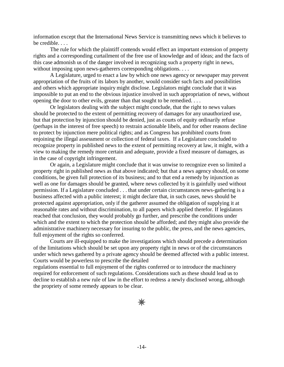information except that the International News Service is transmitting news which it believes to be credible. . . .

The rule for which the plaintiff contends would effect an important extension of property rights and a corresponding curtailment of the free use of knowledge and of ideas; and the facts of this case admonish us of the danger involved in recognizing such a property right in news, without imposing upon news-gatherers corresponding obligations. . . .

A Legislature, urged to enact a law by which one news agency or newspaper may prevent appropriation of the fruits of its labors by another, would consider such facts and possibilities and others which appropriate inquiry might disclose. Legislators might conclude that it was impossible to put an end to the obvious injustice involved in such appropriation of news, without opening the door to other evils, greater than that sought to be remedied. . . .

Or legislators dealing with the subject might conclude, that the right to news values should be protected to the extent of permitting recovery of damages for any unauthorized use, but that protection by injunction should be denied, just as courts of equity ordinarily refuse (perhaps in the interest of free speech) to restrain actionable libels, and for other reasons decline to protect by injunction mere political rights; and as Congress has prohibited courts from enjoining the illegal assessment or collection of federal taxes. If a Legislature concluded to recognize property in published news to the extent of permitting recovery at law, it might, with a view to making the remedy more certain and adequate, provide a fixed measure of damages, as in the case of copyright infringement.

Or again, a Legislature might conclude that it was unwise to recognize even so limited a property right in published news as that above indicated; but that a news agency should, on some conditions, be given full protection of its business; and to that end a remedy by injunction as well as one for damages should be granted, where news collected by it is gainfully used without permission. If a Legislature concluded . . . that under certain circumstances news-gathering is a business affected with a public interest; it might declare that, in such cases, news should be protected against appropriation, only if the gatherer assumed the obligation of supplying it at reasonable rates and without discrimination, to all papers which applied therefor. If legislators reached that conclusion, they would probably go further, and prescribe the conditions under which and the extent to which the protection should be afforded; and they might also provide the administrative machinery necessary for insuring to the public, the press, and the news agencies, full enjoyment of the rights so conferred.

Courts are ill-equipped to make the investigations which should precede a determination of the limitations which should be set upon any property right in news or of the circumstances under which news gathered by a private agency should be deemed affected with a public interest. Courts would be powerless to prescribe the detailed

regulations essential to full enjoyment of the rights conferred or to introduce the machinery required for enforcement of such regulations. Considerations such as these should lead us to decline to establish a new rule of law in the effort to redress a newly disclosed wrong, although the propriety of some remedy appears to be clear.

 $\divideontimes$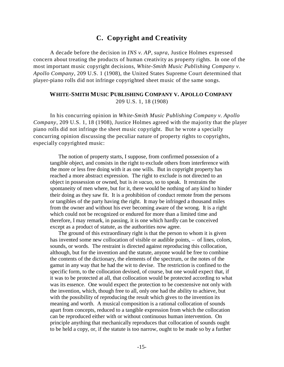# **C. Copyright and Creativity**

A decade before the decision in *INS v. AP*, *supra*, Justice Holmes expressed concern about treating the products of human creativity as property rights. In one of the most important music copyright decisions, *White-Smith Music Publishing Company v. Apollo Company*, 209 U.S. 1 (1908), the United States Supreme Court determined that player-piano rolls did not infringe copyrighted sheet music of the same songs.

#### **WHITE-SMITH MUSIC PUBLISHING COMPANY V. APOLLO COMPANY** 209 U.S. 1, 18 (1908)

In his concurring opinion in *White-Smith Music Publishing Company v. Apollo Company*, 209 U.S. 1, 18 (1908), Justice Holmes agreed with the majority that the player piano rolls did not infringe the sheet music copyright. But he wrote a specially concurring opinion discussing the peculiar nature of property rights to copyrights, especially copyrighted music:

 The notion of property starts, I suppose, from confirmed possession of a tangible object, and consists in the right to exclude others from interference with the more or less free doing with it as one wills. But in copyright property has reached a more abstract expression. The right to exclude is not directed to an object in possession or owned, but is *in vacuo*, so to speak. It restrains the spontaneity of men where, but for it, there would be nothing of any kind to hinder their doing as they saw fit. It is a prohibition of conduct remote from the persons or tangibles of the party having the right. It may be infringed a thousand miles from the owner and without his ever becoming aware of the wrong. It is a right which could not be recognized or endured for more than a limited time and therefore, I may remark, in passing, it is one which hardly can be conceived except as a product of statute, as the authorities now agree.

 The ground of this extraordinary right is that the person to whom it is given has invented some new collocation of visible or audible points, – of lines, colors, sounds, or words. The restraint is directed against reproducing this collocation, although, but for the invention and the statute, anyone would be free to combine the contents of the dictionary, the elements of the spectrum, or the notes of the gamut in any way that he had the wit to devise. The restriction is confined to the specific form, to the collocation devised, of course, but one would expect that, if it was to be protected at all, that collocation would be protected according to what was its essence. One would expect the protection to be coextensive not only with the invention, which, though free to all, only one had the ability to achieve, but with the possibility of reproducing the result which gives to the invention its meaning and worth. A musical composition is a rational collocation of sounds apart from concepts, reduced to a tangible expression from which the collocation can be reproduced either with or without continuous human intervention. On principle anything that mechanically reproduces that collocation of sounds ought to be held a copy, or, if the statute is too narrow, ought to be made so by a further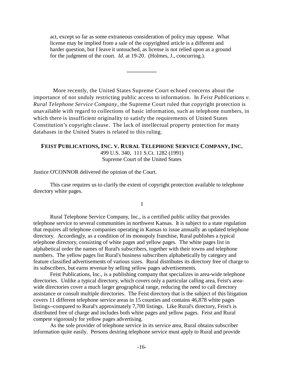act, except so far as some extraneous consideration of policy may oppose. What license may be implied from a sale of the copyrighted article is a different and harder question, but I leave it untouched, as license is not relied upon as a ground for the judgment of the court. *Id.* at 19-20. (Holmes, J., concurring.).

**\_\_\_\_\_\_\_\_\_\_**

 More recently, the United States Supreme Court echoed concerns about the importance of not unduly restricting public access to information. In *Feist Publications v. Rural Telephone Service Company*, the Supreme Court ruled that copyright protection is unavailable with regard to collections of basic information, such as telephone numbers, in which there is insufficient originality to satisfy the requirements of United States Constitution's copyright clause. The lack of intellectual property protection for many databases in the United States is related to this ruling.

#### **FEIST PUBLICATIONS, INC. V. RURAL TELEPHONE SERVICE COMPANY, INC.**

499 U.S. 340, 111 S.Ct. 1282 (1991) Supreme Court of the United States

Justice O'CONNOR delivered the opinion of the Court.

This case requires us to clarify the extent of copyright protection available to telephone directory white pages.

I

Rural Telephone Service Company, Inc., is a certified public utility that provides telephone service to several communities in northwest Kansas. It is subject to a state regulation that requires all telephone companies operating in Kansas to issue annually an updated telephone directory. Accordingly, as a condition of its monopoly franchise, Rural publishes a typical telephone directory, consisting of white pages and yellow pages. The white pages list in alphabetical order the names of Rural's subscribers, together with their towns and telephone numbers. The yellow pages list Rural's business subscribers alphabetically by category and feature classified advertisements of various sizes. Rural distributes its directory free of charge to its subscribers, but earns revenue by selling yellow pages advertisements.

Feist Publications, Inc., is a publishing company that specializes in area-wide telephone directories. Unlike a typical directory, which covers only a particular calling area, Feist's areawide directories cover a much larger geographical range, reducing the need to call directory assistance or consult multiple directories. The Feist directory that is the subject of this litigation covers 11 different telephone service areas in 15 counties and contains 46,878 white pages listings--compared to Rural's approximately 7,700 listings. Like Rural's directory, Feist's is distributed free of charge and includes both white pages and yellow pages. Feist and Rural compete vigorously for yellow pages advertising.

As the sole provider of telephone service in its service area, Rural obtains subscriber information quite easily. Persons desiring telephone service must apply to Rural and provide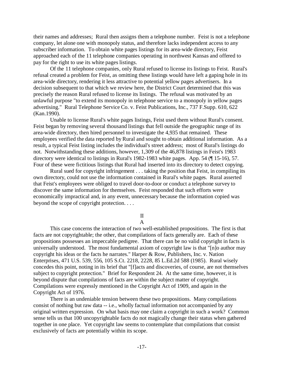their names and addresses; Rural then assigns them a telephone number. Feist is not a telephone company, let alone one with monopoly status, and therefore lacks independent access to any subscriber information. To obtain white pages listings for its area-wide directory, Feist approached each of the 11 telephone companies operating in northwest Kansas and offered to pay for the right to use its white pages listings.

Of the 11 telephone companies, only Rural refused to license its listings to Feist. Rural's refusal created a problem for Feist, as omitting these listings would have left a gaping hole in its area-wide directory, rendering it less attractive to potential yellow pages advertisers. In a decision subsequent to that which we review here, the District Court determined that this was precisely the reason Rural refused to license its listings. The refusal was motivated by an unlawful purpose "to extend its monopoly in telephone service to a monopoly in yellow pages advertising." Rural Telephone Service Co. v. Feist Publications, Inc., 737 F.Supp. 610, 622 (Kan.1990).

Unable to license Rural's white pages listings, Feist used them without Rural's consent. Feist began by removing several thousand listings that fell outside the geographic range of its area-wide directory, then hired personnel to investigate the 4,935 that remained. These employees verified the data reported by Rural and sought to obtain additional information. As a result, a typical Feist listing includes the individual's street address; most of Rural's listings do not. Notwithstanding these additions, however, 1,309 of the 46,878 listings in Feist's 1983 directory were identical to listings in Rural's 1982-1983 white pages. App. 54 (¶ 15-16), 57. Four of these were fictitious listings that Rural had inserted into its directory to detect copying.

Rural sued for copyright infringement . . . taking the position that Feist, in compiling its own directory, could not use the information contained in Rural's white pages. Rural asserted that Feist's employees were obliged to travel door-to-door or conduct a telephone survey to discover the same information for themselves. Feist responded that such efforts were economically impractical and, in any event, unnecessary because the information copied was beyond the scope of copyright protection. . . .

#### II A

This case concerns the interaction of two well-established propositions. The first is that facts are not copyrightable; the other, that compilations of facts generally are. Each of these propositions possesses an impeccable pedigree. That there can be no valid copyright in facts is universally understood. The most fundamental axiom of copyright law is that "[n]o author may copyright his ideas or the facts he narrates." Harper & Row, Publishers, Inc. v. Nation Enterprises, 471 U.S. 539, 556, 105 S.Ct. 2218, 2228, 85 L.Ed.2d 588 (1985). Rural wisely concedes this point, noting in its brief that "[f]acts and discoveries, of course, are not themselves subject to copyright protection." Brief for Respondent 24. At the same time, however, it is beyond dispute that compilations of facts are within the subject matter of copyright. Compilations were expressly mentioned in the Copyright Act of 1909, and again in the Copyright Act of 1976.

There is an undeniable tension between these two propositions. Many compilations consist of nothing but raw data -- i.e., wholly factual information not accompanied by any original written expression. On what basis may one claim a copyright in such a work? Common sense tells us that 100 uncopyrightable facts do not magically change their status when gathered together in one place. Yet copyright law seems to contemplate that compilations that consist exclusively of facts are potentially within its scope.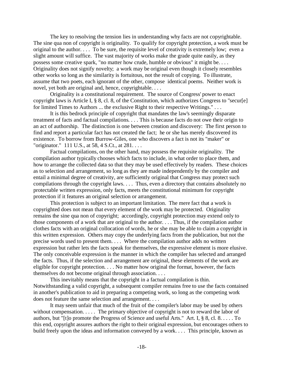The key to resolving the tension lies in understanding why facts are not copyrightable. The sine qua non of copyright is originality. To qualify for copyright protection, a work must be original to the author. . . . To be sure, the requisite level of creativity is extremely low; even a slight amount will suffice. The vast majority of works make the grade quite easily, as they possess some creative spark, "no matter how crude, humble or obvious" it might be. . . . Originality does not signify novelty; a work may be original even though it closely resembles other works so long as the similarity is fortuitous, not the result of copying. To illustrate, assume that two poets, each ignorant of the other, compose identical poems. Neither work is novel, yet both are original and, hence, copyrightable. . . .

Originality is a constitutional requirement. The source of Congress' power to enact copyright laws is Article I, § 8, cl. 8, of the Constitution, which authorizes Congress to "secur[e] for limited Times to Authors ... the exclusive Right to their respective Writings." . . .

It is this bedrock principle of copyright that mandates the law's seemingly disparate treatment of facts and factual compilations. . . . This is because facts do not owe their origin to an act of authorship. The distinction is one between creation and discovery: The first person to find and report a particular fact has not created the fact; he or she has merely discovered its existence. To borrow from Burrow-Giles, one who discovers a fact is not its "maker" or "originator." 111 U.S., at 58, 4 S.Ct., at 281. . . .

Factual compilations, on the other hand, may possess the requisite originality. The compilation author typically chooses which facts to include, in what order to place them, and how to arrange the collected data so that they may be used effectively by readers. These choices as to selection and arrangement, so long as they are made independently by the compiler and entail a minimal degree of creativity, are sufficiently original that Congress may protect such compilations through the copyright laws. . . . Thus, even a directory that contains absolutely no protectable written expression, only facts, meets the constitutional minimum for copyright protection if it features an original selection or arrangement.

This protection is subject to an important limitation. The mere fact that a work is copyrighted does not mean that every element of the work may be protected. Originality remains the sine qua non of copyright; accordingly, copyright protection may extend only to those components of a work that are original to the author. . . . Thus, if the compilation author clothes facts with an original collocation of words, he or she may be able to claim a copyright in this written expression. Others may copy the underlying facts from the publication, but not the precise words used to present them. . . . Where the compilation author adds no written expression but rather lets the facts speak for themselves, the expressive element is more elusive. The only conceivable expression is the manner in which the compiler has selected and arranged the facts. Thus, if the selection and arrangement are original, these elements of the work are eligible for copyright protection. . . . No matter how original the format, however, the facts themselves do not become original through association. . . .

This inevitably means that the copyright in a factual compilation is thin. Notwithstanding a valid copyright, a subsequent compiler remains free to use the facts contained in another's publication to aid in preparing a competing work, so long as the competing work does not feature the same selection and arrangement. . . .

It may seem unfair that much of the fruit of the compiler's labor may be used by others without compensation. . . . . The primary objective of copyright is not to reward the labor of authors, but "[t]o promote the Progress of Science and useful Arts." Art. I, § 8, cl. 8. . . . . To this end, copyright assures authors the right to their original expression, but encourages others to build freely upon the ideas and information conveyed by a work. . . . This principle, known as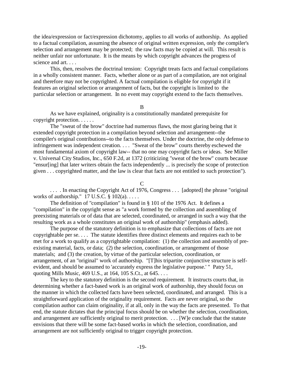the idea/expression or fact/expression dichotomy, applies to all works of authorship. As applied to a factual compilation, assuming the absence of original written expression, only the compiler's selection and arrangement may be protected; the raw facts may be copied at will. This result is neither unfair nor unfortunate. It is the means by which copyright advances the progress of science and art. . . .

This, then, resolves the doctrinal tension: Copyright treats facts and factual compilations in a wholly consistent manner. Facts, whether alone or as part of a compilation, are not original and therefore may not be copyrighted. A factual compilation is eligible for copyright if it features an original selection or arrangement of facts, but the copyright is limited to the particular selection or arrangement. In no event may copyright extend to the facts themselves.

#### $\mathbf{R}$

As we have explained, originality is a constitutionally mandated prerequisite for copyright protection. . . . . .

The "sweat of the brow" doctrine had numerous flaws, the most glaring being that it extended copyright protection in a compilation beyond selection and arrangement--the compiler's original contributions--to the facts themselves. Under the doctrine, the only defense to infringement was independent creation. . . . "Sweat of the brow" courts thereby eschewed the most fundamental axiom of copyright law-- that no one may copyright facts or ideas. See Miller v. Universal City Studios, Inc., 650 F.2d, at 1372 (criticizing "sweat of the brow" courts because "ensur[ing] that later writers obtain the facts independently ... is precisely the scope of protection given . . . copyrighted matter, and the law is clear that facts are not entitled to such protection").

#### $\mathcal{C}_{0}^{(n)}$

. . . . In enacting the Copyright Act of 1976, Congress . . . [adopted] the phrase "original works of authorship."  $17 \text{ U.S.C.} \$  $8 \frac{102(a) \dots}{26}$ 

The definition of "compilation" is found in § 101 of the 1976 Act. It defines a "compilation" in the copyright sense as "a work formed by the collection and assembling of preexisting materials or of data that are selected, coordinated, or arranged in such a way that the resulting work as a whole constitutes an original work of authorship" (emphasis added).

The purpose of the statutory definition is to emphasize that collections of facts are not copyrightable per se. . . . The statute identifies three distinct elements and requires each to be met for a work to qualify as a copyrightable compilation: (1) the collection and assembly of preexisting material, facts, or data; (2) the selection, coordination, or arrangement of those materials; and (3) the creation, by virtue of the particular selection, coordination, or arrangement, of an "original" work of authorship. "[T]his tripartite conjunctive structure is selfevident, and should be assumed to 'accurately express the legislative purpose.' " Patry 51, quoting Mills Music, 469 U.S., at 164, 105 S.Ct., at 645. . . .

The key to the statutory definition is the second requirement. It instructs courts that, in determining whether a fact-based work is an original work of authorship, they should focus on the manner in which the collected facts have been selected, coordinated, and arranged. This is a straightforward application of the originality requirement. Facts are never original, so the compilation author can claim originality, if at all, only in the way the facts are presented. To that end, the statute dictates that the principal focus should be on whether the selection, coordination, and arrangement are sufficiently original to merit protection. . . . [W]e conclude that the statute envisions that there will be some fact-based works in which the selection, coordination, and arrangement are not sufficiently original to trigger copyright protection.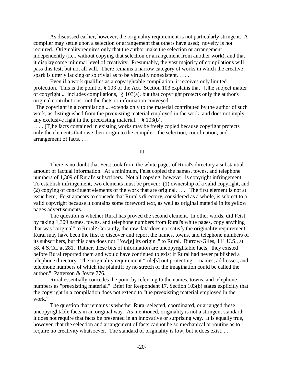As discussed earlier, however, the originality requirement is not particularly stringent. A compiler may settle upon a selection or arrangement that others have used; novelty is not required. Originality requires only that the author make the selection or arrangement independently (i.e., without copying that selection or arrangement from another work), and that it display some minimal level of creativity. Presumably, the vast majority of compilations will pass this test, but not all will. There remains a narrow category of works in which the creative spark is utterly lacking or so trivial as to be virtually nonexistent. . . . .

Even if a work qualifies as a copyrightable compilation, it receives only limited protection. This is the point of § 103 of the Act. Section 103 explains that "[t]he subject matter of copyright ... includes compilations," § 103(a), but that copyright protects only the author's original contributions--not the facts or information conveyed:

"The copyright in a compilation ... extends only to the material contributed by the author of such work, as distinguished from the preexisting material employed in the work, and does not imply any exclusive right in the preexisting material." § 103(b).

.... [T]he facts contained in existing works may be freely copied because copyright protects only the elements that owe their origin to the compiler--the selection, coordination, and arrangement of facts. . . .

III

There is no doubt that Feist took from the white pages of Rural's directory a substantial amount of factual information. At a minimum, Feist copied the names, towns, and telephone numbers of 1,309 of Rural's subscribers. Not all copying, however, is copyright infringement. To establish infringement, two elements must be proven: (1) ownership of a valid copyright, and (2) copying of constituent elements of the work that are original. . . . The first element is not at issue here; Feist appears to concede that Rural's directory, considered as a whole, is subject to a valid copyright because it contains some foreword text, as well as original material in its yellow pages advertisements. . . .

The question is whether Rural has proved the second element. In other words, did Feist, by taking 1,309 names, towns, and telephone numbers from Rural's white pages, copy anything that was "original" to Rural? Certainly, the raw data does not satisfy the originality requirement. Rural may have been the first to discover and report the names, towns, and telephone numbers of its subscribers, but this data does not " 'ow[e] its origin' " to Rural. Burrow-Giles, 111 U.S., at 58, 4 S.Ct., at 281. Rather, these bits of information are uncopyrightable facts; they existed before Rural reported them and would have continued to exist if Rural had never published a telephone directory. The originality requirement "rule[s] out protecting ... names, addresses, and telephone numbers of which the plaintiff by no stretch of the imagination could be called the author." Patterson & Joyce 776.

Rural essentially concedes the point by referring to the names, towns, and telephone numbers as "preexisting material." Brief for Respondent 17. Section 103(b) states explicitly that the copyright in a compilation does not extend to "the preexisting material employed in the work."

The question that remains is whether Rural selected, coordinated, or arranged these uncopyrightable facts in an original way. As mentioned, originality is not a stringent standard; it does not require that facts be presented in an innovative or surprising way. It is equally true, however, that the selection and arrangement of facts cannot be so mechanical or routine as to require no creativity whatsoever. The standard of originality is low, but it does exist. . . .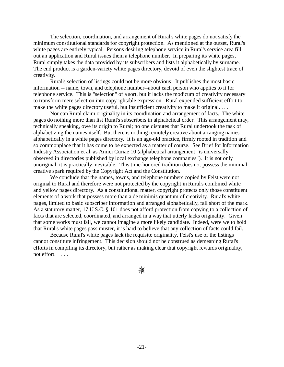The selection, coordination, and arrangement of Rural's white pages do not satisfy the minimum constitutional standards for copyright protection. As mentioned at the outset, Rural's white pages are entirely typical. Persons desiring telephone service in Rural's service area fill out an application and Rural issues them a telephone number. In preparing its white pages, Rural simply takes the data provided by its subscribers and lists it alphabetically by surname. The end product is a garden-variety white pages directory, devoid of even the slightest trace of creativity.

Rural's selection of listings could not be more obvious: It publishes the most basic information -- name, town, and telephone number--about each person who applies to it for telephone service. This is "selection" of a sort, but it lacks the modicum of creativity necessary to transform mere selection into copyrightable expression. Rural expended sufficient effort to make the white pages directory useful, but insufficient creativity to make it original. . . .

Nor can Rural claim originality in its coordination and arrangement of facts. The white pages do nothing more than list Rural's subscribers in alphabetical order. This arrangement may, technically speaking, owe its origin to Rural; no one disputes that Rural undertook the task of alphabetizing the names itself. But there is nothing remotely creative about arranging names alphabetically in a white pages directory. It is an age-old practice, firmly rooted in tradition and so commonplace that it has come to be expected as a matter of course. See Brief for Information Industry Association et al. as Amici Curiae 10 (alphabetical arrangement "is universally observed in directories published by local exchange telephone companies"). It is not only unoriginal, it is practically inevitable. This time-honored tradition does not possess the minimal creative spark required by the Copyright Act and the Constitution.

We conclude that the names, towns, and telephone numbers copied by Feist were not original to Rural and therefore were not protected by the copyright in Rural's combined white and yellow pages directory. As a constitutional matter, copyright protects only those constituent elements of a work that possess more than a de minimis quantum of creativity. Rural's white pages, limited to basic subscriber information and arranged alphabetically, fall short of the mark. As a statutory matter, 17 U.S.C. § 101 does not afford protection from copying to a collection of facts that are selected, coordinated, and arranged in a way that utterly lacks originality. Given that some works must fail, we cannot imagine a more likely candidate. Indeed, were we to hold that Rural's white pages pass muster, it is hard to believe that any collection of facts could fail.

Because Rural's white pages lack the requisite originality, Feist's use of the listings cannot constitute infringement. This decision should not be construed as demeaning Rural's efforts in compiling its directory, but rather as making clear that copyright rewards originality, not effort. . . .

 $\divideontimes$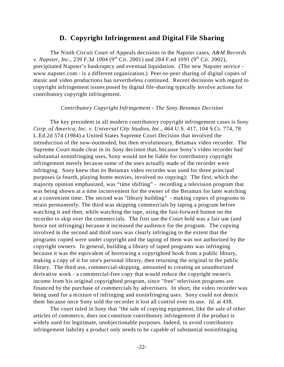## **D. Copyright Infringement and Digital File Sharing**

The Ninth Circuit Court of Appeals decisions in the Napster cases, *A&M Records v. Napster, Inc.*, 239 F.3d 1004 (9<sup>th</sup> Cir. 2001) and 284 F.ed 1091 (9<sup>th</sup> Cir. 2002), precipitated Napster's bankruptcy and eventual liquidation. (The new Napster service www.napster.com - is a different organization.) Peer-to-peer sharing of digital copies of music and video productions has nevertheless continued. Recent decisions with regard to copyright infringement issues posed by digital file-sharing typically involve actions for contributory copyright infringement.

#### *Contributory Copyright Infringement - The Sony Betamax Decision*

The key precedent in all modern contributory copyright infringement cases is *Sony Corp. of America, Inc. v. Universal City Studios, Inc.,* 464 U.S. 417, 104 S.Ct. 774, 78 L.Ed.2d 574 (1984) a United States Supreme Court Decision that involved the introduction of the now-outmoded, but then revolutionary, Betamax video recorder. The Supreme Court made clear in its *Sony* decision that, because Sony's video recorder had substantial noninfringing uses, Sony would not be liable for contributory copyright infringement merely because some of the uses actually made of the recorder were infringing. Sony knew that its Betamax video recorder was used for three principal purposes (a fourth, playing home movies, involved no copying): The first, which the majority opinion emphasized, was "time shifting" - recording a television program that was being shown at a time inconvenient for the owner of the Betamax for later watching at a convenient time. The second was "library building" - making copies of programs to retain permanently. The third was skipping commercials by taping a program before watching it and then, while watching the tape, using the fast-forward button on the recorder to skip over the commercials. The first use the Court held was a fair use (and hence not infringing) because it increased the audience for the program. The copying involved in the second and third uses was clearly infringing to the extent that the programs copied were under copyright and the taping of them was not authorized by the copyright owners. In general, building a library of taped programs was infringing because it was the equivalent of borrowing a copyrighted book from a public library, making a copy of it for one's personal library, then returning the original to the public library. The third use, commercial-skipping, amounted to creating an unauthorized derivative work - a commercial-free copy that would reduce the copyright owner's income from his original copyrighted program, since "free" television programs are financed by the purchase of commercials by advertisers. In short, the video recorder was being used for a mixture of infringing and noninfringing uses. Sony could not demix them because once Sony sold the recorder it lost all control over its use. *Id.* at 438.

The court ruled in *Sony* that "the sale of copying equipment, like the sale of other articles of commerce, does not constitute contributory infringement if the product is widely used for legitimate, unobjectionable purposes. Indeed, to avoid contributory infringement liability a product only needs to be capable of substantial noninfringing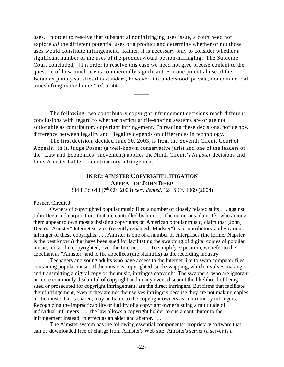uses. In order to resolve that substantial noninfringing uses issue, a court need not explore *all* the different potential uses of a product and determine whether or not those uses would constitute infringement. Rather, it is necessary only to consider whether a significant number of the uses of the product would be non-infringing. The Supreme Court concluded, "[I]n order to resolve this case we need not give precise content to the question of how much use is commercially significant. For one potential use of the Betamax plainly satisfies this standard, however it is understood: private, noncommercial timeshifting in the home." *Id.* at 441.

The following two contributory copyright infringement decisions reach different conclusions with regard to whether particular file-sharing systems are or are not actionable as contributory copyright infringement. In reading these decisions, notice how difference between legality and illegality depends on differences in technology.

**\_\_\_\_\_**

The first decision, decided June 30, 2003, is from the Seventh Circuit Court of Appeals. In it, Judge Posner (a well-known conservative jurist and one of the leaders of the "Law and Economics" movement) applies the Ninth Circuit's *Napster* decisions and finds Aimster liable for contributory infringement.

## **IN RE: AIMSTER COPYRIGHT LITIGATION APPEAL OF JOHN DEEP**

334 F.3d 643 (7th Cir. 2003) *cert. denied*, 124 S.Ct. 1069 (2004)

#### Posner, Circuit J.

Owners of copyrighted popular music filed a number of closely related suits . . . against John Deep and corporations that are controlled by him. . . The numerous plaintiffs, who among them appear to own most subsisting copyrights on American popular music, claim that [John] Deep's "Aimster" Internet service (recently renamed "Madster") is a contributory and vicarious infringer of these copyrights. . . . Aimster is one of a number of enterprises (the former Napster is the best known) that have been sued for facilitating the swapping of digital copies of popular music, most of it copyrighted, over the Internet. . . . To simplify exposition, we refer to the appellant as "Aimster" and to the appellees (the plaintiffs) as the recording industry.

Teenagers and young adults who have access to the Internet like to swap computer files containing popular music. If the music is copyrighted, such swapping, which involves making and transmitting a digital copy of the music, infringes copyright. The swappers, who are ignorant or more commonly disdainful of copyright and in any event discount the likelihood of being sued or prosecuted for copyright infringement, are the direct infringers. But firms that facilitate their infringement, even if they are not themselves infringers because they are not making copies of the music that is shared, may be liable to the copyright owners as contributory infringers. Recognizing the impracticability or futility of a copyright owner's suing a multitude of individual infringers . . ., the law allows a copyright holder to sue a contributor to the infringement instead, in effect as an aider and abettor. . . .

The Aimster system has the following essential components: proprietary software that can be downloaded free of charge from Aimster's Web site; Aimster's server (a server is a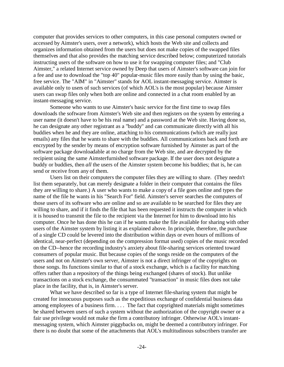computer that provides services to other computers, in this case personal computers owned or accessed by Aimster's users, over a network), which hosts the Web site and collects and organizes information obtained from the users but does not make copies of the swapped files themselves and that also provides the matching service described below; computerized tutorials instructing users of the software on how to use it for swapping computer files; and "Club Aimster," a related Internet service owned by Deep that users of Aimster's software can join for a fee and use to download the "top 40" popular-music files more easily than by using the basic, free service. The "AIM" in "Aimster" stands for AOL instant-messaging service. Aimster is available only to users of such services (of which AOL's is the most popular) because Aimster users can swap files only when both are online and connected in a chat room enabled by an instant-messaging service.

Someone who wants to use Aimster's basic service for the first time to swap files downloads the software from Aimster's Web site and then registers on the system by entering a user name (it doesn't have to be his real name) and a password at the Web site. Having done so, he can designate any other registrant as a "buddy" and can communicate directly with all his buddies when he and they are online, attaching to his communications (which are really just emails) any files that he wants to share with the buddies. All communications back and forth are encrypted by the sender by means of encryption software furnished by Aimster as part of the software package downloadable at no charge from the Web site, and are decrypted by the recipient using the same Aimsterfurnished software package. If the user does not designate a buddy or buddies, then *all* the users of the Aimster system become his buddies; that is, he can send or receive from any of them.

Users list on their computers the computer files they are willing to share. (They needn't list them separately, but can merely designate a folder in their computer that contains the files they are willing to share.) A user who wants to make a copy of a file goes online and types the name of the file he wants in his "Search For" field. Aimster's server searches the computers of those users of its software who are online and so are available to be searched for files they are willing to share, and if it finds the file that has been requested it instructs the computer in which it is housed to transmit the file to the recipient via the Internet for him to download into his computer. Once he has done this he can if he wants make the file available for sharing with other users of the Aimster system by listing it as explained above. In principle, therefore, the purchase of a single CD could be levered into the distribution within days or even hours of millions of identical, near-perfect (depending on the compression format used) copies of the music recorded on the CD--hence the recording industry's anxiety about file-sharing services oriented toward consumers of popular music. But because copies of the songs reside on the computers of the users and not on Aimster's own server, Aimster is not a direct infringer of the copyrights on those songs. Its functions similar to that of a stock exchange, which is a facility for matching offers rather than a repository of the things being exchanged (shares of stock). But unlike transactions on a stock exchange, the consummated "transaction" in music files does not take place in the facility, that is, in Aimster's server.

What we have described so far is a type of Internet file-sharing system that might be created for innocuous purposes such as the expeditious exchange of confidential business data among employees of a business firm. . . . The fact that copyrighted materials might sometimes be shared between users of such a system without the authorization of the copyright owner or a fair use privilege would not make the firm a contributory infringer. Otherwise AOL's instantmessaging system, which Aimster piggybacks on, might be deemed a contributory infringer. For there is no doubt that some of the attachments that AOL's multitudinous subscribers transfer are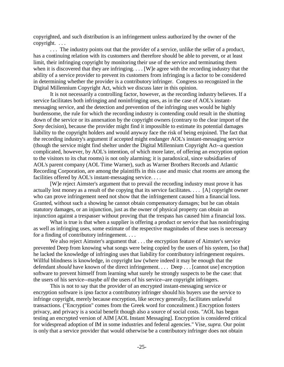copyrighted, and such distribution is an infringement unless authorized by the owner of the copyright. . . .

. . . The industry points out that the provider of a service, unlike the seller of a product, has a continuing relation with its customers and therefore should be able to prevent, or at least limit, their infringing copyright by monitoring their use of the service and terminating them when it is discovered that they are infringing. . . . [W]e agree with the recording industry that the ability of a service provider to prevent its customers from infringing is a factor to be considered in determining whether the provider is a contributory infringer. Congress so recognized in the Digital Millennium Copyright Act, which we discuss later in this opinion.

It is not necessarily a controlling factor, however, as the recording industry believes. If a service facilitates both infringing and noninfringing uses, as in the case of AOL's instantmessaging service, and the detection and prevention of the infringing uses would be highly burdensome, the rule for which the recording industry is contending could result in the shutting down of the service or its annexation by the copyright owners (contrary to the clear import of the *Sony* decision), because the provider might find it impossible to estimate its potential damages liability to the copyright holders and would anyway face the risk of being enjoined. The fact that the recording industry's argument if accepted might endanger AOL's instant-messaging service (though the service might find shelter under the Digital Millennium Copyright Act--a question complicated, however, by AOL's intention, of which more later, of offering an encryption option to the visitors to its chat rooms) is not only alarming; it is paradoxical, since subsidiaries of AOL's parent company (AOL Time Warner), such as Warner Brothers Records and Atlantic Recording Corporation, are among the plaintiffs in this case and music chat rooms are among the facilities offered by AOL's instant-messaging service. . . .

[W]e reject Aimster's argument that to prevail the recording industry must prove it has actually lost money as a result of the copying that its service facilitates. . . . [A] copyright owner who can prove infringement need not show that the infringement caused him a financial loss. Granted, without such a showing he cannot obtain compensatory damages; but he can obtain statutory damages, or an injunction, just as the owner of physical property can obtain an injunction against a trespasser without proving that the trespass has caused him a financial loss.

What is true is that when a supplier is offering a product or service that has noninfringing as well as infringing uses, some estimate of the respective magnitudes of these uses is necessary for a finding of contributory infringement. . . .

We also reject Aimster's argument that . . . the encryption feature of Aimster's service prevented Deep from knowing what songs were being copied by the users of his system, [so that] he lacked the knowledge of infringing uses that liability for contributory infringement requires. Willful blindness is knowledge, in copyright law (where indeed it may be enough that the defendant *should* have known of the direct infringement. . . . Deep . . . [cannot use] encryption software to prevent himself from learning what surely he strongly suspects to be the case: that the users of his service--maybe *all* the users of his service--are copyright infringers.

This is not to say that the provider of an encrypted instant-messaging service or encryption software is ipso factor a contributory infringer should his buyers use the service to infringe copyright, merely because encryption, like secrecy generally, facilitates unlawful transactions. ("Encryption" comes from the Greek word for concealment.) Encryption fosters privacy, and privacy is a social benefit though also a source of social costs. "AOL has begun testing an encrypted version of AIM [AOL Instant Messaging]. Encryption is considered critical for widespread adoption of IM in some industries and federal agencies." Vise, *supra.* Our point is only that a service provider that would otherwise be a contributory infringer does not obtain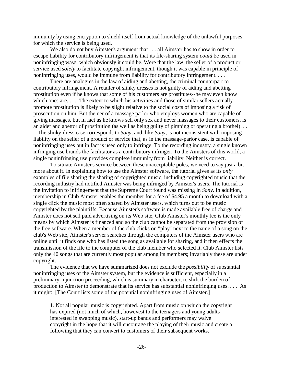immunity by using encryption to shield itself from actual knowledge of the unlawful purposes for which the service is being used.

We also do not buy Aimster's argument that . . . all Aimster has to show in order to escape liability for contributory infringement is that its file-sharing system *could* be used in noninfringing ways, which obviously it could be. Were that the law, the seller of a product or service used *solely* to facilitate copyright infringement, though it was capable in principle of noninfringing uses, would be immune from liability for contributory infringement. . . .

There are analogies in the law of aiding and abetting, the criminal counterpart to contributory infringement. A retailer of slinky dresses is not guilty of aiding and abetting prostitution even if he knows that some of his customers are prostitutes--he may even know which ones are. . . . The extent to which his activities and those of similar sellers actually promote prostitution is likely to be slight relative to the social costs of imposing a risk of prosecution on him. But the ner of a massage parlor who employs women who are capable of giving massages, but in fact as he knows sell only sex and never massages to their customers, is an aider and abettor of prostitution (as well as being guilty of pimping or operating a brothel). . .

. The slinky-dress case corresponds to *Sony,* and, like *Sony,* is not inconsistent with imposing liability on the seller of a product or service that, as in the massage-parlor case, is capable of noninfringing uses but in fact is used only to infringe. To the recording industry, a single known infringing use brands the facilitator as a contributory infringer. To the Aimsters of this world, a single noninfringing use provides complete immunity from liability. Neither is correct.

To situate Aimster's service between these unacceptable poles, we need to say just a bit more about it. In explaining how to use the Aimster software, the tutorial gives as its *only* examples of file sharing the sharing of copyrighted music, including copyrighted music that the recording industry had notified Aimster was being infringed by Aimster's users. The tutorial is the invitation to infringement that the Supreme Court found was missing in *Sony.* In addition, membership in Club Aimster enables the member for a fee of \$4.95 a month to download with a single click the music most often shared by Aimster users, which turns out to be music copyrighted by the plaintiffs. Because Aimster's software is made available free of charge and Aimster does not sell paid advertising on its Web site, Club Aimster's monthly fee is the only means by which Aimster is financed and so the club cannot be separated from the provision of the free software. When a member of the club clicks on "play" next to the name of a song on the club's Web site, Aimster's server searches through the computers of the Aimster users who are online until it finds one who has listed the song as available for sharing, and it then effects the transmission of the file to the computer of the club member who selected it. Club Aimster lists only the 40 songs that are currently most popular among its members; invariably these are under copyright.

The evidence that we have summarized does not exclude the *possibility* of substantial noninfringing uses of the Aimster system, but the evidence is sufficient, especially in a preliminary-injunction proceeding, which is summary in character, to shift the burden of production to Aimster to demonstrate that its service has substantial noninfringing uses. . . . As it might: [The Court lists some of the potential noninfringing uses of Aimster.]

1. Not all popular music is copyrighted. Apart from music on which the copyright has expired (not much of which, howevest to the teenagers and young adults interested in swapping music), start-up bands and performers may waive copyright in the hope that it will encourage the playing of their music and create a following that they can convert to customers of their subsequent works.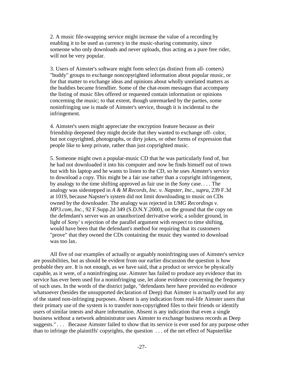2. A music file-swapping service might increase the value of a recording by enabling it to be used as currency in the music-sharing community, since someone who only downloads and never uploads, thus acting as a pure free rider, will not be very popular.

3. Users of Aimster's software might form select (as distinct from all- comers) "buddy" groups to exchange noncopyrighted information about popular music, or for that matter to exchange ideas and opinions about wholly unrelated matters as the buddies became friendlier. Some of the chat-room messages that accompany the listing of music files offered or requested contain information or opinions concerning the music; to that extent, though unremarked by the parties, some noninfringing use is made of Aimster's service, though it is incidental to the infringement.

4. Aimster's users might appreciate the encryption feature because as their friendship deepened they might decide that they wanted to exchange off- color, but not copyrighted, photographs, or dirty jokes, or other forms of expression that people like to keep private, rather than just copyrighted music.

5. Someone might own a popular-music CD that he was particularly fond of, but he had not downloaded it into his computer and now he finds himself out of town but with his laptop and he wants to listen to the CD, so he uses Aimster's service to download a copy. This might be a fair use rather than a copyright infringement, by analogy to the time shifting approved as fair use in the *Sony* case. *. . .* The analogy was sidestepped in *A & M Records, Inc. v. Napster, Inc., supra,* 239 F.3d at 1019, because Napster's system did not limit downloading to music on CDs owned by the downloader. The analogy was rejected in *UMG Recordings v. MP3.com, Inc.,* 92 F.Supp.2d 349 (S.D.N.Y.2000), on the ground that the copy on the defendant's server was an unauthorized derivative work; a solider ground, in light of *Sony'* s rejection of the parallel argument with respect to time shifting, would have been that the defendant's method for requiring that its customers "prove" that they owned the CDs containing the music they wanted to download was too lax.

All five of our examples of actually or arguably noninfringing uses of Aimster's service are possibilities, but as should be evident from our earlier discussion the question is how probable they are. It is not enough, as we have said, that a product or service be physically capable, as it were, of a noninfringing use. Aimster has failed to produce any evidence that its service has ever been used for a noninfringing use, let alone evidence concerning the frequency of such uses. In the words of the district judge, "defendants here have provided no evidence whatsoever (besides the unsupported declaration of Deep) that Aimster is *actually* used for any of the stated non-infringing purposes. Absent is any indication from real-life Aimster users that their primary use of the system is to transfer non-copyrighted files to their friends or identify users of similar intests and share information. Absent is any indication that even a single business without a network administrator uses Aimster to exchange business records as Deep suggests."... Because Aimster failed to show that its service is ever used for any purpose other than to infringe the plaintiffs' copyrights, the question . . . of the net effect of Napsterlike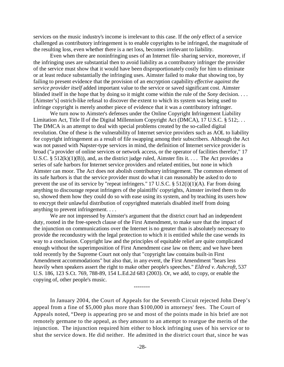services on the music industry's income is irrelevant to this case. If the *only* effect of a service challenged as contributory infringement is to enable copyrights to be infringed, the magnitude of the resulting loss, even whether there is a net loss, becomes irrelevant to liability.

Even when there are noninfringing uses of an Internet file- sharing service, moreover, if the infringing uses are substantial then to avoid liability as a contributory infringer the provider of the service must show that it would have been disproportionately costly for him to eliminate or at least reduce substantially the infringing uses. Aimster failed to make that showing too, by failing to present evidence that the provision of an encryption capability *effective against the service provider itself* added important value to the service or saved significant cost. Aimster blinded itself in the hope that by doing so it might come within the rule of the *Sony* decision. . . . [Aimster's] ostrich-like refusal to discover the extent to which its system was being used to infringe copyright is merely another piece of evidence that it was a contributory infringer.

We turn now to Aimster's defenses under the Online Copyright Infringement Liability Limitation Act, Title II of the Digital Millennium Copyright Act (DMCA), 17 U.S.C. § 512;... The DMCA is an attempt to deal with special problems created by the so-called digital revolution. One of these is the vulnerability of Internet service providers such as AOL to liability for copyright infringement as a result of file swapping among their subscribers. Although the Act was not passed with Napster-type services in mind, the definition of Internet service provider is broad ("a provider of online services or network access, or the operator of facilities therefor," 17 U.S.C. §  $512(k)(1)(B)$ , and, as the district judge ruled, Aimster fits it. . . . The Act provides a series of safe harbors for Internet service providers and related entities, but none in which Aimster can moor. The Act does not abolish contributory infringement. The common element of its safe harbors is that the service provider must do what it can reasonably be asked to do to prevent the use of its service by "repeat infringers." 17 U.S.C. § 512(i)(1)(A). Far from doing anything to discourage repeat infringers of the plaintiffs' copyrights, Aimster invited them to do so, showed them how they could do so with ease using its system, and by teaching its users how to encrypt their unlawful distribution of copyrighted materials disabled itself from doing anything to prevent infringement. . . .

We are not impressed by Aimster's argument that the district court had an independent duty, rooted in the free-speech clause of the First Amendment, to make sure that the impact of the injunction on communications over the Internet is no greater than is absolutely necessary to provide the recondustry with the legal protection to which it is entitled while the case wends its way to a conclusion. Copyright law and the principles of equitable relief are quite complicated enough without the superimposition of First Amendment case law on them; and we have been told recently by the Supreme Court not only that "copyright law contains built-in First Amendment accommodations" but also that, in any event, the First Amendment "bears less heavily when speakers assert the right to make other people's speeches." *Eldred v. Ashcroft,* 537 U.S. 186, 123 S.Ct. 769, 788-89, 154 L.Ed.2d 683 (2003). Or, we add, to copy, or enable the copying of, other people's music.

In January 2004, the Court of Appeals for the Seventh Circuit rejected John Deep's appeal from a fine of \$5,000 plus more than \$100,000 in attorneys' fees. The Court of Appeals noted, "Deep is appearing pro se and most of the points made in his brief are not remotely germane to the appeal, as they amount to an attempt to reargue the merits of the injunction. The injunction required him either to block infringing uses of his service or to shut the service down. He did neither. He admitted in the district court that, since he was

**--------**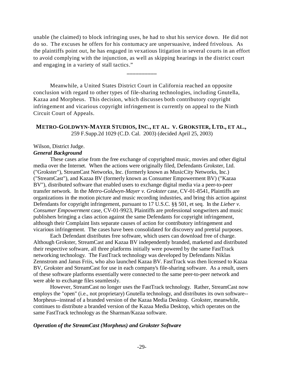unable (he claimed) to block infringing uses, he had to shut his service down. He did not do so. The excuses he offers for his contumacy are unpersuasive, indeed frivolous. As the plaintiffs point out, he has engaged in vexatious litigation in several courts in an effort to avoid complying with the injunction, as well as skipping hearings in the district court and engaging in a variety of stall tactics."

**\_\_\_\_\_\_\_\_\_\_**

Meanwhile, a United States District Court in California reached an opposite conclusion with regard to other types of file-sharing technologies, including Gnutella, Kazaa and Morpheus. This decision, which discusses both contributory copyright infringement and vicarious copyright infringement is currently on appeal to the Ninth Circuit Court of Appeals.

#### METRO-GOLDWYN-MAYER STUDIOS, INC., ET AL. V. GROKSTER, LTD., ET AL., 259 F.Supp.2d 1029 (C.D. Cal. 2003) (decided April 25, 2003)

## Wilson, District Judge.

#### *General Background*

These cases arise from the free exchange of copyrighted music, movies and other digital media over the Internet. When the actions were originally filed, Defendants Grokster, Ltd. ("Grokster"), StreamCast Networks, Inc. (formerly known as MusicCity Networks, Inc.) ("StreamCast"), and Kazaa BV (formerly known as Consumer Empowerment BV) ("Kazaa BV"), distributed software that enabled users to exchange digital media via a peer-to-peer transfer network. In the *Metro-Goldwyn-Mayer v. Grokster* case, CV-01-8541, Plaintiffs are organizations in the motion picture and music recording industries, and bring this action against Defendants for copyright infringement, pursuant to 17 U.S.C. §§ 501, et seq. In the *Lieber v. Consumer Empowerment* case, CV-01-9923, Plaintiffs are professional songwriters and music publishers bringing a class action against the same Defendants for copyright infringement, although their Complaint lists separate causes of action for contributory infringement and vicarious infringement. The cases have been consolidated for discovery and pretrial purposes.

Each Defendant distributes free software, which users can download free of charge. Although Grokster, StreamCast and Kazaa BV independently branded, marketed and distributed their respective software, all three platforms initially were powered by the same FastTrack networking technology. The FastTrack technology was developed by Defendants Niklas Zennstrom and Janus Friis, who also launched Kazaa BV. FastTrack was then licensed to Kazaa BV, Grokster and StreamCast for use in each company's file-sharing software. As a result, users of these software platforms essentially were connected to the same peer-to-peer network and were able to exchange files seamlessly.

However, StreamCast no longer uses the FastTrack technology. Rather, StreamCast now employs the "open" (i.e., not proprietary) Gnutella technology, and distributes its own software-- Morpheus--instead of a branded version of the Kazaa Media Desktop. Grokster, meanwhile, continues to distribute a branded version of the Kazaa Media Desktop, which operates on the same FastTrack technology as the Sharman/Kazaa software.

#### *Operation of the StreamCast (Morpheus) and Grokster Software*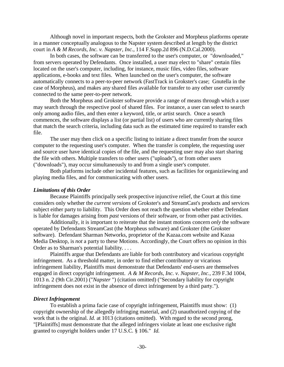Although novel in important respects, both the Grokster and Morpheus platforms operate in a manner conceptually analogous to the Napster system described at length by the district court in *A & M Records, Inc. v. Napster, Inc.,* 114 F.Supp.2d 896 (N.D.Cal.2000).

In both cases, the software can be transferred to the user's computer, or "downloaded," from servers operated by Defendants. Once installed, a user may elect to "share" certain files located on the user's computer, including, for instance, music files, video files, software applications, e-books and text files. When launched on the user's computer, the software automatically connects to a peer-to-peer network (FastTrack in Grokster's case; Gnutella in the case of Morpheus), and makes any shared files available for transfer to any other user currently connected to the same peer-to-peer network.

Both the Morpheus and Grokster software provide a range of means through which a user may search through the respective pool of shared files. For instance, a user can select to search only among audio files, and then enter a keyword, title, or artist search. Once a search commences, the software displays a list (or partial list) of users who are currently sharing files that match the search criteria, including data such as the estimated time required to transfer each file.

The user may then click on a specific listing to initiate a direct transfer from the source computer to the requesting user's computer. When the transfer is complete, the requesting user and source user have identical copies of the file, and the requesting user may also start sharing the file with others. Multiple transfers to other users ("uploads"), or from other users ("downloads"), may occur simultaneously to and from a single user's computer.

Both platforms include other incidental features, such as facilities for organiziiewing and playing media files, and for communicating with other users.

#### *Limitations of this Order*

Because Plaintiffs principally seek prospective injunctive relief, the Court at this time considers only whether the *current versions* of Grokster's and StreamCast's products and services subject either party to liability. This Order does not reach the question whether either Defendant is liable for damages arising from *past* versions of their software, or from other past activities.

Additionally, it is important to reiterate that the instant motions concern *only* the software operated by Defendants StreamCast (the Morpheus software) and Grokster (the Grokster software). Defendant Sharman Networks, proprietor of the Kazaa.com website and Kazaa Media Desktop, is *not* a party to these Motions. Accordingly, the Court offers no opinion in this Order as to Sharman's potential liability. . . .

Plaintiffs argue that Defendants are liable for both contributory and vicarious copyright infringement. As a threshold matter, in order to find either contributory or vicarious infringement liability, Plaintiffs must demonstrate that Defendants' end-users are themselves engaged in direct copyright infringement. *A & M Records, Inc. v. Napster, Inc.,* 239 F.3d 1004, 1013 n. 2 (9th Cir.2001) ("*Napster* ") (citation omitted) ("Secondary liability for copyright infringement does not exist in the absence of direct infringement by a third party.").

#### *Direct Infringement*

To establish a prima facie case of copyright infringement, Plaintiffs must show: (1) copyright ownership of the allegedly infringing material, and (2) unauthorized copying of the work that is the original. *Id.* at 1013 (citations omitted). With regard to the second prong, "[Plaintiffs] must demonstrate that the alleged infringers violate at least one exclusive right granted to copyright holders under 17 U.S.C. § 106." *Id.*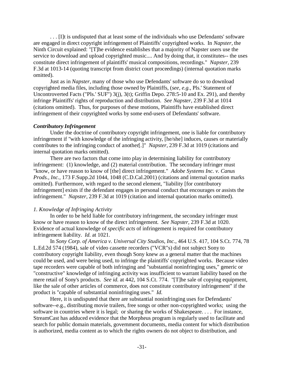. . . [I]t is undisputed that at least some of the individuals who use Defendants' software are engaged in direct copyright infringement of Plaintiffs' copyrighted works. In *Napster,* the Ninth Circuit explained: "[T]he evidence establishes that a majority of Napster users use the service to download and upload copyrighted music.... And by doing that, it constitutes-- the uses constitute direct infringement of plaintiffs' musical compositions, recordings." *Napster,* 239 F.3d at 1013-14 (quoting transcript from district court proceedings) (internal quotation marks omitted).

Just as in *Napster,* many of those who use Defendants' software do so to download copyrighted media files, including those owned by Plaintiffs, (*see, e.g.,* Pls.' Statement of Uncontroverted Facts ("Pls.' SUF") 3(j), 3(t); Griffin Depo. 278:5-10 and Ex. 291), and thereby infringe Plaintiffs' rights of reproduction and distribution. *See Napster,* 239 F.3d at 1014 (citations omitted). Thus, for purposes of these motions, Plaintiffs have established direct infringement of their copyrighted works by some end-users of Defendants' software.

#### *Contributory Infringement*

Under the doctrine of contributory copyright infringement, one is liable for contributory infringement if "with knowledge of the infringing activity, [he/she] induces, causes or materially contributes to the infringing conduct of another[.]" *Napster,* 239 F.3d at 1019 (citations and internal quotation marks omitted).

There are two factors that come into play in determining liability for contributory infringement: (1) knowledge, and (2) material contribution. The secondary infringer must "know, or have reason to know of [the] direct infringement." *Adobe Systems Inc. v. Canus Prods., Inc.,* 173 F.Supp.2d 1044, 1048 (C.D.Cal.2001) (citations and internal quotation marks omitted). Furthermore, with regard to the second element, "liability [for contributory infringement] exists if the defendant engages in personal conduct that encourages or assists the infringement." *Napster,* 239 F.3d at 1019 (citation and internal quotation marks omitted).

#### *1. Knowledge of Infringing Activity*

In order to be held liable for contributory infringement, the secondary infringer must know or have reason to know of the direct infringement. *See Napster,* 239 F.3d at 1020. Evidence of actual knowledge of *specific acts* of infringement is required for contributory infringement liability. *Id.* at 1021.

In *Sony Corp. of America v. Universal City Studios, Inc.,* 464 U.S. 417, 104 S.Ct. 774, 78 L.Ed.2d 574 (1984), sale of video cassette recorders ("VCR"s) did not subject Sony to contributory copyright liability, even though Sony knew as a general matter that the machines could be used, and were being used, to infringe the plaintiffs' copyrighted works. Because video tape recorders were capable of both infringing and "substantial noninfringing uses," generic or "constructive" knowledge of infringing activity was insufficient to warrant liability based on the mere retail of Sony's products. *See id.* at 442, 104 S.Ct. 774. "[T]he sale of copying equipment, like the sale of other articles of commerce, does not constitute contributory infringement" if the product is "capable of substantial noninfringing uses." *Id.*

Here, it is undisputed that there are substantial noninfringing uses for Defendants' software--e.g., distributing movie trailers, free songs or other non-copyrighted works; using the software in countries where it is legal; or sharing the works of Shakespeare. . . . For instance, StreamCast has adduced evidence that the Morpheus program is regularly used to facilitate and search for public domain materials, government documents, media content for which distribution is authorized, media content as to which the rights owners do not object to distribution, and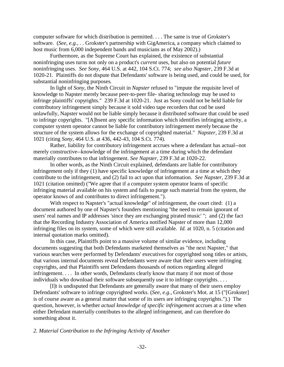computer software for which distribution is permitted. . . . The same is true of Grokster's software. (*See, e.g.,* . . Grokster's partnership with GigAmerica, a company which claimed to host music from 6,000 independent bands and musicians as of May 2002).)

Furthermore, as the Supreme Court has explained, the existence of substantial noninfringing uses turns not only on a product's *current* uses, but also on potential *future* noninfringing uses. *See Sony,* 464 U.S. at 442, 104 S.Ct. 774; *see also Napster,* 239 F.3d at 1020-21. Plaintiffs do not dispute that Defendants' software is being used, and could be used, for substantial noninfringing purposes.

In light of *Sony,* the Ninth Circuit in *Napster* refused to "impute the requisite level of knowledge to Napster merely because peer-to-peer file- sharing technology may be used to infringe plaintiffs' copyrights." 239 F.3d at 1020-21. Just as Sony could not be held liable for contributory infringement simply because it sold video tape recorders that cod be used unlawfully, Napster would not be liable simply because it distributed software that could be used to infringe copyrights. "[A]bsent any specific information which identifies infringing activity, a computer system operator cannot be liable for contributory infringement merely because the structure of the system allows for the exchange of copyrighted material." *Napster,* 239 F.3d at 1021 (citing *Sony,* 464 U.S. at 436, 442-43, 104 S.Ct. 774).

Rather, liability for contributory infringement accrues where a defendant has actual--not merely constructive--knowledge of the infringement at a time during which the defendant materially contributes to that infringement. *See Napster,* 239 F.3d at 1020-22.

In other words, as the Ninth Circuit explained, defendants are liable for contributory infringement only if they (1) have specific knowledge of infringement at a time at which they contribute to the infringement, and (2) fail to act upon that information. *See Napster,* 239 F.3d at 1021 (citation omitted) ("We agree that if a computer system operator learns of specific infringing material available on his system and fails to purge such material from the system, the operator knows of and contributes to direct infringement.").

With respect to Napster's "actual knowledge" of infringement, the court cited: (1) a document authored by one of Napster's founders mentioning "the need to remain ignorant of users' real names and IP addresses 'since they are exchanging pirated music' "; and (2) the fact that the Recording Industry Association of America notified Napster of more than 12,000 infringing files on its system, some of which were still available. *Id.* at 1020, n. 5 (citation and internal quotation marks omitted).

In this case, Plaintiffs point to a massive volume of similar evidence, including documents suggesting that both Defendants marketed themselves as "the next Napster," that various searches were performed by Defendants' executives for copyrighted song titles or artists, that various internal documents reveal Defendants were aware that their users were infringing copyrights, and that Plaintiffs sent Defendants thousands of notices regarding alleged infringement. . . . In other words, Defendants clearly know that many if not most of those individuals who download their software subsequently use it to infringe copyrights. . . .

[I]t is undisputed that Defendants are generally aware that many of their users employ Defendants' software to infringe copyrighted works. (*See, e.g.,* Grokster's Mot. at 15 ("[Grokster] is of course aware as a general matter that some of its users are infringing copyrights.").) The question, however, is whether *actual knowledge of specific infringement* accrues at a time when either Defendant materially contributes to the alleged infringement, and can therefore do something about it.

### *2. Material Contribution to the Infringing Activity of Another*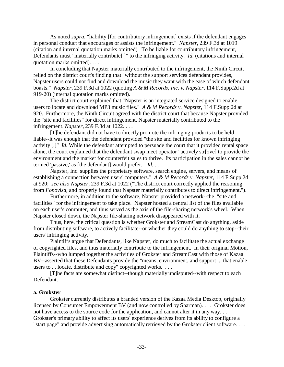As noted *supra,* "liability [for contributory infringement] exists if the defendant engages in personal conduct that encourages or assists the infringement." *Napster,* 239 F.3d at 1019 (citation and internal quotation marks omitted). To be liable for contributory infringement, Defendants must "materially contribute<sup>[]"</sup> to the infringing activity. *Id.* (citations and internal quotation marks omitted). . . .

In concluding that Napster materially contributed to the infringement, the Ninth Circuit relied on the district court's finding that "without the support services defendant provides, Napster users could not find and download the music they want with the ease of which defendant boasts." *Napster,* 239 F.3d at 1022 (quoting *A & M Records, Inc. v. Napster,* 114 F.Supp.2d at 919-20) (internal quotation marks omitted).

The district court explained that "Napster is an integrated service designed to enable users to locate and download MP3 music files." *A & M Records v. Napster,* 114 F.Supp.2d at 920. Furthermore, the Ninth Circuit agreed with the district court that because Napster provided the "site and facilities" for direct infringement, Napster materially contributed to the infringement. *Napster,* 239 F.3d at 1022. . . .

[T]he defendant did not have to directly promote the infringing products to be held liable--it was enough that the defendant provided "the site and facilities for known infringing activity [.]" *Id.* While the defendant attempted to persuade the court that it provided rental space alone, the court explained that the defendant swap meet operator "actively str[ove] to provide the environment and the market for counterfeit sales to thrive. Its participation in the sales cannot be termed 'passive,' as [the defendant] would prefer." *Id.* . . .

Napster, Inc. supplies the proprietary software, search engine, servers, and means of establishing a connection between users' computers." *A & M Records v. Napster,* 114 F.Supp.2d at 920; *see also Napster,* 239 F.3d at 1022 ("The district court correctly applied the reasoning from *Fonovisa,* and properly found that Napster materially contributes to direct infringement.").

Furthermore, in addition to the software, Napster provided a network--the "site and facilities" for the infringement to take place. Napster hosted a central list of the files available on each user's computer, and thus served as the axis of the file-sharing network's wheel. When Napster closed down, the Napster file-sharing network disappeared with it.

Thus, here, the critical question is whether Grokster and StreamCast do anything, aside from distributing software, to actively facilitate--or whether they could do anything to stop--their users' infringing activity.

Plaintiffs argue that Defendants, like Napster, do much to facilitate the actual exchange of copyrighted files, and thus materially contribute to the infringement. In their original Motion, Plaintiffs--who lumped together the activities of Grokster and StreamCast with those of Kazaa BV--asserted that these Defendants provide the "means, environment, and support ... that enable users to ... locate, distribute and copy" copyrighted works. ...

[T]he facts are somewhat distinct--though materially undisputed--with respect to each Defendant.

## **a. Grokster**

Grokster currently distributes a branded version of the Kazaa Media Desktop, originally licensed by Consumer Empowerment BV (and now controlled by Sharman). . . . Grokster does not have access to the source code for the application, and cannot alter it in any way.... Grokster's primary ability to affect its users' experience derives from its ability to configure a "start page" and provide advertising automatically retrieved by the Grokster client software. . . .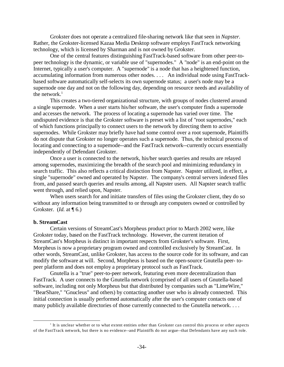Grokster does not operate a centralized file-sharing network like that seen in *Napster.* Rather, the Grokster-licensed Kazaa Media Desktop software employs FastTrack networking technology, which is licensed by Sharman and is not owned by Grokster.

One of the central features distinguishing FastTrack-based software from other peer-topeer technology is the dynamic, or variable use of "supernodes." A "node" is an end-point on the Internet, typically a user's computer. A "supernode" is a node that has a heightened function, accumulating information from numerous other nodes. . . . An individual node using FastTrackbased software automatically self-selects its own supernode status; a user's node may be a supernode one day and not on the following day, depending on resource needs and availability of the network. $<sup>1</sup>$ </sup>

This creates a two-tiered organizational structure, with groups of nodes clustered around a single supernode. When a user starts his/her software, the user's computer finds a supernode and accesses the network. The process of locating a supernode has varied over time. The undisputed evidence is that the Grokster software is preset with a list of "root supernodes," each of which functions principally to connect users to the network by directing them to active supernodes. While Grokster may briefly have had some control over a root supernode, Plaintiffs do not dispute that Grokster no longer operates such a supernode. Thus, the technical process of locating and connecting to a supernode--and the FastTrack network--currently occurs essentially independently of Defendant Grokster.

Once a user is connected to the network, his/her search queries and results are relayed among supernodes, maximizing the breadth of the search pool and minimizing redundancy in search traffic. This also reflects a critical distinction from Napster. Napster utilized, in effect, a single "supernode" owned and operated by Napster. The company's central servers indexed files from, and passed search queries and results among, all Napster users. All Napster search traffic went through, and relied upon, Napster.

When users search for and initiate transfers of files using the Grokster client, they do so without any information being transmitted to or through any computers owned or controlled by Grokster. (*Id.* at ¶ 6.)

#### **b. StreamCast**

Certain versions of StreamCast's Morpheus product prior to March 2002 were, like Grokster today, based on the FastTrack technology. However, the current iteration of StreamCast's Morpheus is distinct in important respects from Grokster's software. First, Morpheus is now a proprietary program owned and controlled exclusively by StreamCast. In other words, StreamCast, unlike Grokster, has access to the source code for its software, and can modify the software at will. Second, Morpheus is based on the open-source Gnutella peer- topeer platform and does not employ a proprietary protocol such as FastTrack.

Gnutella is a "true" peer-to-peer network, featuring even more decentralization than FastTrack. A user connects to the Gnutella network (comprised of all users of Gnutella-based software, including not only Morpheus but that distributed by companies such as "LimeWire," "BearShare," "Gnucleus" and others) by contacting another user who is already connected. This initial connection is usually performed automatically after the user's computer contacts one of many publicly available directories of those currently connected to the Gnutella network. . . .

<sup>1</sup> It is unclear whether or to what extent entities other than Grokster can control this process or other aspects of the FastTrack network, but there is no evidence--and Plaintiffs do not argue--that Defendants have any such role.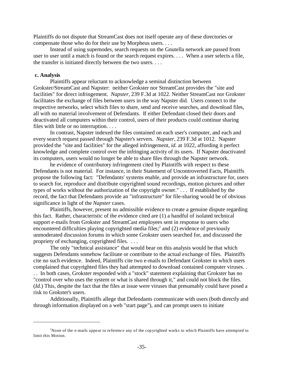Plaintiffs do not dispute that StreamCast does not itself operate any of these directories or compensate those who do for their use by Morpheus users. . . .

Instead of using supernodes, search requests on the Gnutella network are passed from user to user until a match is found or the search request expires. . . . When a user selects a file, the transfer is initiated directly between the two users. . . .

## **c. Analysis**

Plaintiffs appear reluctant to acknowledge a seminal distinction between Grokster/StreamCast and Napster: neither Grokster nor StreamCast provides the "site and facilities" for direct infringement. *Napster,* 239 F.3d at 1022. Neither StreamCast nor Grokster facilitates the exchange of files between users in the way Napster did. Users connect to the respective networks, select which files to share, send and receive searches, and download files, all with no material involvement of Defendants. If either Defendant closed their doors and deactivated all computers within their control, users of their products could continue sharing files with little or no interruption. . . .

In contrast, Napster indexed the files contained on each user's computer, and each and every search request passed through Napster's servers. *Napster,* 239 F.3d at 1012. Napster provided the "site and facilities" for the alleged infringement, *id.* at 1022, affording it perfect knowledge and complete control over the infringing activity of its users. If Napster deactivated its computers, users would no longer be able to share files through the Napster network.

he evidence of contributory infringement cited by Plaintiffs with respect to these Defendants is not material. For instance, in their Statement of Uncontroverted Facts, Plaintiffs propose the following fact: "Defendants' systems enable, and provide an infrastructure for, users to search for, reproduce and distribute copyrighted sound recordings, motion pictures and other types of works without the authorization of the copyright owner." . . . If established by the record, the fact that Defendants provide an "infrastructure" for file-sharing would be of obvious significance in light of the *Napster* cases.

Plaintiffs, however, present no admissible evidence to create a genuine dispute regarding this fact. Rather, characteristic of the evidence cited are (1) a handful of isolated technical support e-mails from Grokster and StreamCast employees sent in response to users who encountered difficulties playing copyrighted media files;<sup>2</sup> and (2) evidence of previously unmoderated discussion forums in which some Grokster users searched for, and discussed the propriety of exchanging, copyrighted files. . . .

The only "technical assistance" that would bear on this analysis would be that which suggests Defendants somehow facilitate or contribute to the actual exchange of files. Plaintiffs cite no such evidence. Indeed, Plaintiffs cite two e-mails to Defendant Grokster in which users complained that copyrighted files they had attempted to download contained computer viruses. . . . In both cases, Grokster responded with a "stock" statement explaining that Grokster has no "control over who uses the system or what is shared through it," and could not block the files. (*Id.*) This, despite the fact that the files at issue were viruses that presumably could have posed a risk to Grokster's users.

Additionally, Plaintiffs allege that Defendants communicate with users (both directly and through information displayed on a web "start page"), and can prompt users to initiate

<sup>&</sup>lt;sup>2</sup>None of the e-mails appear to reference any of the copyrighted works to which Plaintiffs have attempted to limit this Motion.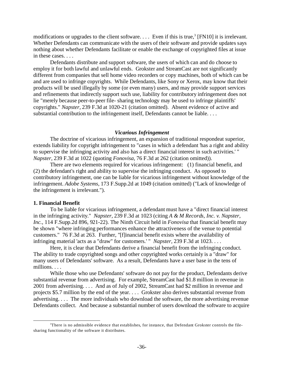modifications or upgrades to the client software.... Even if this is true,<sup>3</sup> [FN10] it is irrelevant. Whether Defendants can communicate with the users of their software and provide updates says nothing about whether Defendants facilitate or enable the exchange of copyrighted files at issue in these cases. . . .

Defendants distribute and support software, the users of which can and do choose to employ it for both lawful and unlawful ends. Grokster and StreamCast are not significantly different from companies that sell home video recorders or copy machines, both of which can be and are used to infringe copyrights. While Defendants, like Sony or Xerox, may know that their products will be used illegally by some (or even many) users, and may provide support services and refinements that indirectly support such use, liability for contributory infringement does not lie "merely because peer-to-peer file- sharing technology may be used to infringe plaintiffs' copyrights." *Napster,* 239 F.3d at 1020-21 (citation omitted). Absent evidence of active and substantial contribution to the infringement itself, Defendants cannot be liable. . . .

## *Vicarious Infringement*

The doctrine of vicarious infringement, an expansion of traditional respondeat superior, extends liability for copyright infringement to "cases in which a defendant 'has a right and ability to supervise the infringing activity and also has a direct financial interest in such activities.' " *Napster,* 239 F.3d at 1022 (quoting *Fonovisa,* 76 F.3d at 262 (citation omitted)).

There are two elements required for vicarious infringement: (1) financial benefit, and (2) the defendant's right and ability to supervise the infringing conduct. As opposed to contributory infringement, one can be liable for vicarious infringement without knowledge of the infringement. *Adobe Systems,* 173 F.Supp.2d at 1049 (citation omitted) ("Lack of knowledge of the infringement is irrelevant.").

#### **1. Financial Benefit**

To be liable for vicarious infringement, a defendant must have a "direct financial interest in the infringing activity." *Napster,* 239 F.3d at 1023 (citing *A & M Records, Inc. v. Napster, Inc.,* 114 F.Supp.2d 896, 921-22). The Ninth Circuit held in *Fonovisa* that financial benefit may be shown "where infringing performances enhance the attractiveness of the venue to potential customers." 76 F.3d at 263. Further, "[f]inancial benefit exists where the availability of infringing material 'acts as a "draw" for customers.' " *Napster,* 239 F.3d at 1023. . . .

Here, it is clear that Defendants derive a financial benefit from the infringing conduct. The ability to trade copyrighted songs and other copyrighted works certainly is a "draw" for many users of Defendants' software. As a result, Defendants have a user base in the tens of millions. . . .

While those who use Defendants' software do not pay for the product, Defendants derive substantial revenue from advertising. For example, StreamCast had \$1.8 million in revenue in 2001 from advertising. . . . And as of July of 2002, StreamCast had \$2 million in revenue and projects \$5.7 million by the end of the year. . . . Grokster also derives substantial revenue from advertising. . . . The more individuals who download the software, the more advertising revenue Defendants collect. And because a substantial number of users download the software to acquire

<sup>&</sup>lt;sup>3</sup>There is no admissible evidence that establishes, for instance, that Defendant Grokster controls the filesharing functionality of the software it distributes.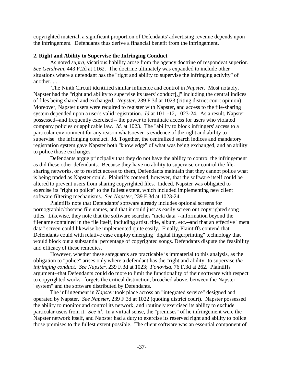copyrighted material, a significant proportion of Defendants' advertising revenue depends upon the infringement. Defendants thus derive a financial benefit from the infringement.

# **2. Right and Ability to Supervise the Infringing Conduct**

As noted *supra,* vicarious liability arose from the agency doctrine of respondeat superior. *See Gershwin,* 443 F.2d at 1162. The doctrine ultimately was expanded to include other situations where a defendant has the "right and ability to supervise the infringing activity" of another. . . .

 The Ninth Circuit identified similar influence and control in *Napster.* Most notably, Napster had the "right and ability to supervise its users' conduct[,]" including the central indices of files being shared and exchanged. *Napster,* 239 F.3d at 1023 (citing district court opinion). Moreover, Napster users were required to register with Napster, and access to the file-sharing system depended upon a user's valid registration. *Id.*at 1011-12, 1023-24. As a result, Napster possessed--and frequently exercised-- the power to terminate access for users who violated company policies or applicable law. *Id.* at 1023. The "ability to block infringers' access to a particular environment for any reason whatsoever is evidence of the right and ability to supervise" the infringing conduct. *Id.* Together, the centralized search indices and mandatory registration system gave Napster both "knowledge" of what was being exchanged, and an ability to police those exchanges.

Defendants argue principally that they do not have the ability to control the infringement as did these other defendants. Because they have no ability to supervise or control the filesharing networks, or to restrict access to them, Defendants maintain that they cannot police what is being traded as Napster could. Plaintiffs contend, however, that the software itself could be altered to prevent users from sharing copyrighted files. Indeed, Napster was obligated to exercise its "right to police" to the fullest extent, which included implementing new client software filtering mechanisms. *See Napster,* 239 F.3d at 1023-24.

Plaintiffs note that Defendants' software already includes optional screens for pornographic/obscene file names, and that it could just as easily screen out copyrighted song titles. Likewise, they note that the software searches "meta data"--information beyond the filename contained in the file itself, including artist, title, album, etc.--and that an effective "meta data" screen could likewise be implemented quite easily. Finally, Plaintiffs contend that Defendants could with relative ease employ emerging "digital fingerprinting" technology that would block out a substantial percentage of copyrighted songs. Defendants dispute the feasibility and efficacy of these remedies.

However, whether these safeguards are practicable is immaterial to this analysis, as the obligation to "police" arises only where a defendant has the "right and ability" to supervise *the infringing conduct. See Napster,* 239 F.3d at 1023; *Fonovisa,* 76 F.3d at 262. Plaintiffs' argument--that Defendants could do more to limit the functionality of their software with respect to copyrighted works--forgets the critical distinction, broached above, between the Napster "system" and the software distributed by Defendants.

The infringement in *Napster* took place across an "integrated service" designed and operated by Napster. *See Napster,* 239 F.3d at 1022 (quoting district court). Napster possessed the ability to monitor and control its network, and routinely exercised its ability to exclude particular users from it. *See id.* In a virtual sense, the "premises" of he infringement were the Napster network itself, and Napster had a duty to exercise its reserved right and ability to police those premises to the fullest extent possible. The client software was an essential component of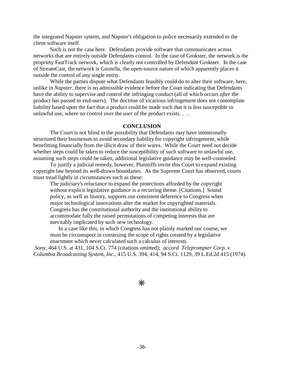the integrated Napster system, and Napster's obligation to police necessarily extended to the client software itself.

Such is not the case here. Defendants provide software that communicates across networks that are entirely outside Defendants control. In the case of Grokster, the network is the propriety FastTrack network, which is clearly not controlled by Defendant Grokster. In the case of StreamCast, the network is Gnutella, the open-source nature of which apparently places it outside the control of *any* single entity.

While the parties dispute what Defendants feasibly could do to alter their software, here, unlike in *Napster,* there is no admissible evidence before the Court indicating that Defendants have the ability to supervise and control the infringing conduct (all of which occurs *after* the product has passed to end-users). The doctrine of vicarious infringement does not contemplate liability based upon the fact that a product could be made such that it is less susceptible to unlawful use, where no control over the *user* of the product exists. . . .

#### **CONCLUSION**

The Court is not blind to the possibility that Defendants may have intentionally structured their businesses to avoid secondary liability for copyright infringement, while benefitting financially from the illicit draw of their wares. While the Court need not decide whether steps could be taken to reduce the susceptibility of such software to unlawful use, assuming such steps could be taken, additional legislative guidance may be well-counseled.

To justify a judicial remedy, however, Plaintiffs invite this Court to expand existing copyright law beyond its well-drawn boundaries. As the Supreme Court has observed, courts must tread lightly in circumstances such as these:

The judiciary's reluctance to expand the protections afforded by the copyright without explicit legislative guidance is a recurring theme. [Citations.] Sound policy, as well as history, supports our consistent deference to Congress when major technological innovations alter the market for copyrighted materials. Congress has the constitutional authority and the institutional ability to accommodate fully the raised permutations of competing interests that are inevitably implicated by such new technology.

 In a case like this, in which Congress has not plainly marked our course, we must be circumspect in construing the scope of rights created by a legislative enactment which never calculated such a calculus of interests.

 *Sony,* 464 U.S. at 431, 104 S.Ct. 774 (citations omitted); *accord Teleprompter Corp. v. Columbia Broadcasting System, Inc.,* 415 U.S. 394, 414, 94 S.Ct. 1129, 39 L.Ed.2d 415 (1974).

 $\divideontimes$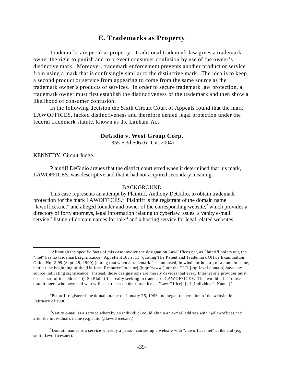# **E. Trademarks as Property**

Trademarks are peculiar property. Traditional trademark law gives a trademark owner the right to punish and to prevent consumer confusion by use of the owner's distinctive mark. Moreover, trademark enforcement prevents another product or service from using a mark that is confusingly similar to the distinctive mark. The idea is to keep a second product or service from appearing to come from the same source as the trademark owner's products or services. In order to secure trademark law protection, a trademark owner must first establish the distinctiveness of the trademark and then show a likelihood of consumer confusion.

In the following decision the Sixth Circuit Court of Appeals found that the mark, LAWOFFICES, lacked distinctiveness and therefore denied legal protection under the federal trademark statute, known as the Lanham Act.

## **DeGidio v. West Group Corp.**

355 F.3d 506 (6<sup>th</sup> Cir. 2004)

KENNEDY, Circuit Judge.

Plaintiff DeGidio argues that the district court erred when it determined that his mark, LAWOFFICES, was descriptive and that it had not acquired secondary meaning.

### BACKGROUND

This case represents an attempt by Plaintiff, Anthony DeGidio, to obtain trademark protection for the mark LAWOFFICES.<sup>1</sup> Plaintiff is the registrant of the domain name "lawoffices.net" and alleged founder and owner of the corresponding website,<sup>2</sup> which provides a directory of forty attorneys, legal information relating to cyberlaw issues, a vanity e-mail service, $3$  listing of domain names for sale, $4$  and a hosting service for legal related websites.

<sup>&</sup>lt;sup>1</sup>Although the specific facts of this case involve the designation LawOffices.net, as Plaintiff points out, the ".net" has no trademark significance. Appellant Br. at 11 (quoting The Patent and Trademark Office Examination Guide No. 2-99 (Sept. 29, 1999) (noting that when a trademark "is composed, in whole or in part, of a domain name, neither the beginning of the [Uniform Resource Locator] (http://www.) nor the TLD [top-level domain] have any source indicating significance. Instead, those designations are merely devices that every Internet site provider must use as part of its address.")) So Plaintiff is really seeking to trademark LAWOFFICES. This would affect those practitioners who have and who will seek to set up their practice as "Law Office[s] of [Individual's Name.]"

<sup>&</sup>lt;sup>2</sup>Plaintiff registered the domain name on January 25, 1996 and began the creation of the website in February of 1996.

 $3$ Vanity e-mail is a service whereby an individual could obtain an e-mail address with "@lawoffices.net" after the individual's name (e.g.smith@lawoffices.net).

 $^{4}$ Domain names is a service whereby a person can set up a website with ".lawoffices.net" at the end (e.g. smith.lawoffices.net).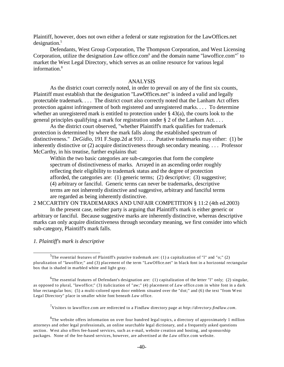Plaintiff, however, does not own either a federal or state registration for the LawOffices.net designation.<sup>5</sup>

Defendants, West Group Corporation, The Thompson Corporation, and West Licensing Corporation, utilize the designation *Law* office.com<sup>6</sup> and the domain name "lawoffice.com"<sup>7</sup> to market the West Legal Directory, which serves as an online resource for various legal information.<sup>8</sup>

## ANALYSIS

As the district court correctly noted, in order to prevail on any of the first six counts, Plaintiff must establish that the designation "LawOffices.net" is indeed a valid and legally protectable trademark. *. . .* The district court also correctly noted that the Lanham Act offers protection against infringement of both registered and unregistered marks. *. . .* To determine whether an unregistered mark is entitled to protection under § 43(a), the courts look to the general principles qualifying a mark for registration under § 2 of the Lanham Act. *. . .* 

As the district court observed, "whether Plaintiff's mark qualifies for trademark protection is determined by where the mark falls along the established spectrum of distinctiveness." *DeGidio,* 191 F.Supp.2d at 910 . . . . Putative trademarks may either: (1) be inherently distinctive or (2) acquire distinctiveness through secondary meaning. *. . .* Professor McCarthy, in his treatise, further explains that:

Within the two basic categories are sub-categories that form the complete spectrum of distinctiveness of marks. Arrayed in an ascending order roughly reflecting their eligibility to trademark status and the degree of protection afforded, the categories are: (1) generic terms; (2) descriptive; (3) suggestive; (4) arbitrary or fanciful. Generic terms can never be trademarks, descriptive terms are not inherently distinctive and suggestive, arbitrary and fanciful terms are regarded as being inherently distinctive.

2 MCCARTHY ON TRADEMARKS AND UNFAIR COMPETITION § 11:2 (4th ed.2003)

In the present case, neither party is arguing that Plaintiff's mark is either generic or arbitrary or fanciful. Because suggestive marks are inherently distinctive, whereas descriptive marks can only acquire distinctiveness through secondary meaning, we first consider into which sub-category, Plaintiff's mark falls.

#### *1. Plaintiff's mark is descriptive*

<sup>6</sup>The essential features of Defendant's designation are: (1) capitalization of the letter "l" only; (2) singular, as opposed to plural, "lawoffice;" (3) italicization of "aw;" (4) placement of *Law* office.com in white font in a dark blue rectangular box; (5) a multi-colored open door emblem situated over the "dot;" and (6) the text "from West Legal Directory" place in smaller white font beneath *Law* office.

<sup>7</sup>Visitors to lawoffice.com are redirected to a Findlaw directory page at *http://directory.findlaw.com.*

 ${}^{8}$ The website offers information on over four hundred legal topics, a directory of approximately 1 million attorneys and other legal professionals, an online searchable legal dictionary, and a frequently asked questions section. West also offers fee-based services, such as e-mail, website creation and hosting, and sponsorship packages. None of the fee-based services, however, are advertised at the *Law* office.com website.

<sup>&</sup>lt;sup>5</sup>The essential features of Plaintiff's putative trademark are: (1) a capitalization of "l" and "o;" (2) pluralization of "lawoffice;" and (3) placement of the term "LawOffice.net" in black font in a horizontal rectangular box that is shaded in marbled white and light gray.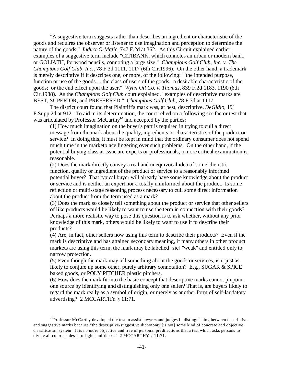"A suggestive term suggests rather than describes an ingredient or characteristic of the goods and requires the observer or listener to use imagination and perception to determine the nature of the goods." *Induct-O-Matic,* 747 F.2d at 362. As this Circuit explained earlier, examples of a suggestive term include "CITIBANK, which connotes an urban or modern bank, or GOLIATH, for wood pencils, connoting a large size." *Champions Golf Club, Inc. v. The Champions Golf Club, Inc.,* 78 F.3d 1111, 1117 (6th Cir.1996). On the other hand, a trademark is merely descriptive if it describes one, or more, of the following: "the intended purpose, function or use of the goods ... the class of users of the goods; a desirable characteristic of the goods; or the end effect upon the user." *Wynn Oil Co. v. Thomas,* 839 F.2d 1183, 1190 (6th Cir.1988). As the *Champions Golf Club* court explained, "examples of descriptive marks are BEST, SUPERIOR, and PREFERRED." *Champions Golf Club,* 78 F.3d at 1117.

The district court found that Plaintiff's mark was, at best, descriptive. *DeGidio,* 191 F.Supp.2d at 912. To aid in its determination, the court relied on a following six-factor test that was articulated by Professor McCarthy<sup>10</sup> and accepted by the parties:

(1) How much imagination on the buyer's part is required in trying to cull a direct message from the mark about the quality, ingredients or characteristics of the product or service? In doing this, it must be kept in mind that the ordinary consumer does not spend much time in the marketplace lingering over such problems. On the other hand, if the potential buying class at issue are experts or professionals, a more critical examination is reasonable.

(2) Does the mark directly convey a real and unequivocal idea of some cheristic, function, quality or ingredient of the product or service to a reasonably informed potential buyer? That typical buyer will already have some knowledge about the product or service and is neither an expert nor a totally uninformed about the product. Is some reflection or multi-stage reasoning process necessary to cull some direct information about the product from the term used as a mark?

(3) Does the mark so closely tell something about the product or service that other sellers of like products would be likely to want to use the term in connection with their goods? Perhaps a more realistic way to pose this question is to ask whether, without any prior knowledge of this mark, others would be likely to want to use it to describe their products?

(4) Are, in fact, other sellers now using this term to describe their products? Even if the mark is descriptive and has attained secondary meaning, if many others in other product markets are using this term, the mark may be labelled [sic] "weak" and entitled only to narrow protection.

(5) Even though the mark may tell something about the goods or services, is it just as likely to conjure up some other, purely arbitrary connotation? E.g., SUGAR & SPICE baked goods, or POLY PITCHER plastic pitchers.

(6) How does the mark fit into the basic concept that descriptive marks cannot pinpoint one source by identifying and distinguishing only one seller? That is, are buyers likely to regard the mark really as a symbol of origin, or merely as another form of self-laudatory advertising? 2 MCCARTHY § 11:71.

 $10P_{\text{Professor}}$  McCarthy developed the test to assist lawyers and judges in distinguishing between descriptive and suggestive marks because "the descriptive-suggestive dichotomy [is not] some kind of concrete and objective classification system. It is no more objective and free of personal predilections that a test which asks persons to divide all color shades into 'light' and 'dark.' " 2 MCCARTHY § 11:71.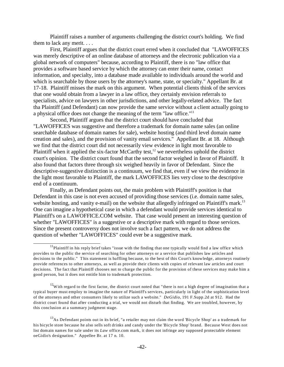Plaintiff raises a number of arguments challenging the district court's holding. We find them to lack any merit. . . .

First, Plaintiff argues that the district court erred when it concluded that "LAWOFFICES was merely descriptive of an online database of attorneys and the electronic publication via a global network of computers" because, according to Plaintiff, there is no "law office that provides a software based service by which the attorney can enter their name, contact information, and specialty, into a database made available to individuals around the world and which is searchable by those users by the attorney's name, state, or specialty." Appellant Br. at 17-18. Plaintiff misses the mark on this argument. When potential clients think of the services that one would obtain from a lawyer in a law office, they certainly envision referrals to specialists, advice on lawyers in other jurisdictions, and other legally-related advice. The fact tha Plaintiff (and Defendant) can now provide the same service without a client actually going to a physical office does not change the meaning of the term "law office."<sup>11</sup>

Second, Plaintiff argues that the district court should have concluded that "LAWOFFICES was suggestive and therefore a trademark for domain name sales (an online searchable database of domain names for sale), website hosting (and third level domain name creation and sales), and the provision of vanity email services." Appellant Br. at 18. Although we find that the district court did not necessarily view evidence in light most favorable to Plaintiff when it applied the six-factor McCarthy test, $12$  we nevertheless uphold the district court's opinion. The district court found that the second factor weighed in favor of Plaintiff. It also found that factors three through six weighed heavily in favor of Defendant. Since the descriptive-suggestive distinction is a continuum, we find that, even if we view the evidence in the light most favorable to Plaintiff, the mark LAWOFFICES lies very close to the descriptive end of a continuum.

Finally, as Defendant points out, the main problem with Plaintiff's position is that Defendant in this case is not even accused of providing those services (i.e. domain name sales, website hosting, and vanity e-mail) on the website that allegedly infringed on Plaintiff's mark.<sup>13</sup> One can imagine a hypothetical case in which a defendant would provide services identical to Plaintiff's on a LAWOFFICE.COM website. That case would present an interesting question of whether "LAWOFFICES" is a suggestive or a descriptive mark with regard to those services. Since the present controversy does not involve such a fact pattern, we do not address the question of whether "LAWOFFICES" could ever be a suggestive mark.

<sup>&</sup>lt;sup>11</sup>Plaintiff in his reply brief takes "issue with the finding that one typically would find a law office which provides to the public the service of searching for other attorneys or a service that publishes law articles and decisions to the public." This statement is baffling because, to the best of this Court's knowledge, attorneys routinely provide references to other attorneys, as well as provide their clients with copies of relevant law articles and court decisions. The fact that Plaintiff chooses not to charge the public for the provision of these services may make him a good person, but it does not entitle him to trademark protection.

 $12$ With regard to the first factor, the district court noted that "there is not a high degree of imagination that a typical buyer must employ to imagine the nature of Plaintiff's services, particularly in light of the sophistication level of the attorneys and other consumers likely to utilize such a website." *DeGidio,* 191 F.Supp.2d at 912. Had the district court found that after conducting a trial, we would not disturb that finding. We are troubled, however, by this conclusion at a summary judgment stage.

 $^{13}$ As Defendant points out in its brief, "a retailer may not claim the word 'Bicycle Shop' as a trademark for his bicycle store because he also sells soft drinks and candy under the 'Bicycle Shop' brand. Because West does not list domain names for sale under its *Law* office.com mark, it does not infringe any supposed protectable element oeGidio's designation." Appellee Br. at 17 n. 10.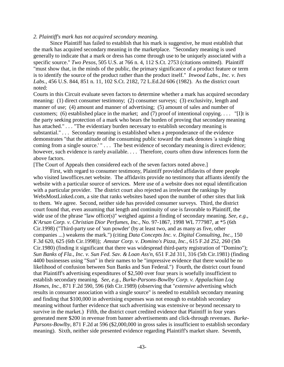## *2. Plaintiff's mark has not acquired secondary meaning.*

Since Plaintiff has failed to establish that his mark is suggestive, he must establish that the mark has acquired secondary meaning in the marketplace. "Secondary meaning is used generally to indicate that a mark or dress has come through use to be uniquely associated with a specific source." *Two Pesos,* 505 U.S. at 766 n. 4, 112 S.Ct. 2753 (citations omitted). Plaintiff "must show that, in the minds of the public, the primary significance of a product feature or term is to identify the source of the product rather than the product itself." *Inwood Labs., Inc. v. Ives Labs.,* 456 U.S. 844, 851 n. 11, 102 S.Ct. 2182, 72 L.Ed.2d 606 (1982). As the district court noted:

Courts in this Circuit evaluate seven factors to determine whether a mark has acquired secondary meaning: (1) direct consumer testimony; (2) consumer surveys; (3) exclusivity, length and manner of use; (4) amount and manner of advertising; (5) amount of sales and number of customers; (6) established place in the market; and (7) proof of intentional copying. . . . "[I]t is the party seeking protection of a mark who bears the burden of proving that secondary meaning has attached."... "The evidentiary burden necessary to establish secondary meaning is substantial." *. . .* Secondary meaning is established when a preponderance of the evidence demonstrates "that the attitude of the consuming public toward the mark denotes 'a single thing coming from a single source.'"... The best evidence of secondary meaning is direct evidence; however, such evidence is rarely available. . . . Therefore, courts often draw inferences form the above factors.

[The Court of Appeals then considered each of the seven factors noted above.]

First, with regard to consumer testimony, Plaintiff provided affidavits of three people who visited lawoffices.net website. The affidavits provide no testimony that affiants identify the website with a particular source of services. Mere use of a website does not equal identification with a particular provider. The district court also rejected as irrelevant the rankings by WebsMostLinked.com, a site that ranks websites based upon the number of other sites that link to them. We agree. Second, neither side has provided consumer surveys. Third, the district court found that, even assuming that length and continuity of use is favorable to Plaintiff, the wide use of the phrase "law office(s)" weighed against a finding of secondary meaning. *See, e.g., K'Arsan Corp. v. Christian Dior Perfumes, Inc.,* No. 97-1867, 1998 WL 777987, at \*5 (6th Cir.1998) ("Third-party use of 'sun powder' (by at least two, and as many as five, other companies ...) weakens the mark.") (citing *Data Concepts Inc. v. Digital Consulting, Inc.,* 150 F.3d 620, 625 (6th Cir.1998)); *Amstar Corp. v. Domino's Pizza, Inc.,* 615 F.2d 252, 260 (5th Cir.1980) (finding it significant that there was widespread third-party registration of "Domino"); *Sun Banks of Fla., Inc. v. Sun Fed. Sav. & Loan Ass'n,* 651 F.2d 311, 316 (5th Cir.1981) (finding 4400 businesses using "Sun" in their names to be "impressive evidence that there would be no likelihood of confusion between Sun Banks and Sun Federal.") Fourth, the district court found that Plaintiff's advertising expenditures of \$2,500 over four years is woefully insufficient to establish secondary meaning. *See, e.g., Burke-Parsons-Bowlby Corp. v. Appalachian Log Homes, Inc.,* 871 F.2d 590, 596 (6th Cir.1989) (observing that "*extensive* advertising which results in consumer association with a single source" is needed to establish secondary meaning and finding that \$100,000 in advertising expenses was not enough to establish secondary meaning without further evidence that such advertising was extensive or beyond necessary to survive in the market.) Fifth, the district court credited evidence that Plaintiff in four years generated mere \$200 in revenue from banner advertisements and click-through revenues. *Burke-Parsons-Bowlby,* 871 F.2d at 596 (\$2,000,000 in gross sales is insufficient to establish secondary meaning). Sixth, neither side presented evidence regarding Plaintiff's market share. Seventh,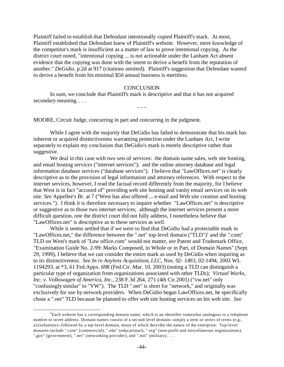Plaintiff failed to establish that Defendant intentionally copied Plaintiff's mark. At most, Plaintiff established that Defendant knew of Plaintiff's website. However, mere knowledge of the competitor's mark is insufficient as a matter of law to prove intentional copying. As the district court noted, "intentional copying ... is not actionable under the Lanham Act absent evidence that the copying was done with the intent to derive a benefit from the reputation of another." *DeGidio,* p.2d at 917 (citations omitted). Plaintiff's suggestion that Defendant wanted to derive a benefit from his minimal \$50 annual business is meritless.

#### **CONCLUSION**

- - -

In sum, we conclude that Plaintiff's mark is descriptive and that it has not acquired secondary meaning. . . .

MOORE, Circuit Judge, concurring in part and concurring in the judgment.

While I agree with the majority that DeGidio has failed to demonstrate that his mark has inherent or acquired distinctiveness warranting protection under the Lanham Act, I write separately to explain my conclusion that DeGidio's mark is merely descriptive rather than suggestive.

We deal in this case with two sets of services: the domain name sales, web site hosting, and email hosting services ("internet services"); and the online attorney database and legal information database services ("database services"). I believe that "LawOffices.net" is clearly descriptive as to the provision of legal information and attorney references. With respect to the internet services, however, I read the factual record differently from the majority, for I believe that West is in fact "accused of" providing web site hosting and vanity email services on its web site. *See* Appellee's Br. at 7 ("West has also offered ... e-mail and Web site creation and hosting services."). I think it is therefore necessary to inquire whether "LawOffices.net" is descriptive or suggestive as to those two internet services; although the internet services present a more difficult question, one the district court did not fully address, I nonetheless believe that "LawOffices.net" is descriptive as to these services as well.

While it seems settled that if we were to find that DeGidio had a protectable mark in "LawOffices.net," the difference between the ".net" top-level domain ("TLD")<sup>1</sup> and the ".com" TLD on West's mark of "*Law* office.com" would not matter, *see* Patent and Trademark Office, "Examination Guide No. 2-99: Marks Composed, in Whole or in Part, of Domain Names" (Sept. 29, 1999), I believe that we can consider the entire mark as used by DeGidio when inquiring as to its distinctiveness. *See In re Anylens Acquisition, LLC,* Nos. 02- 1493, 02-1494, 2003 WL 1194293, at \*3, 61 Fed.Appx. 698 (Fed.Cir. Mar. 10, 2003) (noting a TLD can distinguish a particular type of organization from organizations associated with other TLDs); *Virtual Works, Inc. v. Volkswagen of America, Inc.,* 238 F.3d 264, 271 (4th Cir.2001) ("vw.net" only "confusingly similar" to "VW"). The TLD ".net" is short for "network," and originally was exclusively for use by network providers. When DeGidio began LawOffices.net, he specifically chose a ".net" TLD because he planned to offer web site hosting services on his web site. *See*

<sup>&</sup>lt;sup>1</sup>Each website has a corresponding domain name, which is an identifier somewhat analogous to a telephone number or street address. Domain names consist of a second-level domain--simply a term or series of terms (e.g., a2zsolutions)--followed by a top-level domain, many of which describe the nature of the enterprise. Top-level domains include ".com" (commercial), ".edu" (educational), ".org" (non-profit and miscellaneous organizations), ".gov" (government), ".net" (networking provider), and ".mil" (military). . . .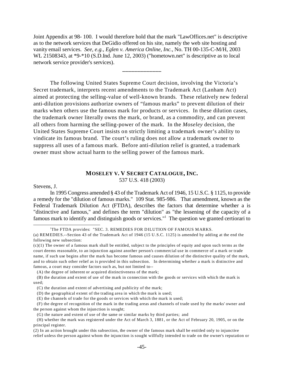Joint Appendix at 98- 100. I would therefore hold that the mark "LawOffices.net" is descriptive as to the network services that DeGidio offered on his site, namely the web site hosting and vanity email services. *See, e.g., Eglen v. America Online, Inc.,* No. TH 00-135-C-M/H, 2003 WL 21508343, at \*9-\*10 (S.D.Ind. June 12, 2003) ("hometown.net" is descriptive as to local network service provider's services).

\_\_\_\_\_\_\_\_\_\_\_\_\_\_\_

The following United States Supreme Court decision, involving the Victoria's Secret trademark, interprets recent amendments to the Trademark Act (Lanham Act) aimed at protecting the selling-value of well-known brands. These relatively new federal anti-dilution provisions authorize owners of "famous marks" to prevent dilution of their marks when others use the famous mark for products or services. In these dilution cases, the trademark owner literally owns the mark, or brand, as a commodity, and can prevent all others from harming the selling-power of the mark. In the *Moseley* decision, the United States Supreme Court insists on strictly limiting a trademark owner's ability to vindicate its famous brand. The court's ruling does not allow a trademark owner to suppress all uses of a famous mark. Before anti-dilution relief is granted, a trademark owner must show actual harm to the selling power of the famous mark.

# **MOSELEY V. V SECRET CATALOGUE, INC.** 537 U.S. 418 (2003)

Stevens, J.

In 1995 Congress amended § 43 of the Trademark Act of 1946, 15 U.S.C. § 1125, to provide a remedy for the "dilution of famous marks." 109 Stat. 985-986. That amendment, known as the Federal Trademark Dilution Act (FTDA), describes the factors that determine whether a is "distinctive and famous," and defines the term "dilution" as "the lessening of the capacity of a famous mark to identify and distinguish goods or services."<sup>1</sup> The question we granted certiorari to

<sup>&</sup>lt;sup>1</sup>The FTDA provides: "SEC. 3. REMEDIES FOR DILUTION OF FAMOUS MARKS.

<sup>(</sup>a) REMEDIES.--Section 43 of the Trademark Act of 1946 (15 U.S.C. 1125) is amended by adding at the end the following new subsection:

<sup>(</sup>c)(1) The owner of a famous mark shall be entitled, subject to the principles of equity and upon such terms as the court deems reasonable, to an injunction against another person's commercial use in commerce of a mark or trade name, if such use begins after the mark has become famous and causes dilution of the distinctive quality of the mark, and to obtain such other relief as is provided in this subsection. In determining whether a mark is distinctive and famous, a court may consider factors such as, but not limited to--

 <sup>(</sup>A) the degree of inherent or acquired distinctiveness of the mark;

 <sup>(</sup>B) the duration and extent of use of the mark in connection with the goods or services with which the mark is used;

 <sup>(</sup>C) the duration and extent of advertising and publicity of the mark;

 <sup>(</sup>D) the geographical extent of the trading area in which the mark is used;

 <sup>(</sup>E) the channels of trade for the goods or services with which the mark is used;

 <sup>(</sup>F) the degree of recognition of the mark in the trading areas and channels of trade used by the marks' owner and the person against whom the injunction is sought;

 <sup>(</sup>G) the nature and extent of use of the same or similar marks by third parties; and

 <sup>(</sup>H) whether the mark was registered under the Act of March 3, 1881, or the Act of February 20, 1905, or on the principal register.

<sup>(2)</sup> In an action brought under this subsection, the owner of the famous mark shall be entitled only to injunctive relief unless the person against whom the injunction is sought willfully intended to trade on the owner's reputation or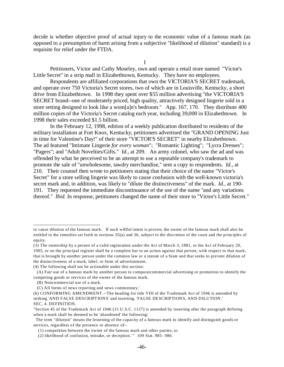decide is whether objective proof of actual injury to the economic value of a famous mark (as opposed to a presumption of harm arising from a subjective "likelihood of dilution" standard) is a requisite for relief under the FTDA.

I

Petitioners, Victor and Cathy Moseley, own and operate a retail store named "Victor's Little Secret" in a strip mall in Elizabethtown, Kentucky. They have no employees.

Respondents are affiliated corporations that own the VICTORIA'S SECRET trademark, and operate over 750 Victoria's Secret stores, two of which are in Louisville, Kentucky, a short drive from Elizabethtown. In 1998 they spent over \$55 million advertising "the VICTORIA'S SECRET brand--one of moderately priced, high quality, attractively designed lingerie sold in a store setting designed to look like a wom[a]n's bedroom." App. 167, 170. They distribute 400 million copies of the Victoria's Secret catalog each year, including 39,000 in Elizabethtown. In 1998 their sales exceeded \$1.5 billion.

In the February 12, 1998, edition of a weekly publication distributed to residents of the military installation at Fort Knox, Kentucky, petitioners advertised the "GRAND OPENING Just in time for Valentine's Day!" of their store "VICTOR'S SECRET" in nearby Elizabethtown. The ad featured "Intimate Lingerie *for every woman*"; "Romantic Lighting"; "Lycra Dresses"; "Pagers"; and "Adult Novelties/Gifts." *Id.,* at 209. An army colonel, who saw the ad and was offended by what he perceived to be an attempt to use a reputable company's trademark to promote the sale of "unwholesome, tawdry merchandise," sent a copy to respondents. *Id.,* at 210. Their counsel then wrote to petitioners stating that their choice of the name "Victor's Secret" for a store selling lingerie was likely to cause confusion with the well-known victoria's secret mark and, in addition, was likely to "dilute the distinctiveness" of the mark. *Id.,* at 190- 191. They requested the immediate discontinuance of the use of the name "and any variations thereof." *Ibid.* In response, petitioners changed the name of their store to "Victor's Little Secret."

to cause dilution of the famous mark. If such willful intent is proven, the owner of the famous mark shall also be entitled to the remedies set forth in sections 35(a) and 36, subject to the discretion of the court and the principles of equity.

<sup>(3)</sup> The ownership by a person of a valid registration under the Act of March 3, 1881, or the Act of February 20, 1905, or on the principal register shall be a complete bar to an action against that person, with respect to that mark, that is brought by another person under the common law or a statute of a State and that seeks to prevent dilution of the distinctiveness of a mark, label, or form of advertisement.

<sup>(4)</sup> The following shall not be actionable under this section:

 <sup>(</sup>A) Fair use of a famous mark by another person in comparatcommercial advertising or promotion to identify the competing goods or services of the owner of the famous mark.

 <sup>(</sup>B) Noncommercial use of a mark.

 <sup>(</sup>C) All forms of news reporting and news commentary.'

<sup>(</sup>b) CONFORMING AMENDMENT.--The heading for title VIII of the Trademark Act of 1946 is amended by striking 'AND FALSE DESCRIPTIONS' and inserting, 'FALSE DESCRIPTIONS, AND DILUTION.' SEC. 4. DEFINITION.

<sup>&</sup>quot;Section 45 of the Trademark Act of 1946 (15 U.S.C. 1127) is amended by inserting after the paragraph defining when a mark shall be deemed to be 'abandoned' the following:

The term "dilution" means the lessening of the capacity of a famous mark to identify and distinguish goods or services, regardless of the presence or absence of--

 <sup>(1)</sup> competition between the owner of the famous mark and other parties, or

 <sup>(2)</sup> likelihood of confusion, mistake, or deception.' " 109 Stat. 985- 986.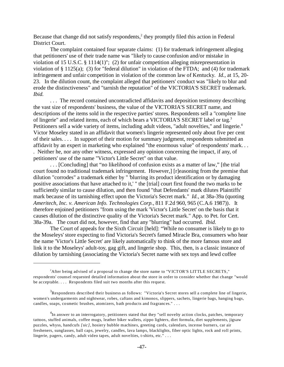Because that change did not satisfy respondents,<sup>2</sup> they promptly filed this action in Federal District Court.

The complaint contained four separate claims: (1) for trademark infringement alleging that petitioners' use of their trade name was "likely to cause confusion and/or mistake in violation of 15 U.S.C. § 1114(1)"; (2) for unfair competition alleging misrepresentation in violation of § 1125(a); (3) for "federal dilution" in violation of the FTDA; and (4) for trademark infringement and unfair competition in violation of the common law of Kentucky. *Id.,* at 15, 20- 23. In the dilution count, the complaint alleged that petitioners' conduct was "likely to blur and erode the distinctiveness" and "tarnish the reputation" of the VICTORIA'S SECRET trademark. *Ibid.*

. . . The record contained uncontradicted affidavits and deposition testimony describing the vast size of respondents' business, the value of the VICTORIA'S SECRET name, and descriptions of the items sold in the respective parties' stores. Respondents sell a "complete line of lingerie" and related items, each of which bears a VICTORIA'S SECRET label or tag.<sup>3</sup> Petitioners sell a wide variety of items, including adult videos, "adult novelties," and lingerie.<sup>4</sup> Victor Moseley stated in an affidavit that women's lingerie represented only about five per cent of their sales. *. . .* In support of their motion for summary judgment, respondents submitted an affidavit by an expert in marketing who explained "the enormous value" of respondents' mark. *. . .* Neither he, nor any other witness, expressed any opinion concerning the impact, if any, of petitioners' use of the name "Victor's Little Secret" on that value.

. . . [Concluding] that "no likelihood of confusion exists as a matter of law," [the trial court found no traditional trademark infringement. However,] [r]easoning from the premise that dilution "corrodes" a trademark either by " 'blurring its product identification or by damaging positive associations that have attached to it,' " the [trial] court first found the two marks to be sufficiently similar to cause dilution, and then found "that Defendants' mark dilutes Plaintiffs' mark because of its tarnishing effect upon the Victoria's Secret mark." *Id.,* at 38a-39a (quoting *Ameritech, Inc. v. American Info. Technologies Corp.,* 811 F.2d 960, 965 (C.A.6 1987)). It therefore enjoined petitioners "from using the mark 'Victor's Little Secret' on the basis that it causes dilution of the distinctive quality of the Victoria's Secret mark." App. to Pet. for Cert. 38a-39a. The court did not, however, find that any "blurring" had occurred. *Ibid.*

The Court of appeals for the Sixth Circuit [held]: "While no consumer is likely to go to the Moseleys' store expecting to find Victoria's Secret's famed Miracle Bra, consumers who hear the name 'Victor's Little Secret' are likely automatically to think of the more famous store and link it to the Moseleys' adult-toy, gag gift, and lingerie shop. This, then, is a classic instance of dilution by tarnishing (associating the Victoria's Secret name with sex toys and lewd coffee

<sup>&</sup>lt;sup>2</sup>After being advised of a proposal to change the store name to "VICTOR'S LITTLE SECRETS," respondents' counsel requested detailed information about the store in order to consider whether that change "would be acceptable. . . . Respondents filed suit two months after this request.

 $^3$ Respondents described their business as follows: "Victoria's Secret stores sell a complete line of lingerie, women's undergarments and nightwear, robes, caftans and kimonos, slippers, sachets, lingerie bags, hanging bags, candles, soaps, cosmetic brushes, atomizers, bath products and fragrances." . . .

<sup>&</sup>lt;sup>4</sup>In answer to an interrogatory, petitioners stated that they "sell novelty action clocks, patches, temporary tattoos, stuffed animals, coffee mugs, leather biker wallets, zippo lighters, diet formula, diet supplements, jigsaw puzzles, whyss, handcufs *[sic],* hosiery bubble machines, greeting cards, calendars, incense burners, car air fresheners, sunglasses, ball caps, jewelry, candles, lava lamps, blacklights, fiber optic lights, rock and roll prints, lingerie, pagers, candy, adult video tapes, adult novelties, t-shirts, etc."...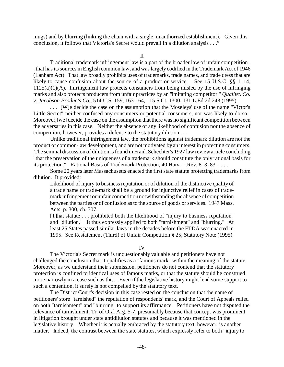mugs) and by blurring (linking the chain with a single, unauthorized establishment). Given this conclusion, it follows that Victoria's Secret would prevail in a dilution analysis . . ."

Traditional trademark infringement law is a part of the broader law of unfair competition . . that has its sources in English common law, and was largely codified in the Trademark Act of 1946 (Lanham Act). That law broadly prohibits uses of trademarks, trade names, and trade dress that are likely to cause confusion about the source of a product or service. See 15 U.S.C. §§ 1114,  $1125(a)(1)(A)$ . Infringement law protects consumers from being misled by the use of infringing marks and also protects producers from unfair practices by an "imitating competitor." *Qualitex Co. v. Jacobson Products Co.,* 514 U.S. 159, 163-164, 115 S.Ct. 1300, 131 L.Ed.2d 248 (1995).

. . . [W]e decide the case on the assumption that the Moseleys' use of the name "Victor's Little Secret" neither confused any consumers or potential consumers, nor was likely to do so. Moreover,[we] decide the case on the assumption that there was no significant competition between the adversaries in this case. Neither the absence of any likelihood of confusion nor the absence of competition, however, provides a defense to the statutory dilution . . .

Unlike traditional infringement law, the prohibitions against trademark dilution are not the product of common-law development, and are not motivated by an interest in protecting consumers. The seminal discussion of dilution is found in Frank Schechter's 1927 law review article concluding "that the preservation of the uniqueness of a trademark should constitute the only rational basis for its protection." Rational Basis of Trademark Protection, 40 Harv. L.Rev. 813, 831. . . .

Some 20 years later Massachusetts enacted the first state statute protecting trademarks from dilution. It provided:

Likelihood of injury to business reputation or of dilution of the distinctive quality of a trade name or trade-mark shall be a ground for injunctive relief in cases of trademark infringement or unfair competition notwithstanding the absence of competition between the parties or of confusion as to the source of goods or services. 1947 Mass. Acts, p. 300, ch. 307.

[T]hat statute . . . prohibited both the likelihood of "injury to business reputation" and "dilution." It thus expressly applied to both "tarnishment" and "blurring." At least 25 States passed similar laws in the decades before the FTDA was enacted in 1995. See Restatement (Third) of Unfair Competition § 25, Statutory Note (1995).

## IV

The Victoria's Secret mark is unquestionably valuable and petitioners have not challenged the conclusion that it qualifies as a "famous mark" within the meaning of the statute. Moreover, as we understand their submission, petitioners do not contend that the statutory protection is confined to identical uses of famous marks, or that the statute should be construed more narrowly in a case such as this. Even if the legislative history might lend some support to such a contention, it surely is not compelled by the statutory text.

The District Court's decision in this case rested on the conclusion that the name of petitioners' store "tarnished" the reputation of respondents' mark, and the Court of Appeals relied on both "tarnishment" and "blurring" to support its affirmance. Petitioners have not disputed the relevance of tarnishment, Tr. of Oral Arg. 5-7, presumably because that concept was prominent in litigation brought under state antidilution statutes and because it was mentioned in the legislative history. Whether it is actually embraced by the statutory text, however, is another matter. Indeed, the contrast between the state statutes, which expressly refer to both "injury to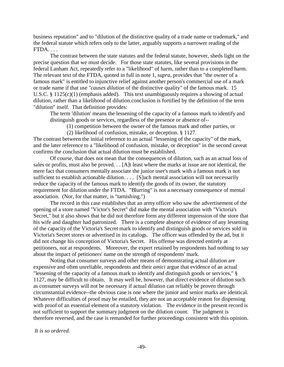business reputation" and to "dilution of the distinctive quality of a trade name or trademark," and the federal statute which refers only to the latter, arguably supports a narrower reading of the FTDA. . . .

The contrast between the state statutes and the federal statute, however, sheds light on the precise question that we must decide. For those state statutes, like several provisions in the federal Lanham Act, repeatedly refer to a "likelihood" of harm, rather than to a completed harm. The relevant text of the FTDA, quoted in full in note 1, *supra,* provides that "the owner of a famous mark" is entitled to injunctive relief against another person's commercial use of a mark or trade name if that use "*causes dilution* of the distinctive quality" of the famous mark. 15 U.S.C. § 1125(c)(1) (emphasis added). This text unambiguously requires a showing of actual dilution, rather than a likelihood of dilution.conclusion is fortified by the definition of the term "dilution" itself. That definition provides:

The term 'dilution' means the lessening of the capacity of a famous mark to identify and distinguish goods or services, regardless of the presence or absence of--

(1) competition between the owner of the famous mark and other parties, or

(2) likelihood of confusion, mistake, or deception. § 1127.

The contrast between the initial reference to an actual "lessening of the capacity" of the mark, and the later reference to a "likelihood of confusion, mistake, or deception" in the second caveat confirms the conclusion that actual dilution must be established.

Of course, that does not mean that the consequences of dilution, such as an actual loss of sales or profits, must also be proved. . . [A]t least where the marks at issue are not identical, the mere fact that consumers mentally associate the junior user's mark with a famous mark is not sufficient to establish actionable dilution. . . . [S] uch mental association will not necessarily reduce the capacity of the famous mark to identify the goods of its owner, the statutory requirement for dilution under the FTDA. "Blurring" is not a necessary consequence of mental association. (Nor, for that matter, is "tarnishing.")

The record in this case establishes that an army officer who saw the advertisement of the opening of a store named "Victor's Secret" did make the mental association with "Victoria's Secret," but it also shows that he did not therefore form any different impression of the store that his wife and daughter had patronized. There is a complete absence of evidence of any lessening of the capacity of the Victoria's Secret mark to identify and distinguish goods or services sold in Victoria's Secret stores or advertised in its catalogs. The officer was offended by the ad, but it did not change his conception of Victoria's Secret. His offense was directed entirely at petitioners, not at respondents. Moreover, the expert retained by respondents had nothing to say about the impact of petitioners' name on the strength of respondents' mark.

Noting that consumer surveys and other means of demonstrating actual dilution are expensive and often unreliable, respondents and their *amici* argue that evidence of an actual "lessening of the capacity of a famous mark to identify and distinguish goods or services," § 1127, may be difficult to obtain. It may well be, however, that direct evidence of dilution such as consumer surveys will not be necessary if actual dilution can reliably be proven through circumstantial evidence--the obvious case is one where the junior and senior marks are identical. Whatever difficulties of proof may be entailed, they are not an acceptable reason for dispensing with proof of an essential element of a statutory violation. The evidence in the present record is not sufficient to support the summary judgment on the dilution count. The judgment is therefore reversed, and the case is remanded for further proceedings consistent with this opinion.

 *It is so ordered*.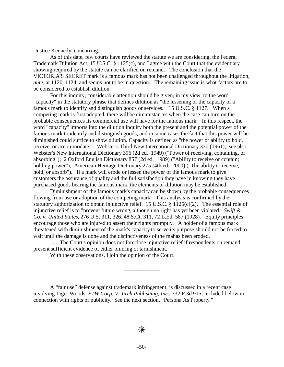Justice Kennedy, concurring.

As of this date, few courts have reviewed the statute we are considering, the Federal Trademark Dilution Act, 15 U.S.C. § 1125(c), and I agree with the Court that the evidentiary showing required by the statute can be clarified on remand. The conclusion that the VICTORIA'S SECRET mark is a famous mark has not been challenged throughout the litigation, *ante,* at 1120, 1124, and seems not to be in question. The remaining issue is what factors are to be considered to establish dilution.

**\_\_\_**

For this inquiry, considerable attention should be given, in my view, to the word "capacity" in the statutory phrase that defines dilution as "the lessening of the capacity of a famous mark to identify and distinguish goods or services." 15 U.S.C. § 1127. When a competing mark is first adopted, there will be circumstances when the case can turn on the probable consequences its commercial use will have for the famous mark. In this respect, the word "capacity" imports into the dilution inquiry both the present and the potential power of the famous mark to identify and distinguish goods, and in some cases the fact that this power will be diminished could suffice to show dilution. Capacity is defined as "the power or ability to hold, receive, or accommodate." Webster's Third New International Dictionary 330 (1961); see also Webster's New International Dictionary 396 (2d ed. 1949) ("Power of receiving, containing, or absorbing"); 2 Oxford English Dictionary 857 (2d ed. 1989) ("Ability to receive or contain; holding power"); American Heritage Dictionary 275 (4th ed. 2000) ("The ability to receive, hold, or absorb"). If a mark will erode or lessen the power of the famous mark to give customers the assurance of quality and the full satisfaction they have in knowing they have purchased goods bearing the famous mark, the elements of dilution may be established.

Diminishment of the famous mark's capacity can be shown by the probable consequences flowing from use or adoption of the competing mark. This analysis is confirmed by the statutory authorization to obtain injunctive relief. 15 U.S.C. § 1125(c)(2). The essential role of injunctive relief is to "prevent future wrong, although no right has yet been violated." *Swift & Co. v. United States,* 276 U.S. 311, 326, 48 S.Ct. 311, 72 L.Ed. 587 (1928). Equity principles encourage those who are injured to assert their rights promptly. A holder of a famous mark threatened with diminishment of the mark's capacity to serve its purpose should not be forced to wait until the damage is done and the distinctiveness of the mahas been eroded.

... The Court's opinion does not foreclose injunctive relief if respondents on remand present sufficient evidence of either blurring or tarnishment.

With these observations, I join the opinion of the Court.

A "fair use" defense against trademark infringement, is discussed in a recent case involving Tiger Woods, *ETW Corp. V. Jireh Publishing, Inc.*, 332 F.3d 915, included below in connection with rights of publicity. See the next section, "Persona As Property."

**\_\_\_\_\_\_\_\_\_\_\_\_\_**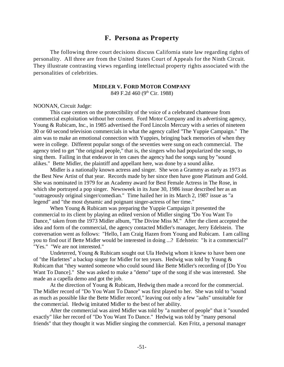# **F. Persona as Property**

The following three court decisions discuss California state law regarding rights of personality. All three are from the United States Court of Appeals for the Ninth Circuit. They illustrate contrasting views regarding intellectual property rights associated with the personalities of celebrities.

## **MIDLER V. FORD MOTOR COMPANY**

849 F.2d 460 (9<sup>th</sup> Cir. 1988)

NOONAN, Circuit Judge:

This case centers on the protectibility of the voice of a celebrated chanteuse from commercial exploitation without her consent. Ford Motor Company and its advertising agency, Young & Rubicam, Inc., in 1985 advertised the Ford Lincoln Mercury with a series of nineteen 30 or 60 second television commercials in what the agency called "The Yuppie Campaign." The aim was to make an emotional connection with Yuppies, bringing back memories of when they were in college. Different popular songs of the seventies were sung on each commercial. The agency tried to get "the original people," that is, the singers who had popularized the songs, to sing them. Failing in that endeavor in ten cases the agency had the songs sung by "sound alikes." Bette Midler, the plaintiff and appellant here, was done by a sound alike.

Midler is a nationally known actress and singer. She won a Grammy as early as 1973 as the Best New Artist of that year. Records made by her since then have gone Platinum and Gold. She was nominated in 1979 for an Academy award for Best Female Actress in The Rose, in which she portrayed a pop singer. Newsweek in its June 30, 1986 issue described her as an "outrageously original singer/comedian." Time hailed her in its March 2, 1987 issue as "a legend" and "the most dynamic and poignant singer-actress of her time."

When Young & Rubicam was preparing the Yuppie Campaign it presented the commercial to its client by playing an edited version of Midler singing "Do You Want To Dance," taken from the 1973 Midler album, "The Divine Miss M." After the client accepted the idea and form of the commercial, the agency contacted Midler's manager, Jerry Edelstein. The conversation went as follows: "Hello, I am Craig Hazen from Young and Rubicam. I am calling you to find out if Bette Midler would be interested in doing ...? Edelstein: "Is it a commercial?" "Yes." "We are not interested."

Undeterred, Young & Rubicam sought out Ula Hedwig whom it knew to have been one of "the Harlettes" a backup singer for Midler for ten years. Hedwig was told by Young & Rubicam that "they wanted someone who could sound like Bette Midler's recording of [Do You Want To Dance]." She was asked to make a "demo" tape of the song if she was interested. She made an a capella demo and got the job.

At the direction of Young & Rubicam, Hedwig then made a record for the commercial. The Midler record of "Do You Want To Dance" was first played to her. She was told to "sound as much as possible like the Bette Midler record," leaving out only a few "aahs" unsuitable for the commercial. Hedwig imitated Midler to the best of her ability.

After the commercial was aired Midler was told by "a number of people" that it "sounded exactly" like her record of "Do You Want To Dance." Hedwig was told by "many personal friends" that they thought it was Midler singing the commercial. Ken Fritz, a personal manager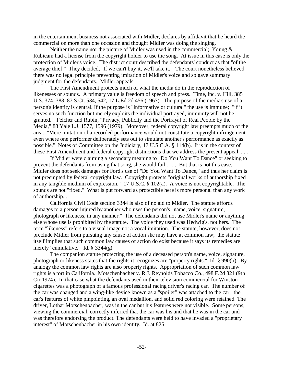in the entertainment business not associated with Midler, declares by affidavit that he heard the commercial on more than one occasion and thought Midler was doing the singing.

Neither the name nor the picture of Midler was used in the commercial; Young & Rubicam had a license from the copyright holder to use the song. At issue in this case is only the protection of Midler's voice. The district court described the defendants' conduct as that "of the average thief." They decided, "If we can't buy it, we'll take it." The court nonetheless believed there was no legal principle preventing imitation of Midler's voice and so gave summary judgment for the defendants. Midler appeals.

The First Amendment protects much of what the media do in the reproduction of likenesses or sounds. A primary value is freedom of speech and press. Time, Inc. v. Hill, 385 U.S. 374, 388, 87 S.Ct. 534, 542, 17 L.Ed.2d 456 (1967). The purpose of the media's use of a person's identity is central. If the purpose is "informative or cultural" the use is immune; "if it serves no such function but merely exploits the individual portrayed, immunity will not be granted." Felcher and Rubin, "Privacy, Publicity and the Portrayal of Real People by the Media," 88 Yale L.J. 1577, 1596 (1979). Moreover, federal copyright law preempts much of the area. "Mere imitation of a recorded performance would not constitute a copyright infringement even where one performer deliberately sets out to simulate another's performance as exactly as possible." Notes of Committee on the Judiciary, 17 U.S.C.A. § 114(b). It is in the context of these First Amendment and federal copyright distinctions that we address the present appeal. . . .

If Midler were claiming a secondary meaning to "Do You Want To Dance" or seeking to prevent the defendants from using that song, she would fail . . . . But that is not this case. Midler does not seek damages for Ford's use of "Do You Want To Dance," and thus her claim is not preempted by federal copyright law. Copyright protects "original works of authorship fixed in any tangible medium of expression." 17 U.S.C. § 102(a). A voice is not copyrightable. The sounds are not "fixed." What is put forward as protectible here is more personal than any work of authorship. . . .

California Civil Code section 3344 is also of no aid to Midler. The statute affords damages to a person injured by another who uses the person's "name, voice, signature, photograph or likeness, in any manner." The defendants did not use Midler's name or anything else whose use is prohibited by the statute. The voice they used was Hedwig's, not hers. The term "likeness" refers to a visual image not a vocal imitation. The statute, however, does not preclude Midler from pursuing any cause of action she may have at common law; the statute itself implies that such common law causes of action do exist because it says its remedies are merely "cumulative." Id. § 3344(g).

The companion statute protecting the use of a deceased person's name, voice, signature, photograph or likeness states that the rights it recognizes are "property rights." Id. § 990(b). By analogy the common law rights are also property rights. Appropriation of such common law rights is a tort in California. Motschenbacher v. R.J. Reynolds Tobacco Co., 498 F.2d 821 (9th Cir.1974). In that case what the defendants used in their television commercial for Winston cigarettes was a photograph of a famous professional racing driver's racing car. The number of the car was changed and a wing-like device known as a "spoiler" was attached to the car; the car's features of white pinpointing, an oval medallion, and solid red coloring were retained. The driver, Lothar Motschenbacher, was in the car but his features were not visible. Some persons, viewing the commercial, correctly inferred that the car was his and that he was in the car and was therefore endorsing the product. The defendants were held to have invaded a "proprietary interest" of Motschenbacher in his own identity. Id. at 825.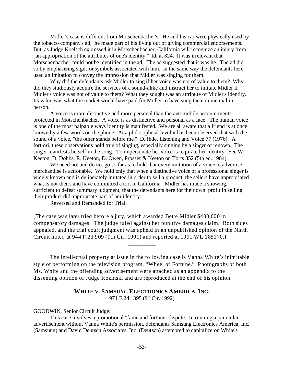Midler's case is different from Motschenbacher's. He and his car were physically used by the tobacco company's ad; he made part of his living out of giving commercial endorsements. But, as Judge Koelsch expressed it in Motschenbacher, California will recognize an injury from "an appropriation of the attributes of one's identity." Id. at 824. It was irrelevant that Motschenbacher could not be identified in the ad. The ad suggested that it was he. The ad did so by emphasizing signs or symbols associated with him. In the same way the defendants here used an imitation to convey the impression that Midler was singing for them.

Why did the defendants ask Midler to sing if her voice was not of value to them? Why did they studiously acquire the services of a sound-alike and instruct her to imitate Midler if Midler's voice was not of value to them? What they sought was an attribute of Midler's identity. Its value was what the market would have paid for Midler to have sung the commercial in person.

A voice is more distinctive and more personal than the automobile accouterments protected in Motschenbacher. A voice is as distinctive and personal as a face. The human voice is one of the most palpable ways identity is manifested. We are all aware that a friend is at once known by a few words on the phone. At a philosophical level it has been observed that with the sound of a voice, "the other stands before me." D. Ihde, Listening and Voice 77 (1976). A fortiori, these observations hold true of singing, especially singing by a singer of renown. The singer manifests herself in the song. To impersonate her voice is to pirate her identity. See W. Keeton, D. Dobbs, R. Keeton, D. Owen, Prosser & Keeton on Torts 852 (5th ed. 1984).

We need not and do not go so far as to hold that every imitation of a voice to advertise merchandise is actionable. We hold only that when a distinctive voice of a professional singer is widely known and is deliberately imitated in order to sell a product, the sellers have appropriated what is not theirs and have committed a tort in California. Midler has made a showing, sufficient to defeat summary judgment, that the defendants here for their own profit in selling their product did appropriate part of her identity.

Reversed and Remanded for Trial.

[The case was later tried before a jury, which awarded Bette Midler \$400,000 in compensatory damages. The judge ruled against her punitive damages claim. Both sides appealed, and the trial court judgment was upheld in an unpublished opinion of the Ninth Circuit noted at 944 F.2d 909 (9th Cir. 1991) and reported at 1991 WL 185170.]

**\_\_\_\_\_\_\_\_\_\_**

The intellectual property at issue in the following case is Vanna White's inimitable style of performing on the television program, "Wheel of Fortune." Photographs of both Ms. White and the offending advertisement were attached as an appendix to the dissenting opinion of Judge Kozinski and are reproduced at the end of his opinion.

## **WHITE V. SAMSUNG ELECTRONICS AMERICA, INC.** 971 F.2d 1395 (9th Cir. 1992)

#### GOODWIN, Senior Circuit Judge:

This case involves a promotional "fame and fortune" dispute. In running a particular advertisement without Vanna White's permission, defendants Samsung Electronics America, Inc. (Samsung) and David Deutsch Associates, Inc. (Deutsch) attempted to capitalize on White's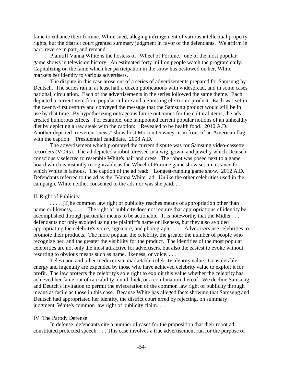fame to enhance their fortune. White sued, alleging infringement of various intellectual property rights, but the district court granted summary judgment in favor of the defendants. We affirm in part, reverse in part, and remand.

Plaintiff Vanna White is the hostess of "Wheel of Fortune," one of the most popular game shows in television history. An estimated forty million people watch the program daily. Capitalizing on the fame which her participation in the show has bestowed on her, White markets her identity to various advertisers.

The dispute in this case arose out of a series of advertisements prepared for Samsung by Deutsch. The series ran in at least half a dozen publications with widespread, and in some cases national, circulation. Each of the advertisements in the series followed the same theme. Each depicted a current item from popular culture and a Samsung electronic product. Each was set in the twenty-first century and conveyed the message that the Samsung product would still be in use by that time. By hypothesizing outrageous future outcomes for the cultural items, the ads created humorous effects. For example, one lampooned current popular notions of an unhealthy diet by depicting a raw steak with the caption: "Revealed to be health food. 2010 A.D." Another depicted irreverent "news"-show host Morton Downey Jr. in front of an American flag with the caption: "Presidential candidate. 2008 A.D."

The advertisement which prompted the current dispute was for Samsung video-cassette recorders (VCRs). The ad depicted a robot, dressed in a wig, gown, and jewelry which Deutsch consciously selected to resemble White's hair and dress. The robot was posed next to a game board which is instantly recognizable as the Wheel of Fortune game show set, in a stance for which White is famous. The caption of the ad read: "Longest-running game show. 2012 A.D." Defendants referred to the ad as the "Vanna White" ad. Unlike the other celebrities used in the campaign, White neither consented to the ads nor was she paid. . . .

#### II. Right of Publicity

. . . . .[T]he common law right of publicity reaches means of appropriation other than name or likeness,. . . . . The right of publicity does not require that appropriations of identity be accomplished through particular means to be actionable. It is noteworthy that the Midler . . . defendants not only avoided using the plaintiff's name or likeness, but they also avoided appropriating the celebrity's voice, signature, and photograph. . . . . Advertisers use celebrities to promote their products. The more popular the celebrity, the greater the number of people who recognize her, and the greater the visibility for the product. The identities of the most popular celebrities are not only the most attractive for advertisers, but also the easiest to evoke without resorting to obvious means such as name, likeness, or voice. . . .

Television and other media create marketable celebrity identity value. Considerable energy and ingenuity are expended by those who have achieved celebrity value to exploit it for profit. The law protects the celebrity's sole right to exploit this value whether the celebrity has achieved her fame out of rare ability, dumb luck, or a combination thereof. We decline Samsung and Deutch's invitation to permit the evisceration of the common law right of publicity through means as facile as those in this case. Because White has alleged facts showing that Samsung and Deutsch had appropriated her identity, the district court erred by rejecting, on summary judgment, White's common law right of publicity claim. . . .

#### IV. The Parody Defense

In defense, defendants cite a number of cases for the proposition that their robot ad constituted protected speech. . . . This case involves a true advertisement run for the purpose of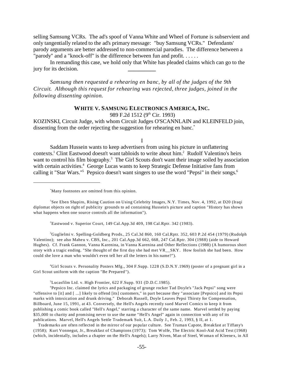selling Samsung VCRs. The ad's spoof of Vanna White and Wheel of Fortune is subservient and only tangentially related to the ad's primary message: "buy Samsung VCRs." Defendants' parody arguments are better addressed to non-commercial parodies. The difference between a "parody" and a "knock-off" is the difference between fun and profit. . . . . .

In remanding this case, we hold only that White has pleaded claims which can go to the jury for its decision. **\_\_\_\_\_\_\_\_\_\_**

*Samsung then requested a rehearing en banc, by all of the judges of the 9th Circuit. Although this request for rehearing was rejected, three judges, joined in the following dissenting opinion.* 

## **WHITE V. SAMSUNG ELECTRONICS AMERICA, INC.**

# 989 F.2d 1512 (9<sup>th</sup> Cir. 1993)

KOZINSKI, Circuit Judge, with whom Circuit Judges O'SCANNLAIN and KLEINFELD join, dissenting from the order rejecting the suggestion for rehearing en banc.<sup>\*</sup>

I

Saddam Hussein wants to keep advertisers from using his picture in unflattering contexts.<sup>1</sup> Clint Eastwood doesn't want tabloids to write about him.<sup>2</sup> Rudolf Valentino's heirs want to control his film biography.<sup>3</sup> The Girl Scouts don't want their image soiled by association with certain activities.<sup>4</sup> George Lucas wants to keep Strategic Defense Initiative fans from calling it "Star Wars."<sup>5</sup> Pepsico doesn't want singers to use the word "Pepsi" in their songs.<sup>6</sup>

1 See Eben Shapiro, Rising Caution on Using Celebrity Images, N.Y. Times, Nov. 4, 1992, at D20 (Iraqi diplomat objects on right of publicity grounds to ad containing Hussein's picture and caption "History has shown what happens when one source controls all the information").

 $2$ Eastwood v. Superior Court, 149 Cal.App.3d 409, 198 Cal.Rptr. 342 (1983).

<sup>3</sup>Guglielmi v. Spelling-Goldberg Prods., 25 Cal.3d 860, 160 Cal.Rptr. 352, 603 P.2d 454 (1979) (Rudolph Valentino); see also Maheu v. CBS, Inc., 201 Cal.App.3d 662, 668, 247 Cal.Rptr. 304 (1988) (aide to Howard Hughes). Cf. Frank Gannon, Vanna Karenina, in Vanna Karenina and Other Reflections (1988) (A humorous short story with a tragic ending. "She thought of the first day she had met VR\_\_SKY. How foolish she had been. How could she love a man who wouldn't even tell her all the letters in his name?").

<sup>4</sup>Girl Scouts v. Personality Posters Mfg., 304 F.Supp. 1228 (S.D.N.Y.1969) (poster of a pregnant girl in a Girl Scout uniform with the caption "Be Prepared").

 ${}^{5}$ Lucasfilm Ltd. v. High Frontier, 622 F.Supp. 931 (D.D.C.1985).

6 Pepsico Inc. claimed the lyrics and packaging of grunge rocker Tad Doyle's "Jack Pepsi" song were "offensive to [it] and [ ...] likely to offend [its] customers," in part because they "associate [Pepsico] and its Pepsi marks with intoxication and drunk driving." Deborah Russell, Doyle Leaves Pepsi Thirsty for Compensation, Billboard, June 15, 1991, at 43. Conversely, the Hell's Angels recently sued Marvel Comics to keep it from publishing a comic book called "Hell's Angel," starring a character of the same name. Marvel settled by paying \$35,000 to charity and promising never to use the name "Hell's Angel" again in connection with any of its publications. Marvel, Hell's Angels Settle Trademark Suit, L.A. Daily J., Feb. 2, 1993, § II, at 1.

 Trademarks are often reflected in the mirror of our popular culture. See Truman Capote, Breakfast at Tiffany's (1958); Kurt Vonnegut, Jr., Breakfast of Champions (1973); Tom Wolfe, The Electric Kool-Aid Acid Test (1968) (which, incidentally, includes a chapter on the Hell's Angels); Larry Niven, Man of Steel, Woman of Kleenex, in All

<sup>\*</sup>Many footnotes are omitted from this opinion.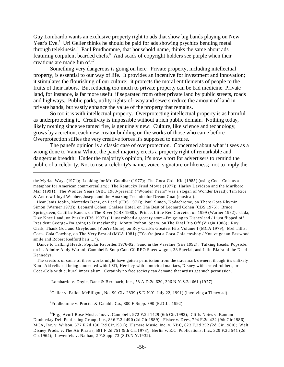Guy Lombardo wants an exclusive property right to ads that show big bands playing on New Year's Eve.<sup>7</sup> Uri Geller thinks he should be paid for ads showing psychics bending metal through telekinesis.<sup>8</sup> Paul Prudhomme, that household name, thinks the same about ads featuring corpulent bearded chefs.<sup>9</sup> And scads of copyright holders see purple when their creations are made fun of. $10$ 

Something very dangerous is going on here. Private property, including intellectual property, is essential to our way of life. It provides an incentive for investment and innovation; it stimulates the flourishing of our culture; it protects the moral entitlements of people to the fruits of their labors. But reducing too much to private property can be bad medicine. Private land, for instance, is far more useful if separated from other private land by public streets, roads and highways. Public parks, utility rights-of- way and sewers reduce the amount of land in private hands, but vastly enhance the value of the property that remains.

So too it is with intellectual property. Overprotecting intellectual property is as harmful as underprotecting it. Creativity is impossible without a rich public domain. Nothing today, likely nothing since we tamed fire, is genuinely new: Culture, like science and technology, grows by accretion, each new creator building on the works of those who came before. Overprotection stifles the very creative forces it's supposed to nurture.

The panel's opinion is a classic case of overprotection. Concerned about what it sees as a wrong done to Vanna White, the panel majority erects a property right of remarkable and dangerous breadth: Under the majority's opinion, it's now a tort for advertisers to remind the public of a celebrity. Not to use a celebrity's name, voice, signature or likeness; not to imply the

 Dance to Talking Heads, Popular Favorites 1976-92: Sand in the Vaseline (Sire 1992); Talking Heads, Popsicle, on id. Admire Andy Warhol, Campbell's Soup Can. Cf. REO Speedwagon, 38 Special, and Jello Biafra of the Dead Kennedys.

 The creators of some of these works might have gotten permission from the trademark owners, though it's unlikely Kool-Aid relished being connected with LSD, Hershey with homicidal maniacs, Disney with armed robbers, or Coca-Cola with cultural imperialism. Certainly no free society can demand that artists get such permission.

 $7$ Lombardo v. Doyle, Dane & Bernbach, Inc., 58 A.D.2d 620, 396 N.Y.S.2d 661 (1977).

<sup>8</sup>Geller v. Fallon McElligott, No. 90-Civ-2839 (S.D.N.Y. July 22, 1991) (involving a Timex ad).

9 Prudhomme v. Procter & Gamble Co., 800 F.Supp. 390 (E.D.La.1992).

the Myriad Ways (1971); Looking for Mr. Goodbar (1977); The Coca-Cola Kid (1985) (using Coca-Cola as a metaphor for American commercialism); The Kentucky Fried Movie (1977); Harley Davidson and the Marlboro Man (1991); The Wonder Years (ABC 1988-present) ("Wonder Years" was a slogan of Wonder Bread); Tim Rice & Andrew Lloyd Webber, Joseph and the Amazing Technicolor Dream Coat (musical).

Hear Janis Joplin, Mercedes Benz, on Pearl (CBS 1971); Paul Simon, Kodachrome, on There Goes Rhymin' Simon (Warner 1973); Leonard Cohen, Chelsea Hotel, on The Best of Leonard Cohen (CBS 1975); Bruce Springsteen, Cadillac Ranch, on The River (CBS 1980); Prince, Little Red Corvette, on 1999 (Warner 1982); dada, Dizz Knee Land, on Puzzle (IRS 1992) ("I just robbed a grocery store--I'm going to Disneyland / I just flipped off President George--I'm going to Disneyland"); Monty Python, Spam, on The Final Rip Off (Virgin 1988); Roy Clark, Thank God and Greyhound [You're Gone], on Roy Clark's Greatest Hits Volume I (MCA 1979); Mel Tillis, Coca- Cola Cowboy, on The Very Best of (MCA 1981) ("You're just a Coca-Cola cowboy / You've got an Eastwood smile and Robert Redford hair ...").

<sup>&</sup>lt;sup>10</sup>E.g., Acuff-Rose Music, Inc. v. Campbell, 972 F.2d 1429 (6th Cir.1992); Cliffs Notes v. Bantam Doubleday Dell Publishing Group, Inc., 886 F.2d 490 (2d Cir.1989); Fisher v. Dees, 794 F.2d 432 (9th Cir.1986); MCA, Inc. v. Wilson, 677 F.2d 180 (2d Cir.1981); Elsmere Music, Inc. v. NBC, 623 F.2d 252 (2d Cir.1980); Walt Disney Prods. v. The Air Pirates, 581 F.2d 751 (9th Cir.1978); Berlin v. E.C. Publications, Inc., 329 F.2d 541 (2d Cir.1964); Lowenfels v. Nathan, 2 F.Supp. 73 (S.D.N.Y.1932).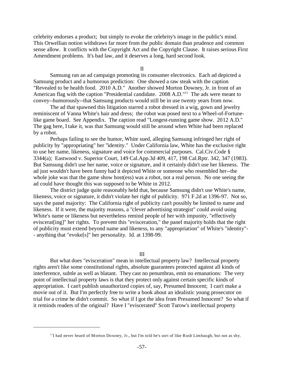celebrity endorses a product; but simply to evoke the celebrity's image in the public's mind. This Orwellian notion withdraws far more from the public domain than prudence and common sense allow. It conflicts with the Copyright Act and the Copyright Clause. It raises serious First Amendment problems. It's bad law, and it deserves a long, hard second look.

II

Samsung ran an ad campaign promoting its consumer electronics. Each ad depicted a Samsung product and a humorous prediction: One showed a raw steak with the caption "Revealed to be health food. 2010 A.D." Another showed Morton Downey, Jr. in front of an American flag with the caption "Presidential candidate. 2008 A.D."<sup>11</sup> The ads were meant to convey--humorously--that Samsung products would still be in use twenty years from now.

The ad that spawned this litigation starred a robot dressed in a wig, gown and jewelry reminiscent of Vanna White's hair and dress; the robot was posed next to a Wheel-of-Fortunelike game board. See Appendix. The caption read "Longest-running game show. 2012 A.D." The gag here, I take it, was that Samsung would still be around when White had been replaced by a robot.

Perhaps failing to see the humor, White sued, alleging Samsung infringed her right of publicity by "appropriating" her "identity." Under California law, White has the exclusive right to use her name, likeness, signature and voice for commercial purposes. Cal.Civ.Code § 3344(a); Eastwood v. Superior Court, 149 Cal.App.3d 409, 417, 198 Cal.Rptr. 342, 347 (1983). But Samsung didn't use her name, voice or signature, and it certainly didn't use her likeness. The ad just wouldn't have been funny had it depicted White or someone who resembled her--the whole joke was that the game show host(ess) was a robot, not a real person. No one seeing the ad could have thought this was supposed to be White in 2012.

The district judge quite reasonably held that, because Samsung didn't use White's name, likeness, voice or signature, it didn't violate her right of publicity. 971 F.2d at 1396-97. Not so, says the panel majority: The California right of publicity can't possibly be limited to name and likeness. If it were, the majority reasons, a "clever advertising strategist" could avoid using White's name or likeness but nevertheless remind people of her with impunity, "effectively eviscerat[ing]" her rights. To prevent this "evisceration," the panel majority holds that the right of publicity must extend beyond name and likeness, to any "appropriation" of White's "identity"- - anything that "evoke[s]" her personality. Id. at 1398-99.

## III

But what does "evisceration" mean in intellectual property law? Intellectual property rights aren't like some constitutional rights, absolute guarantees protected against all kinds of interference, subtle as well as blatant. They cast no penumbras, emit no emanations: The very point of intellectual property laws is that they protect only against certain specific kinds of appropriation. I can't publish unauthorized copies of, say, Presumed Innocent; I can't make a movie out of it. But I'm perfectly free to write a book about an idealistic young prosecutor on trial for a crime he didn't commit. So what if I got the idea from Presumed Innocent? So what if it reminds readers of the original? Have I "eviscerated" Scott Turow's intellectual property

<sup>&</sup>lt;sup>11</sup>I had never heard of Morton Downey, Jr., but I'm told he's sort of like Rush Limbaugh, but not as shy.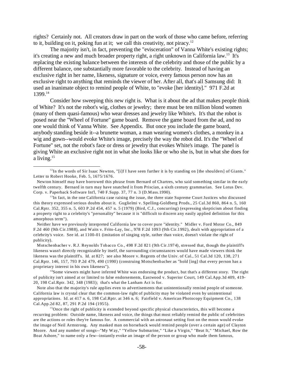rights? Certainly not. All creators draw in part on the work of those who came before, referring to it, building on it, poking fun at it; we call this creativity, not piracy.<sup>12</sup>

The majority isn't, in fact, preventing the "evisceration" of Vanna White's existing rights; it's creating a new and much broader property right, a right unknown in California law.<sup>13</sup> It's replacing the existing balance between the interests of the celebrity and those of the public by a different balance, one substantially more favorable to the celebrity. Instead of having an exclusive right in her name, likeness, signature or voice, every famous person now has an exclusive right to anything that reminds the viewer of her. After all, that's all Samsung did: It used an inanimate object to remind people of White, to "evoke [her identity]." 971 F.2d at 1399.<sup>14</sup>

Consider how sweeping this new right is. What is it about the ad that makes people think of White? It's not the robot's wig, clothes or jewelry; there must be ten million blond women (many of them quasi-famous) who wear dresses and jewelry like White's. It's that the robot is posed near the "Wheel of Fortune" game board. Remove the game board from the ad, and no one would think of Vanna White. See Appendix. But once you include the game board, anybody standing beside it--a brunette woman, a man wearing women's clothes, a monkey in a wig and gown--would evoke White's image, precisely the way the robot did. It's the "Wheel of Fortune" set, not the robot's face or dress or jewelry that evokes White's image. The panel is giving White an exclusive right not in what she looks like or who she is, but in what she does for a living.15

 Neither have we previously interpreted California law to cover pure "identity." Midler v. Ford Motor Co., 849 F.2d 460 (9th Cir.1988), and Waits v. Frito-Lay, Inc., 978 F.2d 1093 (9th Cir.1992), dealt with appropriation of a celebrity's voice. See id. at 1100-01 (imitation of singing style, rather than voice, doesn't violate the right of publicity).

 Motschenbacher v. R.J. Reynolds Tobacco Co., 498 F.2d 821 (9th Cir.1974), stressed that, though the plaintiff's likeness wasn't directly recognizable by itself, the surrounding circumstances would have made viewers think the likeness was the plaintiff's. Id. at 827; see also Moore v. Regents of the Univ. of Cal., 51 Cal.3d 120, 138, 271 Cal.Rptr. 146, 157, 793 P.2d 479, 490 (1990) (construing Motschenbacher as "hold [ing] that every person has a proprietary interest in his own likeness").

<sup>14</sup>Some viewers might have inferred White was endorsing the product, but that's a different story. The right of publicity isn't aimed at or limited to false endorsements, Eastwood v. Superior Court, 149 Cal.App.3d 409, 419- 20, 198 Cal.Rptr. 342, 348 (1983); that's what the Lanham Act is for.

 Note also that the majority's rule applies even to advertisements that unintentionally remind people of someone. California law is crystal clear that the common-law right of publicity may be violated even by unintentional appropriations. Id. at 417 n. 6, 198 Cal.Rptr. at 346 n. 6; Fairfield v. American Photocopy Equipment Co., 138 Cal.App.2d 82, 87, 291 P.2d 194 (1955).

 $<sup>15</sup>$ Once the right of publicity is extended beyond specific physical characteristics, this will become a</sup> recurring problem: Outside name, likeness and voice, the things that most reliably remind the public of celebrities are the actions or roles they're famous for. A commercial with an astronaut setting foot on the moon would evoke the image of Neil Armstrong. Any masked man on horseback would remind people (over a certain age) of Clayton Moore. And any number of songs--"My Way," "Yellow Submarine," "Like a Virgin," "Beat It," "Michael, Row the Boat Ashore," to name only a few--instantly evoke an image of the person or group who made them famous,

 $12$ In the words of Sir Isaac Newton, "[i]f I have seen further it is by standing on [the shoulders] of Giants." Letter to Robert Hooke, Feb. 5, 1675/1676.

Newton himself may have borrowed this phrase from Bernard of Chartres, who said something similar in the early twelfth century. Bernard in turn may have snatched it from Priscian, a sixth century grammarian. See Lotus Dev. Corp. v. Paperback Software Int'l, 740 F.Supp. 37, 77 n. 3 (D.Mass.1990).

 $13$ In fact, in the one California case raising the issue, the three state Supreme Court Justices who discussed this theory expressed serious doubts about it. Guglielmi v. Spelling-Goldberg Prods., 25 Cal.3d 860, 864 n. 5, 160 Cal.Rptr. 352, 355 n. 5, 603 P.2d 454, 457 n. 5 (1979) (Bird, C.J., concurring) (expressing skepticism about finding a property right to a celebrity's "personality" because it is "difficult to discern any easily applied definition for this amorphous term").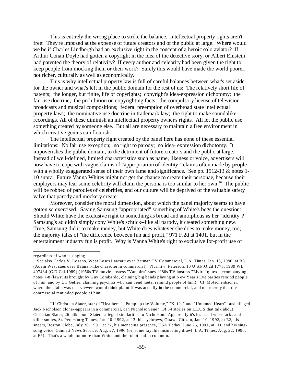This is entirely the wrong place to strike the balance. Intellectual property rights aren't free: They're imposed at the expense of future creators and of the public at large. Where would we be if Charles Lindbergh had an exclusive right in the concept of a heroic solo aviator? If Arthur Conan Doyle had gotten a copyright in the idea of the detective story, or Albert Einstein had patented the theory of relativity? If every author and celebrity had been given the right to keep people from mocking them or their work? Surely this would have made the world poorer, not richer, culturally as well as economically.

This is why intellectual property law is full of careful balances between what's set aside for the owner and what's left in the public domain for the rest of us: The relatively short life of patents; the longer, but finite, life of copyrights; copyright's idea-expression dichotomy; the fair use doctrine; the prohibition on copyrighting facts; the compulsory license of television broadcasts and musical compositions; federal preemption of overbroad state intellectual property laws; the nominative use doctrine in trademark law; the right to make soundalike recordings. All of these diminish an intellectual property owner's rights. All let the public use something created by someone else. But all are necessary to maintain a free environment in which creative genius can flourish.

The intellectual property right created by the panel here has none of these essential limitations: No fair use exception; no right to parody; no idea- expression dichotomy. It impoverishes the public domain, to the detriment of future creators and the public at large. Instead of well-defined, limited characteristics such as name, likeness or voice, advertisers will now have to cope with vague claims of "appropriation of identity," claims often made by people with a wholly exaggerated sense of their own fame and significance. See pp. 1512-13 & notes 1-10 supra. Future Vanna Whites might not get the chance to create their personae, because their employers may fear some celebrity will claim the persona is too similar to her own.<sup>16</sup> The public will be robbed of parodies of celebrities, and our culture will be deprived of the valuable safety valve that parody and mockery create.

Moreover, consider the moral dimension, about which the panel majority seems to have gotten so exercised. Saying Samsung "appropriated" something of White's begs the question: Should White have the exclusive right to something as broad and amorphous as her "identity"? Samsung's ad didn't simply copy White's schtick--like all parody, it created something new. True, Samsung did it to make money, but White does whatever she does to make money, too; the majority talks of "the difference between fun and profit," 971 F.2d at 1401, but in the entertainment industry fun is profit. Why is Vanna White's right to exclusive for-profit use of

regardless of who is singing.

See also Carlos V. Lozano, West Loses Lawsuit over Batman TV Commercial, L.A. Times, Jan. 18, 1990, at B3 (Adam West sues over Batman-like character in commercial); Nurmi v. Peterson, 10 U.S.P.Q.2d 1775, 1989 WL 407484 (C.D.Cal.1989) (1950s TV movie hostess "Vampira" sues 1980s TV hostess "Elvira"); text accompanying notes 7-8 (lawsuits brought by Guy Lombardo, claiming big bands playing at New Year's Eve parties remind people of him, and by Uri Geller, claiming psychics who can bend metal remind people of him). Cf. Motschenbacher, where the claim was that viewers would think plaintiff was actually in the commercial, and not merely that the commercial reminded people of him.

<sup>16</sup>If Christian Slater, star of "Heathers," "Pump up the Volume," "Kuffs," and "Untamed Heart"--and alleged Jack Nicholson clone--appears in a commercial, can Nicholson sue? Of 54 stories on LEXIS that talk about Christian Slater, 26 talk about Slater's alleged similarities to Nicholson. Apparently it's his nasal wisecracks and killer smiles, St. Petersburg Times, Jan. 10, 1992, at 13, his eyebrows, Ottawa Citizen, Jan. 10, 1992, at E2, his sneers, Boston Globe, July 26, 1991, at 37, his menacing presence, USA Today, June 26, 1991, at 1D, and his singsong voice, Gannett News Service, Aug. 27, 1990 (or, some say, his insinuating drawl, L.A. Times, Aug. 22, 1990, at F5). That's a whole lot more than White and the robot had in common.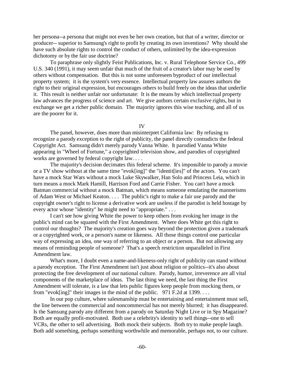her persona--a persona that might not even be her own creation, but that of a writer, director or producer-- superior to Samsung's right to profit by creating its own inventions? Why should she have such absolute rights to control the conduct of others, unlimited by the idea-expression dichotomy or by the fair use doctrine?

To paraphrase only slightly Feist Publications, Inc. v. Rural Telephone Service Co., 499 U.S. 340 (1991), it may seem unfair that much of the fruit of a creator's labor may be used by others without compensation. But this is not some unforeseen byproduct of our intellectual property system; it is the system's very essence. Intellectual property law assures authors the right to their original expression, but encourages others to build freely on the ideas that underlie it. This result is neither unfair nor unfortunate: It is the means by which intellectual property law advances the progress of science and art. We give authors certain exclusive rights, but in exchange we get a richer public domain. The majority ignores this wise teaching, and all of us are the poorer for it.

IV

The panel, however, does more than misinterpret California law: By refusing to recognize a parody exception to the right of publicity, the panel directly contradicts the federal Copyright Act. Samsung didn't merely parody Vanna White. It parodied Vanna White appearing in "Wheel of Fortune," a copyrighted television show, and parodies of copyrighted works are governed by federal copyright law. . . .

The majority's decision decimates this federal scheme. It's impossible to parody a movie or a TV show without at the same time "evok[ing]" the "identit[ies]" of the actors. You can't have a mock Star Wars without a mock Luke Skywalker, Han Solo and Princess Leia, which in turn means a mock Mark Hamill, Harrison Ford and Carrie Fisher. You can't have a mock Batman commercial without a mock Batman, which means someone emulating the mannerisms of Adam West or Michael Keaton. . . . The public's right to make a fair use parody and the copyright owner's right to license a derivative work are useless if the parodist is held hostage by every actor whose "identity" he might need to "appropriate." . . .

I can't see how giving White the power to keep others from evoking her image in the public's mind can be squared with the First Amendment. Where does White get this right to control our thoughts? The majority's creation goes way beyond the protection given a trademark or a copyrighted work, or a person's name or likeness. All those things control one particular way of expressing an idea, one way of referring to an object or a person. But not allowing any means of reminding people of someone? That's a speech restriction unparalleled in First Amendment law.

What's more, I doubt even a name-and-likeness-only right of publicity can stand without a parody exception. The First Amendment isn't just about religion or politics--it's also about protecting the free development of our national culture. Parody, humor, irreverence are all vital components of the marketplace of ideas. The last thing we need, the last thing the First Amendment will tolerate, is a law that lets public figures keep people from mocking them, or from "evok[ing]" their images in the mind of the public. 971 F.2d at 1399. . . .

In our pop culture, where salesmanship must be entertaining and entertainment must sell, the line between the commercial and noncommercial has not merely blurred; it has disappeared. Is the Samsung parody any different from a parody on Saturday Night Live or in Spy Magazine? Both are equally profit-motivated. Both use a celebrity's identity to sell things--one to sell VCRs, the other to sell advertising. Both mock their subjects. Both try to make people laugh. Both add something, perhaps something worthwhile and memorable, perhaps not, to our culture.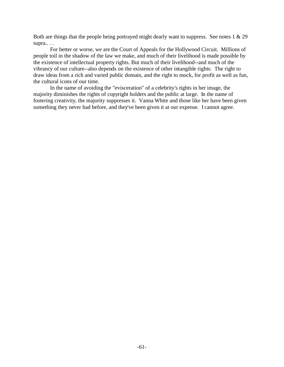Both are things that the people being portrayed might dearly want to suppress. See notes 1 & 29 supra.. . .

For better or worse, we are the Court of Appeals for the Hollywood Circuit. Millions of people toil in the shadow of the law we make, and much of their livelihood is made possible by the existence of intellectual property rights. But much of their livelihood--and much of the vibrancy of our culture--also depends on the existence of other intangible rights: The right to draw ideas from a rich and varied public domain, and the right to mock, for profit as well as fun, the cultural icons of our time.

In the name of avoiding the "evisceration" of a celebrity's rights in her image, the majority diminishes the rights of copyright holders and the public at large. In the name of fostering creativity, the majority suppresses it. Vanna White and those like her have been given something they never had before, and they've been given it at our expense. I cannot agree.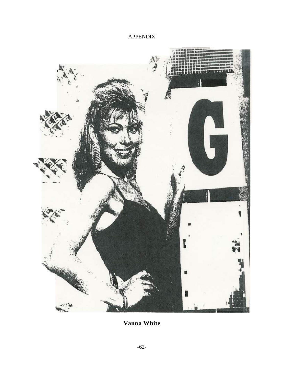# APPENDIX



**Vanna White**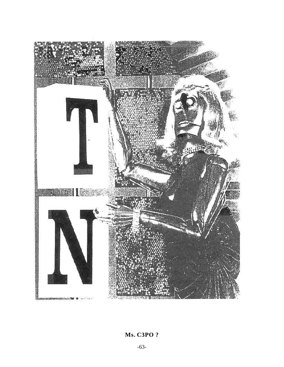

# **Ms. C3PO ?**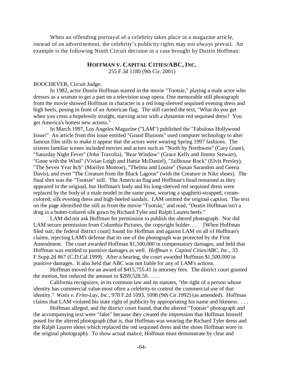When an offending portrayal of a celebrity takes place in a magazine article, instead of an advertisement, the celebrity's publicity rights may not always prevail. An example is the following Ninth Circuit decision in a case brought by Dustin Hoffman:

# **HOFFMAN V. CAPITAL CITIES/ABC, INC.** 255 F.3d 1180 (9th Cir. 2001)

### BOOCHEVER, Circuit Judge:

In 1982, actor Dustin Hoffman starred in the movie "Tootsie," playing a male actor who dresses as a woman to get a part on a television soap opera. One memorable still photograph from the movie showed Hoffman in character in a red long-sleeved sequined evening dress and high heels, posing in front of an American flag. The still carried the text, "What do you get when you cross a hopelessly straight, starving actor with a dynamite red sequined dress? You get America's hottest new actress."

In March 1997, Los Angeles Magazine ("LAM") published the "Fabulous Hollywood Issue!" An article from this issue entitled "Grand Illusions" used computer technology to alter famous film stills to make it appear that the actors were wearing Spring 1997 fashions. The sixteen familiar scenes included movies and actors such as "North by Northwest" (Cary Grant), "Saturday Night Fever" (John Travolta), "Rear Window" (Grace Kelly and Jimmy Stewart), "Gone with the Wind" (Vivian Leigh and Hattie McDaniel), "Jailhouse Rock" (Elvis Presley), "The Seven Year Itch" (Marilyn Monroe), "Thelma and Louise" (Susan Sarandon and Geena Davis), and even "The Creature from the Black Lagoon" (with the Creature in Nike shoes). The final shot was the "Tootsie" still. The American flag and Hoffman's head remained as they appeared in the original, but Hoffman's body and his long-sleeved red sequined dress were replaced by the body of a male model in the same pose, wearing a spaghetti-strapped, creamcolored, silk evening dress and high-heeled sandals. LAM omitted the original caption. The text on the page identified the still as from the movie "Tootsie," and read, "Dustin Hoffman isn't a drag in a butter-colored silk gown by Richard Tyler and Ralph Lauren heels."

LAM did not ask Hoffman for permission to publish the altered photograph. Nor did LAM secure permission from Columbia Pictures, the copyright holder. . . . [When Hoffman] filed suit, the federal district court] found for Hoffman and against LAM on all of Hoffman's claims, rejecting LAM's defense that its use of the photograph was protected by the First Amendment. The court awarded Hoffman \$1,500,000 in compensatory damages, and held that Hoffman was entitled to punitive damages as well. *Hoffman v. Capital Cities/ABC, Inc.,* 33 F.Supp.2d 867 (C.D.Cal.1999). After a hearing, the court awarded Hoffman \$1,500,000 in punitive damages. It also held that ABC was not liable for any of LAM's actions.

Hoffman moved for an award of \$415,755.41 in attorney fees. The district court granted the motion, but reduced the amount to  $$269,528.50...$ 

California recognizes, in its common law and its statutes, "the right of a person whose identity has commercial value-most often a celebrity-to control the commercial use of that identity." *Waits v. Frito-Lay, Inc.,* 978 F.2d 1093, 1098 (9th Cir.1992) (as amended). Hoffman claims that LAM violated his state right of publicity by appropriating his name and likeness. . . .

Hoffman alleged, and the district court found, that the altered "Tootsie" photograph and the accompanying text were "false" because they created the impression that Hoffman himself posed for the altered photograph (that is, that Hoffman was wearing the Richard Tyler dress and the Ralph Lauren shoes which replaced the red sequined dress and the shoes Hoffman wore in the original photograph). To show actual malice, Hoffman must demonstrate by clear and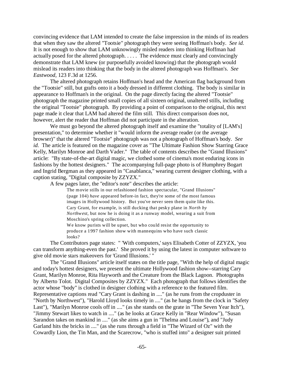convincing evidence that LAM intended to create the false impression in the minds of its readers that when they saw the altered "Tootsie" photograph they were seeing Hoffman's body. *See id.* It is not enough to show that LAM unknowingly misled readers into thinking Hoffman had actually posed for the altered photograph. . . . . The evidence must clearly and convincingly demonstrate that LAM knew (or purposefully avoided knowing) that the photograph would mislead its readers into thinking that the body in the altered photograph was Hoffman's. *See Eastwood,* 123 F.3d at 1256.

The altered photograph retains Hoffman's head and the American flag background from the "Tootsie" still, but grafts onto it a body dressed in different clothing. The body is similar in appearance to Hoffman's in the original. On the page directly facing the altered "Tootsie" photograph the magazine printed small copies of all sixteen original, unaltered stills, including the original "Tootsie" photograph. By providing a point of comparison to the original, this next page made it clear that LAM had altered the film still. This direct comparison does not, however, alert the reader that Hoffman did not participate in the alteration.

We must go beyond the altered photograph itself and examine the "totality of [LAM's] presentation," to determine whether it "would inform the average reader (or the average browser)" that the altered "Tootsie" photograph was not a photograph of Hoffman's body. *See id.* The article is featured on the magazine cover as "The Ultimate Fashion Show Starring Grace Kelly, Marilyn Monroe and Darth Vader." The table of contents describes the "Grand Illusions" article: "By state-of-the-art digital magic, we clothed some of cinema's most enduring icons in fashions by the hottest designers." The accompanying full-page photo is of Humphrey Bogart and Ingrid Bergman as they appeared in "Casablanca," wearing current designer clothing, with a caption stating, "Digital composite by ZZYZX."

A few pages later, the "editor's note" describes the article:

The movie stills in our refashioned fashion spectacular, "Grand Illusions" (page 104) *have* appeared before-in fact, they're some of the most famous images in Hollywood history. But you've never seen them quite like this. Cary Grant, for example, is still ducking that pesky plane in *North by Northwest,* but now he is doing it as a runway model, wearing a suit from Moschino's spring collection.

We know purists will be upset, but who could resist the opportunity to produce a 1997 fashion show with mannequins who have such classic looks?

The Contributors page states: " 'With computers,' says Elisabeth Cotter of ZZYZX, 'you can transform anything-even the past.' She proved it by using the latest in computer software to give old movie stars makeovers for 'Grand Illusions.' "

The "Grand Illusions" article itself states on the title page, "With the help of digital magic and today's hottest designers, we present the ultimate Hollywood fashion show--starring Cary Grant, Marilyn Monroe, Rita Hayworth and the Creature from the Black Lagoon. Photographs by Alberto Tolot. Digital Composites by ZZYZX." Each photograph that follows identifies the actor whose "body" is clothed in designer clothing with a reference to the featured film. Representative captions read "Cary Grant is dashing in ...." (as he runs from the cropduster in "North by Northwest"), "Harold Lloyd looks timely in ...." (as he hangs from the clock in "Safety Last"), "Marilyn Monroe cools off in ...." (as she stands on the grate in "The Seven Year Itch"), "Jimmy Stewart likes to watch in ...." (as he looks at Grace Kelly in "Rear Window"), "Susan Sarandon takes on mankind in ...." (as she aims a gun in "Thelma and Louise"), and "Judy Garland hits the bricks in ...." (as she runs through a field in "The Wizard of Oz" with the Cowardly Lion, the Tin Man, and the Scarecrow, "who is stuffed into" a designer suit printed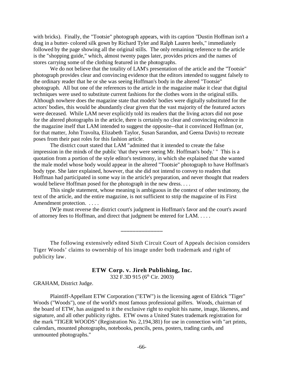with bricks). Finally, the "Tootsie" photograph appears, with its caption "Dustin Hoffman isn't a drag in a butter- colored silk gown by Richard Tyler and Ralph Lauren heels," immediately followed by the page showing all the original stills. The only remaining reference to the article is the "shopping guide," which, almost twenty pages later, provides prices and the names of stores carrying some of the clothing featured in the photographs.

We do not believe that the totality of LAM's presentation of the article and the "Tootsie" photograph provides clear and convincing evidence that the editors intended to suggest falsely to the ordinary reader that he or she was seeing Hoffman's body in the altered "Tootsie" photograph. All but one of the references to the article in the magazine make it clear that digital techniques were used to substitute current fashions for the clothes worn in the original stills. Although nowhere does the magazine state that models' bodies were digitally substituted for the actors' bodies, this would be abundantly clear given that the vast majority of the featured actors were deceased. While LAM never explicitly told its readers that the living actors did not pose for the altered photographs in the article, there is certainly no clear and convincing evidence in the magazine itself that LAM intended to suggest the opposite--that it convinced Hoffman (or, for that matter, John Travolta, Elizabeth Taylor, Susan Sarandon, and Geena Davis) to recreate poses from their past roles for this fashion article.

The district court stated that LAM "admitted that it intended to create the false impression in the minds of the public 'that they were seeing Mr. Hoffman's body.' " This is a quotation from a portion of the style editor's testimony, in which she explained that she wanted the male model whose body would appear in the altered "Tootsie" photograph to have Hoffman's body type. She later explained, however, that she did not intend to convey to readers that Hoffman had participated in some way in the article's preparation, and never thought that readers would believe Hoffman posed for the photograph in the new dress. . . .

This single statement, whose meaning is ambiguous in the context of other testimony, the text of the article, and the entire magazine, is not sufficient to strip the magazine of its First Amendment protection. . . . .

[W]e must reverse the district court's judgment in Hoffman's favor and the court's award of attorney fees to Hoffman, and direct that judgment be entered for LAM. . . . .

**\_\_\_\_\_\_\_\_\_\_\_\_\_\_**

The following extensively edited Sixth Circuit Court of Appeals decision considers Tiger Woods' claims to ownership of his image under both trademark and right of publicity law.

**ETW Corp. v. Jireh Publishing, Inc.**

332 F.3D 915 (6<sup>th</sup> Cir. 2003)

GRAHAM, District Judge.

Plaintiff-Appellant ETW Corporation ("ETW") is the licensing agent of Eldrick "Tiger" Woods ("Woods"), one of the world's most famous professional golfers. Woods, chairman of the board of ETW, has assigned to it the exclusive right to exploit his name, image, likeness, and signature, and all other publicity rights. ETW owns a United States trademark registration for the mark "TIGER WOODS" (Registration No. 2,194,381) for use in connection with "art prints, calendars, mounted photographs, notebooks, pencils, pens, posters, trading cards, and unmounted photographs."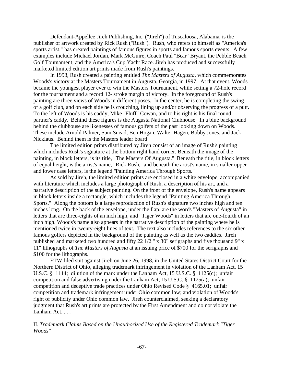Defendant-Appellee Jireh Publishing, Inc. ("Jireh") of Tuscaloosa, Alabama, is the publisher of artwork created by Rick Rush ("Rush"). Rush, who refers to himself as "America's sports artist," has created paintings of famous figures in sports and famous sports events. A few examples include Michael Jordan, Mark McGuire, Coach Paul "Bear" Bryant, the Pebble Beach Golf Tournament, and the America's Cup Yacht Race. Jireh has produced and successfully marketed limited edition art prints made from Rush's paintings.

In 1998, Rush created a painting entitled *The Masters of Augusta,* which commemorates Woods's victory at the Masters Tournament in Augusta, Georgia, in 1997. At that event, Woods became the youngest player ever to win the Masters Tournament, while setting a 72-hole record for the tournament and a record 12- stroke margin of victory. In the foreground of Rush's painting are three views of Woods in different poses. In the center, he is completing the swing of a golf club, and on each side he is crouching, lining up and/or observing the progress of a putt. To the left of Woods is his caddy, Mike "Fluff" Cowan, and to his right is his final round partner's caddy. Behind these figures is the Augusta National Clubhouse. In a blue background behind the clubhouse are likenesses of famous golfers of the past looking down on Woods. These include Arnold Palmer, Sam Snead, Ben Hogan, Walter Hagen, Bobby Jones, and Jack Nicklaus. Behind them is the Masters leader board.

The limited edition prints distributed by Jireh consist of an image of Rush's painting which includes Rush's signature at the bottom right hand corner. Beneath the image of the painting, in block letters, is its title, "The Masters Of Augusta." Beneath the title, in block letters of equal height, is the artist's name, "Rick Rush," and beneath the artist's name, in smaller upper and lower case letters, is the legend "Painting America Through Sports."

As sold by Jireh, the limited edition prints are enclosed in a white envelope, accompanied with literature which includes a large photograph of Rush, a description of his art, and a narrative description of the subject painting. On the front of the envelope, Rush's name appears in block letters inside a rectangle, which includes the legend "Painting America Through Sports." Along the bottom is a large reproduction of Rush's signature two inches high and ten inches long. On the back of the envelope, under the flap, are the words "Masters of Augusta" in letters that are three-eights of an inch high, and "Tiger Woods" in letters that are one-fourth of an inch high. Woods's name also appears in the narrative description of the painting where he is mentioned twice in twenty-eight lines of text. The text also includes references to the six other famous golfers depicted in the background of the painting as well as the two caddies. Jireh published and marketed two hundred and fifty 22 1/2 " x 30" serigraphs and five thousand 9" x 11" lithographs of *The Masters of Augusta* at an issuing price of \$700 for the serigraphs and \$100 for the lithographs.

ETW filed suit against Jireh on June 26, 1998, in the United States District Court for the Northern District of Ohio, alleging trademark infringement in violation of the Lanham Act, 15 U.S.C. § 1114; dilution of the mark under the Lanham Act, 15 U.S.C. § 1125(c); unfair competition and false advertising under the Lanham Act, 15 U.S.C. § 1125(a); unfair competition and deceptive trade practices under Ohio Revised Code § 4165.01; unfair competition and trademark infringement under Ohio common law; and violation of Woods's right of publicity under Ohio common law. Jireh counterclaimed, seeking a declaratory judgment that Rush's art prints are protected by the First Amendment and do not violate the Lanham Act. . . .

II. *Trademark Claims Based on the Unauthorized Use of the Registered Trademark "Tiger Woods"*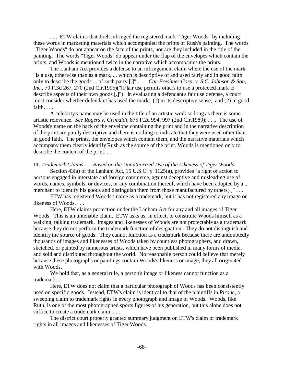. . . ETW claims that Jireh infringed the registered mark "Tiger Woods" by including these words in marketing materials which accompanied the prints of Rush's painting. The words "Tiger Woods" do not appear on the face of the prints, nor are they included in the title of the painting. The words "Tiger Woods" do appear under the flap of the envelopes which contain the prints, and Woods is mentioned twice in the narrative which accompanies the prints.

The Lanham Act provides a defense to an infringement claim where the use of the mark "is a use, otherwise than as a mark, ... which is descriptive of and used fairly and in good faith only to describe the goods ... of such party [.]" . . . *Car-Freshner Corp. v. S.C. Johnson & Son, Inc.,* 70 F.3d 267, 270 (2nd Cir.1995)("[F]air use permits others to use a protected mark to describe aspects of their own goods [.]"). In evaluating a defendant's fair use defense, a court must consider whether defendant has used the mark: (1) in its descriptive sense; and (2) in good faith. . . .

A celebrity's name may be used in the title of an artistic work so long as there is some artistic relevance. *See Rogers v. Grimaldi,* 875 F.2d 994, 997 (2nd Cir.1989); . . .. The use of Woods's name on the back of the envelope containing the print and in the narrative description of the print are purely descriptive and there is nothing to indicate that they were used other than in good faith. The prints, the envelopes which contain them, and the narrative materials which accompany them clearly identify Rush as the source of the print. Woods is mentioned only to describe the content of the print. . . .

### III. *Trademark Claims . . . Based on the Unauthorized Use of the Likeness of Tiger Woods*

Section 43(a) of the Lanham Act, 15 U.S.C. § 1125(a), provides "a right of action to persons engaged in interstate and foreign commerce, against deceptive and misleading use of words, names, symbols, or devices, or any combination thereof, which have been adopted by a ... merchant to identify his goods and distinguish them from those manufactured by others[.]"...

ETW has registered Woods's name as a trademark, but it has not registered any image or likeness of Woods. . . .

Here, ETW claims protection under the Lanham Act for any and all images of Tiger Woods. This is an untenable claim. ETW asks us, in effect, to constitute Woods himself as a walking, talking trademark. Images and likenesses of Woods are not protectable as a trademark because they do not perform the trademark function of designation. They do not distinguish and identify the source of goods. They cannot function as a trademark because there are undoubtedly thousands of images and likenesses of Woods taken by countless photographers, and drawn, sketched, or painted by numerous artists, which have been published in many forms of media, and sold and distributed throughout the world. No reasonable person could believe that merely because these photographs or paintings contain Woods's likeness or image, they all originated with Woods.

We hold that, as a general rule, a person's image or likeness cannot function as a trademark. . . .

Here, ETW does not claim that a particular photograph of Woods has been consistently used on specific goods. Instead, ETW's claim is identical to that of the plaintiffs in *Pirone,* a sweeping claim to trademark rights in every photograph and image of Woods. Woods, like Ruth, is one of the most photographed sports figures of his generation, but this alone does not suffice to create a trademark claim....

The district court properly granted summary judgment on ETW's claim of trademark rights in all images and likenesses of Tiger Woods.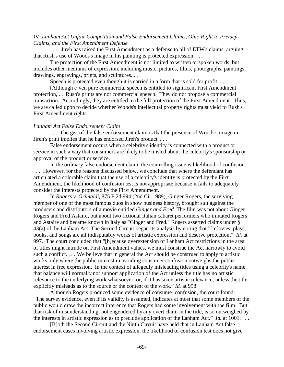## IV. *Lanham Act Unfair Competition and False Endorsement Claims, Ohio Right to Privacy Claims, and the First Amendment Defense*

... Jireh has raised the First Amendment as a defense to all of ETW's claims, arguing that Rush's use of Woods's image in his painting is protected expression. . . .

The protection of the First Amendment is not limited to written or spoken words, but includes other mediums of expression, including music, pictures, films, photographs, paintings, drawings, engravings, prints, and sculptures. . . .

Speech is protected even though it is carried in a form that is sold for profit....

[Although e]ven pure commercial speech is entitled to significant First Amendment protection, . . .Rush's prints are not commercial speech. They do not propose a commercial transaction. Accordingly, they are entitled to the full protection of the First Amendment. Thus, we are called upon to decide whether Woods's intellectual property rights must yield to Rush's First Amendment rights.

#### *Lanham Act False Endorsement Claim*

. . . The gist of the false endorsement claim is that the presence of Woods's image in Jireh's print implies that he has endorsed Jireh's product. *. . .*

False endorsement occurs when a celebrity's identity is connected with a product or service in such a way that consumers are likely to be misled about the celebrity's sponsorship or approval of the product or service.

In the ordinary false endorsement claim, the controlling issue is likelihood of confusion. . . . However, for the reasons discussed below, we conclude that where the defendant has articulated a colorable claim that the use of a celebrity's identity is protected by the First Amendment, the likelihood of confusion test is not appropriate because it fails to adequately consider the interests protected by the First Amendment.

In *Rogers v. Grimaldi,* 875 F.2d 994 (2nd Cir.1989), Ginger Rogers, the surviving member of one of the most famous duos in show business history, brought suit against the producers and distributors of a movie entitled *Ginger and Fred.* The film was not about Ginger Rogers and Fred Astaire, but about two fictional Italian cabaret performers who imitated Rogers and Astaire and became known in Italy as "Ginger and Fred." Rogers asserted claims under § 43(a) of the Lanham Act. The Second Circuit began its analysis by noting that "[m]ovies, plays, books, and songs are all indisputably works of artistic expression and deserve protection." *Id.* at 997. The court concluded that "[b]ecause overextension of Lanham Act restrictions in the area of titles might intrude on First Amendment values, we must construe the Act narrowly to avoid such a conflict.  $\ldots$  We believe that in general the Act should be construed to apply to artistic works only where the public interest in avoiding consumer confusion outweighs the public interest in free expression. In the context of allegedly misleading titles using a celebrity's name, that balance will normally not support application of the Act unless the title has no artistic relevance to the underlying work whatsoever, or, if it has some artistic relevance, unless the title explicitly misleads as to the source or the content of the work." *Id.* at 998.

Although Rogers produced some evidence of consumer confusion, the court found: "The survey evidence, even if its validity is assumed, indicates at most that some members of the public would draw the incorrect inference that Rogers had some involvement with the film. But that risk of misunderstanding, not engendered by any overt claim in the title, is so outweighed by the interests in artistic expression as to preclude application of the Lanham Act." *Id.* at 1001. . . .

[B]oth the Second Circuit and the Ninth Circuit have held that in Lanham Act false endorsement cases involving artistic expression, the likelihood of confusion test does not give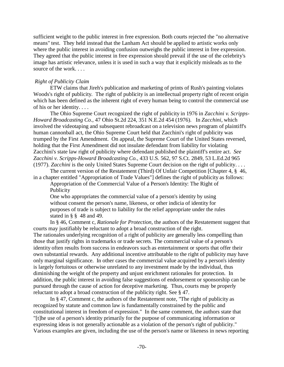sufficient weight to the public interest in free expression. Both courts rejected the "no alternative means" test. They held instead that the Lanham Act should be applied to artistic works only where the public interest in avoiding confusion outweighs the public interest in free expression. They agreed that the public interest in free expression should prevail if the use of the celebrity's image has artistic relevance, unless it is used in such a way that it explicitly misleads as to the source of the work. . . .

### *Right of Publicity Claim*

ETW claims that Jireh's publication and marketing of prints of Rush's painting violates Woods's right of publicity. The right of publicity is an intellectual property right of recent origin which has been defined as the inherent right of every human being to control the commercial use of his or her identity. . . .

The Ohio Supreme Court recognized the right of publicity in 1976 in *Zacchini v. Scripps-Howard Broadcasting Co.,* 47 Ohio St.2d 224, 351 N.E.2d 454 (1976). In *Zacchini,* which involved the videotaping and subsequent rebroadcast on a television news program of plaintiff's human cannonball act, the Ohio Supreme Court held that Zacchini's right of publicity was trumped by the First Amendment. On appeal, the Supreme Court of the United States reversed, holding that the First Amendment did not insulate defendant from liability for violating Zacchini's state law right of publicity where defendant published the plaintiff's entire act. *See Zacchini v. Scripps-Howard Broadcasting Co.,* 433 U.S. 562, 97 S.Ct. 2849, 53 L.Ed.2d 965 (1977). *Zacchini* is the only United States Supreme Court decision on the right of publicity. . . .

The current version of the Restatement (Third) Of Unfair Competition [Chapter 4, § 46, in a chapter entitled "Appropriation of Trade Values"] defines the right of publicity as follows:

Appropriation of the Commercial Value of a Person's Identity: The Right of **Publicity** 

One who appropriates the commercial value of a person's identity by using without consent the person's name, likeness, or other indicia of identity for purposes of trade is subject to liability for the relief appropriate under the rules stated in  $\S$   $\S$  48 and 49.

In § 46, Comment c, *Rationale for Protection,* the authors of the Restatement suggest that courts may justifiably be reluctant to adopt a broad construction of the right. The rationales underlying recognition of a right of publicity are generally less compelling than those that justify rights in trademarks or trade secrets. The commercial value of a person's identity often results from success in endeavors such as entertainment or sports that offer their own substantial rewards. Any additional incentive attributable to the right of publicity may have only marginal significance. In other cases the commercial value acquired by a person's identity is largely fortuitous or otherwise unrelated to any investment made by the individual, thus diminishing the weight of the property and unjust enrichment rationales for protection. In addition, the public interest in avoiding false suggestions of endorsement or sponsorship can be pursued through the cause of action for deceptive marketing. Thus, courts may be properly reluctant to adopt a broad construction of the publicity right. See § 47.

In § 47, Comment c, the authors of the Restatement note, "The right of publicity as recognized by statute and common law is fundamentally constrained by the public and constitutional interest in freedom of expression." In the same comment, the authors state that "[t]he use of a person's identity primarily for the purpose of communicating information or expressing ideas is not generally actionable as a violation of the person's right of publicity." Various examples are given, including the use of the person's name or likeness in news reporting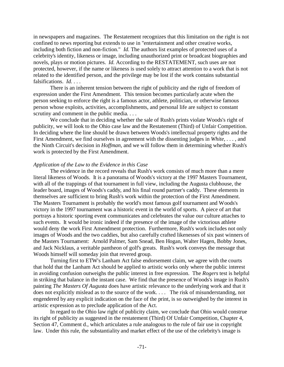in newspapers and magazines. The Restatement recognizes that this limitation on the right is not confined to news reporting but extends to use in "entertainment and other creative works, including both fiction and non-fiction." *Id.* The authors list examples of protected uses of a celebrity's identity, likeness or image, including unauthorized print or broadcast biographies and novels, plays or motion pictures. *Id.* According to the RESTATEMENT, such uses are not protected, however, if the name or likeness is used solely to attract attention to a work that is not related to the identified person, and the privilege may be lost if the work contains substantial falsifications. *Id.* . . .

There is an inherent tension between the right of publicity and the right of freedom of expression under the First Amendment. This tension becomes particularly acute when the person seeking to enforce the right is a famous actor, athlete, politician, or otherwise famous person whose exploits, activities, accomplishments, and personal life are subject to constant scrutiny and comment in the public media. . . .

We conclude that in deciding whether the sale of Rush's prints violate Woods's right of publicity, we will look to the Ohio case law and the Restatement (Third) of Unfair Competition. In deciding where the line should be drawn between Woods's intellectual property rights and the First Amendment, we find ourselves in agreement with the dissenting judges in *White,* . . . *,* and the Ninth Circuit's decision in *Hoffman,* and we will follow them in determining whether Rush's work is protected by the First Amendment.

## *Application of the Law to the Evidence in this Case*

The evidence in the record reveals that Rush's work consists of much more than a mere literal likeness of Woods. It is a panorama of Woods's victory at the 1997 Masters Tournament, with all of the trappings of that tournament in full view, including the Augusta clubhouse, the leader board, images of Woods's caddy, and his final round partner's caddy. These elements in themselves are sufficient to bring Rush's work within the protection of the First Amendment. The Masters Tournament is probably the world's most famous golf tournament and Woods's victory in the 1997 tournament was a historic event in the world of sports. A piece of art that portrays a historic sporting event communicates and celebrates the value our culture attaches to such events. It would be ironic indeed if the presence of the image of the victorious athlete would deny the work First Amendment protection. Furthermore, Rush's work includes not only images of Woods and the two caddies, but also carefully crafted likenesses of six past winners of the Masters Tournament: Arnold Palmer, Sam Snead, Ben Hogan, Walter Hagen, Bobby Jones, and Jack Nicklaus, a veritable pantheon of golf's greats. Rush's work conveys the message that Woods himself will someday join that revered group.

Turning first to ETW's Lanham Act false endorsement claim, we agree with the courts that hold that the Lanham Act should be applied to artistic works only where the public interest in avoiding confusion outweighs the public interest in free expression. The *Rogers* test is helpful in striking that balance in the instant case. We find that the presence of Woods's image in Rush's painting *The Masters Of Augusta* does have artistic relevance to the underlying work and that it does not explicitly mislead as to the source of the work. . . . The risk of misunderstanding, not engendered by any explicit indication on the face of the print, is so outweighed by the interest in artistic expression as to preclude application of the Act.

In regard to the Ohio law right of publicity claim, we conclude that Ohio would construe its right of publicity as suggested in the restatement (Third) Of Unfair Competition, Chapter 4, Section 47, Comment d., which articulates a rule analogous to the rule of fair use in copyright law. Under this rule, the substantiality and market effect of the use of the celebrity's image is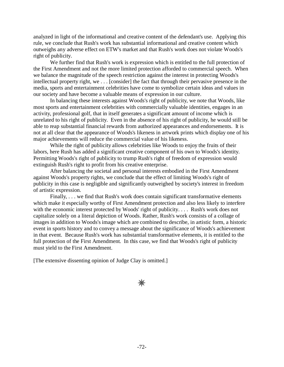analyzed in light of the informational and creative content of the defendant's use. Applying this rule, we conclude that Rush's work has substantial informational and creative content which outweighs any adverse effect on ETW's market and that Rush's work does not violate Woods's right of publicity.

We further find that Rush's work is expression which is entitled to the full protection of the First Amendment and not the more limited protection afforded to commercial speech. When we balance the magnitude of the speech restriction against the interest in protecting Woods's intellectual property right, we . . . [consider] the fact that through their pervasive presence in the media, sports and entertainment celebrities have come to symbolize certain ideas and values in our society and have become a valuable means of expression in our culture.

In balancing these interests against Woods's right of publicity, we note that Woods, like most sports and entertainment celebrities with commercially valuable identities, engages in an activity, professional golf, that in itself generates a significant amount of income which is unrelated to his right of publicity. Even in the absence of his right of publicity, he would still be able to reap substantial financial rewards from authorized appearances and endorsements. It is not at all clear that the appearance of Woods's likeness in artwork prints which display one of his major achievements will reduce the commercial value of his likeness.

While the right of publicity allows celebrities like Woods to enjoy the fruits of their labors, here Rush has added a significant creative component of his own to Woods's identity. Permitting Woods's right of publicity to trump Rush's right of freedom of expression would extinguish Rush's right to profit from his creative enterprise.

After balancing the societal and personal interests embodied in the First Amendment against Woods's property rights, we conclude that the effect of limiting Woods's right of publicity in this case is negligible and significantly outweighed by society's interest in freedom of artistic expression.

Finally, . . . we find that Rush's work does contain significant transformative elements which make it especially worthy of First Amendment protection and also less likely to interfere with the economic interest protected by Woods' right of publicity. . . . Rush's work does not capitalize solely on a literal depiction of Woods. Rather, Rush's work consists of a collage of images in addition to Woods's image which are combined to describe, in artistic form, a historic event in sports history and to convey a message about the significance of Woods's achievement in that event. Because Rush's work has substantial transformative elements, it is entitled to the full protection of the First Amendment. In this case, we find that Woods's right of publicity must yield to the First Amendment.

[The extensive dissenting opinion of Judge Clay is omitted.]

# $\divideontimes$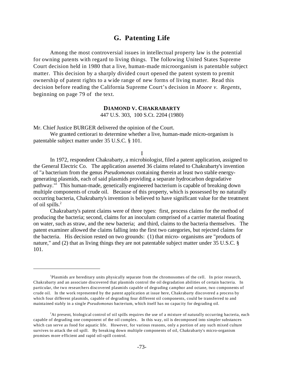## **G. Patenting Life**

Among the most controversial issues in intellectual property law is the potential for owning patents with regard to living things. The following United States Supreme Court decision held in 1980 that a live, human-made microorganism is patentable subject matter. This decision by a sharply divided court opened the patent system to premit ownership of patent rights to a wide range of new forms of living matter. Read this decision before reading the California Supreme Court's decision in *Moore v. Regents*, beginning on page 79 of the text.

### **DIAMOND V. CHAKRABARTY**

447 U.S. 303, 100 S.Ct. 2204 (1980)

Mr. Chief Justice BURGER delivered the opinion of the Court.

We granted certiorari to determine whether a live, human-made micro-organism is patentable subject matter under 35 U.S.C. § 101.

I

In 1972, respondent Chakrabarty, a microbiologist, filed a patent application, assigned to the General Electric Co. The application asserted 36 claims related to Chakrabarty's invention of "a bacterium from the genus *Pseudomonas* containing therein at least two stable energygenerating plasmids, each of said plasmids providing a separate hydrocarbon degradative pathway."<sup>1</sup> This human-made, genetically engineered bacterium is capable of breaking down multiple components of crude oil. Because of this property, which is possessed by no naturally occurring bacteria, Chakrabarty's invention is believed to have significant value for the treatment of oil spills.<sup>2</sup>

Chakrabarty's patent claims were of three types: first, process claims for the method of producing the bacteria; second, claims for an inoculum comprised of a carrier material floating on water, such as straw, and the new bacteria; and third, claims to the bacteria themselves. The patent examiner allowed the claims falling into the first two categories, but rejected claims for the bacteria. His decision rested on two grounds: (1) that micro- organisms are "products of nature," and (2) that as living things they are not patentable subject matter under 35 U.S.C. § 101.

<sup>1</sup> Plasmids are hereditary units physically separate from the chromosomes of the cell. In prior research, Chakrabarty and an associate discovered that plasmids control the oil degradation abilities of certain bacteria. In particular, the two researchers discovered plasmids capable of degrading camphor and octane, two components of crude oil. In the work represented by the patent application at issue here, Chakrabarty discovered a process by which four different plasmids, capable of degrading four different oil components, could be transferred to and maintained stably in a single *Pseudomonas* bacterium, which itself has no capacity for degrading oil.

<sup>&</sup>lt;sup>2</sup>At present, biological control of oil spills requires the use of a mixture of naturally occurring bacteria, each capable of degrading one component of the oil complex. In this way, oil is decomposed into simpler substances which can serve as food for aquatic life. However, for various reasons, only a portion of any such mixed culture survives to attack the oil spill. By breaking down multiple components of oil, Chakrabarty's micro-organism promises more efficient and rapid oil-spill control.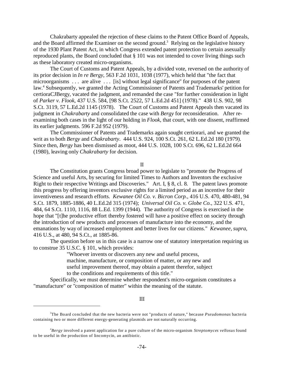Chakrabarty appealed the rejection of these claims to the Patent Office Board of Appeals, and the Board affirmed the Examiner on the second ground.<sup>3</sup> Relying on the legislative history of the 1930 Plant Patent Act, in which Congress extended patent protection to certain asexually reproduced plants, the Board concluded that § 101 was not intended to cover living things such as these laboratory created micro-organisms.

The Court of Customs and Patent Appeals, by a divided vote, reversed on the authority of its prior decision in *In re Bergy*, 563 F.2d 1031, 1038 (1977), which held that "the fact that microorganisms ... are alive ... [is] without legal significance" for purposes of the patent law.<sup>4</sup> Subsequently, we granted the Acting Commissioner of Patents and Trademarks' petition for certioraCJBergy, vacated the judgment, and remanded the case "for further consideration in light of *Parker v. Flook*, 437 U.S. 584, [98 S.Ct. 2522, 57 L.Ed.2d 451] (1978)." 438 U.S. 902, 98 S.Ct. 3119, 57 L.Ed.2d 1145 (1978). The Court of Customs and Patent Appeals then vacated its judgment in *Chakrabarty* and consolidated the case with *Bergy* for reconsideration. After reexamining both cases in the light of our holding in *Flook*, that court, with one dissent, reaffirmed its earlier judgments. 596 F.2d 952 (1979).

The Commissioner of Patents and Trademarks again sought certiorari, and we granted the writ as to both *Bergy* and *Chakrabarty*. 444 U.S. 924, 100 S.Ct. 261, 62 L.Ed.2d 180 (1979). Since then, *Bergy* has been dismissed as moot, 444 U.S. 1028, 100 S.Ct. 696, 62 L.Ed.2d 664 (1980), leaving only *Chakrabarty* for decision.

#### II

The Constitution grants Congress broad power to legislate to "promote the Progress of Science and useful Arts, by securing for limited Times to Authors and Inventors the exclusive Right to their respective Writings and Discoveries." Art. I, § 8, cl. 8. The patent laws promote this progress by offering inventors exclusive rights for a limited period as an incentive for their inventiveness and research efforts. *Kewanee Oil Co. v. Bicron Corp.*, 416 U.S. 470, 480-481, 94 S.Ct. 1879, 1885-1886, 40 L.Ed.2d 315 (1974); *Universal Oil Co. v. Globe Co.*, 322 U.S. 471, 484, 64 S.Ct. 1110, 1116, 88 L.Ed. 1399 (1944). The authority of Congress is exercised in the hope that "[t]he productive effort thereby fostered will have a positive effect on society through the introduction of new products and processes of manufacture into the economy, and the emanations by way of increased employment and better lives for our citizens." *Kewanee, supra*, 416 U.S., at 480, 94 S.Ct., at 1885-86.

The question before us in this case is a narrow one of statutory interpretation requiring us to construe 35 U.S.C. § 101, which provides:

> "Whoever invents or discovers any new and useful process, machine, manufacture, or composition of matter, or any new and useful improvement thereof, may obtain a patent therefor, subject to the conditions and requirements of this title."

Specifically, we must determine whether respondent's micro-organism constitutes a "manufacture" or "composition of matter" within the meaning of the statute.

III

<sup>3</sup>The Board concluded that the new bacteria were not "products of nature," because *Pseudomonas* bacteria containing two or more different energy-generating plasmids are not naturally occurring.

*<sup>4</sup>Bergy* involved a patent application for a pure culture of the micro-organism *Streptomyces vellosus* found to be useful in the production of lincomycin, an antibiotic.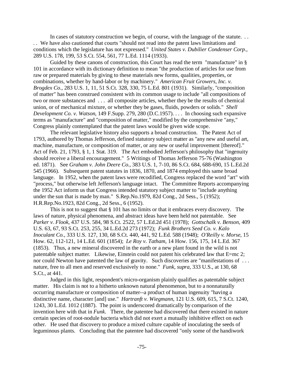In cases of statutory construction we begin, of course, with the language of the statute. *. . . .* We have also cautioned that courts "should not read into the patent laws limitations and conditions which the legislature has not expressed." *United States v. Dubilier Condenser Corp.*, 289 U.S. 178, 199, 53 S.Ct. 554, 561, 77 L.Ed. 1114 (1933).

Guided by these canons of construction, this Court has read the term "manufacture" in § 101 in accordance with its dictionary definition to mean "the production of articles for use from raw or prepared materials by giving to these materials new forms, qualities, properties, or combinations, whether by hand-labor or by machinery." *American Fruit Growers, Inc. v. Brogdex Co.*, 283 U.S. 1, 11, 51 S.Ct. 328, 330, 75 L.Ed. 801 (1931). Similarly, "composition of matter" has been construed consistent with its common usage to include "all compositions of two or more substances and . . . all composite articles, whether they be the results of chemical union, or of mechanical mixture, or whether they be gases, fluids, powders or solids." *Shell Development Co. v. Watson*, 149 F.Supp. 279, 280 (D.C.1957). . . . In choosing such expansive terms as "manufacture" and "composition of matter," modified by the comprehensive "any," Congress plainly contemplated that the patent laws would be given wide scope.

The relevant legislative history also supports a broad construction. The Patent Act of 1793, authored by Thomas Jefferson, defined statutory subject matter as "any new and useful art, machine, manufacture, or composition of matter, or any new or useful improvement [thereof]." Act of Feb. 21, 1793, § 1, 1 Stat. 319. The Act embodied Jefferson's philosophy that "ingenuity should receive a liberal encouragement." 5 Writings of Thomas Jefferson 75-76 (Washington ed. 1871). See *Graham v. John Deere Co.*, 383 U.S. 1, 7-10, 86 S.Ct. 684, 688-690, 15 L.Ed.2d 545 (1966). Subsequent patent statutes in 1836, 1870, and 1874 employed this same broad language. In 1952, when the patent laws were recodified, Congress replaced the word "art" with "process," but otherwise left Jefferson's language intact. The Committee Reports accompanying the 1952 Act inform us that Congress intended statutory subject matter to "include anything under the sun that is made by man." S.Rep.No.1979, 82d Cong., 2d Sess., 5 (1952); H.R.Rep.No.1923, 82d Cong., 2d Sess., 6 (1952).

This is not to suggest that § 101 has no limits or that it embraces every discovery. The laws of nature, physical phenomena, and abstract ideas have been held not patentable. See *Parker v. Flook*, 437 U.S. 584, 98 S.Ct. 2522, 57 L.Ed.2d 451 (1978); *Gottschalk v. Benson*, 409 U.S. 63, 67, 93 S.Ct. 253, 255, 34 L.Ed.2d 273 (1972); *Funk Brothers Seed Co. v. Kalo Inoculant Co.*, 333 U.S. 127, 130, 68 S.Ct. 440, 441, 92 L.Ed. 588 (1948); *O'Reilly v. Morse*, 15 How. 62, 112-121, 14 L.Ed. 601 (1854); *Le Roy v. Tatham*, 14 How. 156, 175, 14 L.Ed. 367 (1853). Thus, a new mineral discovered in the earth or a new plant found in the wild is not patentable subject matter. Likewise, Einstein could not patent his celebrated law that E=mc 2; nor could Newton have patented the law of gravity. Such discoveries are "manifestations of ... nature, free to all men and reserved exclusively to none." *Funk, supra*, 333 U.S., at 130, 68 S.Ct., at 441.

Judged in this light, respondent's micro-organism plainly qualifies as patentable subject matter. His claim is not to a hitherto unknown natural phenomenon, but to a nonnaturally occurring manufacture or composition of matter--a product of human ingenuity "having a distinctive name, character [and] use." *Hartranft v. Wiegmann*, 121 U.S. 609, 615, 7 S.Ct. 1240, 1243, 30 L.Ed. 1012 (1887). The point is underscored dramatically by comparison of the invention here with that in *Funk*. There, the patentee had discovered that there existed in nature certain species of root-nodule bacteria which did not exert a mutually inhibitive effect on each other. He used that discovery to produce a mixed culture capable of inoculating the seeds of leguminous plants. Concluding that the patentee had discovered "only some of the handiwork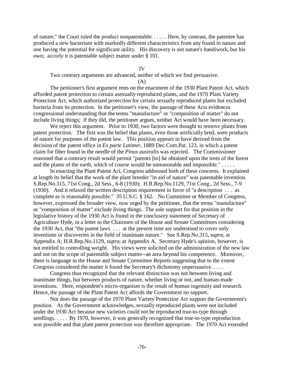of nature," the Court ruled the product nonpatentable: . . . . . Here, by contrast, the patentee has produced a new bacterium with markedly different characteristics from any found in nature and one having the potential for significant utility. His discovery is not nature's handiwork, but his own; accorly it is patentable subject matter under § 101.

#### IV

Two contrary arguments are advanced, neither of which we find persuasive.

 $(A)$ 

The petitioner's first argument rests on the enactment of the 1930 Plant Patent Act, which afforded patent protection to certain asexually reproduced plants, and the 1970 Plant Variety Protection Act, which authorized protection for certain sexually reproduced plants but excluded bacteria from its protection. In the petitioner's view, the passage of these Acts evidences congressional understanding that the terms "manufacture" or "composition of matter" do not include living things; if they did, the petitioner argues, neither Act would have been necessary.

We reject this argument. Prior to 1930, two factors were thought to remove plants from patent protection. The first was the belief that plants, even those artificially bred, were products of nature for purposes of the patent law. This position appears to have derived from the decision of the patent office in *Ex parte Latimer*, 1889 Dec.Com.Pat. 123, in which a patent claim for fiber found in the needle of the *Pinus australis* was rejected. The Commissioner reasoned that a contrary result would permit "patents [to] be obtained upon the trees of the forest and the plants of the earth, which of course would be unreasonable and impossible." . . . . .

In enacting the Plant Patent Act, Congress addressed both of these concerns. It explained at length its belief that the work of the plant breeder "in aid of nature" was patentable invention. S.Rep.No.315, 71st Cong., 2d Sess., 6-8 (1930); H.R.Rep.No.1129, 71st Cong., 2d Sess., 7-9 (1930). And it relaxed the written description requirement in favor of "a description . . . as complete as is reasonably possible." 35 U.S.C. § 162. No Committee or Member of Congress, however, expressed the broader view, now urged by the petitioner, that the terms "manufacture" or "composition of matter" exclude living things. The sole support for that position in the legislative history of the 1930 Act is found in the conclusory statement of Secretary of Agriculture Hyde, in a letter to the Chairmen of the House and Senate Committees considering the 1930 Act, that "the patent laws . . . at the present time are understood to cover only inventions or discoveries in the field of inanimate nature." See S.Rep.No.315, *supra*, at Appendix A; H.R.Rep.No.1129, *supra*, at Appendix A. Secretary Hyde's opinion, however, is not entitled to controlling weight. His views were solicited on the administration of the new law and not on the scope of patentable subject matter--an area beyond his competence. Moreover, there is language in the House and Senate Committee Reports suggesting that to the extent Congress considered the matter it found the Secretary's dichotomy unpersuasive. . . . .

Congress thus recognized that the relevant distinction was not between living and inanimate things, but between products of nature, whether living or not, and human-made inventions. Here, respondent's micro-organism is the result of human ingenuity and research. Hence, the passage of the Plant Patent Act affords the Government no support.

Nor does the passage of the 1970 Plant Variety Protection Act support the Government's position. As the Government acknowledges, sexually reproduced plants were not included under the 1930 Act because new varieties could not be reproduced true-to-type through seedlings. . . . . By 1970, however, it was generally recognized that true-to-type reproduction was possible and that plant patent protection was therefore appropriate. The 1970 Act extended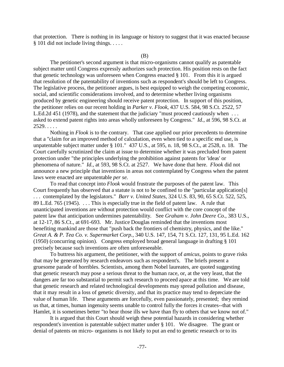that protection. There is nothing in its language or history to suggest that it was enacted because § 101 did not include living things. . . . .

The petitioner's second argument is that micro-organisms cannot qualify as patentable subject matter until Congress expressly authorizes such protection. His position rests on the fact that genetic technology was unforeseen when Congress enacted § 101. From this it is argued that resolution of the patentability of inventions such as respondent's should be left to Congress. The legislative process, the petitioner argues, is best equipped to weigh the competing economic, social, and scientific considerations involved, and to determine whether living organisms produced by genetic engineering should receive patent protection. In support of this position, the petitioner relies on our recent holding in *Parker v. Flook*, 437 U.S. 584, 98 S.Ct. 2522, 57 L.Ed.2d 451 (1978), and the statement that the judiciary "must proceed cautiously when ... asked to extend patent rights into areas wholly unforeseen by Congress." *Id.*, at 596, 98 S.Ct. at 2529. . . . .

Nothing in *Flook* is to the contrary. That case applied our prior precedents to determine that a "claim for an improved method of calculation, even when tied to a specific end use, is unpatentable subject matter under § 101." 437 U.S., at 595, n. 18, 98 S.Ct., at 2528, n. 18. The Court carefully scrutinized the claim at issue to determine whether it was precluded from patent protection under "the principles underlying the prohibition against patents for 'ideas' or phenomena of nature." *Id.*, at 593, 98 S.Ct. at 2527. We have done that here. *Flook* did not announce a new principle that inventions in areas not contemplated by Congress when the patent laws were enacted are unpatentable *per se.*

To read that concept into *Flook* would frustrate the purposes of the patent law. This Court frequently has observed that a statute is not to be confined to the "particular application[s] . . . contemplated by the legislators." *Barr v. United States*, 324 U.S. 83, 90, 65 S.Ct. 522, 525, 89 L.Ed. 765 (1945). . . . This is especially true in the field of patent law. A rule that unanticipated inventions are without protection would conflict with the core concept of the patent law that anticipation undermines patentability. See *Graham v. John Deere Co.*, 383 U.S., at 12-17, 86 S.Ct., at 691-693. Mr. Justice Douglas reminded that the inventions most benefiting mankind are those that "push back the frontiers of chemistry, physics, and the like." *Great A. & P. Tea Co. v. Supermarket Corp.*, 340 U.S. 147, 154, 71 S.Ct. 127, 131, 95 L.Ed. 162 (1950) (concurring opinion). Congress employed broad general language in drafting § 101 precisely because such inventions are often unforeseeable.

To buttress his argument, the petitioner, with the support of *amicus*, points to grave risks that may be generated by research endeavors such as respondent's. The briefs present a gruesome parade of horribles. Scientists, among them Nobel laureates, are quoted suggesting that genetic research may pose a serious threat to the human race, or, at the very least, that the dangers are far too substantial to permit such research to proceed apace at this time. We are told that genetic research and related technological developments may spread pollution and disease, that it may result in a loss of genetic diversity, and that its practice may tend to depreciate the value of human life. These arguments are forcefully, even passionately, presented; they remind us that, at times, human ingenuity seems unable to control fully the forces it creates--that with Hamlet, it is sometimes better "to bear those ills we have than fly to others that we know not of."

It is argued that this Court should weigh these potential hazards in considering whether respondent's invention is patentable subject matter under § 101. We disagree. The grant or denial of patents on micro- organisms is not likely to put an end to genetic research or to its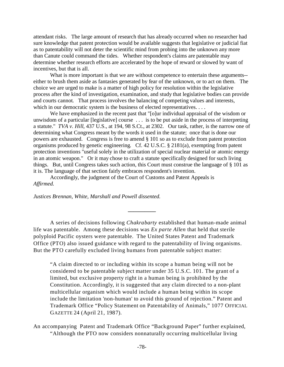attendant risks. The large amount of research that has already occurred when no researcher had sure knowledge that patent protection would be available suggests that legislative or judicial fiat as to patentability will not deter the scientific mind from probing into the unknown any more than Canute could command the tides. Whether respondent's claims are patentable may determine whether research efforts are accelerated by the hope of reward or slowed by want of incentives, but that is all.

What is more important is that we are without competence to entertain these arguments-either to brush them aside as fantasies generated by fear of the unknown, or to act on them. The choice we are urged to make is a matter of high policy for resolution within the legislative process after the kind of investigation, examination, and study that legislative bodies can provide and courts cannot. That process involves the balancing of competing values and interests, which in our democratic system is the business of elected representatives. . . .

We have emphasized in the recent past that "[o]ur individual appraisal of the wisdom or unwisdom of a particular [legislative] course . . . is to be put aside in the process of interpreting a statute." *TVA v. Hill*, 437 U.S., at 194, 98 S.Ct., at 2302. Our task, rather, is the narrow one of determining what Congress meant by the words it used in the statute; once that is done our powers are exhausted. Congress is free to amend § 101 so as to exclude from patent protection organisms produced by genetic engineering. Cf. 42 U.S.C. § 2181(a), exempting from patent protection inventions "useful solely in the utilization of special nuclear material or atomic energy in an atomic weapon." Or it may chose to craft a statute specifically designed for such living things. But, until Congress takes such action, this Court must construe the language of § 101 as it is. The language of that section fairly embraces respondent's invention.

Accordingly, the judgment of the Court of Customs and Patent Appeals is *Affirmed.*

*Justices Brennan, White, Marshall and Powell dissented.*

A series of decisions following *Chakrabarty* established that human-made animal life was patentable. Among these decisions was *Ex parte Allen* that held that sterile polyploid Pacific oysters were patentable. The United States Patent and Trademark Office (PTO) also issued guidance with regard to the patentability of living organisms. But the PTO carefully excluded living humans from patentable subject matter:

**\_\_\_\_\_\_\_\_\_\_**

"A claim directed to or including within its scope a human being will not be considered to be patentable subject matter under 35 U.S.C. 101. The grant of a limited, but exclusive property right in a human being is prohibited by the Constitution. Accordingly, it is suggested that any claim directed to a non-plant multicellular organism which would include a human being within its scope include the limitation 'non-human' to avoid this ground of rejection." Patent and Trademark Office "Policy Statement on Patentability of Animals," 1077 OFFICIAL GAZETTE 24 (April 21, 1987).

An accompanying Patent and Trademark Office "Background Paper" further explained, "Although the PTO now considers nonnaturally occurring multicellular living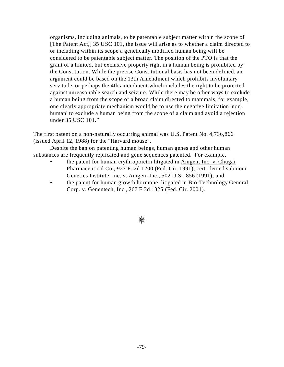organisms, including animals, to be patentable subject matter within the scope of [The Patent Act,] 35 USC 101, the issue will arise as to whether a claim directed to or including within its scope a genetically modified human being will be considered to be patentable subject matter. The position of the PTO is that the grant of a limited, but exclusive property right in a human being is prohibited by the Constitution. While the precise Constitutional basis has not been defined, an argument could be based on the 13th Amendment which prohibits involuntary servitude, or perhaps the 4th amendment which includes the right to be protected against unreasonable search and seizure. While there may be other ways to exclude a human being from the scope of a broad claim directed to mammals, for example, one clearly appropriate mechanism would be to use the negative limitation 'nonhuman' to exclude a human being from the scope of a claim and avoid a rejection under 35 USC 101."

The first patent on a non-naturally occurring animal was U.S. Patent No. 4,736,866 (issued April 12, 1988) for the "Harvard mouse".

Despite the ban on patenting human beings, human genes and other human substances are frequently replicated and gene sequences patented. For example,

- the patent for human erythropoietin litigated in Amgen, Inc. v. Chugai Pharmaceutical Co., 927 F. 2d 1200 (Fed. Cir. 1991), cert. denied sub nom Genetics Institute, Inc. v. Amgen, Inc., 502 U.S. 856 (1991); and
- the patent for human growth hormone, litigated in Bio-Technology General Corp. v. Genentech, Inc., 267 F 3d 1325 (Fed. Cir. 2001).

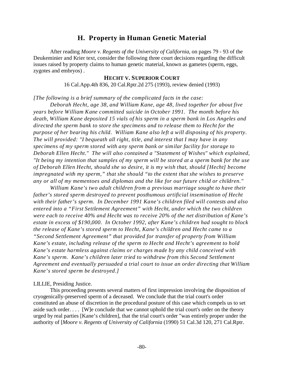# **H. Property in Human Genetic Material**

After reading *Moore v. Regents of the University of California*, on pages 79 - 93 of the Deukeminier and Krier text, consider the following three court decisions regarding the difficult issues raised by property claims to human genetic material, known as gametes (sperm, eggs, zygotes and embryos) .

## **HECHT V. SUPERIOR COURT**

16 Cal.App.4th 836, 20 Cal.Rptr.2d 275 (1993), review denied (1993)

*[The following is a brief summary of the complicated facts in the case:*

*Deborah Hecht, age 38, and William Kane, age 48, lived together for about five years before William Kane committed suicide in October 1991. The month before his death, William Kane deposited 15 vials of his sperm in a sperm bank in Los Angeles and directed the sperm bank to store the specimens and to release them to Hecht for the purpose of her bearing his child. William Kane also left a will disposing of his property. The will provided: "I bequeath all right, title, and interest that I may have in any specimens of my sperm stored with any sperm bank or similar facility for storage to Deborah Ellen Hecht." The will also contained a "Statement of Wishes" which explained, "It being my intention that samples of my sperm will be stored at a sperm bank for the use of Deborah Ellen Hecht, should she so desire, it is my wish that, should [Hecht] become impregnated with my sperm," that she should "to the extent that she wishes to preserve any or all of my mementoes and diplomas and the like for our future child or children."* 

*William Kane's two adult children from a previous marriage sought to have their father's stored sperm destroyed to prevent posthumous artificial insemination of Hecht with their father's sperm. In December 1991 Kane's children filed will contests and also entered into a "First Settlement Agreement" with Hecht, under which the two children were each to receive 40% and Hecht was to receive 20% of the net distribution of Kane's estate in excess of \$190,000. In October 1992, after Kane's children had sought to block the release of Kane's stored sperm to Hecht, Kane's children and Hecht came to a "Second Settlement Agreement" that provided for transfer of property from William Kane's estate, including release of the sperm to Hecht and Hecht's agreement to hold Kane's estate harmless against claims or charges made by any child conceived with Kane's sperm. Kane's children later tried to withdraw from this Second Settlement Agreement and eventually persuaded a trial court to issue an order directing that William Kane's stored sperm be destroyed.]*

## LILLIE, Presiding Justice.

This proceeding presents several matters of first impression involving the disposition of cryogenically-preserved sperm of a deceased. We conclude that the trial court's order constituted an abuse of discretion in the procedural posture of this case which compels us to set aside such order. . . . [W]e conclude that we cannot uphold the trial court's order on the theory urged by real parties [Kane's children], that the trial court's order "was entirely proper under the authority of [*Moore v. Regents of University of California* (1990) 51 Cal.3d 120, 271 Cal.Rptr.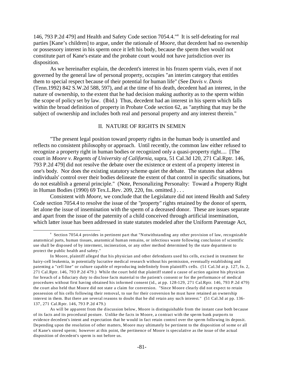146, 793 P.2d 479] and Health and Safety Code section 7054.4."<sup>4</sup> It is self-defeating for real parties [Kane's children] to argue, under the rationale of *Moore*, that decedent had no ownership or possessory interest in his sperm once it left his body, because the sperm then would not constitute part of Kane's estate and the probate court would not have jurisdiction over its disposition.

As we hereinafter explain, the decedent's interest in his frozen sperm vials, even if not governed by the general law of personal property, occupies "an interim category that entitles them to special respect because of their potential for human life" (See *Davis v. Davis* (Tenn.1992) 842 S.W.2d 588, 597), and at the time of his death, decedent had an interest, in the nature of ownership, to the extent that he had decision making authority as to the sperm within the scope of policy set by law. (Ibid.) Thus, decedent had an interest in his sperm which falls within the broad definition of property in Probate Code section 62, as "anything that may be the subject of ownership and includes both real and personal property and any interest therein."

## II. NATURE OF RIGHTS IN SEMEN

"The present legal position toward property rights in the human body is unsettled and reflects no consistent philosophy or approach. Until recently, the common law either refused to recognize a property right in human bodies or recognized only a quasi-property right.... [The court in *Moore v. Regents of University of California*, supra, 51 Cal.3d 120, 271 Cal.Rptr. 146, 793 P.2d 479] did not resolve the debate over the existence or extent of a property interest in one's body. Nor does the existing statutory scheme quiet the debate. The statutes that address individuals' control over their bodies delineate the extent of that control in specific situations, but do not establish a general principle." (Note, Personalizing Personalty: Toward a Property Right in Human Bodies (1990) 69 Tex.L.Rev. 209, 220, fns. omitted.) . . .

Consistent with *Moore*, we conclude that the Legislature did not intend Health and Safety Code section 7054.4 to resolve the issue of the "property" rights retained by the donor of sperm, let alone the issue of insemination with the sperm of a deceased donor. These are issues separate and apart from the issue of the paternity of a child conceived through artificial insemination, which latter issue has been addressed in state statutes modeled after the Uniform Parentage Act,

<sup>4</sup> Section 7054.4 provides in pertinent part that "Notwithstanding any other provision of law, recognizable anatomical parts, human tissues, anatomical human remains, or infectious waste following conclusion of scientific use shall be disposed of by interment, incineration, or any other method determined by the state department to protect the public health and safety."

In Moore, plaintiff alleged that his physician and other defendants used his cells, excised in treatment for hairy-cell leukemia, in potentially lucrative medical research without his permission, eventually establishing and patenting a "cell line" or culture capable of reproducing indefinitely from plaintiff's cells. (51 Cal.3d at p. 127, fn. 2, 271 Cal.Rptr. 146, 793 P.2d 479.) While the court held that plaintiff stated a cause of action against his physician for breach of a fiduciary duty to disclose facts material to the patient's consent or for the performance of medical procedures without first having obtained his informed consent (id., at pp. 128-129, 271 Cal.Rptr. 146, 793 P.2d 479) the court also held that Moore did not state a claim for conversion. "Since Moore clearly did not expect to retain possession of his cells following their removal, to sue for their conversion he must have retained an ownership interest in them. But there are several reasons to doubt that he did retain any such interest." (51 Cal.3d at pp. 136- 137, 271 Cal.Rptr. 146, 793 P.2d 479.)

As will be apparent from the discussion below, Moore is distinguishable from the instant case both because of its facts and its procedural posture. Unlike the facts in Moore, a contract with the sperm bank purports to evidence decedent's intent and expectation that he would in fact retain control over the sperm following its deposit. Depending upon the resolution of other matters, Moore may ultimately be pertinent to the disposition of some or all of Kane's stored sperm; however at this point, the pertinence of Moore is speculative as the issue of the actual disposition of decedent's sperm is not before us.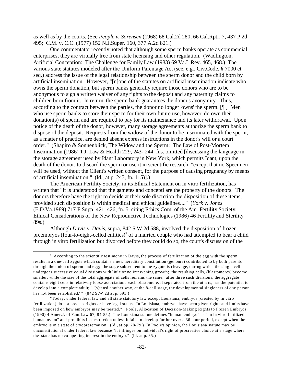as well as by the courts. (See *People v. Sorensen* (1968) 68 Cal.2d 280, 66 Cal.Rptr. 7, 437 P.2d 495; C.M. v. C.C. (1977) 152 N.J.Super. 160, 377 A.2d 821.)

One commentator recently noted that although some sperm banks operate as commercial enterprises, they are virtually free from state licensing and other regulation. (Wadlington, Artificial Conception: The Challenge for Family Law (1983) 69 Va.L.Rev. 465, 468.) The various state statutes modeled after the Uniform Parentage Act (see, e.g., Civ.Code, § 7000 et seq.) address the issue of the legal relationship between the sperm donor and the child born by artificial insemination. However, "[n]one of the statutes on artificial insemination indicate who owns the sperm donation, but sperm banks generally require those donors who are to be anonymous to sign a written waiver of any rights to the deposit and any paternity claims to children born from it. In return, the sperm bank guarantees the donor's anonymity. Thus, according to the contract between the parties, the donor no longer 'owns' the sperm. [¶ ] Men who use sperm banks to store their sperm for their own future use, however, do own their donation(s) of sperm and are required to pay for its maintenance and its later withdrawal. Upon notice of the death of the donor, however, many storage agreements authorize the sperm bank to dispose of the deposit. Requests from the widow of the donor to be inseminated with the sperm, as a matter of practice, are denied absent express instructions in the donor's will or a court order." (Shapiro & Sonnenblick, The Widow and the Sperm: The Law of Post-Mortem Insemination (1986) 1 J. Law & Health 229, 243- 244, fns. omitted [discussing the language in the storage agreement used by Idant Laboratory in New York, which permits Idant, upon the death of the donor, to discard the sperm or use it in scientific research, "except that no Specimen will be used, without the Client's written consent, for the purpose of causing pregnancy by means of artificial insemination." (Id., at p. 243, fn. 115)].)

The American Fertility Society, in its Ethical Statement on in vitro fertilization, has written that "It is understood that the gametes and concepti are the property of the donors. The donors therefore have the right to decide at their sole discretion the disposition of these items, provided such disposition is within medical and ethical guidelines...." (*York v. Jones* (E.D.Va.1989) 717 F.Supp. 421, 426, fn. 5, citing Ethics Com. of the Am. Fertility Society, Ethical Considerations of the New Reproductive Technologies (1986) 46 Fertility and Sterility 89s.)

Although *Davis v. Davis*, supra, 842 S.W.2d 588, involved the disposition of frozen preembryos (four-to-eight-celled entities)<sup>5</sup> of a married couple who had attempted to bear a child through in vitro fertilization but divorced before they could do so, the court's discussion of the

 $5$  According to the scientific testimony in Davis, the process of fertilization of the egg with the sperm results in a one-cell zygote which contains a new hereditary constitution (genome) contributed to by both parents through the union of sperm and egg; the stage subsequent to the zygote is cleavage, during which the single cell undergoes successive equal divisions with little or no intervening growth; the resulting cells, (blastomeres) become smaller, while the size of the total aggregate of cells remains the same; after three such divisions, the aggregate contains eight cells in relatively loose association; each blastomere, if separated from the others, has the potential to develop into a complete adult; " [s]tated another way, at the 8-cell stage, the developmental singleness of one person has not been established.'" (842 S.W.2d at p. 593.)

<sup>&</sup>quot;Today, under federal law and all state statutory law except Louisiana, embryos [created by in vitro fertilization] do not possess rights or have legal status. In Louisiana, embryos have been given rights and limits have been imposed on how embryos may be treated." (Poole, Allocation of Decision-Making Rights to Frozen Embryos (1990) 4 Amer.J. of Fam.Law 67, 84-85.) The Louisiana statute defines "human embryo" as "an in vitro fertilized human ovum" and prohibits its destruction unless it fails to develop further over a 36 hour period, except when the embryo is in a state of cryopreservation. (Id., at pp. 78-79.) In Poole's opinion, the Louisiana statute may be unconstitutional under federal law because "it infringes on individual's right of procreative choice at a stage where the state has no compelling interest in the embryo." (Id. at p. 85.)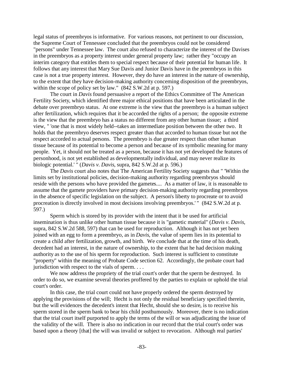legal status of preembryos is informative. For various reasons, not pertinent to our discussion, the Supreme Court of Tennessee concluded that the preembryos could not be considered "persons" under Tennessee law. The court also refused to characterize the interest of the Davises in the preembryos as a property interest under general property law; rather they "occupy an interim category that entitles them to special respect because of their potential for human life. It follows that any interest that Mary Sue Davis and Junior Davis have in the preembryos in this case is not a true property interest. However, they do have an interest in the nature of ownership, to the extent that they have decision-making authority concerning disposition of the preembryos, within the scope of policy set by law." (842 S.W.2d at p. 597.)

The court in *Davis* found persuasive a report of the Ethics Committee of The American Fertility Society, which identified three major ethical positions that have been articulated in the debate over preembryo status. At one extreme is the view that the preembryo is a human subject after fertilization, which requires that it be accorded the rights of a person; the opposite extreme is the view that the preembryo has a status no different from any other human tissue; a third view, " 'one that is most widely held--takes an intermediate position between the other two. It holds that the preembryo deserves respect greater than that accorded to human tissue but not the respect accorded to actual persons. The preembryo is due greater respect than other human tissue because of its potential to become a person and because of its symbolic meaning for many people. Yet, it should not be treated as a person, because it has not yet developed the features of personhood, is not yet established as developmentally individual, and may never realize its biologic potential.' " (*Davis v. Davis*, supra, 842 S.W.2d at p. 596.)

The *Davis* court also notes that The American Fertility Society suggests that " 'Within the limits set by institutional policies, decision-making authority regarding preembryos should reside with the persons who have provided the gametes.... As a matter of law, it is reasonable to assume that the gamete providers have primary decision-making authority regarding preembryos in the absence of specific legislation on the subject. A person's liberty to procreate or to avoid procreation is directly involved in most decisions involving preembryos.'" (842 S.W.2d at p. 597.)

Sperm which is stored by its provider with the intent that it be used for artificial insemination is thus unlike other human tissue because it is "gametic material" (*Davis v. Davis*, supra, 842 S.W.2d 588, 597) that can be used for reproduction. Although it has not yet been joined with an egg to form a preembryo, as in *Davis*, the value of sperm lies in its potential to create a child after fertilization, growth, and birth. We conclude that at the time of his death, decedent had an interest, in the nature of ownership, to the extent that he had decision making authority as to the use of his sperm for reproduction. Such interest is sufficient to constitute "property" within the meaning of Probate Code section 62. Accordingly, the probate court had jurisdiction with respect to the vials of sperm. . . .

We now address the propriety of the trial court's order that the sperm be destroyed. In order to do so, we examine several theories proffered by the parties to explain or uphold the trial court's order.

In this case, the trial court could not have properly ordered the sperm destroyed by applying the provisions of the will; Hecht is not only the residual beneficiary specified therein, but the will evidences the decedent's intent that Hecht, should she so desire, is to receive his sperm stored in the sperm bank to bear his child posthumously. Moreover, there is no indication that the trial court itself purported to apply the terms of the will or was adjudicating the issue of the validity of the will. There is also no indication in our record that the trial court's order was based upon a theory [that] the will was invalid or subject to revocation. Although real parties'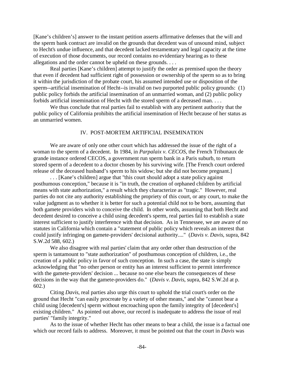[Kane's children's] answer to the instant petition asserts affirmative defenses that the will and the sperm bank contract are invalid on the grounds that decedent was of unsound mind, subject to Hecht's undue influence, and that decedent lacked testamentary and legal capacity at the time of execution of those documents, our record contains no evidentiary hearing as to these allegations and the order cannot be upheld on these grounds. . . .

Real parties [Kane's children] attempt to justify the order as premised upon the theory that even if decedent had sufficient right of possession or ownership of the sperm so as to bring it within the jurisdiction of the probate court, his assumed intended use or disposition of the sperm--artificial insemination of Hecht--is invalid on two purported public policy grounds: (1) public policy forbids the artificial insemination of an unmarried woman, and (2) public policy forbids artificial insemination of Hecht with the stored sperm of a deceased man. . . .

We thus conclude that real parties fail to establish with any pertinent authority that the public policy of California prohibits the artificial insemination of Hecht because of her status as an unmarried women.

### IV. POST-MORTEM ARTIFICIAL INSEMINATION

We are aware of only one other court which has addressed the issue of the right of a woman to the sperm of a decedent. In 1984, in *Parpalaix v. CECOS*, the French Tribunaux de grande instance ordered CECOS, a government run sperm bank in a Paris suburb, to return stored sperm of a decedent to a doctor chosen by his surviving wife. [The French court ordered release of the deceased husband's sperm to his widow; but she did not become pregnant.]

. . . [Kane's children] argue that "this court should adopt a state policy against posthumous conception," because it is "in truth, the creation of orphaned children by artificial means with state authorization," a result which they characterize as "tragic." However, real parties do not cite any authority establishing the propriety of this court, or any court, to make the value judgment as to whether it is better for such a potential child not to be born, assuming that both gamete providers wish to conceive the child. In other words, assuming that both Hecht and decedent desired to conceive a child using decedent's sperm, real parties fail to establish a state interest sufficient to justify interference with that decision. As in Tennessee, we are aware of no statutes in California which contain a "statement of public policy which reveals an interest that could justify infringing on gamete-providers' decisional authority...." (*Davis v. Davis*, supra, 842 S.W.2d 588, 602.)

We also disagree with real parties' claim that any order other than destruction of the sperm is tantamount to "state authorization" of posthumous conception of children, i.e., the creation of a public policy in favor of such conception. In such a case, the state is simply acknowledging that "no other person or entity has an interest sufficient to permit interference with the gamete-providers' decision ... because no one else bears the consequences of these decisions in the way that the gamete-providers do." (*Davis v. Davis*, supra, 842 S.W.2d at p. 602.)

Citing *Davis*, real parties also urge this court to uphold the trial court's order on the ground that Hecht "can easily procreate by a variety of other means," and she "cannot bear a child using [decedent's] sperm without encroaching upon the family integrity of [decedent's] existing children." As pointed out above, our record is inadequate to address the issue of real parties' "family integrity."

As to the issue of whether Hecht has other means to bear a child, the issue is a factual one which our record fails to address. Moreover, it must be pointed out that the court in *Davis* was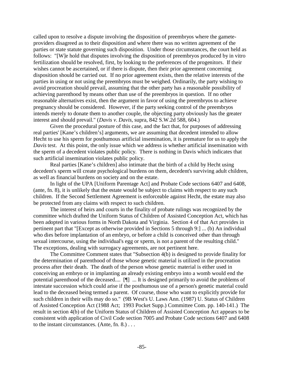called upon to resolve a dispute involving the disposition of preembryos where the gameteproviders disagreed as to their disposition and where there was no written agreement of the parties or state statute governing such disposition. Under those circumstances, the court held as follows: "[W]e hold that disputes involving the disposition of preembryos produced by in vitro fertilization should be resolved, first, by looking to the preferences of the progenitors. If their wishes cannot be ascertained, or if there is dispute, then their prior agreement concerning disposition should be carried out. If no prior agreement exists, then the relative interests of the parties in using or not using the preembryos must be weighed. Ordinarily, the party wishing to avoid procreation should prevail, assuming that the other party has a reasonable possibility of achieving parenthood by means other than use of the preembryos in question. If no other reasonable alternatives exist, then the argument in favor of using the preembryos to achieve pregnancy should be considered. However, if the party seeking control of the preembryos intends merely to donate them to another couple, the objecting party obviously has the greater interest and should prevail." (*Davis v. Davis*, supra, 842 S.W.2d 588, 604.)

Given the procedural posture of this case, and the fact that, for purposes of addressing real parties' [Kane's children's] arguments, we are assuming that decedent intended to allow Hecht to use his sperm for posthumous artificial insemination, it is premature for us to apply the *Davis* test. At this point, the only issue which we address is whether artificial insemination with the sperm of a decedent violates public policy. There is nothing in Davis which indicates that such artificial insemination violates public policy.

Real parties [Kane's children] also intimate that the birth of a child by Hecht using decedent's sperm will create psychological burdens on them, decedent's surviving adult children, as well as financial burdens on society and on the estate.

In light of the UPA [Uniform Parentage Act] and Probate Code sections 6407 and 6408, (ante, fn. 8), it is unlikely that the estate would be subject to claims with respect to any such children. If the Second Settlement Agreement is enforceable against Hecht, the estate may also be protected from any claims with respect to such children.

The interest of heirs and courts in the finality of probate rulings was recognized by the committee which drafted the Uniform Status of Children of Assisted Conception Act, which has been adopted in various forms in North Dakota and Virginia. Section 4 of that Act provides in pertinent part that "[Except as otherwise provided in Sections 5 through 9:] ... (b) An individual who dies before implantation of an embryo, or before a child is conceived other than through sexual intercourse, using the individual's egg or sperm, is not a parent of the resulting child." The exceptions, dealing with surrogacy agreements, are not pertinent here.

The Committee Comment states that "Subsection 4(b) is designed to provide finality for the determination of parenthood of those whose genetic material is utilized in the procreation process after their death. The death of the person whose genetic material is either used in conceiving an embryo or in implanting an already existing embryo into a womb would end the potential parenthood of the deceased.... [¶] ... It is designed primarily to avoid the problems of intestate succession which could arise if the posthumous use of a person's genetic material could lead to the deceased being termed a parent. Of course, those who want to explicitly provide for such children in their wills may do so." (9B West's U. Laws Ann. (1987) U. Status of Children of Assisted Conception Act (1988 Act; 1993 Pocket Supp.) Committee Com. pp. 140-141.) The result in section 4(b) of the Uniform Status of Children of Assisted Conception Act appears to be consistent with application of Civil Code section 7005 and Probate Code sections 6407 and 6408 to the instant circumstances.  $(Ante, fn, 8.) \ldots$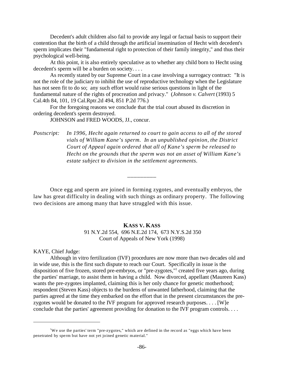Decedent's adult children also fail to provide any legal or factual basis to support their contention that the birth of a child through the artificial insemination of Hecht with decedent's sperm implicates their "fundamental right to protection of their family integrity," and thus their psychological well-being.

At this point, it is also entirely speculative as to whether any child born to Hecht using decedent's sperm will be a burden on society. . . .

As recently stated by our Supreme Court in a case involving a surrogacy contract: "It is not the role of the judiciary to inhibit the use of reproductive technology when the Legislature has not seen fit to do so; any such effort would raise serious questions in light of the fundamental nature of the rights of procreation and privacy." (*Johnson v. Calvert* (1993) 5 Cal.4th 84, 101, 19 Cal.Rptr.2d 494, 851 P.2d 776.)

For the foregoing reasons we conclude that the trial court abused its discretion in ordering decedent's sperm destroyed.

JOHNSON and FRED WOODS, JJ., concur.

*Postscript: In 1996, Hecht again returned to court to gain access to all of the stored vials of William Kane's sperm. In an unpublished opinion, the District Court of Appeal again ordered that all of Kane's sperm be released to Hecht on the grounds that the sperm was not an asset of William Kane's estate subject to division in the settlement agreements.*

Once egg and sperm are joined in forming zygotes, and eventually embryos, the law has great difficulty in dealing with such things as ordinary property. The following two decisions are among many that have struggled with this issue.

\_\_\_\_\_\_\_\_\_

## **KASS V. KASS** 91 N.Y.2d 554, 696 N.E.2d 174, 673 N.Y.S.2d 350 Court of Appeals of New York (1998)

KAYE, Chief Judge:

Although in vitro fertilization (IVF) procedures are now more than two decades old and in wide use, this is the first such dispute to reach our Court. Specifically in issue is the disposition of five frozen, stored pre-embryos, or "pre-zygotes," created five years ago, during the parties' marriage, to assist them in having a child. Now divorced, appellant (Maureen Kass) wants the pre-zygotes implanted, claiming this is her only chance for genetic motherhood; respondent (Steven Kass) objects to the burdens of unwanted fatherhood, claiming that the parties agreed at the time they embarked on the effort that in the present circumstances the prezygotes would be donated to the IVF program for approved research purposes. . . . [W]e conclude that the parties' agreement providing for donation to the IVF program controls. . . .

<sup>&</sup>lt;sup>1</sup>We use the parties' term "pre-zygotes," which are defined in the record as "eggs which have been penetrated by sperm but have not yet joined genetic material."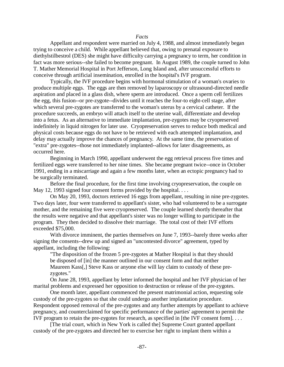#### *Facts*

Appellant and respondent were married on July 4, 1988, and almost immediately began trying to conceive a child. While appellant believed that, owing to prenatal exposure to diethylstilbestrol (DES) she might have difficulty carrying a pregnancy to term, her condition in fact was more serious--she failed to become pregnant. In August 1989, the couple turned to John T. Mather Memorial Hospital in Port Jefferson, Long Island and, after unsuccessful efforts to conceive through artificial insemination, enrolled in the hospital's IVF program.

Typically, the IVF procedure begins with hormonal stimulation of a woman's ovaries to produce multiple eggs. The eggs are then removed by laparoscopy or ultrasound-directed needle aspiration and placed in a glass dish, where sperm are introduced. Once a sperm cell fertilizes the egg, this fusion--or pre-zygote--divides until it reaches the four-to eight-cell stage, after which several pre-zygotes are transferred to the woman's uterus by a cervical catheter. If the procedure succeeds, an embryo will attach itself to the uterine wall, differentiate and develop into a fetus. As an alternative to immediate implantation, pre-zygotes may be cryopreserved indefinitely in liquid nitrogen for later use. Cryopreservation serves to reduce both medical and physical costs because eggs do not have to be retrieved with each attempted implantation, and delay may actually improve the chances of pregnancy. At the same time, the preservation of "extra" pre-zygotes--those not immediately implanted--allows for later disagreements, as occurred here.

Beginning in March 1990, appellant underwent the egg retrieval process five times and fertilized eggs were transferred to her nine times. She became pregnant twice--once in October 1991, ending in a miscarriage and again a few months later, when an ectopic pregnancy had to be surgically terminated.

Before the final procedure, for the first time involving cryopreservation, the couple on May 12, 1993 signed four consent forms provided by the hospital. . . .

On May 20, 1993, doctors retrieved 16 eggs from appellant, resulting in nine pre-zygotes. Two days later, four were transferred to appellant's sister, who had volunteered to be a surrogate mother, and the remaining five were cryopreserved. The couple learned shortly thereafter that the results were negative and that appellant's sister was no longer willing to participate in the program. They then decided to dissolve their marriage. The total cost of their IVF efforts exceeded \$75,000.

With divorce imminent, the parties themselves on June 7, 1993--barely three weeks after signing the consents--drew up and signed an "uncontested divorce" agreement, typed by appellant, including the following:

"The disposition of the frozen 5 pre-zygotes at Mather Hospital is that they should be disposed of [in] the manner outlined in our consent form and that neither Maureen Kass[,] Steve Kass or anyone else will lay claim to custody of these prezygotes."

On June 28, 1993, appellant by letter informed the hospital and her IVF physician of her marital problems and expressed her opposition to destruction or release of the pre-zygotes.

One month later, appellant commenced the present matrimonial action, requesting sole custody of the pre-zygotes so that she could undergo another implantation procedure. Respondent opposed removal of the pre-zygotes and any further attempts by appellant to achieve pregnancy, and counterclaimed for specific performance of the parties' agreement to permit the IVF program to retain the pre-zygotes for research, as specified in [the IVF consent form]. . . .

[The trial court, which in New York is called the] Supreme Court granted appellant custody of the pre-zygotes and directed her to exercise her right to implant them within a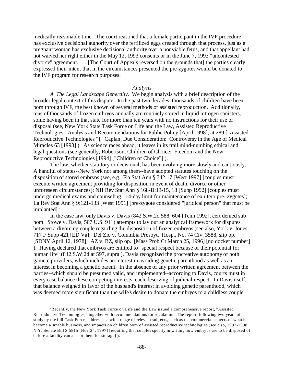medically reasonable time. The court reasoned that a female participant in the IVF procedure has exclusive decisional authority over the fertilized eggs created through that process, just as a pregnant woman has exclusive decisional authority over a nonviable fetus, and that appellant had not waived her right either in the May 12, 1993 consents or in the June 7, 1993 "uncontested divorce" agreement. . . . [The Court of Appeals reversed on the grounds that] the parties clearly expressed their intent that in the circumstances presented the pre-zygotes would be donated to the IVF program for research purposes.

#### *Analysis*

*A. The Legal Landscape Generally.* We begin analysis with a brief description of the broader legal context of this dispute. In the past two decades, thousands of children have been born through IVF, the best known of several methods of assisted reproduction. Additionally, tens of thousands of frozen embryos annually are routinely stored in liquid nitrogen canisters, some having been in that state for more than ten years with no instructions for their use or disposal (see, New York State Task Force on Life and the Law, Assisted Reproductive Technologies: Analysis and Recommendations for Public Policy [April 1998], at 289 ["Assisted Reproductive Technologies "]; Caplan, Due Consideration: Controversy in the Age of Medical Miracles 63 [1998] ). As science races ahead, it leaves in its trail mind-numbing ethical and legal questions (see generally, Robertson, Children of Choice: Freedom and the New Reproductive Technologies [1994] ["Children of Choice"] ).

The law, whether statutory or decisional, has been evolving more slowly and cautiously. A handful of states--New York not among them--have adopted statutes touching on the disposition of stored embryos (see, e.g., Fla Stat Ann § 742.17 [West 1997] [couples must execute written agreement providing for disposition in event of death, divorce or other unforeseen circumstances]; NH Rev Stat Ann § 168-B:13-15, 18 [Supp 1992] [couples must undergo medical exams and counseling; 14-day limit for maintenance of ex utero pre- zygotes]; La Rev Stat Ann § 9:121-133 [West 1991] [pre-zygote considered "juridical person" that must be implanted].<sup>2</sup>

In the case law, only Davis v. Davis (842 S.W.2d 588, 604 [Tenn 1992], cert denied sub nom. Stowe v. Davis, 507 U.S. 911) attempts to lay out an analytical framework for disputes between a divorcing couple regarding the disposition of frozen embryos (see also, York v. Jones, 717 F Supp 421 [ED Va]; Del Zio v. Columbia Presbyt. Hosp., No. 74 Civ. 3588, slip op. [SDNY April 12, 1978]; AZ v. BZ, slip op. [Mass Prob Ct March 25, 1996] [no docket number] ). Having declared that embryos are entitled to "special respect because of their potential for human life" (842 S.W.2d at 597, supra ), Davis recognized the procreative autonomy of both gamete providers, which includes an interest in avoiding genetic parenthood as well as an interest in becoming a genetic parent. In the absence of any prior written agreement between the parties--which should be presumed valid, and implemented--according to Davis, courts must in every case balance these competing interests, each deserving of judicial respect. In Davis itself, that balance weighed in favor of the husband's interest in avoiding genetic parenthood, which was deemed more significant than the wife's desire to donate the embryos to a childless couple.

<sup>2</sup>Recently, the New York Task Force on Life and the Law issued a comprehensive report, "Assisted Reproductive Technologies," together with recommendations for regulation. The report, following two years of study by the full Task Force, addresses a wide range of relevant subjects, such as the commercial aspects of what has become a sizable business, and impacts on children born of assisted reproductive technologies (see also, 1997-1998 N.Y. Senate Bill S 5815 [Nov 24, 1997] [requiring that couples specify in writing how embryos are to be disposed of before a facility can accept them for storage] ).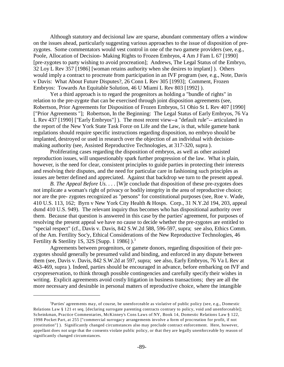Although statutory and decisional law are sparse, abundant commentary offers a window on the issues ahead, particularly suggesting various approaches to the issue of disposition of prezygotes. Some commentators would vest control in one of the two gamete providers (see, e.g., Poole, Allocation of Decision- Making Rights to Frozen Embryos, 4 Am J Fam L 67 [1990] [pre-zygotes to party wishing to avoid procreation]; Andrews, The Legal Status of the Embryo, 32 Loy L Rev 357 [1986] [woman retains authority when she desires to implant] ). Others would imply a contract to procreate from participation in an IVF program (see, e.g., Note, Davis v Davis: What About Future Disputes?, 26 Conn L Rev 305 [1993]; Comment, Frozen Embryos: Towards An Equitable Solution, 46 U Miami L Rev 803 [1992] ).

Yet a third approach is to regard the progenitors as holding a "bundle of rights" in relation to the pre-zygote that can be exercised through joint disposition agreements (see, Robertson, Prior Agreements for Disposition of Frozen Embryos, 51 Ohio St L Rev 407 [1990] ["Prior Agreements "]; Robertson, In the Beginning: The Legal Status of Early Embryos, 76 Va L Rev 437 [1990] ["Early Embryos"] ). The most recent view--a "default rule"-- articulated in the report of the New York State Task Force on Life and the Law, is that, while gamete bank regulations should require specific instructions regarding disposition, no embryo should be implanted, destroyed or used in research over the objection of an individual with decisionmaking authority (see, Assisted Reproductive Technologies, at 317-320, supra ).

Proliferating cases regarding the disposition of embryos, as well as other assisted reproduction issues, will unquestionably spark further progression of the law. What is plain, however, is the need for clear, consistent principles to guide parties in protecting their interests and resolving their disputes, and the need for particular care in fashioning such principles as issues are better defined and appreciated. Against that backdrop we turn to the present appeal.

*B. The Appeal Before Us.* . . . [W]e conclude that disposition of these pre-zygotes does not implicate a woman's right of privacy or bodily integrity in the area of reproductive choice; nor are the pre- zygotes recognized as "persons" for constitutional purposes (see, Roe v. Wade, 410 U.S. 113, 162; Byrn v New York City Health & Hosps. Corp., 31 N.Y.2d 194, 203, appeal dsmd 410 U.S. 949). The relevant inquiry thus becomes who has dispositional authority over them. Because that question is answered in this case by the parties' agreement, for purposes of resolving the present appeal we have no cause to decide whether the pre-zygotes are entitled to "special respect" (cf., Davis v. Davis, 842 S.W.2d 588, 596-597, supra; see also, Ethics Comm. of the Am. Fertility Soc'y, Ethical Considerations of the New Reproductive Technologies, 46 Fertility & Sterility 1S, 32S [Supp. 1 1986]  $)$ .<sup>3</sup>

Agreements between progenitors, or gamete donors, regarding disposition of their prezygotes should generally be presumed valid and binding, and enforced in any dispute between them (see, Davis v. Davis, 842 S.W.2d at 597, supra; see also, Early Embryos, 76 Va L Rev at 463-469, supra ). Indeed, parties should be encouraged in advance, before embarking on IVF and cryopreservation, to think through possible contingencies and carefully specify their wishes in writing. Explicit agreements avoid costly litigation in business transactions; they are all the more necessary and desirable in personal matters of reproductive choice, where the intangible

<sup>&</sup>lt;sup>3</sup>Parties' agreements may, of course, be unenforceable as violative of public policy (see, e.g., Domestic Relations Law § 121 et seq. [declaring surrogate parenting contracts contrary to policy, void and unenforceable]; Scheinkman, Practice Commentaries, McKinney's Cons Laws of NY, Book 14, Domestic Relations Law § 122, 1998 Pocket Part, at 255 ["commercial surrogacy arrangements involve a form of procreation for profit, if not prostitution"] ). Significantly changed circumstances also may preclude contract enforcement. Here, however, appellant does not urge that the consents violate public policy, or that they are legally unenforceable by reason of significantly changed circumstances.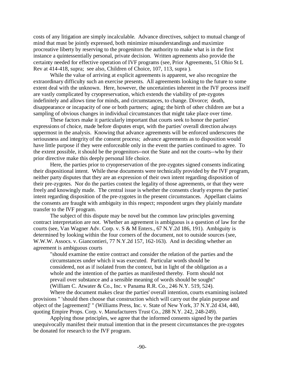costs of any litigation are simply incalculable. Advance directives, subject to mutual change of mind that must be jointly expressed, both minimize misunderstandings and maximize procreative liberty by reserving to the progenitors the authority to make what is in the first instance a quintessentially personal, private decision. Written agreements also provide the certainty needed for effective operation of IVF programs (see, Prior Agreements, 51 Ohio St L Rev at 414-418, supra; see also, Children of Choice, 107, 113, supra ).

While the value of arriving at explicit agreements is apparent, we also recognize the extraordinary difficulty such an exercise presents. All agreements looking to the future to some extent deal with the unknown. Here, however, the uncertainties inherent in the IVF process itself are vastly complicated by cryopreservation, which extends the viability of pre-zygotes indefinitely and allows time for minds, and circumstances, to change. Divorce; death, disappearance or incapacity of one or both partners; aging; the birth of other children are but a sampling of obvious changes in individual circumstances that might take place over time.

These factors make it particularly important that courts seek to honor the parties' expressions of choice, made before disputes erupt, with the parties' overall direction always uppermost in the analysis. Knowing that advance agreements will be enforced underscores the seriousness and integrity of the consent process; advance agreements as to disposition would have little purpose if they were enforceable only in the event the parties continued to agree. To the extent possible, it should be the progenitors--not the State and not the courts--who by their prior directive make this deeply personal life choice.

Here, the parties prior to cryopreservation of the pre-zygotes signed consents indicating their dispositional intent. While these documents were technically provided by the IVF program, neither party disputes that they are an expression of their own intent regarding disposition of their pre-zygotes. Nor do the parties contest the legality of those agreements, or that they were freely and knowingly made. The central issue is whether the consents clearly express the parties' intent regarding disposition of the pre-zygotes in the present circumstances. Appellant claims the consents are fraught with ambiguity in this respect; respondent urges they plainly mandate transfer to the IVF program.

The subject of this dispute may be novel but the common law principles governing contract interpretation are not. Whether an agreement is ambiguous is a question of law for the courts (see, Van Wagner Adv. Corp. v. S & M Enters., 67 N.Y.2d 186, 191). Ambiguity is determined by looking within the four corners of the document, not to outside sources (see, W.W.W. Assocs. v. Giancontieri, 77 N.Y.2d 157, 162-163). And in deciding whether an agreement is ambiguous courts

"should examine the entire contract and consider the relation of the parties and the circumstances under which it was executed. Particular words should be considered, not as if isolated from the context, but in light of the obligation as a whole and the intention of the parties as manifested thereby. Form should not prevail over substance and a sensible meaning of words should be sought" (William C. Atwater & Co., Inc. v Panama R.R. Co., 246 N.Y. 519, 524).

Where the document makes clear the parties' overall intention, courts examining isolated provisions " 'should then choose that construction which will carry out the plain purpose and object of the [agreement]' " (Williams Press, Inc. v. State of New York, 37 N.Y.2d 434, 440, quoting Empire Props. Corp. v. Manufacturers Trust Co., 288 N.Y. 242, 248-249).

Applying those principles, we agree that the informed consents signed by the parties unequivocally manifest their mutual intention that in the present circumstances the pre-zygotes be donated for research to the IVF program.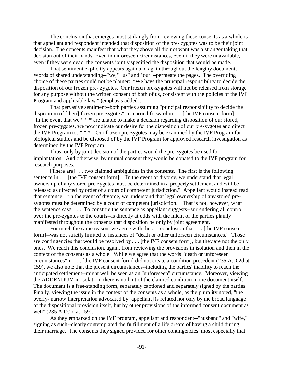The conclusion that emerges most strikingly from reviewing these consents as a whole is that appellant and respondent intended that disposition of the pre- zygotes was to be their joint decision. The consents manifest that what they above all did not want was a stranger taking that decision out of their hands. Even in unforeseen circumstances, even if they were unavailable, even if they were dead, the consents jointly specified the disposition that would be made.

That sentiment explicitly appears again and again throughout the lengthy documents. Words of shared understanding--"we," "us" and "our"--permeate the pages. The overriding choice of these parties could not be plainer: "We have the principal responsibility to decide the disposition of our frozen pre- zygotes. Our frozen pre-zygotes will not be released from storage for any purpose without the written consent of both of us, consistent with the policies of the IVF Program and applicable law " (emphasis added).

That pervasive sentiment--both parties assuming "principal responsibility to decide the disposition of [their] frozen pre-zygotes"--is carried forward in . . . [the IVF consent form]: "In the event that we \* \* \* are unable to make a decision regarding disposition of our stored, frozen pre-zygotes, we now indicate our desire for the disposition of our pre-zygotes and direct the IVF Program to: \* \* \* "Our frozen pre-zygotes may be examined by the IVF Program for biological studies and be disposed of by the IVF Program for approved research investigation as determined by the IVF Program."

Thus, only by joint decision of the parties would the pre-zygotes be used for implantation. And otherwise, by mutual consent they would be donated to the IVF program for research purposes.

[There are] . . . two claimed ambiguities in the consents. The first is the following sentence in . . . [the IVF consent form]: "In the event of divorce, we understand that legal ownership of any stored pre-zygotes must be determined in a property settlement and will be released as directed by order of a court of competent jurisdiction." Appellant would instead read that sentence: "In the event of divorce, we understand that legal ownership of any stored prezygotes must be determined by a court of competent jurisdiction." That is not, however, what the sentence says. . . . To construe the sentence as appellant suggests--surrendering all control over the pre-zygotes to the courts--is directly at odds with the intent of the parties plainly manifested throughout the consents that disposition be only by joint agreement.

For much the same reason, we agree with the ... conclusion that ... [the IVF consent form]--was not strictly limited to instances of "death or other unforseen circumstances." Those are contingencies that would be resolved by . . . [the IVF consent form], but they are not the only ones. We reach this conclusion, again, from reviewing the provisions in isolation and then in the context of the consents as a whole. While we agree that the words "death or unforeseen circumstances" in . . . [the IVF consent form] did not create a condition precedent (235 A.D.2d at 159), we also note that the present circumstances--including the parties' inability to reach the anticipated settlement--might well be seen as an "unforeseen" circumstance. Moreover, viewing the ADDENDUM in isolation, there is no hint of the claimed condition in the document itself. The document is a free-standing form, separately captioned and separately signed by the parties. Finally, viewing the issue in the context of the consents as a whole, as the plurality noted, "the overly- narrow interpretation advocated by [appellant] is refuted not only by the broad language of the dispositional provision itself, but by other provisions of the informed consent document as well" (235 A.D.2d at 159).

As they embarked on the IVF program, appellant and respondent--"husband" and "wife," signing as such--clearly contemplated the fulfillment of a life dream of having a child during their marriage. The consents they signed provided for other contingencies, most especially that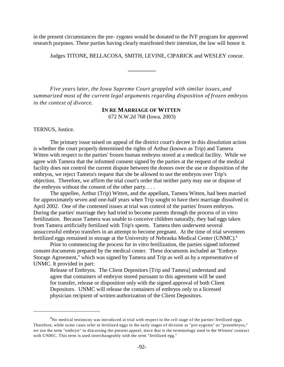in the present circumstances the pre- zygotes would be donated to the IVF program for approved research purposes. These parties having clearly manifested their intention, the law will honor it.

Judges TITONE, BELLACOSA, SMITH, LEVINE, CIPARICK and WESLEY concur.

*Five years later, the Iowa Supreme Court grappled with similar issues, and summarized most of the current legal arguments regarding disposition of frozen embryos in the context of divorce.*

**\_\_\_\_\_\_\_\_\_\_**

**IN RE MARRIAGE OF WITTEN** 

672 N.W.2d 768 (Iowa, 2003)

TERNUS, Justice.

The primary issue raised on appeal of the district court's decree in this dissolution action is whether the court properly determined the rights of Arthur (known as Trip) and Tamera Witten with respect to the parties' frozen human embryos stored at a medical facility. While we agree with Tamera that the informed consent signed by the parties at the request of the medical facility does not control the current dispute between the donors over the use or disposition of the embryos, we reject Tamera's request that she be allowed to use the embryos over Trip's objection. Therefore, we affirm the trial court's order that neither party may use or dispose of the embryos without the consent of the other party. . . .

The appellee, Arthur (Trip) Witten, and the appellant, Tamera Witten, had been married for approximately seven and one-half years when Trip sought to have their marriage dissolved in April 2002. One of the contested issues at trial was control of the parties' frozen embryos. During the parties' marriage they had tried to become parents through the process of in vitro fertilization. Because Tamera was unable to conceive children naturally, they had eggs taken from Tamera artificially fertilized with Trip's sperm. Tamera then underwent several unsuccessful embryo transfers in an attempt to become pregnant. At the time of trial seventeen fertilized eggs remained in storage at the University of Nebraska Medical Center (UNMC).<sup>4</sup>

Prior to commencing the process for in vitro fertilization, the parties signed informed consent documents prepared by the medical center. These documents included an "Embryo Storage Agreement," which was signed by Tamera and Trip as well as by a representative of UNMC. It provided in part:

Release of Embryos. The Client Depositors [Trip and Tamera] understand and agree that containers of embryos stored pursuant to this agreement will be used for transfer, release or disposition only with the signed approval of both Client Depositors. UNMC will release the containers of embryos only to a licensed physician recipient of written authorization of the Client Depositors.

<sup>&</sup>lt;sup>4</sup>No medical testimony was introduced at trial with respect to the cell stage of the parties' fertilized eggs. Therefore, while some cases refer to fertilized eggs in the early stages of division as "pre-zygotes" or "preembryos," we use the term "embryo" in discussing the present appeal, since that is the terminology used in the Wittens' contract with UNMC. This term is used interchangeably with the term "fertilized egg."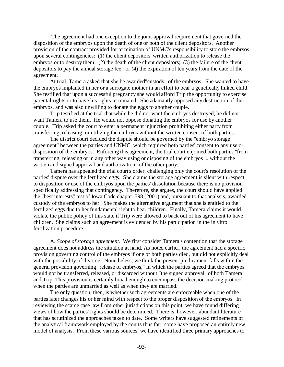The agreement had one exception to the joint-approval requirement that governed the disposition of the embryos upon the death of one or both of the client depositors. Another provision of the contract provided for termination of UNMC's responsibility to store the embryos upon several contingencies: (1) the client depositors' written authorization to release the embryos or to destroy them; (2) the death of the client depositors; (3) the failure of the client depositors to pay the annual storage fee; or (4) the expiration of ten years from the date of the agreement.

At trial, Tamera asked that she be awarded"custody" of the embryos. She wanted to have the embryos implanted in her or a surrogate mother in an effort to bear a genetically linked child. She testified that upon a successful pregnancy she would afford Trip the opportunity to exercise parental rights or to have his rights terminated. She adamantly opposed any destruction of the embryos, and was also unwilling to donate the eggs to another couple.

Trip testified at the trial that while he did not want the embryos destroyed, he did not want Tamera to use them. He would not oppose donating the embryos for use by another couple. Trip asked the court to enter a permanent injunction prohibiting either party from transferring, releasing, or utilizing the embryos without the written consent of both parties.

The district court decided the dispute should be governed by the "embryo storage agreement" between the parties and UNMC, which required both parties' consent to any use or disposition of the embryos. Enforcing this agreement, the trial court enjoined both parties "from transferring, releasing or in any other way using or disposing of the embryos ... without the written and signed approval and authorization" of the other party.

Tamera has appealed the trial court's order, challenging only the court's resolution of the parties' dispute over the fertilized eggs. She claims the storage agreement is silent with respect to disposition or use of the embryos upon the parties' dissolution because there is no provision specifically addressing that contingency. Therefore, she argues, the court should have applied the "best interests" test of Iowa Code chapter 598 (2001) and, pursuant to that analysis, awarded custody of the embryos to her. She makes the alternative argument that she is entitled to the fertilized eggs due to her fundamental right to bear children. Finally, Tamera claims it would violate the public policy of this state if Trip were allowed to back out of his agreement to have children. She claims such an agreement is evidenced by his participation in the in vitro fertilization procedure. . . .

A. *Scope of storage agreement.* We first consider Tamera's contention that the storage agreement does not address the situation at hand. As noted earlier, the agreement had a specific provision governing control of the embryos if one or both parties died, but did not explicitly deal with the possibility of divorce. Nonetheless, we think the present predicament falls within the general provision governing "release of embryos," in which the parties agreed that the embryos would not be transferred, released, or discarded without "the signed approval" of both Tamera and Trip. This provision is certainly broad enough to encompass the decision-making protocol when the parties are unmarried as well as when they are married.

The only question, then, is whether such agreements are enforceable when one of the parties later changes his or her mind with respect to the proper disposition of the embryos. In reviewing the scarce case law from other jurisdictions on this point, we have found differing views of how the parties' rights should be determined. There is, however, abundant literature that has scrutinized the approaches taken to date. Some writers have suggested refinements of the analytical framework employed by the courts thus far; some have proposed an entirely new model of analysis. From these various sources, we have identified three primary approaches to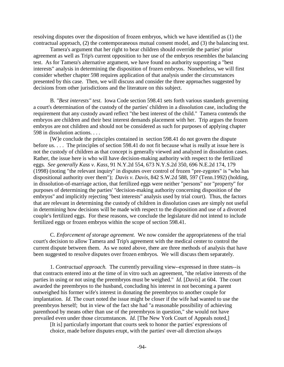resolving disputes over the disposition of frozen embryos, which we have identified as (1) the contractual approach, (2) the contemporaneous mutual consent model, and (3) the balancing test.

Tamera's argument that her right to bear children should override the parties' prior agreement as well as Trip's current opposition to her use of the embryos resembles the balancing test. As for Tamera's alternative argument, we have found no authority supporting a "best interests" analysis in determining the disposition of frozen embryos. Nonetheless, we will first consider whether chapter 598 requires application of that analysis under the circumstances presented by this case. Then, we will discuss and consider the three approaches suggested by decisions from other jurisdictions and the literature on this subject.

B. *"Best interests" test.* Iowa Code section 598.41 sets forth various standards governing a court's determination of the custody of the parties' children in a dissolution case, including the requirement that any custody award reflect "the best interest of the child." Tamera contends the embryos are children and their best interest demands placement with her. Trip argues the frozen embryos are not children and should not be considered as such for purposes of applying chapter 598 in dissolution actions. . . .

[W]e conclude the principles contained in section 598.41 do not govern the dispute before us. . . . The principles of section 598.41 do not fit because what is really at issue here is not the custody of children as that concept is generally viewed and analyzed in dissolution cases. Rather, the issue here is who will have decision-making authority with respect to the fertilized eggs. *See generally Kass v. Kass,* 91 N.Y.2d 554, 673 N.Y.S.2d 350, 696 N.E.2d 174, 179 (1998) (noting "the relevant inquiry" in disputes over control of frozen "pre-zygotes" is "who has dispositional authority over them"); *Davis v. Davis,* 842 S.W.2d 588, 597 (Tenn.1992) (holding, in dissolution-of-marriage action, that fertilized eggs were neither "persons" nor "property" for purposes of determining the parties' "decision-making authority concerning disposition of the embryos" and implicitly rejecting "best interests" analysis used by trial court). Thus, the factors that are relevant in determining the custody of children in dissolution cases are simply not useful in determining how decisions will be made with respect to the disposition and use of a divorced couple's fertilized eggs. For these reasons, we conclude the legislature did not intend to include fertilized eggs or frozen embryos within the scope of section 598.41.

C. *Enforcement of storage agreement.* We now consider the appropriateness of the trial court's decision to allow Tamera and Trip's agreement with the medical center to control the current dispute between them. As we noted above, there are three methods of analysis that have been suggested to resolve disputes over frozen embryos. We will discuss them separately.

1. *Contractual approach.* The currently prevailing view--expressed in three states--is that contracts entered into at the time of in vitro such an agreement, "the relative interests of the parties in using or not using the preembryos must be weighed." *Id.* [*Davis*] at 604. The court awarded the preembryos to the husband, concluding his interest in not becoming a parent outweighed his former wife's interest in donating the preembryos to another couple for implantation. *Id.* The court noted the issue might be closer if the wife had wanted to use the preembryos herself; but in view of the fact she had "a reasonable possibility of achieving parenthood by means other than use of the preembryos in question," she would not have prevailed even under those circumstances. *Id.* [The New York Court of Appeals noted,]

[It is] particularly important that courts seek to honor the parties' expressions of choice, made before disputes erupt, with the parties' over-all direction always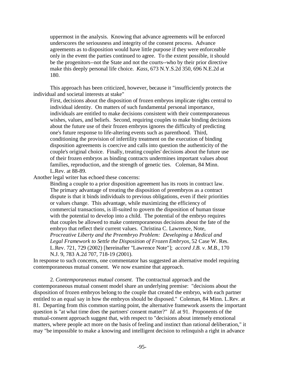uppermost in the analysis. Knowing that advance agreements will be enforced underscores the seriousness and integrity of the consent process. Advance agreements as to disposition would have little purpose if they were enforceable only in the event the parties continued to agree. To the extent possible, it should be the progenitors--not the State and not the courts--who by their prior directive make this deeply personal life choice. *Kass,* 673 N.Y.S.2d 350, 696 N.E.2d at 180.

This approach has been criticized, however, because it "insufficiently protects the individual and societal interests at stake"

First, decisions about the disposition of frozen embryos implicate rights central to individual identity. On matters of such fundamental personal importance, individuals are entitled to make decisions consistent with their contemporaneous wishes, values, and beliefs. Second, requiring couples to make binding decisions about the future use of their frozen embryos ignores the difficulty of predicting one's future response to life-altering events such as parenthood. Third, conditioning the provision of infertility treatment on the execution of binding disposition agreements is coercive and calls into question the authenticity of the couple's original choice. Finally, treating couples' decisions about the future use of their frozen embryos as binding contracts undermines important values about families, reproduction, and the strength of genetic ties. Coleman, 84 Minn. L.Rev. at 88-89.

Another legal writer has echoed these concerns:

Binding a couple to a prior disposition agreement has its roots in contract law. The primary advantage of treating the disposition of preembryos as a contract dispute is that it binds individuals to previous obligations, even if their priorities or values change. This advantage, while maximizing the efficiency of commercial transactions, is ill-suited to govern the disposition of human tissue with the potential to develop into a child. The potential of the embryo requires that couples be allowed to make contemporaneous decisions about the fate of the embryo that reflect their current values. Christina C. Lawrence, Note, *Procreative Liberty and the Preembryo Problem: Developing a Medical and Legal Framework to Settle the Disposition of Frozen Embryos,* 52 Case W. Res. L.Rev. 721, 729 (2002) [hereinafter "Lawrence Note"]; *accord J.B. v. M.B.,* 170 N.J. 9, 783 A.2d 707, 718-19 (2001).

In response to such concerns, one commentator has suggested an alternative model requiring contemporaneous mutual consent. We now examine that approach.

2. *Contemporaneous mutual consent.* The contractual approach and the contemporaneous mutual consent model share an underlying premise: "decisions about the disposition of frozen embryos belong to the couple that created the embryo, with each partner entitled to an equal say in how the embryos should be disposed." Coleman, 84 Minn. L.Rev. at 81. Departing from this common starting point, the alternative framework asserts the important question is "at what time does the partners' consent matter?" *Id.* at 91. Proponents of the mutual-consent approach suggest that, with respect to "decisions about intensely emotional matters, where people act more on the basis of feeling and instinct than rational deliberation," it may "be impossible to make a knowing and intelligent decision to relinquish a right in advance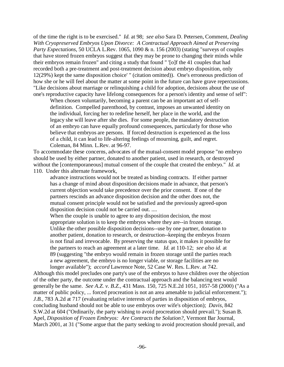of the time the right is to be exercised." *Id.* at 98; *see also* Sara D. Petersen, Comment, *Dealing With Cryopreserved Embryos Upon Divorce: A Contractual Approach Aimed at Preserving Party Expectations,* 50 UCLA L.Rev. 1065, 1090 & n. 156 (2003) (stating "surveys of couples that have stored frozen embryos suggest that they may be prone to changing their minds while their embryos remain frozen" and citing a study that found " '[o]f the 41 couples that had recorded both a pre-treatment and post-treatment decision about embryo disposition, only 12(29%) kept the same disposition choice' " (citation omitted)). One's erroneous prediction of how she or he will feel about the matter at some point in the future can have grave repercussions. "Like decisions about marriage or relinquishing a child for adoption, decisions about the use of one's reproductive capacity have lifelong consequences for a person's identity and sense of self":

When chosen voluntarily, becoming a parent can be an important act of selfdefinition. Compelled parenthood, by contrast, imposes an unwanted identity on the individual, forcing her to redefine herself, her place in the world, and the legacy she will leave after she dies. For some people, the mandatory destruction of an embryo can have equally profound consequences, particularly for those who believe that embryos are persons. If forced destruction is experienced as the loss of a child, it can lead to life-altering feelings of mourning, guilt, and regret. Coleman, 84 Minn. L.Rev. at 96-97.

To accommodate these concerns, advocates of the mutual-consent model propose "no embryo should be used by either partner, donated to another patient, used in research, or destroyed without the [contemporaneous] mutual consent of the couple that created the embryo." *Id.* at 110. Under this alternate framework,

advance instructions would not be treated as binding contracts. If either partner has a change of mind about disposition decisions made in advance, that person's current objection would take precedence over the prior consent. If one of the partners rescinds an advance disposition decision and the other does not, the mutual consent principle would not be satisfied and the previously agreed-upon disposition decision could not be carried out. ....

When the couple is unable to agree to any disposition decision, the most appropriate solution is to keep the embryos where they are--in frozen storage. Unlike the other possible disposition decisions--use by one partner, donation to another patient, donation to research, or destruction--keeping the embryos frozen is not final and irrevocable. By preserving the status quo, it makes it possible for the partners to reach an agreement at a later time. *Id.* at 110-12; *see also id.* at 89 (suggesting "the embryo would remain in frozen storage until the parties reach a new agreement, the embryo is no longer viable, or storage facilities are no longer available"); *accord* Lawrence Note, 52 Case W. Res. L.Rev. at 742.

Although this model precludes one party's use of the embryos to have children over the objection of the other party, the outcome under the contractual approach and the balancing test would generally be the same. *See A.Z. v. B.Z.,* 431 Mass. 150, 725 N.E.2d 1051, 1057-58 (2000) ("As a matter of public policy, ... forced procreation is not an area amenable to judicial enforcement."); *J.B.,* 783 A.2d at 717 (evaluating relative interests of parties in disposition of embryos, concluding husband should not be able to use embryos over wife's objection); *Davis,* 842 S.W.2d at 604 ("Ordinarily, the party wishing to avoid procreation should prevail."); Susan B. Apel, *Disposition of Frozen Embryos: Are Contracts the Solution?,* Vermont Bar Journal, March 2001, at 31 ("Some argue that the party seeking to avoid procreation should prevail, and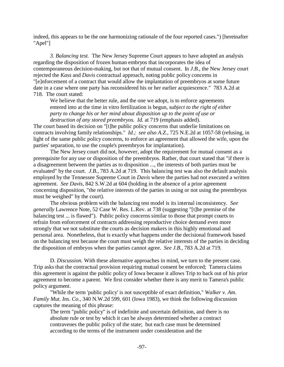indeed, this appears to be the one harmonizing rationale of the four reported cases.") [hereinafter "Apel"]

*3. Balancing test.* The New Jersey Supreme Court appears to have adopted an analysis regarding the disposition of frozen human embryos that incorporates the idea of contemporaneous decision-making, but not that of mutual consent. In *J.B.*, the New Jersey court rejected the *Kass* and *Davis* contractual approach, noting public policy concerns in "[e]nforcement of a contract that would allow the implantation of preembryos at some future date in a case where one party has reconsidered his or her earlier acquiescence." 783 A.2d at 718. The court stated:

We believe that the better rule, and the one we adopt, is to enforce agreements entered into at the time in vitro fertilization is begun, *subject to the right of either party to change his or her mind about disposition up to the point of use or destruction of any stored preembryos. Id.* at 719 (emphasis added).

The court based its decision on "[t]he public policy concerns that underlie limitations on contracts involving family relationships." *Id.; see also A.Z.,* 725 N.E.2d at 1057-58 (refusing, in light of the same public policy concerns, to enforce an agreement that allowed the wife, upon the parties' separation, to use the couple's preembryos for implantation).

The New Jersey court did not, however, adopt the requirement for mutual consent as a prerequisite for any use or disposition of the preembryos. Rather, that court stated that "if there is a disagreement between the parties as to disposition ..., the interests of both parties must be evaluated" by the court. *J.B.,* 783 A.2d at 719. This balancing test was also the default analysis employed by the Tennessee Supreme Court in *Davis* where the parties had not executed a written agreement. *See Davis,* 842 S.W.2d at 604 (holding in the absence of a prior agreement concerning disposition, "the relative interests of the parties in using or not using the preembryos must be weighed" by the court).

The obvious problem with the balancing test model is its internal inconsistency. *See generally* Lawrence Note, 52 Case W. Res. L.Rev. at 738 (suggesting "[t]he premise of the balancing test ... is flawed"). Public policy concerns similar to those that prompt courts to refrain from enforcement of contracts addressing reproductive choice demand even more strongly that we not substitute the courts as decision makers in this highly emotional and personal area. Nonetheless, that is exactly what happens under the decisional framework based on the balancing test because the court must weigh the relative interests of the parties in deciding the disposition of embryos when the parties cannot agree. *See J.B.,* 783 A.2d at 719.

D. *Discussion.* With these alternative approaches in mind, we turn to the present case. Trip asks that the contractual provision requiring mutual consent be enforced; Tamera claims this agreement is against the public policy of Iowa because it allows Trip to back out of his prior agreement to become a parent. We first consider whether there is any merit to Tamera's public policy argument.

"While the term 'public policy' is not susceptible of exact definition," *Walker v. Am. Family Mut. Ins. Co.,* 340 N.W.2d 599, 601 (Iowa 1983), we think the following discussion captures the meaning of this phrase:

The term "public policy" is of indefinite and uncertain definition, and there is no absolute rule or test by which it can be always determined whether a contract contravenes the public policy of the state; but each case must be determined according to the terms of the instrument under consideration and the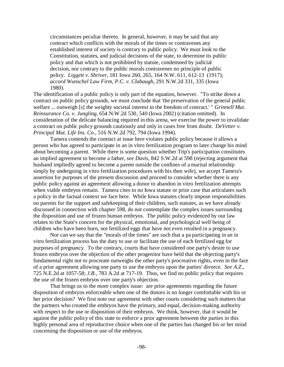circumstances peculiar thereto. In general, however, it may be said that any contract which conflicts with the morals of the times or contravenes any established interest of society is contrary to public policy. We must look to the Constitution, statutes, and judicial decisions of the state, to determine its public policy and that which is not prohibited by statute, condemned by judicial decision, nor contrary to the public morals contravenes no principle of public policy. *Liggett v. Shriver,* 181 Iowa 260, 265, 164 N.W. 611, 612-13 (1917); *accord Wunschel Law Firm, P.C. v. Clabaugh,* 291 N.W.2d 331, 335 (Iowa 1980).

The identification of a public policy is only part of the equation, however. "To strike down a contract on public policy grounds, we must conclude that 'the preservation of the general public welfare ... outweigh [s] the weighty societal interest in the freedom of contract.' " *Grinnell Mut. Reinsurance Co. v. Jungling,* 654 N.W.2d 530, 540 (Iowa 2002) (citation omitted). In consideration of the delicate balancing required in this arena, we exercise the power to invalidate a contract on public policy grounds cautiously and only in cases free from doubt. *DeVetter v. Principal Mut. Life Ins. Co.,* 516 N.W.2d 792, 794 (Iowa 1994).

Tamera contends the contract at issue here violates public policy because it allows a person who has agreed to participate in an in vitro fertilization program to later change his mind about becoming a parent. While there is some question whether Trip's participation constitutes an implied agreement to become a father, *see Davis,* 842 S.W.2d at 598 (rejecting argument that husband impliedly agreed to become a parent outside the confines of a marital relationship simply by undergoing in vitro fertilization procedures with his then wife), we accept Tamera's assertion for purposes of the present discussion and proceed to consider whether there is any public policy against an agreement allowing a donor to abandon in vitro fertilization attempts when viable embryos remain. Tamera cites to no Iowa statute or prior case that articulates such a policy in the factual context we face here. While Iowa statutes clearly impose responsibilities on parents for the support and safekeeping of their children, such statutes, as we have already discussed in connection with chapter 598, do not contemplate the complex issues surrounding the disposition and use of frozen human embryos. The public policy evidenced by our law relates to the State's concern for the physical, emotional, and psychological well being of children who have been born, not fertilized eggs that have not even resulted in a pregnancy.

Nor can we say that the "morals of the times" are such that a pa participating in an in vitro fertilization process has the duty to use or facilitate the use of each fertilized egg for purposes of pregnancy. To the contrary, courts that have considered one party's desire to use frozen embryos over the objection of the other progenitor have held that the objecting party's fundamental right not to procreate outweighs the other party's procreative rights, even in the face of a prior agreement allowing one party to use the embryos upon the parties' divorce. *See A.Z.,* 725 N.E.2d at 1057-58; *J.B.,* 783 A.2d at 717-19. Thus, we find no public policy that requires the use of the frozen embryos over one party's objection.

That brings us to the more complex issue: are prior agreements regarding the future disposition of embryos enforceable when one of the donors is no longer comfortable with his or her prior decision? We first note our agreement with other courts considering such matters that the partners who created the embryos have the primary, and equal, decision-making authority with respect to the use or disposition of their embryos. We think, however, that it would be against the public policy of this state to enforce a prior agreement between the parties in this highly personal area of reproductive choice when one of the parties has changed his or her mind concerning the disposition or use of the embryos.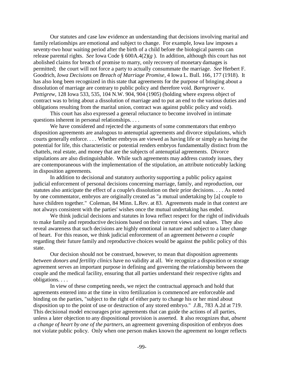Our statutes and case law evidence an understanding that decisions involving marital and family relationships are emotional and subject to change. For example, Iowa law imposes a seventy-two hour waiting period after the birth of a child before the biological parents can release parental rights. *See* Iowa Code § 600A.4(2)(*g* ). In addition, although this court has not abolished claims for breach of promise to marry, only recovery of monetary damages is permitted; the court will not force a party to actually consummate the marriage. *See* Herbert F. Goodrich, *Iowa Decisions on Breach of Marriage Promise,* 4 Iowa L. Bull. 166, 177 (1918). It has also long been recognized in this state that agreements for the purpose of bringing about a dissolution of marriage are contrary to public policy and therefore void. *Barngrover v. Pettigrew,* 128 Iowa 533, 535, 104 N.W. 904, 904 (1905) (holding where express object of contract was to bring about a dissolution of marriage and to put an end to the various duties and obligations resulting from the marital union, contract was against public policy and void).

This court has also expressed a general reluctance to become involved in intimate questions inherent in personal relationships. *. . .*

We have considered and rejected the arguments of some commentators that embryo disposition agreements are analogous to antenuptial agreements and divorce stipulations, which courts generally enforce. *. . .* Whether embryos are viewed as having life or simply as having the potential for life, this characteristic or potential renders embryos fundamentally distinct from the chattels, real estate, and money that are the subjects of antenuptial agreements. Divorce stipulations are also distinguishable. While such agreements may address custody issues, they are contemporaneous with the implementation of the stipulation, an attribute noticeably lacking in disposition agreements.

In addition to decisional and statutory authority supporting a public policy against judicial enforcement of personal decisions concerning marriage, family, and reproduction, our statutes also anticipate the effect of a couple's dissolution on their prior decisions. . . . As noted by one commentator, embryos are originally created as "a mutual undertaking by [a] couple to have children together." Coleman, 84 Minn. L.Rev. at 83. Agreements made in that context are not always consistent with the parties' wishes once the mutual undertaking has ended.

We think judicial decisions and statutes in Iowa reflect respect for the right of individuals to make family and reproductive decisions based on their current views and values. They also reveal awareness that such decisions are highly emotional in nature and subject to a later change of heart. For this reason, we think judicial enforcement of an agreement *between a couple* regarding their future family and reproductive choices would be against the public policy of this state.

Our decision should not be construed, however, to mean that disposition agreements *between donors and fertility clinics* have no validity at all. We recognize a disposition or storage agreement serves an important purpose in defining and governing the relationship between the couple and the medical facility, ensuring that all parties understand their respective rights and obligations. . . .

In view of these competing needs, we reject the contractual approach and hold that agreements entered into at the time in vitro fertilization is commenced are enforceable and binding on the parties, "subject to the right of either party to change his or her mind about disposition up to the point of use or destruction of any stored embryo." *J.B.,* 783 A.2d at 719. This decisional model encourages prior agreements that can guide the actions of all parties, unless a later objection to any dispositional provision is asserted. It also recognizes that, *absent a change of heart by one of the partners,* an agreement governing disposition of embryos does not violate public policy. Only when one person makes known the agreement no longer reflects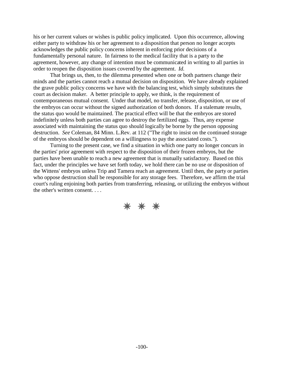his or her current values or wishes is public policy implicated. Upon this occurrence, allowing either party to withdraw his or her agreement to a disposition that person no longer accepts acknowledges the public policy concerns inherent in enforcing prior decisions of a fundamentally personal nature. In fairness to the medical facility that is a party to the agreement, however, any change of intention must be communicated in writing to all parties in order to reopen the disposition issues covered by the agreement. *Id.*

That brings us, then, to the dilemma presented when one or both partners change their minds and the parties cannot reach a mutual decision on disposition. We have already explained the grave public policy concerns we have with the balancing test, which simply substitutes the court as decision maker. A better principle to apply, we think, is the requirement of contemporaneous mutual consent. Under that model, no transfer, release, disposition, or use of the embryos can occur without the signed authorization of both donors. If a stalemate results, the status quo would be maintained. The practical effect will be that the embryos are stored indefinitely unless both parties can agree to destroy the fertilized eggs. Thus, any expense associated with maintaining the status quo should logically be borne by the person opposing destruction. *See* Coleman, 84 Minn. L.Rev. at 112 ("The right to insist on the continued storage of the embryos should be dependent on a willingness to pay the associated costs.").

Turning to the present case, we find a situation in which one party no longer concurs in the parties' prior agreement with respect to the disposition of their frozen embryos, but the parties have been unable to reach a new agreement that is mutually satisfactory. Based on this fact, under the principles we have set forth today, we hold there can be no use or disposition of the Wittens' embryos unless Trip and Tamera reach an agreement. Until then, the party or parties who oppose destruction shall be responsible for any storage fees. Therefore, we affirm the trial court's ruling enjoining both parties from transferring, releasing, or utilizing the embryos without the other's written consent. . . .

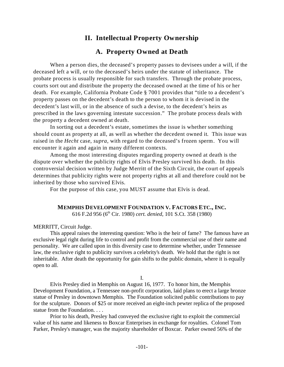# **II. Intellectual Property Ownership**

# **A. Property Owned at Death**

When a person dies, the deceased's property passes to devisees under a will, if the deceased left a will, or to the deceased's heirs under the statute of inheritance. The probate process is usually responsible for such transfers. Through the probate process, courts sort out and distribute the property the deceased owned at the time of his or her death. For example, California Probate Code § 7001 provides that "title to a decedent's property passes on the decedent's death to the person to whom it is devised in the decedent's last will, or in the absence of such a devise, to the decedent's heirs as prescribed in the laws governing intestate succession." The probate process deals with the property a decedent owned at death.

In sorting out a decedent's estate, sometimes the issue is whether something should count as property at all, as well as whether the decedent owned it. This issue was raised in the *Hecht* case, *supra*, with regard to the deceased's frozen sperm. You will encounter it again and again in many different contexts.

Among the most interesting disputes regarding property owned at death is the dispute over whether the publicity rights of Elvis Presley survived his death. In this controversial decision written by Judge Merritt of the Sixth Circuit, the court of appeals determines that publicity rights were not property rights at all and therefore could not be inherited by those who survived Elvis.

For the purpose of this case, you MUST assume that Elvis is dead.

## **MEMPHIS DEVELOPMENT FOUNDATION V. FACTORS ETC., INC.**

616 F.2d 956 (6th Cir. 1980) *cert. denied*, 101 S.Ct. 358 (1980)

## MERRITT, Circuit Judge.

This appeal raises the interesting question: Who is the heir of fame? The famous have an exclusive legal right during life to control and profit from the commercial use of their name and personality. We are called upon in this diversity case to determine whether, under Tennessee law, the exclusive right to publicity survives a celebrity's death. We hold that the right is not inheritable. After death the opportunity for gain shifts to the public domain, where it is equally open to all.

I.

Elvis Presley died in Memphis on August 16, 1977. To honor him, the Memphis Development Foundation, a Tennessee non-profit corporation, laid plans to erect a large bronze statue of Presley in downtown Memphis. The Foundation solicited public contributions to pay for the sculpture. Donors of \$25 or more received an eight-inch pewter replica of the proposed statue from the Foundation. . . .

Prior to his death, Presley had conveyed the exclusive right to exploit the commercial value of his name and likeness to Boxcar Enterprises in exchange for royalties. Colonel Tom Parker, Presley's manager, was the majority shareholder of Boxcar. Parker owned 56% of the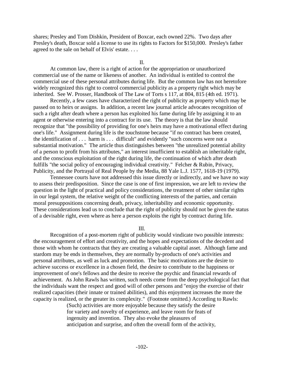shares; Presley and Tom Dishkin, President of Boxcar, each owned 22%. Two days after Presley's death, Boxcar sold a license to use its rights to Factors for \$150,000. Presley's father agreed to the sale on behalf of Elvis' estate. . . .

II.

At common law, there is a right of action for the appropriation or unauthorized commercial use of the name or likeness of another. An individual is entitled to control the commercial use of these personal attributes during life. But the common law has not heretofore widely recognized this right to control commercial publicity as a property right which may be inherited. See W. Prosser, Handbook of The Law of Torts s 117, at 804, 815 (4th ed. 1971).

Recently, a few cases have characterized the right of publicity as property which may be passed on to heirs or assigns. In addition, a recent law journal article advocates recognition of such a right after death where a person has exploited his fame during life by assigning it to an agent or otherwise entering into a contract for its use. The theory is that the law should recognize that "the possibility of providing for one's heirs may have a motivational effect during one's life." Assignment during life is the touchstone because "if no contract has been created, the identification of . . . harm is . . . difficult" and evidently "such concerns were not a substantial motivation." The article thus distinguishes between "the unrealized potential ability of a person to profit from his attributes," an interest insufficient to establish an inheritable right, and the conscious exploitation of the right during life, the continuation of which after death fulfills "the social policy of encouraging individual creativity." Felcher & Rubin, Privacy, Publicity, and the Portrayal of Real People by the Media, 88 Yale L.J. 1577, 1618-19 (1979).

Tennessee courts have not addressed this issue directly or indirectly, and we have no way to assess their predisposition. Since the case is one of first impression, we are left to review the question in the light of practical and policy considerations, the treatment of other similar rights in our legal system, the relative weight of the conflicting interests of the parties, and certain moral presuppositions concerning death, privacy, inheritability and economic opportunity. These considerations lead us to conclude that the right of publicity should not be given the status of a devisable right, even where as here a person exploits the right by contract during life.

#### III.

Recognition of a post-mortem right of publicity would vindicate two possible interests: the encouragement of effort and creativity, and the hopes and expectations of the decedent and those with whom he contracts that they are creating a valuable capital asset. Although fame and stardom may be ends in themselves, they are normally by-products of one's activities and personal attributes, as well as luck and promotion. The basic motivations are the desire to achieve success or excellence in a chosen field, the desire to contribute to the happiness or improvement of one's fellows and the desire to receive the psychic and financial rewards of achievement. As John Rawls has written, such needs come from the deep psychological fact that the individuals want the respect and good will of other persons and "enjoy the exercise of their realized capacities (their innate or trained abilities), and this enjoyment increases the more the capacity is realized, or the greater its complexity." (Footnote omitted.) According to Rawls:

> (Such) activities are more enjoyable because they satisfy the desire for variety and novelty of experience, and leave room for feats of ingenuity and invention. They also evoke the pleasures of anticipation and surprise, and often the overall form of the activity,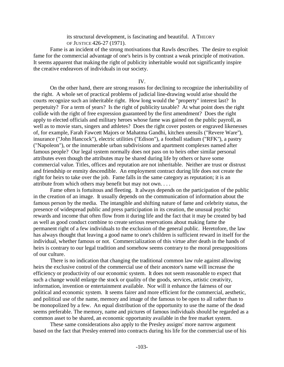its structural development, is fascinating and beautiful. A THEORY OF JUSTICE 426-27 (1971).

Fame is an incident of the strong motivations that Rawls describes. The desire to exploit fame for the commercial advantage of one's heirs is by contrast a weak principle of motivation. It seems apparent that making the right of publicity inheritable would not significantly inspire the creative endeavors of individuals in our society.

### IV.

On the other hand, there are strong reasons for declining to recognize the inheritability of the right. A whole set of practical problems of judicial line-drawing would arise should the courts recognize such an inheritable right. How long would the "property" interest last? In perpetuity? For a term of years? Is the right of publicity taxable? At what point does the right collide with the right of free expression guaranteed by the first amendment? Does the right apply to elected officials and military heroes whose fame was gained on the public payroll, as well as to movie stars, singers and athletes? Does the right cover posters or engraved likenesses of, for example, Farah Fawcett Majors or Mahatma Gandhi, kitchen utensils ("Revere Ware"), insurance ("John Hancock"), electric utilities ("Edison"), a football stadium ("RFK"), a pastry ("Napoleon"), or the innumerable urban subdivisions and apartment complexes named after famous people? Our legal system normally does not pass on to heirs other similar personal attributes even though the attributes may be shared during life by others or have some commercial value. Titles, offices and reputation are not inheritable. Neither are trust or distrust and friendship or enmity descendible. An employment contract during life does not create the right for heirs to take over the job. Fame falls in the same category as reputation; it is an attribute from which others may benefit but may not own. . . .

Fame often is fortuitous and fleeting. It always depends on the participation of the public in the creation of an image. It usually depends on the communication of information about the famous person by the media. The intangible and shifting nature of fame and celebrity status, the presence of widespread public and press participation in its creation, the unusual psychic rewards and income that often flow from it during life and the fact that it may be created by bad as well as good conduct combine to create serious reservations about making fame the permanent right of a few individuals to the exclusion of the general public. Heretofore, the law has always thought that leaving a good name to one's children is sufficient reward in itself for the individual, whether famous or not. Commercialization of this virtue after death in the hands of heirs is contrary to our legal tradition and somehow seems contrary to the moral presuppositions of our culture.

There is no indication that changing the traditional common law rule against allowing heirs the exclusive control of the commercial use of their ancestor's name will increase the efficiency or productivity of our economic system. It does not seem reasonable to expect that such a change would enlarge the stock or quality of the goods, services, artistic creativity, information, invention or entertainment available. Nor will it enhance the fairness of our political and economic system. It seems fairer and more efficient for the commercial, aesthetic, and political use of the name, memory and image of the famous to be open to all rather than to be monopolized by a few. An equal distribution of the opportunity to use the name of the dead seems preferable. The memory, name and pictures of famous individuals should be regarded as a common asset to be shared, an economic opportunity available in the free market system.

These same considerations also apply to the Presley assigns' more narrow argument based on the fact that Presley entered into contracts during his life for the commercial use of his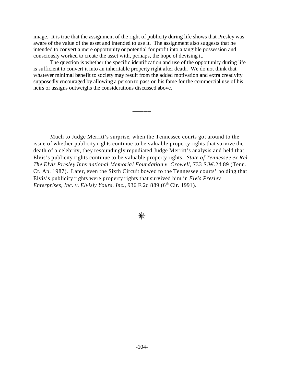image. It is true that the assignment of the right of publicity during life shows that Presley was aware of the value of the asset and intended to use it. The assignment also suggests that he intended to convert a mere opportunity or potential for profit into a tangible possession and consciously worked to create the asset with, perhaps, the hope of devising it.

The question is whether the specific identification and use of the opportunity during life is sufficient to convert it into an inheritable property right after death. We do not think that whatever minimal benefit to society may result from the added motivation and extra creativity supposedly encouraged by allowing a person to pass on his fame for the commercial use of his heirs or assigns outweighs the considerations discussed above.

**\_\_\_\_\_**

Much to Judge Merritt's surprise, when the Tennessee courts got around to the issue of whether publicity rights continue to be valuable property rights that survive the death of a celebrity, they resoundingly repudiated Judge Merritt's analysis and held that Elvis's publicity rights continue to be valuable property rights. *State of Tennessee ex Rel. The Elvis Presley International Memorial Foundation v. Crowell, 733 S.W.2d 89 (Tenn.* Ct. Ap. 1987). Later, even the Sixth Circuit bowed to the Tennessee courts' holding that Elvis's publicity rights were property rights that survived him in *Elvis Presley Enterprises, Inc. v. Elvisly Yours, Inc.*, 936 F.2d 889 (6<sup>th</sup> Cir. 1991).

 $\divideontimes$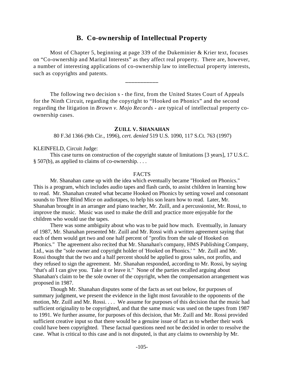## **B. Co-ownership of Intellectual Property**

Most of Chapter 5, beginning at page 339 of the Dukeminier & Krier text, focuses on "Co-ownership and Marital Interests" as they affect real property. There are, however, a number of interesting applications of co-ownership law to intellectual property interests, such as copyrights and patents.

**\_\_\_\_\_\_\_\_\_\_\_**

The following two decision s - the first, from the United States Court of Appeals for the Ninth Circuit, regarding the copyright to "Hooked on Phonics" and the second regarding the litigation in *Brown v. Mojo Records -* are typical of intellectual property coownership cases.

## **ZUILL V. SHANAHAN**

80 F.3d 1366 (9th Cir., 1996), *cert. denied* 519 U.S. 1090, 117 S.Ct. 763 (1997)

#### KLEINFELD, Circuit Judge:

This case turns on construction of the copyright statute of limitations [3 years], 17 U.S.C. § 507(b), as applied to claims of co-ownership. . . .

## FACTS

Mr. Shanahan came up with the idea which eventually became "Hooked on Phonics." This is a program, which includes audio tapes and flash cards, to assist children in learning how to read. Mr. Shanahan created what became Hooked on Phonics by setting vowel and consonant sounds to Three Blind Mice on audiotapes, to help his son learn how to read. Later, Mr. Shanahan brought in an arranger and piano teacher, Mr. Zuill, and a percussionist, Mr. Rossi, to improve the music. Music was used to make the drill and practice more enjoyable for the children who would use the tapes.

There was some ambiguity about who was to be paid how much. Eventually, in January of 1987, Mr. Shanahan presented Mr. Zuill and Mr. Rossi with a written agreement saying that each of them would get two and one half percent of "profits from the sale of Hooked on Phonics." The agreement also recited that Mr. Shanahan's company, HMS Publishing Company, Ltd., was the "sole owner and copyright holder of 'Hooked on Phonics.' " Mr. Zuill and Mr. Rossi thought that the two and a half percent should be applied to gross sales, not profits, and they refused to sign the agreement. Mr. Shanahan responded, according to Mr. Rossi, by saying "that's all I can give you. Take it or leave it." None of the parties recalled arguing about Shanahan's claim to be the sole owner of the copyright, when the compensation arrangement was proposed in 1987.

Though Mr. Shanahan disputes some of the facts as set out below, for purposes of summary judgment, we present the evidence in the light most favorable to the opponents of the motion, Mr. Zuill and Mr. Rossi. . . . We assume for purposes of this decision that the music had sufficient originality to be copyrighted, and that the same music was used on the tapes from 1987 to 1991. We further assume, for purposes of this decision, that Mr. Zuill and Mr. Rossi provided sufficient creative input so that there would be a genuine issue of fact as to whether their work could have been copyrighted. These factual questions need not be decided in order to resolve the case. What is critical to this case and is not disputed, is that any claims to ownership by Mr.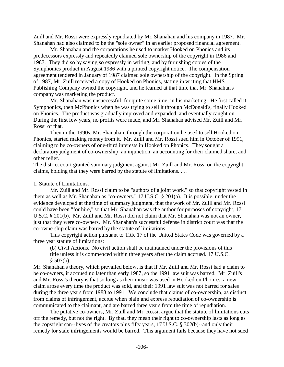Zuill and Mr. Rossi were expressly repudiated by Mr. Shanahan and his company in 1987. Mr. Shanahan had also claimed to be the "sole owner" in an earlier proposed financial agreement.

Mr. Shanahan and the corporations he used to market Hooked on Phonics and its predecessors expressly and repeatedly claimed sole ownership of the copyright in 1986 and 1987. They did so by saying so expressly in writing, and by furnishing copies of the Symphonics product in August 1986 with a printed copyright notice. The compensation agreement tendered in January of 1987 claimed sole ownership of the copyright. In the Spring of 1987, Mr. Zuill received a copy of Hooked on Phonics, stating in writing that HMS Publishing Company owned the copyright, and he learned at that time that Mr. Shanahan's company was marketing the product.

Mr. Shanahan was unsuccessful, for quite some time, in his marketing. He first called it Symphonics, then McPhonics when he was trying to sell it through McDonald's, finally Hooked on Phonics. The product was gradually improved and expanded, and eventually caught on. During the first few years, no profits were made, and Mr. Shanahan advised Mr. Zuill and Mr. Rossi of that.

Then in the 1990s, Mr. Shanahan, through the corporation he used to sell Hooked on Phonics, started making money from it. Mr. Zuill and Mr. Rossi sued him in October of 1991, claiming to be co-owners of one-third interests in Hooked on Phonics. They sought a declaratory judgment of co-ownership, an injunction, an accounting for their claimed share, and other relief.

The district court granted summary judgment against Mr. Zuill and Mr. Rossi on the copyright claims, holding that they were barred by the statute of limitations. . . .

1. Statute of Limitations.

Mr. Zuill and Mr. Rossi claim to be "authors of a joint work," so that copyright vested in them as well as Mr. Shanahan as "co-owners." 17 U.S.C. § 201(a). It is possible, under the evidence developed at the time of summary judgment, that the work of Mr. Zuill and Mr. Rossi could have been "for hire," so that Mr. Shanahan was the author for purposes of copyright, 17 U.S.C. § 201(b). Mr. Zuill and Mr. Rossi did not claim that Mr. Shanahan was not an owner, just that they were co-owners. Mr. Shanahan's successful defense in district court was that the co-ownership claim was barred by the statute of limitations.

This copyright action pursuant to Title 17 of the United States Code was governed by a three year statute of limitations:

(b) Civil Actions. No civil action shall be maintained under the provisions of this title unless it is commenced within three years after the claim accrued. 17 U.S.C.  $$507(b).$ 

Mr. Shanahan's theory, which prevailed below, is that if Mr. Zuill and Mr. Rossi had a claim to be co-owners, it accrued no later than early 1987, so the 1991 law suit was barred. Mr. Zuill's and Mr. Rossi's theory is that so long as their music was used in Hooked on Phonics, a new claim arose every time the product was sold, and their 1991 law suit was not barred for sales during the three years from 1988 to 1991. We conclude that claims of co-ownership, as distinct from claims of infringement, accrue when plain and express repudiation of co-ownership is communicated to the claimant, and are barred three years from the time of repudiation.

The putative co-owners, Mr. Zuill and Mr. Rossi, argue that the statute of limitations cuts off the remedy, but not the right. By that, they mean their right to co-ownership lasts as long as the copyright can--lives of the creators plus fifty years, 17 U.S.C. § 302(b)--and only their remedy for stale infringements would be barred. This argument fails because they have not sued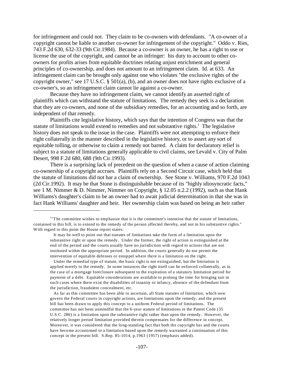for infringement and could not. They claim to be co-owners with defendants. "A co-owner of a copyright cannot be liable to another co-owner for infringement of the copyright." Oddo v. Ries, 743 F.2d 630, 632-33 (9th Cir.1984). Because a co-owner is an owner, he has a right to use or license the use of the copyright, and cannot be an infringer: his duty to account to other coowners for profits arises from equitable doctrines relating unjust enrichment and general principles of co-ownership, and does not amount to an infringement claim. Id. at 633. An infringement claim can be brought only against one who violates "the exclusive rights of the copyright owner," see 17 U.S.C. § 501(a), (b), and an owner does not have rights exclusive of a co-owner's, so an infringement claim cannot lie against a co-owner.

Because they have no infringement claim, we cannot identify an asserted right of plaintiffs which can withstand the statute of limitations. The remedy they seek is a declaration that they are co-owners, and none of the subsidiary remedies, for an accounting and so forth, are independent of that remedy.

Plaintiffs cite legislative history, which says that the intention of Congress was that the statute of limitations would extend to remedies and not substantive rights.<sup>1</sup> The legislative history does not speak to the issue in the case. Plaintiffs were not attempting to enforce their right collaterally in the manner described in the legislative history, or to assert any sort of equitable tolling, or otherwise to claim a remedy not barred. A claim for declaratory relief is subject to a statute of limitations generally applicable to civil claims, see Levald v. City of Palm Desert, 998 F.2d 680, 688 (9th Cir.1993).

There is a surprising lack of precedent on the question of when a cause of action claiming co-ownership of a copyright accrues. Plaintiffs rely on a Second Circuit case, which held that the statute of limitations did not bar a claim of ownership. See Stone v. Williams, 970 F.2d 1043 (2d Cir.1992). It may be that Stone is distinguishable because of its "highly idiosyncratic facts," see 1 M. Nimmer & D. Nimmer, Nimmer on Copyright, § 12.05 n.2.2 (1992), such as that Hank Williams's daughter's claim to be an owner had to await judicial determination in that she was in fact Hank Williams' daughter and heir. Her ownership claim was based on being an heir rather

 Under the remedial type of statute, the basic right is not extinguished, but the limitation is applied merely to the remedy. In some instances the right itself can be enforced collaterally, as in the case of a mortgage foreclosure subsequent to the expiration of a statutory limitation period for payment of a debt. Equitable considerations are available to prolong the time for bringing suit in such cases where there exist the disabilities of insanity or infancy, absence of the defendant from the jurisdiction, fraudulent concealment, etc.

 As far as this committee has been able to ascertain, all State statutes of limitation, which now govern the Federal courts in copyright actions, are limitations upon the remedy, and the present bill has been drawn to apply this concept to a uniform Federal period of limitations. The committee has not been unmindful that the 6-year statute of limitations in the Patent Code (35 U.S.C. 286) is a limitation upon the substantive right rather than upon the remedy. However, the relatively longer period limitation provided therein compensates for the difference in concept. Moreover, it was considered that the long-standing fact that both the copyright bar and the courts have become accustomed to a limitation based upon the remedy warranted a continuation of this concept in the present bill. S.Rep. 85-1014, p.1963 (1957) (emphasis added).

<sup>&</sup>lt;sup>1</sup>"The committee wishes to emphasize that it is the committee's intention that the statute of limitations, contained in this bill, is to extend to the remedy of the person affected thereby, and not to his substantive rights." With regard to this point the House report states:

It may be well to point out that statutes of limitations take the form of a limitation upon the substantive right or upon the remedy. Under the former, the right of action is extinguished at the end of the period and the courts usually have no jurisdiction with regard to actions that are not instituted within the appropriate period. In addition, the courts generally do not permit the intervention of equitable defenses or estoppel where there is a limitation on the right.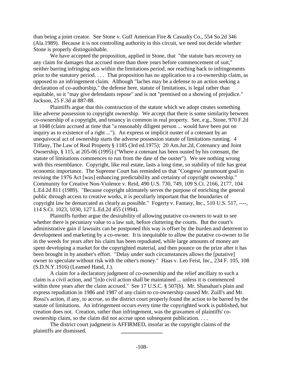than being a joint creator. See Stone v. Gulf American Fire & Casualty Co., 554 So.2d 346 (Ala.1989). Because it is not controlling authority in this circuit, we need not decide whether Stone is properly distinguishable.

We have accepted the proposition, applied in Stone, that "the statute bars recovery on any claim for damages that accrued more than three years before commencement of suit," neither barring infringing acts within the limitations period, nor reaching back to infringements prior to the statutory period. . . . That proposition has no application to a co-ownership claim, as opposed to an infringement claim. Although "laches may be a defense to an action seeking a declaration of co-authorship," the defense here, statute of limitations, is legal rather than equitable, so it "may give defendants repose" and is not "premised on a showing of prejudice." Jackson, 25 F.3d at 887-88.

Plaintiffs argue that this construction of the statute which we adopt creates something like adverse possession to copyright ownership. We accept that there is some similarity between co-ownership of a copyright, and tenancy in common in real property. See, e.g., Stone, 970 F.2d at 1048 (claim accrued at time that "a reasonably diligent person ... would have been put on inquiry as to existence of a right ..."). An express or implicit ouster of a cotenant by an unequivocal act of ownership starts the adverse possession statute of limitations running. 4 Tiffany, The Law of Real Property § 1185 (3rd ed.1975); 20 Am.Jur.2d, Cotenancy and Joint Ownership, § 115, at 205-06 (1995) ("Where a cotenant has been ousted by his cotenant, the statute of limitations commences to run from the date of the ouster"). We see nothing wrong with this resemblance. Copyright, like real estate, lasts a long time, so stability of title has great economic importance. The Supreme Court has reminded us that "Congress' paramount goal in revising the 1976 Act [was] enhancing predictability and certainty of copyright ownership." Community for Creative Non-Violence v. Reid, 490 U.S. 730, 749, 109 S.Ct. 2166, 2177, 104 L.Ed.2d 811 (1989). "Because copyright ultimately serves the purpose of enriching the general public through access to creative works, it is peculiarly important that the boundaries of copyright law be demarcated as clearly as possible." Fogerty v. Fantasy, Inc., 510 U.S. 517, ----, 114 S.Ct. 1023, 1030, 127 L.Ed.2d 455 (1994).

Plaintiffs further argue the desirability of allowing putative co-owners to wait to see whether there is pecuniary value to a law suit, before cluttering the courts. But the court's administrative gain if lawsuits can be postponed this way is offset by the burden and deterrent to development and marketing by a co-owner. It is inequitable to allow the putative co-owner to lie in the weeds for years after his claim has been repudiated, while large amounts of money are spent developing a market for the copyrighted material, and then pounce on the prize after it has been brought in by another's effort. "Delay under such circumstances allows the [putative] owner to speculate without risk with the other's money." Haas v. Leo Feist, Inc., 234 F. 105, 108 (S.D.N.Y.1916) (Learned Hand, J.).

A claim for a declaratory judgment of co-ownership and the relief ancillary to such a claim is a civil action, and "[n]o civil action shall be maintained ... unless it is commenced within three years after the claim accrued." See 17 U.S.C. § 507(b). Mr. Shanahan's plain and express repudiation in 1986 and 1987 of any claim to co-ownership caused Mr. Zuill's and Mr. Rossi's action, if any, to accrue, so the district court properly found the action to be barred by the statute of limitations. An infringement occurs every time the copyrighted work is published, but creation does not. Creation, rather than infringement, was the gravamen of plaintiffs' coownership claim, so the claim did not accrue upon subsequent publication. . . .

The district court judgment is AFFIRMED, insofar as the copyright claims of the plaintiffs are dismissed. **\_\_\_\_\_\_\_\_\_\_\_\_\_\_\_**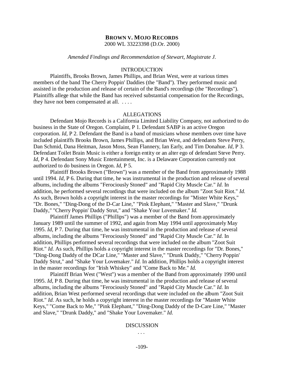## **BROWN V. MOJO RECORDS**

2000 WL 33223398 (D.Or. 2000)

*Amended Findings and Recommendation of Stewart, Magistrate J.*

### INTRODUCTION

Plaintiffs, Brooks Brown, James Phillips, and Brian West, were at various times members of the band The Cherry Poppin' Daddies (the "Band"). They performed music and assisted in the production and release of certain of the Band's recordings (the "Recordings"). Plaintiffs allege that while the Band has received substantial compensation for the Recordings, they have not been compensated at all. . . . .

## ALLEGATIONS

Defendant Mojo Records is a California Limited Liability Company, not authorized to do business in the State of Oregon. Complaint, P 1. Defendant SABP is an active Oregon corporation. *Id,* P 2. Defendant the Band is a band of musicians whose members over time have included plaintiffs Brooks Brown, James Phillips, and Brian West, and defendants Steve Perry, Dan Schmid, Dana Heitman, Jason Moss, Sean Flannery, Ian Early, and Tim Donahue. *Id,* P 3. Defendant Toilet Brain Music is either a foreign entity or an alter ego of defendant Steve Perry. *Id,* P 4. Defendant Sony Music Entertainment, Inc. is a Delaware Corporation currently not authorized to do business in Oregon. *Id,* P 5.

Plaintiff Brooks Brown ("Brown") was a member of the Band from approximately 1988 until 1994. *Id,* P 6. During that time, he was instrumental in the production and release of several albums, including the albums "Ferociously Stoned" and "Rapid City Muscle Car." *Id.* In addition, he performed several recordings that were included on the album "Zoot Suit Riot." *Id.* As such, Brown holds a copyright interest in the master recordings for "Mister White Keys," "Dr. Bones," "Ding-Dong of the D-Car Line," "Pink Elephant," "Master and Slave," "Drunk Daddy," "Cherry Poppin' Daddy Strut," and "Shake Your Lovemaker." *Id.*

Plaintiff James Phillips ("Phillips") was a member of the Band from approximately January 1989 until the summer of 1992, and again from May 1994 until approximately May 1995. *Id,* P 7. During that time, he was instrumental in the production and release of several albums, including the albums "Ferociously Stoned" and "Rapid City Muscle Car." *Id.* In addition, Phillips performed several recordings that were included on the album "Zoot Suit Riot." *Id.* As such, Phillips holds a copyright interest in the master recordings for "Dr. Bones," "Ding-Dong Daddy of the DCar Line," "Master and Slave," "Drunk Daddy," "Cherry Poppin' Daddy Strut," and "Shake Your Lovemaker." *Id.* In addition, Phillips holds a copyright interest in the master recordings for "Irish Whiskey" and "Come Back to Me." *Id.*

Plaintiff Brian West ("West") was a member of the Band from approximately 1990 until 1995. *Id,* P 8. During that time, he was instrumental in the production and release of several albums, including the albums "Ferociously Stoned" and "Rapid City Muscle Car." *Id.* In addition, Brian West performed several recordings that were included on the album "Zoot Suit Riot." *Id.* As such, he holds a copyright interest in the master recordings for "Master White Keys," "Come Back to Me," "Pink Elephant," "Ding-Dong Daddy of the D-Care Line," "Master and Slave," "Drunk Daddy," and "Shake Your Lovemaker." *Id.*

#### DISCUSSION

. . .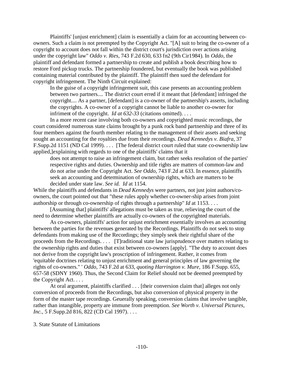Plaintiffs' [unjust enrichment] claim is essentially a claim for an accounting between coowners. Such a claim is not preempted by the Copyright Act. "[A] suit to bring the co-owner of a copyright to account does not fall within the district court's jurisdiction over actions arising under the copyright law" *Oddo v. Ries,* 743 F.2d 630, 633 fn2 (9th Cir1984). In *Oddo,* the plaintiff and defendant formed a partnership to create and publish a book describing how to restore Ford pickup trucks. The partnership foundered, but eventually the book was published containing material contributed by the plaintiff. The plaintiff then sued the defendant for copyright infringement. The Ninth Circuit explained:

In the guise of a copyright infringement suit, this case presents an accounting problem between two partners.... The district court erred if it meant that [defendant] infringed the copyright.... As a partner, [defendant] is a co-owner of the partnership's asserts, including the copyrights. A co-owner of a copyright cannot be liable to another co-owner for infriment of the copyright. *Id at 632-33* (citations omitted). . . .

In a more recent case involving both co-owners and copyrighted music recordings, the court considered numerous state claims brought by a punk rock band partnership and three of its four members against the fourth member relating to the management of their assets and seeking sought an accounting for the royalties due from their recordings. *Dead Kennedys v. Biafra,* 37 F.Supp.2d 1151 (ND Cal 1999). . . . [The federal district court ruled that state co-ownership law applied,]explaining with regards to one of the plaintiffs' claims that it

does not attempt to raise an infringement claim, but rather seeks resolution of the parties' respective rights and duties. Ownership and title rights are matters of common-law and do not arise under the Copyright Act. *See Oddo,* 743 F.2d at 633. In essence, plaintiffs seek an accounting and determination of ownership rights, which are matters to be decided under state law. *See id. Id* at 1154.

While the plaintiffs and defendants in *Dead Kennedys* were partners, not just joint authors/coowners, the court pointed out that "these rules apply whether co-owner-ship arises from joint authorship or through co-ownership of rights through a partnership" *Id* at 1153. . . .

[Assuming that] plaintiffs' allegations must be taken as true, relieving the court of the need to determine whether plaintiffs are actually co-owners of the copyrighted materials.

As co-owners, plaintiffs' action for unjust enrichment essentially involves an accounting between the parties for the revenues generated by the Recordings. Plaintiffs do not seek to stop defendants from making use of the Recordings; they simply seek their rightful share of the proceeds from the Recordings. . . . [T]raditional state law jurisprudence over matters relating to the ownership rights and duties that exist between co-owners [apply]. "The duty to account does not derive from the copyright law's proscription of infringement. Rather, it comes from 'equitable doctrines relating to unjust enrichment and general principles of law governing the rights of co-owners." ' *Oddo,* 743 F.2d at 633, *quoting Harrington v. Mure,* 186 F.Supp. 655, 657-58 (SDNY 1960). Thus, the Second Claim for Relief should not be deemed preempted by the Copyright Act. . . .

At oral argument, plaintiffs clarified . . . [their conversion claim that] alleges not only conversion of proceeds from the Recordings, but also conversion of physical property in the form of the master tape recordings. Geuerally speaking, conversion claims that involve tangible, rather than intangible, property are immune from preemption. *See Worth v. Universal Pictures, Inc.*, 5 F.Supp.2d 816, 822 (CD Cal 1997)...

3. State Statute of Limitations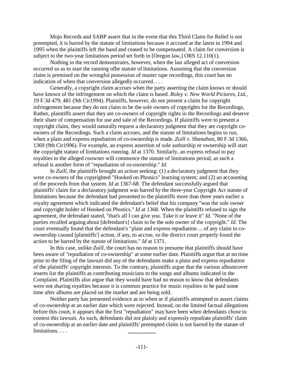Mojo Records and SABP assert that in the event that this Third Claim for Relief is not preempted, it is barred by the statute of limitations because it accrued at the latest in 1994 and 1995 when the plaintiffs left the band and ceased to be compensated. A claim for conversion is subject to the two-year limitations period set forth in [Oregon law,] ORS 12.110(1).

Nothing in the record demonstrates, however, when the last alleged act of conversion occurred so as to start the running ofhe statute of limitations. Assuming that the conversion claim is premised on the wrongful possession of master tape recordings, this court has no indication of when that conversion allegedly occurred. . . .

Generally, a copyright claim accrues when the party asserting the claim knows or should have known of the infringement on which the claim is based. *Roley v. New World Pictures, Ltd.,* 19 F.3d 479, 481 (9th Cir1994). Plaintiffs, however, do not present a claim for copyright infringement because they do not claim to be the sole owners of copyrights for the Recordings, Rather, plaintiffs assert that they are co-owners of copyright rights in the Recordings and deserve their share of compensation for use and sale of the Recordings. If plaintiffs were to present a copyright claim, they would naturally request a declaratory judgment that they are copyright coowners of the Recordings. Such a claim accrues, and the statute of limitations begins to run, when a plain and express repudiation of co-ownership is made. *Zuill v. Shanahan,* 80 F.3d 1366, 1369 (9th Cir1996). For example, an express assertion of sole authorship or ownership will start the copyright statute of limitations running. *Id* at 1370. Similarly, an express refusal to pay royalties to the alleged coowner will commence the statute of limitations period, as such a refusal is another form of "repudiation of co-ownership." *Id.*

In *Zuill,* the plaintiffs brought an action seeking: (1) a declaratory judgment that they were co-owners of the copyrighted "Hooked on Phonics" learning system; and (2) an accounting of the proceeds from that system. *Id* at 1367-68. The defendant successfully argued that plaintiffs' claim for a declaratory judgment was barred by the three-year Copyright Act statute of limitations because the defendant had presented to the plaintiffs more than three years earlier a royalty agreement which indicated the defendant's belief that his company "was the sole owner and copyright holder of Hooked on Phonics." *Id* at 1368. When the plaintiffs refused to sign the agreement, the defendant stated, "that's all I can give you. Take it or leave it" *Id.* "None of the parties recalled arguing about [defendant's] claim to be the sole owner of the copyright." *Id.* The court eventually found that the defendant's "plain and express repudiation ... of any claim to coownership caused [plaintiffs'] action, if any, to accrue, so the district court properly found the action to be barred by the statute of limitations." *Id* at 1371.

In this case, unlike *Zuill,* the court has no reason to presume that plaintiffs should have been aware of "repudiation of co-ownership" at some earlier date. Plaintiffs argue that at no time prior to the filing of the lawsuit did any of the defendants make a plain and express repudiation of the plaintiffs' copyright interests. To the contrary, plaintiffs argue that the various albumcover inserts list the plaintiffs as contributing musicians to the songs and albums indicated in the Complaint. Plaintiffs also argue that they would have had no reason to know that defendants were not sharing royalties because it is common practice for music royalties to be paid some time after albums are placed on the market and are being sold.

Neither party has presented evidence as to when or if plaintiffs attempted to assert claims of co-ownership at an earlier date which were rejected. Instead, on the limited factual allegations before this court, it appears that the first "repudiation" may have been when defendants chose to contest this lawsuit. As such, defendants did not plainly and expressly repudiate plaintiffs' claim of co-ownership at an earlier date and plaintiffs' preempted claim is not barred by the statute of limitations. . . . **\_\_\_\_\_\_\_\_\_\_**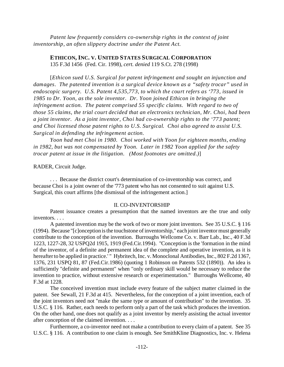*Patent law frequently considers co-ownership rights in the context of joint inventorship, an often slippery doctrine under the Patent Act.*

**ETHICON, INC. V. UNITED STATES SURGICAL CORPORATION** 135 F.3d 1456 (Fed. Cir. 1998), *cert. denied* 119 S.Ct. 278 (1998)

[*Ethicon sued U.S. Surgical for patent infringement and sought an injunction and damages. The patented invention is a surgical device known as a "safety trocar" used in endoscopic surgery. U.S. Patent 4,535,773, to which the court refers as '773, issued in 1985 to Dr. Yoon, as the sole inventor. Dr. Yoon joined Ethicon in bringing the infringement action. The patent comprised 55 specific claims. With regard to two of those 55 claims, the trial court decided that an electronics technician, Mr. Choi, had been a joint inventor. As a joint inventor, Choi had co-ownership rights to the '773 patent; and Choi licensed those patent rights to U.S. Surgical. Choi also agreed to assist U.S. Surgical in defending the infringement action.*

*Yoon had met Choi in 1980. Choi worked with Yoon for eighteen months, ending in 1982, but was not compensated by Yoon. Later in 1982 Yoon applied for the safety trocar patent at issue in the litigation. (Most footnotes are omitted.)*]

RADER, Circuit Judge.

. . . Because the district court's determination of co-inventorship was correct, and because Choi is a joint owner of the '773 patent who has not consented to suit against U.S. Surgical, this court affirms [the dismissal of the infringement action.]

## II. CO-INVENTORSHIP

Patent issuance creates a presumption that the named inventors are the true and only inventors. . . .

A patented invention may be the work of two or more joint inventors. See 35 U.S.C. § 116 (1994). Because "[c]onception is the touchstone of inventorship," each joint inventor must generally contribute to the conception of the invention. Burroughs Wellcome Co. v. Barr Lab., Inc., 40 F.3d 1223, 1227-28, 32 USPQ2d 1915, 1919 (Fed.Cir.1994). "Conception is the 'formation in the mind of the inventor, of a definite and permanent idea of the complete and operative invention, as it is hereafter to be applied in practice.' "Hybritech, Inc. v. Monoclonal Antibodies, Inc., 802 F.2d 1367, 1376, 231 USPQ 81, 87 (Fed.Cir.1986) (quoting 1 Robinson on Patents 532 (1890)). An idea is sufficiently "definite and permanent" when "only ordinary skill would be necessary to reduce the invention to practice, without extensive research or experimentation." Burroughs Wellcome, 40 F.3d at 1228.

The conceived invention must include every feature of the subject matter claimed in the patent. See Sewall, 21 F.3d at 415. Nevertheless, for the conception of a joint invention, each of the joint inventors need not "make the same type or amount of contribution" to the invention. 35 U.S.C. § 116. Rather, each needs to perform only a part of the task which produces the invention. On the other hand, one does not qualify as a joint inventor by merely assisting the actual inventor after conception of the claimed invention. . . .

Furthermore, a co-inventor need not make a contribution to every claim of a patent. See 35 U.S.C. § 116. A contribution to one claim is enough. See SmithKline Diagnostics, Inc. v. Helena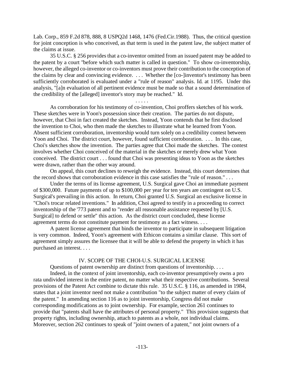Lab. Corp., 859 F.2d 878, 888, 8 USPQ2d 1468, 1476 (Fed.Cir.1988). Thus, the critical question for joint conception is who conceived, as that term is used in the patent law, the subject matter of the claims at issue.

35 U.S.C. § 256 provides that a co-inventor omitted from an issued patent may be added to the patent by a court "before which such matter is called in question." To show co-inventorship, however, the alleged co-inventor or co-inventors must prove their contribution to the conception of the claims by clear and convincing evidence. . . . Whether the [co-]inventor's testimony has been sufficiently corroborated is evaluated under a "rule of reason" analysis. Id. at 1195. Under this analysis, "[a]n evaluation of all pertinent evidence must be made so that a sound determination of the credibility of the [alleged] inventor's story may be reached." Id.

. . . . .

As corroboration for his testimony of co-invention, Choi proffers sketches of his work. These sketches were in Yoon's possession since their creation. The parties do not dispute, however, that Choi in fact created the sketches. Instead, Yoon contends that he first disclosed the invention to Choi, who then made the sketches to illustrate what he learned from Yoon. Absent sufficient corroboration, inventorship would turn solely on a credibility contest between Yoon and Choi. The district court, however, found sufficient corroboration. . . . In this case, Choi's sketches show the invention. The parties agree that Choi made the sketches. The contest involves whether Choi conceived of the material in the sketches or merely drew what Yoon conceived. The district court . . . found that Choi was presenting ideas to Yoon as the sketches were drawn, rather than the other way around.

On appeal, this court declines to reweigh the evidence. Instead, this court determines that the record shows that corroboration evidence in this case satisfies the "rule of reason." . . .

Under the terms of its license agreement, U.S. Surgical gave Choi an immediate payment of \$300,000. Future payments of up to \$100,000 per year for ten years are contingent on U.S. Surgical's prevailing in this action. In return, Choi granted U.S. Surgical an exclusive license in "Choi's trocar related inventions." In addition, Choi agreed to testify in a proceeding to correct inventorship of the '773 patent and to "render all reasonable assistance requested by [U.S. Surgical] to defend or settle" this action. As the district court concluded, these license agreement terms do not constitute payment for testimony as a fact witness. . . .

A patent license agreement that binds the inventor to participate in subsequent litigation is very common. Indeed, Yoon's agreement with Ethicon contains a similar clause. This sort of agreement simply assures the licensee that it will be able to defend the property in which it has purchased an interest. . . .

## IV. SCOPE OF THE CHOI-U.S. SURGICAL LICENSE

Questions of patent ownership are distinct from questions of inventorship. . . .

Indeed, in the context of joint inventorship, each co-inventor presumptively owns a pro rata undivided interest in the entire patent, no matter what their respective contributions. Several provisions of the Patent Act combine to dictate this rule. 35 U.S.C. § 116, as amended in 1984, states that a joint inventor need not make a contribution "to the subject matter of every claim of the patent." In amending section 116 as to joint inventorship, Congress did not make corresponding modifications as to joint ownership. For example, section 261 continues to provide that "patents shall have the attributes of personal property." This provision suggests that property rights, including ownership, attach to patents as a whole, not individual claims. Moreover, section 262 continues to speak of "joint owners of a patent," not joint owners of a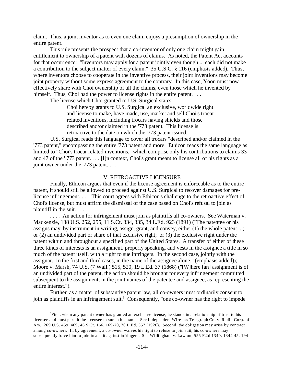claim. Thus, a joint inventor as to even one claim enjoys a presumption of ownership in the entire patent.

This rule presents the prospect that a co-inventor of only one claim might gain entitlement to ownership of a patent with dozens of claims. As noted, the Patent Act accounts for that occurrence: "Inventors may apply for a patent jointly even though ... each did not make a contribution to the subject matter of every claim." 35 U.S.C. § 116 (emphasis added). Thus, where inventors choose to cooperate in the inventive process, their joint inventions may become joint property without some express agreement to the contrary. In this case, Yoon must now effectively share with Choi ownership of all the claims, even those which he invented by himself. Thus, Choi had the power to license rights in the entire patent. . . .

The license which Choi granted to U.S. Surgical states:

Choi hereby grants to U.S. Surgical an exclusive, worldwide right and license to make, have made, use, market and sell Choi's trocar related inventions, including trocars having shields and those described and/or claimed in the '773 patent. This license is retroactive to the date on which the '773 patent issued.

U.S. Surgical reads this language to cover all trocars "described and/or claimed in the '773 patent," encompassing the entire '773 patent and more. Ethicon reads the same language as limited to "Choi's trocar related inventions," which comprise only his contributions to claims 33 and 47 of the ' 773 patent. . . . [I]n context, Choi's grant meant to license all of his rights as a joint owner under the '773 patent. . . .

## V. RETROACTIVE LICENSURE

Finally, Ethicon argues that even if the license agreement is enforceable as to the entire patent, it should still be allowed to proceed against U.S. Surgical to recover damages for prelicense infringement. . . . This court agrees with Ethicon's challenge to the retroactive effect of Choi's license, but must affirm the dismissal of the case based on Choi's refusal to join as plaintiff in the suit. . . .

.... An action for infringement must join as plaintiffs all co-owners. See Waterman v. Mackenzie, 138 U.S. 252, 255, 11 S.Ct. 334, 335, 34 L.Ed. 923 (1891) ("The patentee or his assigns may, by instrument in writing, assign, grant, and convey, either (1) the whole patent ...; or (2) an undivided part or share of that exclusive right; or (3) the exclusive right under the patent within and throughout a specified part of the United States. A transfer of either of these three kinds of interests is an assignment, properly speaking, and vests in the assignee a title in so much of the patent itself, with a right to sue infringers. In the second case, jointly with the assignor. In the first and third cases, in the name of the assignee alone." (emphasis added)); Moore v. Marsh, 74 U.S. (7 Wall.) 515, 520, 19 L.Ed. 37 (1868) ("[W]here [an] assignment is of an undivided part of the patent, the action should be brought for every infringement committed subsequent to the assignment, in the joint names of the patentee and assignee, as representing the entire interest.").

Further, as a matter of substantive patent law, all co-owners must ordinarily consent to join as plaintiffs in an infringement suit.<sup>9</sup> Consequently, "one co-owner has the right to impede

<sup>9</sup> First, when any patent owner has granted an exclusive license, he stands in a relationship of trust to his licensee and must permit the licensee to sue in his name. See Independent Wireless Telegraph Co. v. Radio Corp. of Am., 269 U.S. 459, 469, 46 S.Ct. 166, 169-70, 70 L.Ed. 357 (1926). Second, the obligation may arise by contract among co-owners. If, by agreement, a co-owner waives his right to refuse to join suit, his co-owners may subsequently force him to join in a suit against infringers. See Willingham v. Lawton, 555 F.2d 1340, 1344-45, 194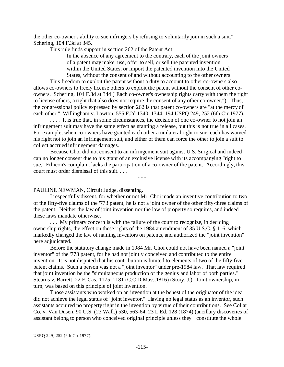the other co-owner's ability to sue infringers by refusing to voluntarily join in such a suit." Schering, 104 F.3d at 345.

This rule finds support in section 262 of the Patent Act:

In the absence of any agreement to the contrary, each of the joint owners of a patent may make, use, offer to sell, or sell the patented invention within the United States, or import the patented invention into the United States, without the consent of and without accounting to the other owners.

This freedom to exploit the patent without a duty to account to other co-owners also allows co-owners to freely license others to exploit the patent without the consent of other coowners. Schering, 104 F.3d at 344 ("Each co-owner's ownership rights carry with them the right to license others, a right that also does not require the consent of any other co-owner."). Thus, the congressional policy expressed by section 262 is that patent co-owners are "at the mercy of each other." Willingham v. Lawton, 555 F.2d 1340, 1344, 194 USPQ 249, 252 (6th Cir.1977).

. . . . It is true that, in some circumstances, the decision of one co-owner to not join an infringement suit may have the same effect as granting a release, but this is not true in all cases. For example, when co-owners have granted each other a unilateral right to sue, each has waived his right not to join an infringement suit, and either of them can force the other to join a suit to collect accrued infringement damages.

Because Choi did not consent to an infringement suit against U.S. Surgical and indeed can no longer consent due to his grant of an exclusive license with its accompanying "right to sue," Ethicon's complaint lacks the participation of a co-owner of the patent. Accordingly, this court must order dismissal of this suit. . . .

**- - -**

## PAULINE NEWMAN, Circuit Judge, dissenting.

I respectfully dissent, for whether or not Mr. Choi made an inventive contribution to two of the fifty-five claims of the '773 patent, he is not a joint owner of the other fifty-three claims of the patent. Neither the law of joint invention nor the law of property so requires, and indeed these laws mandate otherwise.

. . . My primary concern is with the failure of the court to recognize, in deciding ownership rights, the effect on these rights of the 1984 amendment of 35 U.S.C. § 116, which markedly changed the law of naming inventors on patents, and authorized the "joint invention" here adjudicated.

Before the statutory change made in 1984 Mr. Choi could not have been named a "joint inventor" of the '773 patent, for he had not jointly conceived and contributed to the entire invention. It is not disputed that his contribution is limited to elements of two of the fifty-five patent claims. Such a person was not a "joint inventor" under pre-1984 law. That law required that joint invention be the "simultaneous production of the genius and labor of both parties." Stearns v. Barrett, 22 F. Cas. 1175, 1181 (C.C.D.Mass.1816) (Story, J.). Joint ownership, in turn, was based on this principle of joint invention.

Those assistants who worked on an invention at the behest of the originator of the idea did not achieve the legal status of "joint inventor." Having no legal status as an inventor, such assistants acquired no property right in the invention by virtue of their contributions. See Collar Co. v. Van Dusen, 90 U.S. (23 Wall.) 530, 563-64, 23 L.Ed. 128 (1874) (ancillary discoveries of assistant belong to person who conceived original principle unless they "constitute the whole

USPQ 249, 252 (6th Cir.1977).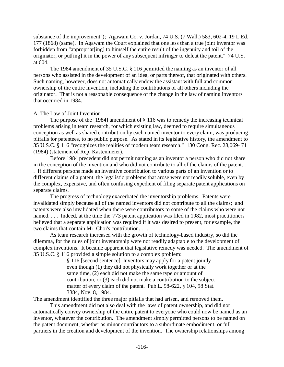substance of the improvement"); Agawam Co. v. Jordan, 74 U.S. (7 Wall.) 583, 602-4, 19 L.Ed. 177 (1868) (same). In Agawam the Court explained that one less than a true joint inventor was forbidden from "appropriat[ing] to himself the entire result of the ingenuity and toil of the originator, or put[ing] it in the power of any subsequent infringer to defeat the patent." 74 U.S. at 604.

The 1984 amendment of 35 U.S.C. § 116 permitted the naming as an inventor of all persons who assisted in the development of an idea, or parts thereof, that originated with others. Such naming, however, does not automatically endow the assistant with full and common ownership of the entire invention, including the contributions of all others including the originator. That is not a reasonable consequence of the change in the law of naming inventors that occurred in 1984.

## A. The Law of Joint Invention

The purpose of the [1984] amendment of § 116 was to remedy the increasing technical problems arising in team research, for which existing law, deemed to require simultaneous conception as well as shared contribution by each named inventor to every claim, was producing pitfalls for patentees, to no public purpose. As stated in its legislative history, the amendment to 35 U.S.C. § 116 "recognizes the realities of modern team research." 130 Cong. Rec. 28,069- 71 (1984) (statement of Rep. Kastenmeier).

Before 1984 precedent did not permit naming as an inventor a person who did not share in the conception of the invention and who did not contribute to all of the claims of the patent. . . . If different persons made an inventive contribution to various parts of an invention or to different claims of a patent, the legalistic problems that arose were not readily soluble, even by the complex, expensive, and often confusing expedient of filing separate patent applications on separate claims.

The progress of technology exacerbated the inventorship problems. Patents were invalidated simply because all of the named inventors did not contribute to all the claims; and patents were also invalidated when there were contributors to some of the claims who were not named. . . . Indeed, at the time the '773 patent application was filed in 1982, most practitioners believed that a separate application was required if it was desired to present, for example, the two claims that contain Mr. Choi's contribution. . . .

As team research increased with the growth of technology-based industry, so did the dilemma, for the rules of joint inventorship were not readily adaptable to the development of complex inventions. It became apparent that legislative remedy was needed. The amendment of 35 U.S.C. § 116 provided a simple solution to a complex problem:

> § 116 [second sentence] Inventors may apply for a patent jointly even though (1) they did not physically work together or at the same time, (2) each did not make the same type or amount of contribution, or (3) each did not make a contribution to the subject matter of every claim of the patent. Pub.L. 98-622, § 104, 98 Stat. 3384, Nov. 8, 1984.

The amendment identified the three major pitfalls that had arisen, and removed them.

This amendment did not also deal with the laws of patent ownership, and did not automatically convey ownership of the entire patent to everyone who could now be named as an inventor, whatever the contribution. The amendment simply permitted persons to be named on the patent document, whether as minor contributors to a subordinate embodiment, or full partners in the creation and development of the invention. The ownership relationships among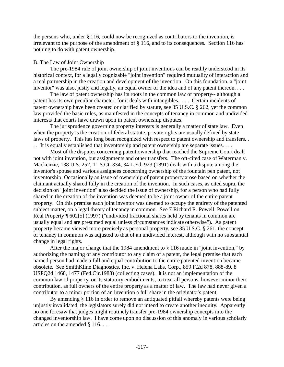the persons who, under § 116, could now be recognized as contributors to the invention, is irrelevant to the purpose of the amendment of § 116, and to its consequences. Section 116 has nothing to do with patent ownership.

## B. The Law of Joint Ownership

The pre-1984 rule of joint ownership of joint inventions can be readily understood in its historical context, for a legally cognizable "joint invention" required mutuality of interaction and a real partnership in the creation and development of the invention. On this foundation, a "joint inventor" was also, justly and legally, an equal owner of the idea and of any patent thereon. . . .

The law of patent ownership has its roots in the common law of property-- although a patent has its own peculiar character, for it deals with intangibles. . . . Certain incidents of patent ownership have been created or clarified by statute, see 35 U.S.C. § 262, yet the common law provided the basic rules, as manifested in the concepts of tenancy in common and undivided interests that courts have drawn upon in patent ownership disputes.

The jurisprudence governing property interests is generally a matter of state law. Even when the property is the creation of federal statute, private rights are usually defined by state laws of property. This has long been recognized with respect to patent ownership and transfers. . . . It is equally established that inventorship and patent ownership are separate issues. . . .

Most of the disputes concerning patent ownership that reached the Supreme Court dealt not with joint invention, but assignments and other transfers. The oft-cited case of Waterman v. Mackenzie, 138 U.S. 252, 11 S.Ct. 334, 34 L.Ed. 923 (1891) dealt with a dispute among the inventor's spouse and various assignees concerning ownership of the fountain pen patent, not inventorship. Occasionally an issue of ownership of patent property arose based on whether the claimant actually shared fully in the creation of the invention. In such cases, as cited supra, the decision on "joint invention" also decided the issue of ownership, for a person who had fully shared in the creation of the invention was deemed to be a joint owner of the entire patent property. On this premise each joint inventor was deemed to occupy the entirety of the patented subject matter, on a legal theory of tenancy in common. See 7 Richard R. Powell, Powell on Real Property ¶ 602[5] (1997) ("undivided fractional shares held by tenants in common are usually equal and are presumed equal unless circumstances indicate otherwise"). As patent property became viewed more precisely as personal property, see 35 U.S.C. § 261, the concept of tenancy in common was adjusted to that of an undivided interest, although with no substantial change in legal rights.

After the major change that the 1984 amendment to § 116 made in "joint invention," by authorizing the naming of any contributor to any claim of a patent, the legal premise that each named person had made a full and equal contribution to the entire patented invention became obsolete. See SmithKline Diagnostics, Inc. v. Helena Labs. Corp., 859 F.2d 878, 888-89, 8 USPQ2d 1468, 1477 (Fed.Cir.1988) (collecting cases). It is not an implementation of the common law of property, or its statutory embodiments, to treat all persons, however minor their contribution, as full owners of the entire property as a matter of law. The law had never given a contributor to a minor portion of an invention a full share in the originator's patent.

By amending § 116 in order to remove an antiquated pitfall whereby patents were being unjustly invalidated, the legislators surely did not intend to create another inequity. Apparently no one foresaw that judges might routinely transfer pre-1984 ownership concepts into the changed inventorship law. I have come upon no discussion of this anomaly in various scholarly articles on the amended § 116. . . .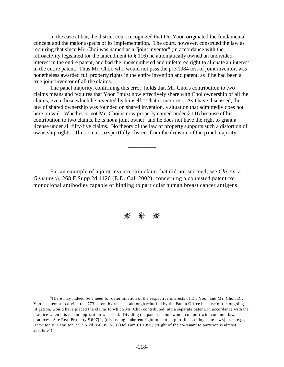In the case at bar, the district court recognized that Dr. Yoon originated the fundamental concept and the major aspects of its implementation. The court, however, construed the law as requiring that since Mr. Choi was named as a "joint inventor" (in accordance with the retroactivity legislated for the amendment to § 116) he automatically owned an undivided interest in the entire patent, and had the unencumbered and unfettered right to alienate an interest in the entire patent. Thus Mr. Choi, who would not pass the pre-1984 test of joint inventor, was nonetheless awarded full property rights in the entire invention and patent, as if he had been a true joint inventor of all the claims.

The panel majority, confirming this error, holds that Mr. Choi's contribution to two claims means and requires that Yoon "must now effectively share with Choi ownership of all the claims, even those which he invented by himself." That is incorrect. As I have discussed, the law of shared ownership was founded on shared invention, a situation that admittedly does not here prevail. Whether or not Mr. Choi is now properly named under § 116 because of his contribution to two claims, he is not a joint owner<sup>1</sup> and he does not have the right to grant a license under all fifty-five claims. No theory of the law of property supports such a distortion of ownership rights. Thus I must, respectfully, dissent from the decision of the panel majority.

**\_\_\_\_\_\_\_\_\_\_**

For an example of a joint inventorship claim that did not succeed, see *Chiron v. Genentech*, 268 F.Supp.2d 1126 (E.D. Cal. 2002), concerning a contested patent for monoclonal antibodies capable of binding to particular human breast cancer antigens.

\* \* \*

<sup>1</sup>There may indeed be a need for determination of the respective interests of Dr. Yoon and Mr. Choi. Dr. Yoon's attempt to divide the '773 patent by reissue, although rebuffed by the Patent Office because of the ongoing litigation, would have placed the claims to which Mr. Choi contributed into a separate patent, in accordance with the practice when this patent application was filed. Dividing the patent claims would comport with common law practices. See Real Property ¶ 607[1] (discussing "inherent right to compel partition" , citing state laws); see, e.g., Hamilton v. Hamilton, 597 A.2d 856, 859-60 (Del.Fam.Ct.1990) ("right of the co-tenant to partition is almost absolute").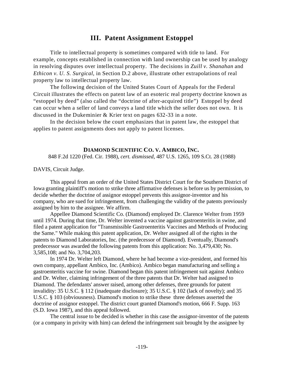# **III. Patent Assignment Estoppel**

Title to intellectual property is sometimes compared with title to land. For example, concepts established in connection with land ownership can be used by analogy in resolving disputes over intellectual property. The decisions in *Zuill v. Shanahan* and *Ethicon v. U. S. Surgical*, in Section D.2 above, illustrate other extrapolations of real property law to intellectual property law.

The following decision of the United States Court of Appeals for the Federal Circuit illustrates the effects on patent law of an esoteric real property doctrine known as "estoppel by deed" (also called the "doctrine of after-acquired title") Estoppel by deed can occur when a seller of land conveys a land title which the seller does not own. It is discussed in the Dukeminier & Krier text on pages 632-33 in a note.

In the decision below the court emphasizes that in patent law, the estoppel that applies to patent assignments does not apply to patent licenses.

## **DIAMOND SCIENTIFIC CO. V. AMBICO, INC.**

848 F.2d 1220 (Fed. Cir. 1988), *cert. dismissed*, 487 U.S. 1265, 109 S.Ct. 28 (1988)

DAVIS, Circuit Judge.

This appeal from an order of the United States District Court for the Southern District of Iowa granting plaintiff's motion to strike three affirmative defenses is before us by permission, to decide whether the doctrine of assignor estoppel prevents this assignor-inventor and his company, who are sued for infringement, from challenging the validity of the patents previously assigned by him to the assignee. We affirm.

Appellee Diamond Scientific Co. (Diamond) employed Dr. Clarence Welter from 1959 until 1974. During that time, Dr. Welter invented a vaccine against gastroenteritis in swine, and filed a patent application for "Transmissible Gastroenteritis Vaccines and Methods of Producing the Same." While making this patent application, Dr. Welter assigned all of the rights in the patents to Diamond Laboratories, Inc. (the predecessor of Diamond). Eventually, Diamond's predecessor was awarded the following patents from this application: No. 3,479,430; No. 3,585,108; and No. 3,704,203.

In 1974 Dr. Welter left Diamond, where he had become a vice-president, and formed his own company, appellant Ambico, Inc. (Ambico). Ambico began manufacturing and selling a gastroenteritis vaccine for swine. Diamond began this patent infringement suit against Ambico and Dr. Welter, claiming infringement of the three patents that Dr. Welter had assigned to Diamond. The defendants' answer raised, among other defenses, three grounds for patent invalidity: 35 U.S.C. § 112 (inadequate disclosure); 35 U.S.C. § 102 (lack of novelty); and 35 U.S.C. § 103 (obviousness). Diamond's motion to strike these three defenses asserted the doctrine of assignor estoppel. The district court granted Diamond's motion, 666 F. Supp. 163 (S.D. Iowa 1987), and this appeal followed.

The central issue to be decided is whether in this case the assignor-inventor of the patents (or a company in privity with him) can defend the infringement suit brought by the assignee by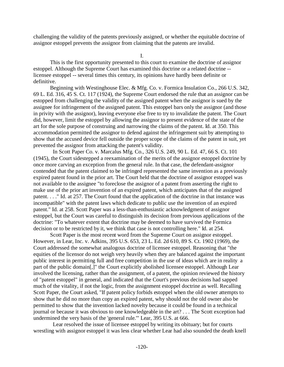challenging the validity of the patents previously assigned, or whether the equitable doctrine of assignor estoppel prevents the assignor from claiming that the patents are invalid.

I.

This is the first opportunity presented to this court to examine the doctrine of assignor estoppel. Although the Supreme Court has examined this doctrine or a related doctrine -licensee estoppel -- several times this century, its opinions have hardly been definite or definitive.

Beginning with Westinghouse Elec. & Mfg. Co. v. Formica Insulation Co., 266 U.S. 342, 69 L. Ed. 316, 45 S. Ct. 117 (1924), the Supreme Court endorsed the rule that an assignor can be estopped from challenging the validity of the assigned patent when the assignor is sued by the assignee for infringement of the assigned patent. This estoppel bars only the assignor (and those in privity with the assignor), leaving everyone else free to try to invalidate the patent. The Court did, however, limit the estoppel by allowing the assignor to present evidence of the state of the art for the sole purpose of construing and narrowing the claims of the patent. Id. at 350. This accommodation permitted the assignor to defend against the infringement suit by attempting to show that the accused device fell outside the proper scope of the claims of the patent in suit, yet prevented the assignor from attacking the patent's validity.

 In Scott Paper Co. v. Marcalus Mfg. Co., 326 U.S. 249, 90 L. Ed. 47, 66 S. Ct. 101 (1945), the Court sidestepped a reexamination of the merits of the assignor estoppel doctrine by once more carving an exception from the general rule. In that case, the defendant-assignor contended that the patent claimed to be infringed represented the same invention as a previously expired patent found in the prior art. The Court held that the doctrine of assignor estoppel was not available to the assignee "to foreclose the assignor of a patent from asserting the right to make use of the prior art invention of an expired patent, which anticipates that of the assigned patent. . . ." Id. at 257. The Court found that the application of the doctrine in that instance was incompatible" with the patent laws which dedicate to public use the invention of an expired patent." Id. at 258. Scott Paper was a less-than-enthusiastic acknowledgment of assignor estoppel, but the Court was careful to distinguish its decision from previous applications of the doctrine: "To whatever extent that doctrine may be deemed to have survived the Formica decision or to be restricted by it, we think that case is not controlling here." Id. at 254.

Scott Paper is the most recent word from the Supreme Court on assignor estoppel. However, in Lear, Inc. v. Adkins, 395 U.S. 653, 23 L. Ed. 2d 610, 89 S. Ct. 1902 (1969), the Court addressed the somewhat analogous doctrine of licensee estoppel. Reasoning that "the equities of the licensor do not weigh very heavily when they are balanced against the important public interest in permitting full and free competition in the use of ideas which are in reality a part of the public domain[,]" the Court explicitly abolished licensee estoppel. Although Lear involved the licensing, rather than the assignment, of a patent, the opinion reviewed the history of "patent estoppel" in general, and indicated that the Court's previous decisions had sapped much of the vitality, if not the logic, from the assignment estoppel doctrine as well. Recalling Scott Paper, the Court asked, "If patent policy forbids estoppel when the old owner attempts to show that he did no more than copy an expired patent, why should not the old owner also be permitted to show that the invention lacked novelty because it could be found in a technical journal or because it was obvious to one knowledgeable in the art? . . . The Scott exception had undermined the very basis of the 'general rule.'" Lear, 395 U.S. at 666.

 Lear resolved the issue of licensee estoppel by writing its obituary; but for courts wrestling with assignor estoppel it was less clear whether Lear had also sounded the death knell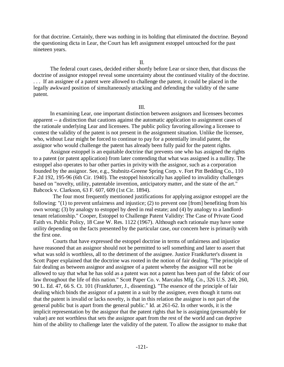for that doctrine. Certainly, there was nothing in its holding that eliminated the doctrine. Beyond the questioning dicta in Lear, the Court has left assignment estoppel untouched for the past nineteen years.

The federal court cases, decided either shortly before Lear or since then, that discuss the doctrine of assignor estoppel reveal some uncertainty about the continued vitality of the doctrine. . . . If an assignee of a patent were allowed to challenge the patent, it could be placed in the legally awkward position of simultaneously attacking and defending the validity of the same patent.

III.

In examining Lear, one important distinction between assignors and licensees becomes apparent -- a distinction that cautions against the automatic application to assignment cases of the rationale underlying Lear and licensees. The public policy favoring allowing a licensee to contest the validity of the patent is not present in the assignment situation. Unlike the licensee, who, without Lear might be forced to continue to pay for a potentially invalid patent, the assignor who would challenge the patent has already been fully paid for the patent rights.

Assignor estoppel is an equitable doctrine that prevents one who has assigned the rights to a patent (or patent application) from later contending that what was assigned is a nullity. The estoppel also operates to bar other parties in privity with the assignor, such as a corporation founded by the assignor. See, e.g., Stubnitz-Greene Spring Corp. v. Fort Pitt Bedding Co., 110 F.2d 192, 195-96 (6th Cir. 1940). The estoppel historically has applied to invalidity challenges based on "novelty, utility, patentable invention, anticipatory matter, and the state of the art." Babcock v. Clarkson, 63 F. 607, 609 (1st Cir. 1894).

 The four most frequently mentioned justifications for applying assignor estoppel are the following: "(1) to prevent unfairness and injustice; (2) to prevent one [from] benefiting from his own wrong; (3) by analogy to estoppel by deed in real estate; and (4) by analogy to a landlordtenant relationship." Cooper, Estoppel to Challenge Patent Validity: The Case of Private Good Faith vs. Public Policy, 18 Case W. Res. 1122 (1967). Although each rationale may have some utility depending on the facts presented by the particular case, our concern here is primarily with the first one.

 Courts that have expressed the estoppel doctrine in terms of unfairness and injustice have reasoned that an assignor should not be permitted to sell something and later to assert that what was sold is worthless, all to the detriment of the assignee. Justice Frankfurter's dissent in Scott Paper explained that the doctrine was rooted in the notion of fair dealing. "The principle of fair dealing as between assignor and assignee of a patent whereby the assignor will not be allowed to say that what he has sold as a patent was not a patent has been part of the fabric of our law throughout the life of this nation." Scott Paper Co. v. Marcalus Mfg. Co., 326 U.S. 249, 260, 90 L. Ed. 47, 66 S. Ct. 101 (Frankfurter, J., dissenting). "The essence of the principle of fair dealing which binds the assignor of a patent in a suit by the assignee, even though it turns out that the patent is invalid or lacks novelty, is that in this relation the assignor is not part of the general public but is apart from the general public." Id. at 261-62. In other words, it is the implicit representation by the assignor that the patent rights that he is assigning (presumably for value) are not worthless that sets the assignor apart from the rest of the world and can deprive him of the ability to challenge later the validity of the patent. To allow the assignor to make that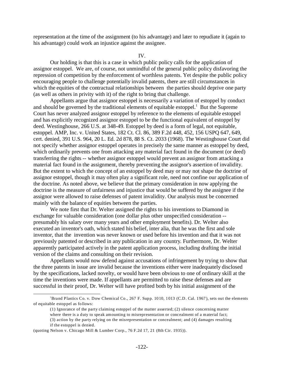representation at the time of the assignment (to his advantage) and later to repudiate it (again to his advantage) could work an injustice against the assignee.

IV.

Our holding is that this is a case in which public policy calls for the application of assignor estoppel. We are, of course, not unmindful of the general public policy disfavoring the repression of competition by the enforcement of worthless patents. Yet despite the public policy encouraging people to challenge potentially invalid patents, there are still circumstances in which the equities of the contractual relationships between the parties should deprive one party (as well as others in privity with it) of the right to bring that challenge.

Appellants argue that assignor estoppel is necessarily a variation of estoppel by conduct and should be governed by the traditional elements of equitable estoppel.<sup>1</sup> But the Supreme Court has never analyzed assignor estoppel by reference to the elements of equitable estoppel and has explicitly recognized assignor estoppel to be the functional equivalent of estoppel by deed. Westinghouse, 266 U.S. at 348-49. Estoppel by deed is a form of legal, not equitable, estoppel. AMP, Inc. v. United States, 182 Ct. Cl. 86, 389 F.2d 448, 452, 156 USPQ 647, 649, cert. denied, 391 U.S. 964, 20 L. Ed. 2d 878, 88 S. Ct. 2033 (1968). The Westinghouse Court did not specify whether assignor estoppel operates in precisely the same manner as estoppel by deed, which ordinarily prevents one from attacking any material fact found in the document (or deed) transferring the rights -- whether assignor estoppel would prevent an assignor from attacking a material fact found in the assignment, thereby preventing the assignor's assertion of invalidity. But the extent to which the concept of an estoppel by deed may or may not shape the doctrine of assignor estoppel, though it may often play a significant role, need not confine our application of the doctrine. As noted above, we believe that the primary consideration in now applying the doctrine is the measure of unfairness and injustice that would be suffered by the assignee if the assignor were allowed to raise defenses of patent invalidity. Our analysis must be concerned mainly with the balance of equities between the parties.

We note first that Dr. Welter assigned the rights to his inventions to Diamond in exchange for valuable consideration (one dollar plus other unspecified consideration - presumably his salary over many years and other employment benefits). Dr. Welter also executed an inventor's oath, which stated his belief, inter alia, that he was the first and sole inventor, that the invention was never known or used before his invention and that it was not previously patented or described in any publication in any country. Furthermore, Dr. Welter apparently participated actively in the patent application process, including drafting the initial version of the claims and consulting on their revision.

Appellants would now defend against accusations of infringement by trying to show that the three patents in issue are invalid because the inventions either were inadequately disclosed by the specifications, lacked novelty, or would have been obvious to one of ordinary skill at the time the inventions were made. If appellants are permitted to raise these defenses and are successful in their proof, Dr. Welter will have profited both by his initial assignment of the

<sup>&</sup>lt;sup>1</sup>Brand Plastics Co. v. Dow Chemical Co., 267 F. Supp. 1010, 1013 (C.D. Cal. 1967), sets out the elements of equitable estoppel as follows:

<sup>(1)</sup> Ignorance of the party claiming estoppel of the matter asserted; (2) silence concerning matter where there is a duty to speak amounting to misrepresentation or concealment of a material fact; (3) action by the party relying on the misrepresentation or concealment; and (4) damages resulting if the estoppel is denied.

<sup>(</sup>quoting Nelson v. Chicago Mill & Lumber Corp., 76 F.2d 17, 21 (8th Cir. 1935)).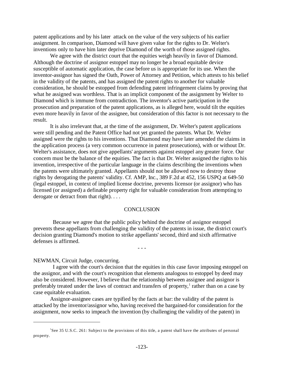patent applications and by his later attack on the value of the very subjects of his earlier assignment. In comparison, Diamond will have given value for the rights to Dr. Welter's inventions only to have him later deprive Diamond of the worth of those assigned rights.

We agree with the district court that the equities weigh heavily in favor of Diamond. Although the doctrine of assignor estoppel may no longer be a broad equitable device susceptible of automatic application, the case before us is appropriate for its use. When the inventor-assignor has signed the Oath, Power of Attorney and Petition, which attests to his belief in the validity of the patents, and has assigned the patent rights to another for valuable consideration, he should be estopped from defending patent infringement claims by proving that what he assigned was worthless. That is an implicit component of the assignment by Welter to Diamond which is immune from contradiction. The inventor's active participation in the prosecution and preparation of the patent applications, as is alleged here, would tilt the equities even more heavily in favor of the assignee, but consideration of this factor is not necessary to the result.

It is also irrelevant that, at the time of the assignment, Dr. Welter's patent applications were still pending and the Patent Office had not yet granted the patents. What Dr. Welter assigned were the rights to his inventions. That Diamond may have later amended the claims in the application process (a very common occurrence in patent prosecutions), with or without Dr. Welter's assistance, does not give appellants' arguments against estoppel any greater force. Our concern must be the balance of the equities. The fact is that Dr. Welter assigned the rights to his invention, irrespective of the particular language in the claims describing the inventions when the patents were ultimately granted. Appellants should not be allowed now to destroy those rights by derogating the patents' validity. Cf. AMP, Inc., 389 F.2d at 452, 156 USPQ at 649-50 (legal estoppel, in context of implied license doctrine, prevents licensor (or assignor) who has licensed (or assigned) a definable property right for valuable consideration from attempting to derogate or detract from that right). . . .

## **CONCLUSION**

 Because we agree that the public policy behind the doctrine of assignor estoppel prevents these appellants from challenging the validity of the patents in issue, the district court's decision granting Diamond's motion to strike appellants' second, third and sixth affirmative defenses is affirmed.

- - -

## NEWMAN, Circuit Judge, concurring.

 I agree with the court's decision that the equities in this case favor imposing estoppel on the assignor, and with the court's recognition that elements analogous to estoppel by deed may also be considered. However, I believe that the relationship between assignee and assignor is preferably treated under the laws of contract and transfers of property,<sup>1</sup> rather than on a case by case equitable evaluation.

Assignor-assignee cases are typified by the facts at bar: the validity of the patent is attacked by the inventor/assignor who, having received the bargained-for consideration for the assignment, now seeks to impeach the invention (by challenging the validity of the patent) in

<sup>&</sup>lt;sup>1</sup>See 35 U.S.C. 261: Subject to the provisions of this title, a patent shall have the attributes of personal property.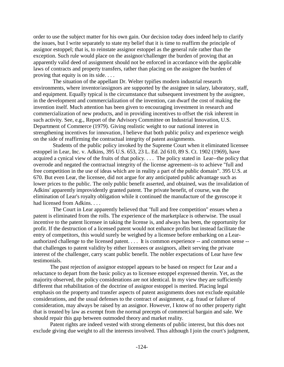order to use the subject matter for his own gain. Our decision today does indeed help to clarify the issues, but I write separately to state my belief that it is time to reaffirm the principle of assignor estoppel; that is, to reinstate assignor estoppel as the general rule rather than the exception. Such rule would place on the assignor/challenger the burden of proving that an apparently valid deed of assignment should not be enforced in accordance with the applicable laws of contracts and property transfers, rather than placing on the assignee the burden of proving that equity is on its side. . . .

 The situation of the appellant Dr. Welter typifies modern industrial research environments, where inventor/assignors are supported by the assignee in salary, laboratory, staff, and equipment. Equally typical is the circumstance that subsequent investment by the assignee, in the development and commercialization of the invention, can dwarf the cost of making the invention itself. Much attention has been given to encouraging investment in research and commercialization of new products, and in providing incentives to offset the risk inherent in such activity. See, e.g., Report of the Advisory Committee on Industrial Innovation, U.S. Department of Commerce (1979). Giving realistic weight to our national interest in strengthening incentives for innovation, I believe that both public policy and experience weigh on the side of reaffirming the contractual integrity of patent assignments.

 Students of the public policy invoked by the Supreme Court when it eliminated licensee estoppel in Lear, Inc. v. Adkins, 395 U.S. 653, 23 L. Ed. 2d 610, 89 S. Ct. 1902 (1969), have acquired a cynical view of the fruits of that policy. . . . The policy stated in Lear--the policy that overrode and negated the contractual integrity of the license agreement--is to achieve "full and free competition in the use of ideas which are in reality a part of the public domain". 395 U.S. at 670. But even Lear, the licensee, did not argue for any anticipated public advantage such as lower prices to the public. The only public benefit asserted, and obtained, was the invalidation of Adkins' apparently improvidently granted patent. The private benefit, of course, was the elimination of Lear's royalty obligation while it continued the manufacture of the gyroscope it had licensed from Adkins. . . .

 The Court in Lear apparently believed that "full and free competition" ensues when a patent is eliminated from the rolls. The experience of the marketplace is otherwise. The usual incentive to the patent licensee in taking the license is, and always has been, the opportunity for profit. If the destruction of a licensed patent would not enhance profits but instead facilitate the entry of competitors, this would surely be weighed by a licensee before embarking on a Learauthorized challenge to the licensed patent. . . . It is common experience -- and common sense - that challenges to patent validity by either licensees or assignors, albeit serving the private interest of the challenger, carry scant public benefit. The nobler expectations of Lear have few testimonials.

The past rejection of assignor estoppel appears to be based on respect for Lear and a reluctance to depart from the basic policy as to licensee estoppel expressed therein. Yet, as the majority observed, the policy considerations are not identical. In my view they are sufficiently different that rehabilitation of the doctrine of assignor estoppel is merited. Placing legal emphasis on the property and transfer aspects of patent assignments does not exclude equitable considerations, and the usual defenses to the contract of assignment, e.g. fraud or failure of consideration, may always be raised by an assignor. However, I know of no other property right that is treated by law as exempt from the normal precepts of commercial bargain and sale. We should repair this gap between outmoded theory and market reality.

Patent rights are indeed vested with strong elements of public interest, but this does not exclude giving due weight to all the interests involved. Thus although I join the court's judgment,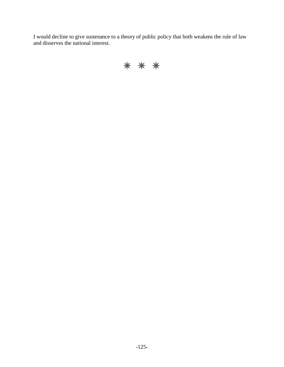I would decline to give sustenance to a theory of public policy that both weakens the rule of law and disserves the national interest.

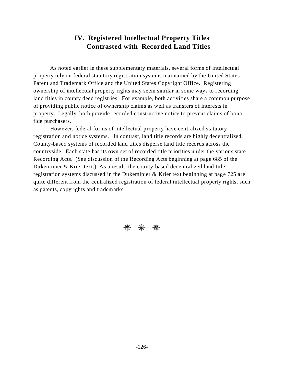# **IV. Registered Intellectual Property Titles Contrasted with Recorded Land Titles**

As noted earlier in these supplementary materials, several forms of intellectual property rely on federal statutory registration systems maintained by the United States Patent and Trademark Office and the United States Copyright Office. Registering ownership of intellectual property rights may seem similar in some ways to recording land titles in county deed registries. For example, both activities share a common purpose of providing public notice of ownership claims as well as transfers of interests in property. Legally, both provide recorded constructive notice to prevent claims of bona fide purchasers.

However, federal forms of intellectual property have centralized statutory registration and notice systems. In contrast, land title records are highly decentralized. County-based systems of recorded land titles disperse land title records across the countryside. Each state has its own set of recorded title priorities under the various state Recording Acts. (See discussion of the Recording Acts beginning at page 685 of the Dukeminier & Krier text.) As a result, the county-based decentralized land title registration systems discussed in the Dukeminier & Krier text beginning at page 725 are quite different from the centralized registration of federal intellectual property rights, such as patents, copyrights and trademarks.

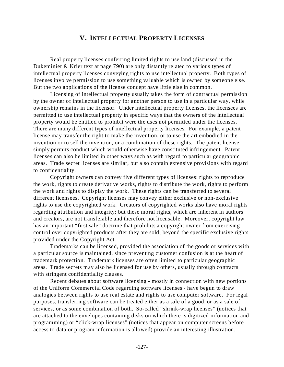# **V. INTELLECTUAL PROPERTY LICENSES**

Real property licenses conferring limited rights to use land (discussed in the Dukeminier & Krier text at page 790) are only distantly related to various types of intellectual property licenses conveying rights to use intellectual property. Both types of licenses involve permission to use something valuable which is owned by someone else. But the two applications of the license concept have little else in common.

Licensing of intellectual property usually takes the form of contractual permission by the owner of intellectual property for another person to use in a particular way, while ownership remains in the licensor. Under intellectual property licenses, the licensees are permitted to use intellectual property in specific ways that the owners of the intellectual property would be entitled to prohibit were the uses not permitted under the licenses. There are many different types of intellectual property licenses. For example, a patent license may transfer the right to make the invention, or to use the art embodied in the invention or to sell the invention, or a combination of these rights. The patent license simply permits conduct which would otherwise have constituted infringement. Patent licenses can also be limited in other ways such as with regard to particular geographic areas. Trade secret licenses are similar, but also contain extensive provisions with regard to confidentiality.

Copyright owners can convey five different types of licenses: rights to reproduce the work, rights to create derivative works, rights to distribute the work, rights to perform the work and rights to display the work. These rights can be transferred to several different licensees. Copyright licenses may convey either exclusive or non-exclusive rights to use the copyrighted work. Creators of copyrighted works also have moral rights regarding attribution and integrity; but these moral rights, which are inherent in authors and creators, are not transferable and therefore not licensable. Moreover, copyright law has an important "first sale" doctrine that prohibits a copyright owner from exercising control over copyrighted products after they are sold, beyond the specific exclusive rights provided under the Copyright Act.

Trademarks can be licensed, provided the association of the goods or services with a particular source is maintained, since preventing customer confusion is at the heart of trademark protection. Trademark licenses are often limited to particular geographic areas. Trade secrets may also be licensed for use by others, usually through contracts with stringent confidentiality clauses.

Recent debates about software licensing - mostly in connection with new portions of the Uniform Commercial Code regarding software licenses - have begun to draw analogies between rights to use real estate and rights to use computer software. For legal purposes, transferring software can be treated either as a sale of a good, or as a sale of services, or as some combination of both. So-called "shrink-wrap licenses" (notices that are attached to the envelopes containing disks on which there is digitized information and programming) or "click-wrap licenses" (notices that appear on computer screens before access to data or program information is allowed) provide an interesting illustration.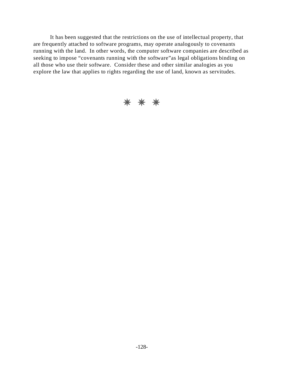It has been suggested that the restrictions on the use of intellectual property, that are frequently attached to software programs, may operate analogously to covenants running with the land. In other words, the computer software companies are described as seeking to impose "covenants running with the software"as legal obligations binding on all those who use their software. Consider these and other similar analogies as you explore the law that applies to rights regarding the use of land, known as servitudes.

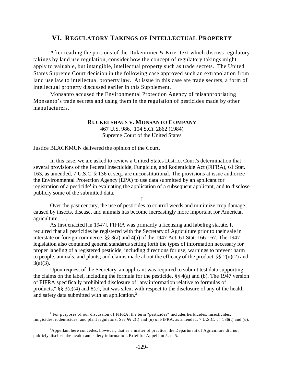## **VI. REGULATORY TAKINGS OF INTELLECTUAL PROPERTY**

After reading the portions of the Dukeminier & Krier text which discuss regulatory takings by land use regulation, consider how the concept of regulatory takings might apply to valuable, but intangible, intellectual property such as trade secrets. The United States Supreme Court decision in the following case approved such an extrapolation from land use law to intellectual property law. At issue in this case are trade secrets, a form of intellectual property discussed earlier in this Supplement.

Monsanto accused the Environmental Protection Agency of misappropriating Monsanto's trade secrets and using them in the regulation of pesticides made by other manufacturers.

## **RUCKELSHAUS V. MONSANTO COMPANY**

467 U.S. 986, 104 S.Ct. 2862 (1984) Supreme Court of the United States

Justice BLACKMUN delivered the opinion of the Court.

In this case, we are asked to review a United States District Court's determination that several provisions of the Federal Insecticide, Fungicide, and Rodenticide Act (FIFRA), 61 Stat. 163, as amended, 7 U.S.C. § 136 et seq., are unconstitutional. The provisions at issue authorize the Environmental Protection Agency (EPA) to use data submitted by an applicant for registration of a pesticide<sup>1</sup> in evaluating the application of a subsequent applicant, and to disclose publicly some of the submitted data.

I

Over the past century, the use of pesticides to control weeds and minimize crop damage caused by insects, disease, and animals has become increasingly more important for American agriculture. . . .

As first enacted [in 1947], FIFRA was primarily a licensing and labeling statute. It required that all pesticides be registered with the Secretary of Agriculture prior to their sale in interstate or foreign commerce. §§ 3(a) and 4(a) of the 1947 Act, 61 Stat. 166-167. The 1947 legislation also contained general standards setting forth the types of information necessary for proper labeling of a registered pesticide, including directions for use; warnings to prevent harm to people, animals, and plants; and claims made about the efficacy of the product.  $\S\S 2(u)(2)$  and  $3(a)(3)$ .

Upon request of the Secretary, an applicant was required to submit test data supporting the claims on the label, including the formula for the pesticide. §§ 4(a) and (b). The 1947 version of FIFRA specifically prohibited disclosure of "any information relative to formulas of products," §§ 3(c)(4) and 8(c), but was silent with respect to the disclosure of any of the health and safety data submitted with an application.<sup>2</sup>

<sup>1</sup> For purposes of our discussion of FIFRA, the term "pesticides" includes herbicides, insecticides, fungicides, rodenticides, and plant regulators. See §§ 2(t) and (u) of FIFRA, as amended, 7 U.S.C. §§ 136(t) and (u).

<sup>&</sup>lt;sup>2</sup>Appellant here concedes, however, that as a matter of practice, the Department of Agriculture did not publicly disclose the health and safety information. Brief for Appellant 5, n. 5.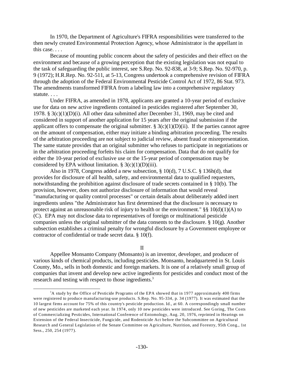In 1970, the Department of Agriculture's FIFRA responsibilities were transferred to the then newly created Environmental Protection Agency, whose Administrator is the appellant in this case. . . .

Because of mounting public concern about the safety of pesticides and their effect on the environment and because of a growing perception that the existing legislation was not equal to the task of safeguarding the public interest, see S.Rep. No. 92-838, at 3-9; S.Rep. No. 92-970, p. 9 (1972); H.R.Rep. No. 92-511, at 5-13, Congress undertook a comprehensive revision of FIFRA through the adoption of the Federal Environmental Pesticide Control Act of 1972, 86 Stat. 973. The amendments transformed FIFRA from a labeling law into a comprehensive regulatory statute. . . .

Under FIFRA, as amended in 1978, applicants are granted a 10-year period of exclusive use for data on new active ingredients contained in pesticides registered after September 30, 1978. § 3(c)(1)(D)(i). All other data submitted after December 31, 1969, may be cited and considered in support of another application for 15 years after the original submission if the applicant offers to compensate the original submitter.  $\S 3(c)(1)(D)(ii)$ . If the parties cannot agree on the amount of compensation, either may initiate a binding arbitration proceeding. The results of the arbitration proceeding are not subject to judicial review, absent fraud or misrepresentation. The same statute provides that an original submitter who refuses to participate in negotiations or in the arbitration proceeding forfeits his claim for compensation. Data that do not qualify for either the 10-year period of exclusive use or the 15-year period of compensation may be considered by EPA without limitation.  $\S 3(c)(1)(D)(iii)$ .

Also in 1978, Congress added a new subsection, § 10(d), 7 U.S.C. § 136h(d), that provides for disclosure of all health, safety, and environmental data to qualified requesters, notwithstanding the prohibition against disclosure of trade secrets contained in § 10(b). The provision, however, does not authorize disclosure of information that would reveal "manufacturing or quality control processes" or certain details about deliberately added inert ingredients unless "the Administrator has first determined that the disclosure is necessary to protect against an unreasonable risk of injury to health or the environment."  $\S$ § 10(d)(1)(A) to (C). EPA may not disclose data to representatives of foreign or multinational pesticide companies unless the original submitter of the data consents to the disclosure. § 10(g). Another subsection establishes a criminal penalty for wrongful disclosure by a Government employee or contractor of confidential or trade secret data. § 10(f).

II

Appellee Monsanto Company (Monsanto) is an inventor, developer, and producer of various kinds of chemical products, including pesticides. Monsanto, headquartered in St. Louis County, Mo., sells in both domestic and foreign markets. It is one of a relatively small group of companies that invent and develop new active ingredients for pesticides and conduct most of the research and testing with respect to those ingredients.<sup>3</sup>

<sup>&</sup>lt;sup>3</sup>A study by the Office of Pesticide Programs of the EPA showed that in 1977 approximately 400 firms were registered to produce manufacturing-use products. S.Rep. No. 95-334, p. 34 (1977). It was estimated that the 10 largest firms account for 75% of this country's pesticide production. Id., at 60. A correspondingly small number of new pesticides are marketed each year. In 1974, only 10 new pesticides were introduced. See Goring, The Costs of Commercializing Pesticides, International Conference of Entomology, Aug. 20, 1976, reprinted in Hearings on Extension of the Federal Insecticide, Fungicide, and Rodenticide Act before the Subcommittee on Agricultural Research and General Legislation of the Senate Committee on Agriculture, Nutrition, and Forestry, 95th Cong., 1st Sess., 250, 254 (1977).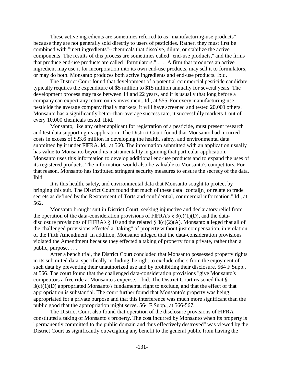These active ingredients are sometimes referred to as "manufacturing-use products" because they are not generally sold directly to users of pesticides. Rather, they must first be combined with "inert ingredients"--chemicals that dissolve, dilute, or stabilize the active components. The results of this process are sometimes called "end-use products," and the firms that produce end-use products are called "formulators." . . . A firm that produces an active ingredient may use it for incorporation into its own end-use products, may sell it to formulators, or may do both. Monsanto produces both active ingredients and end-use products. Ibid.

The District Court found that development of a potential commercial pesticide candidate typically requires the expenditure of \$5 million to \$15 million annually for several years. The development process may take between 14 and 22 years, and it is usually that long before a company can expect any return on its investment. Id., at 555. For every manufacturing-use pesticide the average company finally markets, it will have screened and tested 20,000 others. Monsanto has a significantly better-than-average success rate; it successfully markets 1 out of every 10,000 chemicals tested. Ibid.

Monsanto, like any other applicant for registration of a pesticide, must present research and test data supporting its application. The District Court found that Monsanto had incurred costs in excess of \$23.6 million in developing the health, safety, and environmental data submitted by it under FIFRA. Id., at 560. The information submitted with an application usually has value to Monsanto beyond its instrumentality in gaining that particular application. Monsanto uses this information to develop additional end-use products and to expand the uses of its registered products. The information would also be valuable to Monsanto's competitors. For that reason, Monsanto has instituted stringent security measures to ensure the secrecy of the data. Ibid.

It is this health, safety, and environmental data that Monsanto sought to protect by bringing this suit. The District Court found that much of these data "contai<sup>[n]</sup> or relate to trade secrets as defined by the Restatement of Torts and confidential, commercial information." Id., at 562.

Monsanto brought suit in District Court, seeking injunctive and declaratory relief from the operation of the data-consideration provisions of FIFRA's  $\S 3(c)(1)(D)$ , and the datadisclosure provisions of FIFRA's § 10 and the related § 3(c)(2)(A). Monsanto alleged that all of the challenged provisions effected a "taking" of property without just compensation, in violation of the Fifth Amendment. In addition, Monsanto alleged that the data-consideration provisions violated the Amendment because they effected a taking of property for a private, rather than a public, purpose. . . .

After a bench trial, the District Court concluded that Monsanto possessed property rights in its submitted data, specifically including the right to exclude others from the enjoyment of such data by preventing their unauthorized use and by prohibiting their disclosure. 564 F.Supp., at 566. The court found that the challenged data-consideration provisions "give Monsanto's competitors a free ride at Monsanto's expense." Ibid. The District Court reasoned that § 3(c)(1)(D) appropriated Monsanto's fundamental right to exclude, and that the effect of that appropriation is substantial. The court further found that Monsanto's property was being appropriated for a private purpose and that this interference was much more significant than the public good that the appropriation might serve. 564 F.Supp., at 566-567.

The District Court also found that operation of the disclosure provisions of FIFRA constituted a taking of Monsanto's property. The cost incurred by Monsanto when its property is "permanently committed to the public domain and thus effectively destroyed" was viewed by the District Court as significantly outweighing any benefit to the general public from having the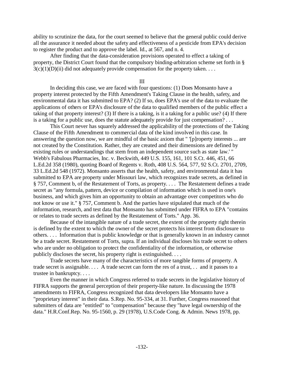ability to scrutinize the data, for the court seemed to believe that the general public could derive all the assurance it needed about the safety and effectiveness of a pesticide from EPA's decision to register the product and to approve the label. Id., at 567, and n. 4.

After finding that the data-consideration provisions operated to effect a taking of property, the District Court found that the compulsory binding-arbitration scheme set forth in §  $3(c)(1)(D)(ii)$  did not adequately provide compensation for the property taken. ...

III

In deciding this case, we are faced with four questions: (1) Does Monsanto have a property interest protected by the Fifth Amendment's Taking Clause in the health, safety, and environmental data it has submitted to EPA? (2) If so, does EPA's use of the data to evaluate the applications of others or EPA's disclosure of the data to qualified members of the public effect a taking of that property interest? (3) If there is a taking, is it a taking for a public use? (4) If there is a taking for a public use, does the statute adequately provide for just compensation? . . .

This Court never has squarely addressed the applicability of the protections of the Taking Clause of the Fifth Amendment to commercial data of the kind involved in this case. In answering the question now, we are mindful of the basic axiom that " '[p]roperty interests ... are not created by the Constitution. Rather, they are created and their dimensions are defined by existing rules or understandings that stem from an independent source such as state law.' " Webb's Fabulous Pharmacies, Inc. v. Beckwith, 449 U.S. 155, 161, 101 S.Ct. 446, 451, 66 L.Ed.2d 358 (1980), quoting Board of Regents v. Roth, 408 U.S. 564, 577, 92 S.Ct. 2701, 2709, 33 L.Ed.2d 548 (1972). Monsanto asserts that the health, safety, and environmental data it has submitted to EPA are property under Missouri law, which recognizes trade secrets, as defined in § 757, Comment b, of the Restatement of Torts, as property. . . . The Restatement defines a trade secret as "any formula, pattern, device or compilation of information which is used in one's business, and which gives him an opportunity to obtain an advantage over competitors who do not know or use it." § 757, Comment b. And the parties have stipulated that much of the information, research, and test data that Monsanto has submitted under FIFRA to EPA "contains or relates to trade secrets as defined by the Restatement of Torts." App. 36.

Because of the intangible nature of a trade secret, the extent of the property right therein is defined by the extent to which the owner of the secret protects his interest from disclosure to others. . . . Information that is public knowledge or that is generally known in an industry cannot be a trade secret. Restatement of Torts, supra. If an individual discloses his trade secret to others who are under no obligation to protect the confidentiality of the information, or otherwise publicly discloses the secret, his property right is extinguished. . . .

Trade secrets have many of the characteristics of more tangible forms of property. A trade secret is assignable. . . . A trade secret can form the res of a trust, . . and it passes to a trustee in bankruptcy. . . .

Even the manner in which Congress referred to trade secrets in the legislative history of FIFRA supports the general perception of their property-like nature. In discussing the 1978 amendments to FIFRA, Congress recognized that data developers like Monsanto have a "proprietary interest" in their data. S.Rep. No. 95-334, at 31. Further, Congress reasoned that submitters of data are "entitled" to "compensation" because they "have legal ownership of the data." H.R.Conf.Rep. No. 95-1560, p. 29 (1978), U.S.Code Cong. & Admin. News 1978, pp.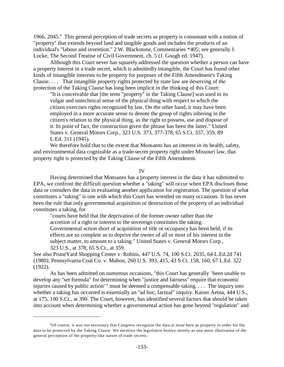1966, 2045.<sup>4</sup> This general perception of trade secrets as property is consonant with a notion of "property" that extends beyond land and tangible goods and includes the products of an individual's "labour and invention." 2 W. Blackstone, Commentaries \*405; see generally J. Locke, The Second Treatise of Civil Government, ch. 5 (J. Gough ed. 1947).

Although this Court never has squarely addressed the question whether a person can have a property interest in a trade secret, which is admittedly intangible, the Court has found other kinds of intangible interests to be property for purposes of the Fifth Amendment's Taking Clause. . . . That intangible property rights protected by state law are deserving of the protection of the Taking Clause has long been implicit in the thinking of this Court:

"It is conceivable that [the term "property" in the Taking Clause] was used in its vulgar and untechnical sense of the physical thing with respect to which the citizen exercises rights recognized by law. On the other hand, it may have been employed in a more accurate sense to denote the group of rights inhering in the citizen's relation to the physical thing, as the right to possess, use and dispose of it. In point of fact, the construction given the phrase has been the latter." United States v. General Motors Corp., 323 U.S. 373, 377-378, 65 S.Ct. 357, 359, 89 L.Ed. 311 (1945).

We therefore hold that to the extent that Monsanto has an interest in its health, safety, and environmental data cognizable as a trade-secret property right under Missouri law, that property right is protected by the Taking Clause of the Fifth Amendment.

IV

Having determined that Monsanto has a property interest in the data it has submitted to EPA, we confront the difficult question whether a "taking" will occur when EPA discloses those data or considers the data in evaluating another application for registration. The question of what constitutes a "taking" is one with which this Court has wrestled on many occasions. It has never been the rule that only governmental acquisition or destruction of the property of an individual constitutes a taking, for

"courts have held that the deprivation of the former owner rather than the

accretion of a right or interest to the sovereign constitutes the taking.

Governmental action short of acquisition of title or occupancy has been held, if its effects are so complete as to deprive the owner of all or most of his interest in the subject matter, to amount to a taking." United States v. General Motors Corp., 323 U.S., at 378, 65 S.Ct., at 359.

See also PruneYard Shopping Center v. Robins, 447 U.S. 74, 100 S.Ct. 2035, 64 L.Ed.2d 741 (1980); Pennsylvania Coal Co. v. Mahon, 260 U.S. 393, 415, 43 S.Ct. 158, 160, 67 L.Ed. 322 (1922).

As has been admitted on numerous occasions, "this Court has generally 'been unable to develop any "set formula" for determining when "justice and fairness" require that economic injuries caused by public action' " must be deemed a compensable taking. . . . The inquiry into whether a taking has occurred is essentially an "ad hoc, factual" inquiry. Kaiser Aetna, 444 U.S., at 175, 100 S.Ct., at 390. The Court, however, has identified several factors that should be taken into account when determining whether a governmental action has gone beyond "regulation" and

<sup>4</sup>Of course, it was not necessary that Congress recognize the data at issue here as property in order for the data to be protected by the Taking Clause. We mention the legislative history merely as one more illustration of the general perception of the property-like nature of trade secrets.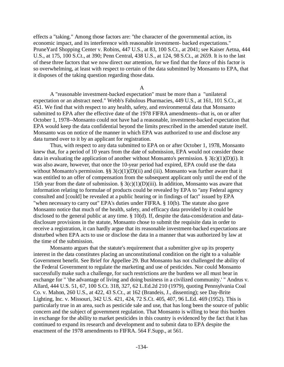effects a "taking." Among those factors are: "the character of the governmental action, its economic impact, and its interference with reasonable investment- backed expectations." PruneYard Shopping Center v. Robins, 447 U.S., at 83, 100 S.Ct., at 2041; see Kaiser Aetna, 444 U.S., at 175, 100 S.Ct., at 390; Penn Central, 438 U.S., at 124, 98 S.Ct., at 2659. It is to the last of these three factors that we now direct our attention, for we find that the force of this factor is so overwhelming, at least with respect to certain of the data submitted by Monsanto to EPA, that it disposes of the taking question regarding those data.

#### A

A "reasonable investment-backed expectation" must be more than a "unilateral expectation or an abstract need." Webb's Fabulous Pharmacies, 449 U.S., at 161, 101 S.Ct., at 451. We find that with respect to any health, safety, and environmental data that Monsanto submitted to EPA after the effective date of the 1978 FIFRA amendments--that is, on or after October 1, 1978--Monsanto could not have had a reasonable, investment-backed expectation that EPA would keep the data confidential beyond the limits prescribed in the amended statute itself. Monsanto was on notice of the manner in which EPA was authorized to use and disclose any data turned over to it by an applicant for registration.

Thus, with respect to any data submitted to EPA on or after October 1, 1978, Monsanto knew that, for a period of 10 years from the date of submission, EPA would not consider those data in evaluating the application of another without Monsanto's permission. § 3(c)(1)(D)(i). It was also aware, however, that once the 10-year period had expired, EPA could use the data without Monsanto's permission. §§  $3(c)(1)(D)(ii)$  and (iii). Monsanto was further aware that it was entitled to an offer of compensation from the subsequent applicant only until the end of the 15th year from the date of submission. §  $3(c)(1)(D)(iii)$ . In addition, Monsanto was aware that information relating to formulae of products could be revealed by EPA to "any Federal agency consulted and [could] be revealed at a public hearing or in findings of fact" issued by EPA "when necessary to carry out" EPA's duties under FIFRA. § 10(b). The statute also gave Monsanto notice that much of the health, safety, and efficacy data provided by it could be disclosed to the general public at any time. § 10(d). If, despite the data-consideration and datadisclosure provisions in the statute, Monsanto chose to submit the requisite data in order to receive a registration, it can hardly argue that its reasonable investment-backed expectations are disturbed when EPA acts to use or disclose the data in a manner that was authorized by law at the time of the submission.

Monsanto argues that the statute's requirement that a submitter give up its property interest in the data constitutes placing an unconstitutional condition on the right to a valuable Government benefit. See Brief for Appellee 29. But Monsanto has not challenged the ability of the Federal Government to regulate the marketing and use of pesticides. Nor could Monsanto successfully make such a challenge, for such restrictions are the burdens we all must bear in exchange for " 'the advantage of living and doing business in a civilized community.' " Andrus v. Allard, 444 U.S. 51, 67, 100 S.Ct. 318, 327, 62 L.Ed.2d 210 (1979), quoting Pennsylvania Coal Co. v. Mahon, 260 U.S., at 422, 43 S.Ct., at 162 (Brandeis, J., dissenting); see Day-Brite Lighting, Inc. v. Missouri, 342 U.S. 421, 424, 72 S.Ct. 405, 407, 96 L.Ed. 469 (1952). This is particularly true in an area, such as pesticide sale and use, that has long been the source of public concern and the subject of government regulation. That Monsanto is willing to bear this burden in exchange for the ability to market pesticides in this country is evidenced by the fact that it has continued to expand its research and development and to submit data to EPA despite the enactment of the 1978 amendments to FIFRA. 564 F.Supp., at 561.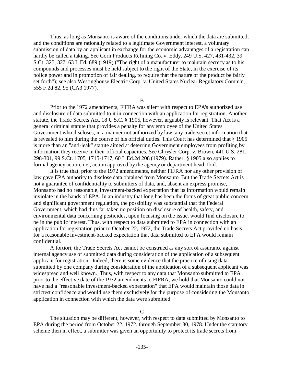Thus, as long as Monsanto is aware of the conditions under which the data are submitted, and the conditions are rationally related to a legitimate Government interest, a voluntary submission of data by an applicant in exchange for the economic advantages of a registration can hardly be called a taking. See Corn Products Refining Co. v. Eddy, 249 U.S. 427, 431-432, 39 S.Ct. 325, 327, 63 L.Ed. 689 (1919) ("The right of a manufacturer to maintain secrecy as to his compounds and processes must be held subject to the right of the State, in the exercise of its police power and in promotion of fair dealing, to require that the nature of the product be fairly set forth"); see also Westinghouse Electric Corp. v. United States Nuclear Regulatory Comm'n, 555 F.2d 82, 95 (CA3 1977).

B

Prior to the 1972 amendments, FIFRA was silent with respect to EPA's authorized use and disclosure of data submitted to it in connection with an application for registration. Another statute, the Trade Secrets Act, 18 U.S.C. § 1905, however, arguably is relevant. That Act is a general criminal statute that provides a penalty for any employee of the United States Government who discloses, in a manner not authorized by law, any trade-secret information that is revealed to him during the course of his official duties. This Court has determined that § 1905 is more than an "anti-leak" statute aimed at deterring Government employees from profiting by information they receive in their official capacities. See Chrysler Corp. v. Brown, 441 U.S. 281, 298-301, 99 S.Ct. 1705, 1715-1717, 60 L.Ed.2d 208 (1979). Rather, § 1905 also applies to formal agency action, i.e., action approved by the agency or department head. Ibid.

It is true that, prior to the 1972 amendments, neither FIFRA nor any other provision of law gave EPA authority to disclose data obtained from Monsanto. But the Trade Secrets Act is not a guarantee of confidentiality to submitters of data, and, absent an express promise, Monsanto had no reasonable, investment-backed expectation that its information would remain inviolate in the hands of EPA. In an industry that long has been the focus of great public concern and significant government regulation, the possibility was substantial that the Federal Government, which had thus far taken no position on disclosure of health, safety, and environmental data concerning pesticides, upon focusing on the issue, would find disclosure to be in the public interest. Thus, with respect to data submitted to EPA in connection with an application for registration prior to October 22, 1972, the Trade Secrets Act provided no basis for a reasonable investment-backed expectation that data submitted to EPA would remain confidential.

A fortiori, the Trade Secrets Act cannot be construed as any sort of assurance against internal agency use of submitted data during consideration of the application of a subsequent applicant for registration. Indeed, there is some evidence that the practice of using data submitted by one company during consideration of the application of a subsequent applicant was widespread and well known. Thus, with respect to any data that Monsanto submitted to EPA prior to the effective date of the 1972 amendments to FIFRA, we hold that Monsanto could not have had a "reasonable investment-backed expectation" that EPA would maintain those data in strictest confidence and would use them exclusively for the purpose of considering the Monsanto application in connection with which the data were submitted.

 $\mathcal{C}$ 

The situation may be different, however, with respect to data submitted by Monsanto to EPA during the period from October 22, 1972, through September 30, 1978. Under the statutory scheme then in effect, a submitter was given an opportunity to protect its trade secrets from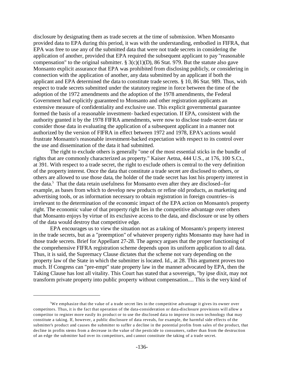disclosure by designating them as trade secrets at the time of submission. When Monsanto provided data to EPA during this period, it was with the understanding, embodied in FIFRA, that EPA was free to use any of the submitted data that were not trade secrets in considering the application of another, provided that EPA required the subsequent applicant to pay "reasonable compensation" to the original submitter.  $\S 3(c)(1)(D)$ , 86 Stat. 979. But the statute also gave Monsanto explicit assurance that EPA was prohibited from disclosing publicly, or considering in connection with the application of another, any data submitted by an applicant if both the applicant and EPA determined the data to constitute trade secrets. § 10, 86 Stat. 989. Thus, with respect to trade secrets submitted under the statutory regime in force between the time of the adoption of the 1972 amendments and the adoption of the 1978 amendments, the Federal Government had explicitly guaranteed to Monsanto and other registration applicants an extensive measure of confidentiality and exclusive use. This explicit governmental guarantee formed the basis of a reasonable investment- backed expectation. If EPA, consistent with the authority granted it by the 1978 FIFRA amendments, were now to disclose trade-secret data or consider those data in evaluating the application of a subsequent applicant in a manner not authorized by the version of FIFRA in effect between 1972 and 1978, EPA's actions would frustrate Monsanto's reasonable investment-backed expectation with respect to its control over the use and dissemination of the data it had submitted.

The right to exclude others is generally "one of the most essential sticks in the bundle of rights that are commonly characterized as property." Kaiser Aetna, 444 U.S., at 176, 100 S.Ct., at 391. With respect to a trade secret, the right to exclude others is central to the very definition of the property interest. Once the data that constitute a trade secret are disclosed to others, or others are allowed to use those data, the holder of the trade secret has lost his property interest in the data.<sup>5</sup> That the data retain usefulness for Monsanto even after they are disclosed--for example, as bases from which to develop new products or refine old products, as marketing and advertising tools, or as information necessary to obtain registration in foreign countries--is irrelevant to the determination of the economic impact of the EPA action on Monsanto's property right. The economic value of that property right lies in the competitive advantage over others that Monsanto enjoys by virtue of its exclusive access to the data, and disclosure or use by others of the data would destroy that competitive edge.

EPA encourages us to view the situation not as a taking of Monsanto's property interest in the trade secrets, but as a "preemption" of whatever property rights Monsanto may have had in those trade secrets. Brief for Appellant 27-28. The agency argues that the proper functioning of the comprehensive FIFRA registration scheme depends upon its uniform application to all data. Thus, it is said, the Supremacy Clause dictates that the scheme not vary depending on the property law of the State in which the submitter is located. Id., at 28. This argument proves too much. If Congress can "pre-empt" state property law in the manner advocated by EPA, then the Taking Clause has lost all vitality. This Court has stated that a sovereign, "by ipse dixit, may not transform private property into public property without compensation.... This is the very kind of

 $5W$ e emphasize that the value of a trade secret lies in the competitive advantage it gives its owner over competitors. Thus, it is the fact that operation of the data-consideration or data-disclosure provisions will allow a competitor to register more easily its product or to use the disclosed data to improve its own technology that may constitute a taking. If, however, a public disclosure of data reveals, for example, the harmful side effects of the submitter's product and causes the submitter to suffer a decline in the potential profits from sales of the product, that decline in profits stems from a decrease in the value of the pesticide to consumers, rather than from the destruction of an edge the submitter had over its competitors, and cannot constitute the taking of a trade secret.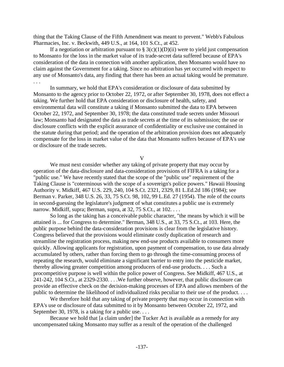thing that the Taking Clause of the Fifth Amendment was meant to prevent." Webb's Fabulous Pharmacies, Inc. v. Beckwith, 449 U.S., at 164, 101 S.Ct., at 452.

If a negotiation or arbitration pursuant to  $\S 3(c)(1)(D)(ii)$  were to yield just compensation to Monsanto for the loss in the market value of its trade-secret data suffered because of EPA's consideration of the data in connection with another application, then Monsanto would have no claim against the Government for a taking. Since no arbitration has yet occurred with respect to any use of Monsanto's data, any finding that there has been an actual taking would be premature. . . .

In summary, we hold that EPA's consideration or disclosure of data submitted by Monsanto to the agency prior to October 22, 1972, or after September 30, 1978, does not effect a taking. We further hold that EPA consideration or disclosure of health, safety, and environmental data will constitute a taking if Monsanto submitted the data to EPA between October 22, 1972, and September 30, 1978; the data constituted trade secrets under Missouri law; Monsanto had designated the data as trade secrets at the time of its submission; the use or disclosure conflicts with the explicit assurance of confidentiality or exclusive use contained in the statute during that period; and the operation of the arbitration provision does not adequately compensate for the loss in market value of the data that Monsanto suffers because of EPA's use or disclosure of the trade secrets.

V

We must next consider whether any taking of private property that may occur by operation of the data-disclosure and data-consideration provisions of FIFRA is a taking for a "public use." We have recently stated that the scope of the "public use" requirement of the Taking Clause is "coterminous with the scope of a sovereign's police powers." Hawaii Housing Authority v. Midkiff, 467 U.S. 229, 240, 104 S.Ct. 2321, 2329, 81 L.Ed.2d 186 (1984); see Berman v. Parker, 348 U.S. 26, 33, 75 S.Ct. 98, 102, 99 L.Ed. 27 (1954). The role of the courts in second-guessing the legislature's judgment of what constitutes a public use is extremely narrow. Midkiff, supra; Berman, supra, at 32, 75 S.Ct., at 102. . . .

So long as the taking has a conceivable public character, "the means by which it will be attained is ... for Congress to determine." Berman, 348 U.S., at 33, 75 S.Ct., at 103. Here, the public purpose behind the data-consideration provisions is clear from the legislative history. Congress believed that the provisions would eliminate costly duplication of research and streamline the registration process, making new end-use products available to consumers more quickly. Allowing applicants for registration, upon payment of compensation, to use data already accumulated by others, rather than forcing them to go through the time-consuming process of repeating the research, would eliminate a significant barrier to entry into the pesticide market, thereby allowing greater competition among producers of end-use products. . . . Such a procompetitive purpose is well within the police power of Congress. See Midkiff, 467 U.S., at 241-242, 104 S.Ct., at 2329-2330. . . .We further observe, however, that public disclosure can provide an effective check on the decision-making processes of EPA and allows members of the public to determine the likelihood of individualized risks peculiar to their use of the product. . . .

We therefore hold that any taking of private property that may occur in connection with EPA's use or disclosure of data submitted to it by Monsanto between October 22, 1972, and September 30, 1978, is a taking for a public use. . . .

Because we hold that [a claim under] the Tucker Act is available as a remedy for any uncompensated taking Monsanto may suffer as a result of the operation of the challenged